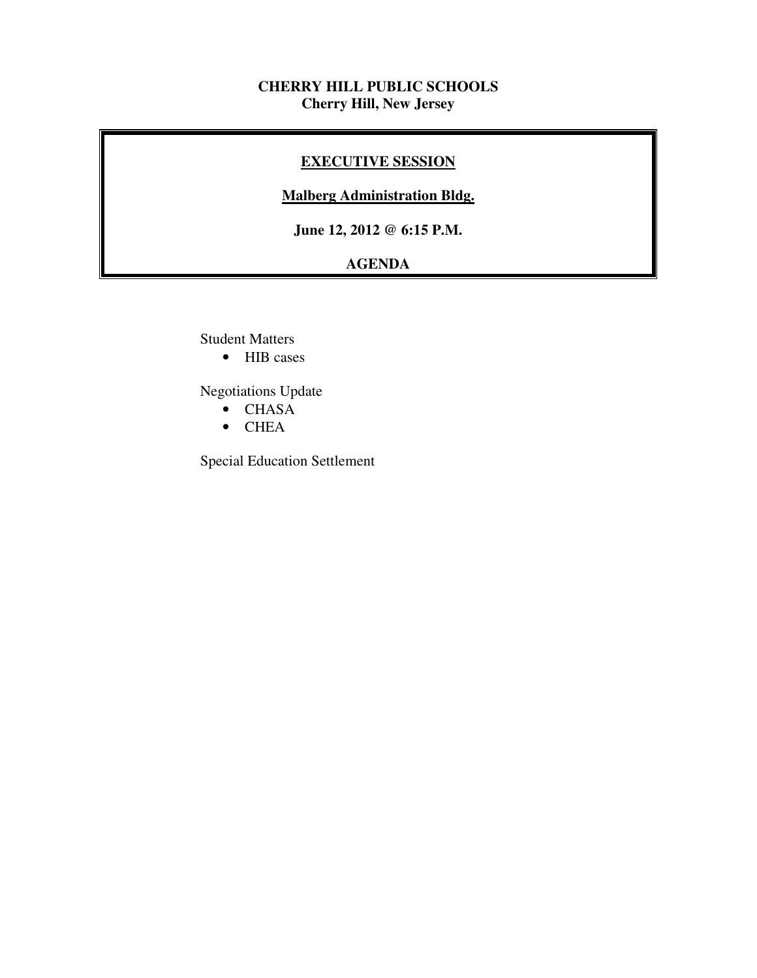# **CHERRY HILL PUBLIC SCHOOLS Cherry Hill, New Jersey**

# **EXECUTIVE SESSION**

# **Malberg Administration Bldg.**

 **June 12, 2012 @ 6:15 P.M.** 

# **AGENDA**

Student Matters

• HIB cases

Negotiations Update

- CHASA
- CHEA

Special Education Settlement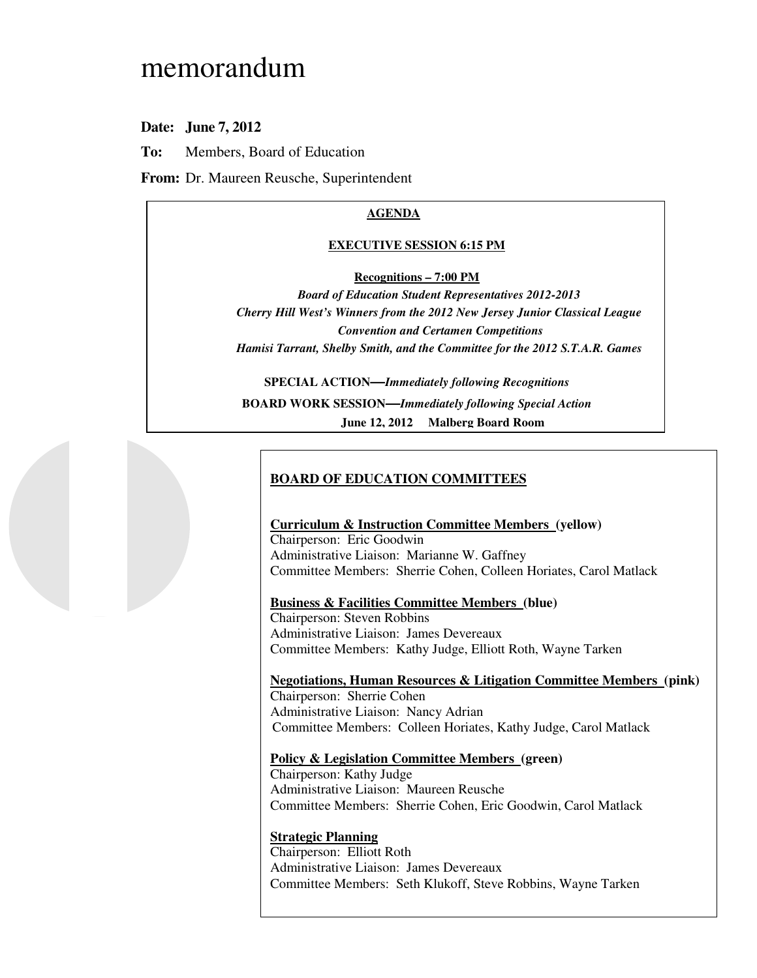# memorandum

 **Date: June 7, 2012** 

**To:** Members, Board of Education

**From:** Dr. Maureen Reusche, Superintendent

#### **AGENDA**

#### **EXECUTIVE SESSION 6:15 PM**

#### **Recognitions – 7:00 PM**

 *Board of Education Student Representatives 2012-2013 Cherry Hill West's Winners from the 2012 New Jersey Junior Classical League Convention and Certamen Competitions Hamisi Tarrant, Shelby Smith, and the Committee for the 2012 S.T.A.R. Games* 

 **SPECIAL ACTION—***Immediately following Recognitions*  **BOARD WORK SESSION—***Immediately following Special Action* **June 12, 2012 Malberg Board Room** 

## **BOARD OF EDUCATION COMMITTEES**

 **Curriculum & Instruction Committee Members (yellow)**  Chairperson: Eric Goodwin Administrative Liaison: Marianne W. Gaffney Committee Members: Sherrie Cohen, Colleen Horiates, Carol Matlack

 **Business & Facilities Committee Members (blue)** 

 Chairperson: Steven Robbins Administrative Liaison: James Devereaux Committee Members: Kathy Judge, Elliott Roth, Wayne Tarken

 **Negotiations, Human Resources & Litigation Committee Members (pink)**  Chairperson: Sherrie Cohen Administrative Liaison: Nancy Adrian Committee Members: Colleen Horiates, Kathy Judge, Carol Matlack

#### **Policy & Legislation Committee Members (green)**

 Chairperson: Kathy Judge Administrative Liaison: Maureen Reusche Committee Members: Sherrie Cohen, Eric Goodwin, Carol Matlack

#### **Strategic Planning**

 Chairperson: Elliott Roth Administrative Liaison: James Devereaux Committee Members: Seth Klukoff, Steve Robbins, Wayne Tarken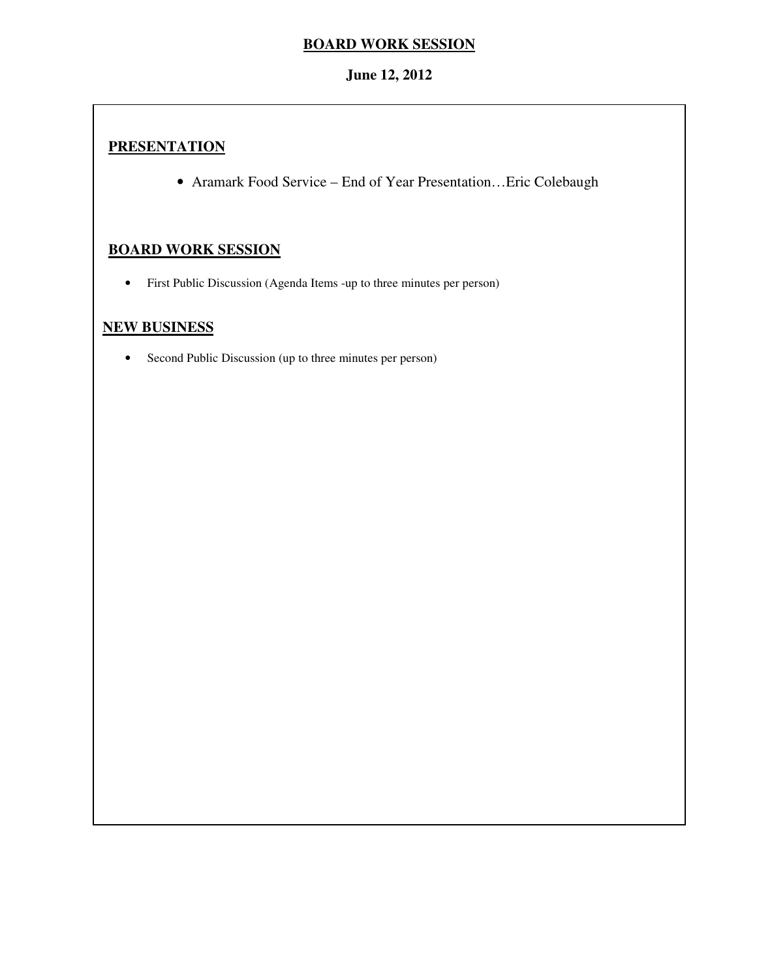# **BOARD WORK SESSION**

# **June 12, 2012**

# **PRESENTATION**

• Aramark Food Service – End of Year Presentation…Eric Colebaugh

# **BOARD WORK SESSION**

• First Public Discussion (Agenda Items -up to three minutes per person)

# **NEW BUSINESS**

• Second Public Discussion (up to three minutes per person)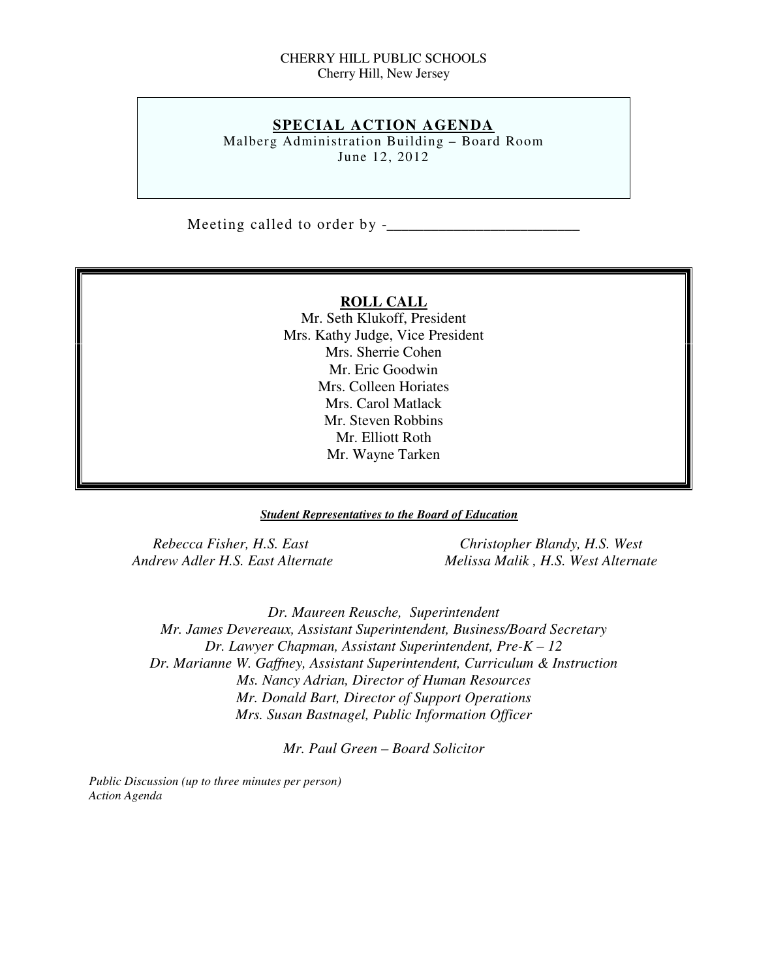### CHERRY HILL PUBLIC SCHOOLS Cherry Hill, New Jersey

## **SPECIAL ACTION AGENDA**

 Malberg Administration Building – Board Room June 12, 2012

Meeting called to order by -\_\_\_\_\_\_\_\_\_\_\_\_\_\_\_\_\_\_\_\_\_\_\_\_\_\_

### **ROLL CALL**

 Mr. Seth Klukoff, President Mrs. Kathy Judge, Vice President Mrs. Sherrie Cohen Mr. Eric Goodwin Mrs. Colleen Horiates Mrs. Carol Matlack Mr. Steven Robbins Mr. Elliott Roth Mr. Wayne Tarken

#### *Student Representatives to the Board of Education*

**Rebecca Fisher, H.S. East Andrew Adler H.S. East Alternate** 

*Christopher Blandy, H.S. West Andrew Adler H.S. East Alternate Melissa Malik , H.S. West Alternate* 

 *Dr. Maureen Reusche, Superintendent Mr. James Devereaux, Assistant Superintendent, Business/Board Secretary Dr. Lawyer Chapman, Assistant Superintendent, Pre-K – 12 Dr. Marianne W. Gaffney, Assistant Superintendent, Curriculum & Instruction Ms. Nancy Adrian, Director of Human Resources Mr. Donald Bart, Director of Support Operations Mrs. Susan Bastnagel, Public Information Officer* 

 *Mr. Paul Green – Board Solicitor* 

 *Public Discussion (up to three minutes per person) Action Agenda*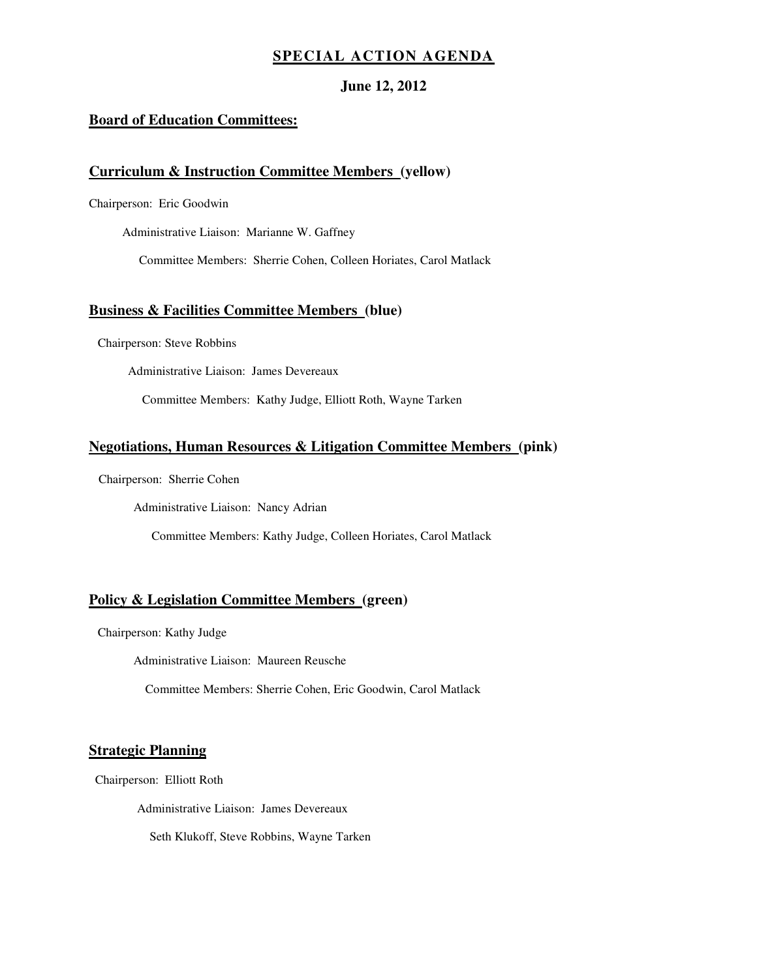## **SPECIAL ACTION AGENDA**

### **June 12, 2012**

### **Board of Education Committees:**

### **Curriculum & Instruction Committee Members (yellow)**

Chairperson: Eric Goodwin

Administrative Liaison: Marianne W. Gaffney

Committee Members: Sherrie Cohen, Colleen Horiates, Carol Matlack

#### **Business & Facilities Committee Members (blue)**

Chairperson: Steve Robbins

Administrative Liaison: James Devereaux

Committee Members: Kathy Judge, Elliott Roth, Wayne Tarken

#### **Negotiations, Human Resources & Litigation Committee Members (pink)**

Chairperson: Sherrie Cohen

Administrative Liaison: Nancy Adrian

Committee Members: Kathy Judge, Colleen Horiates, Carol Matlack

#### **Policy & Legislation Committee Members (green)**

Chairperson: Kathy Judge

Administrative Liaison: Maureen Reusche

Committee Members: Sherrie Cohen, Eric Goodwin, Carol Matlack

#### **Strategic Planning**

Chairperson: Elliott Roth

Administrative Liaison: James Devereaux

Seth Klukoff, Steve Robbins, Wayne Tarken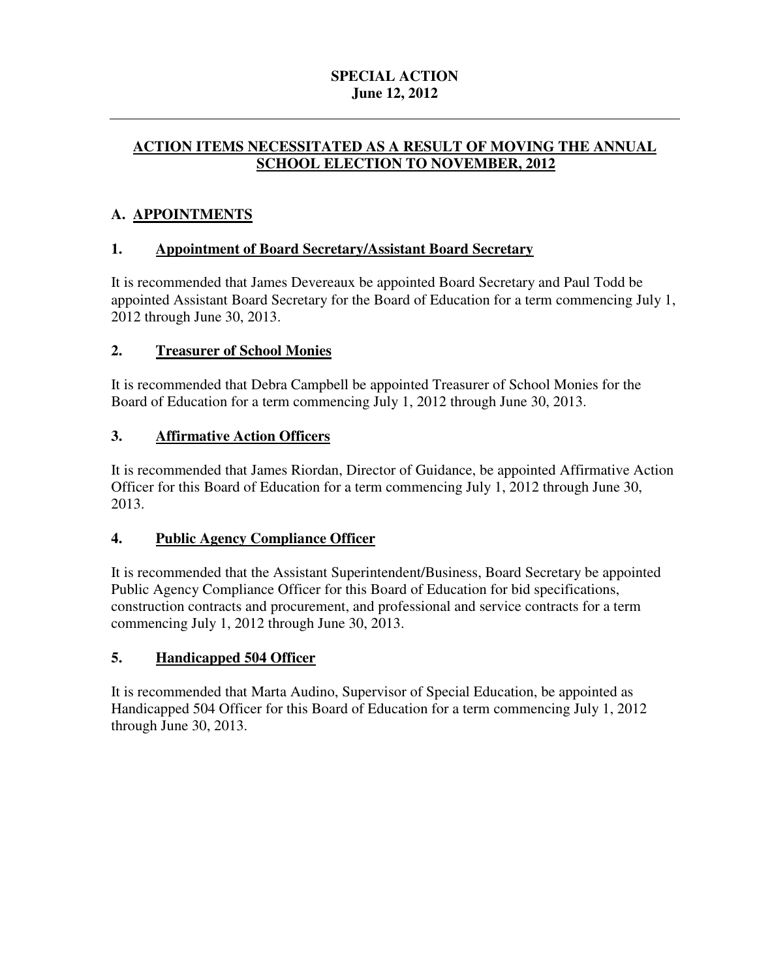# **SPECIAL ACTION June 12, 2012**

# **ACTION ITEMS NECESSITATED AS A RESULT OF MOVING THE ANNUAL SCHOOL ELECTION TO NOVEMBER, 2012**

# **A. APPOINTMENTS**

# **1. Appointment of Board Secretary/Assistant Board Secretary**

 It is recommended that James Devereaux be appointed Board Secretary and Paul Todd be appointed Assistant Board Secretary for the Board of Education for a term commencing July 1, 2012 through June 30, 2013.

# **2. Treasurer of School Monies**

 It is recommended that Debra Campbell be appointed Treasurer of School Monies for the Board of Education for a term commencing July 1, 2012 through June 30, 2013.

# **3. Affirmative Action Officers**

 It is recommended that James Riordan, Director of Guidance, be appointed Affirmative Action Officer for this Board of Education for a term commencing July 1, 2012 through June 30, 2013.

#### **Public Agency Compliance Officer**

 It is recommended that the Assistant Superintendent/Business, Board Secretary be appointed Public Agency Compliance Officer for this Board of Education for bid specifications, construction contracts and procurement, and professional and service contracts for a term commencing July 1, 2012 through June 30, 2013.

# **5. Handicapped 504 Officer**

 It is recommended that Marta Audino, Supervisor of Special Education, be appointed as Handicapped 504 Officer for this Board of Education for a term commencing July 1, 2012 through June 30, 2013.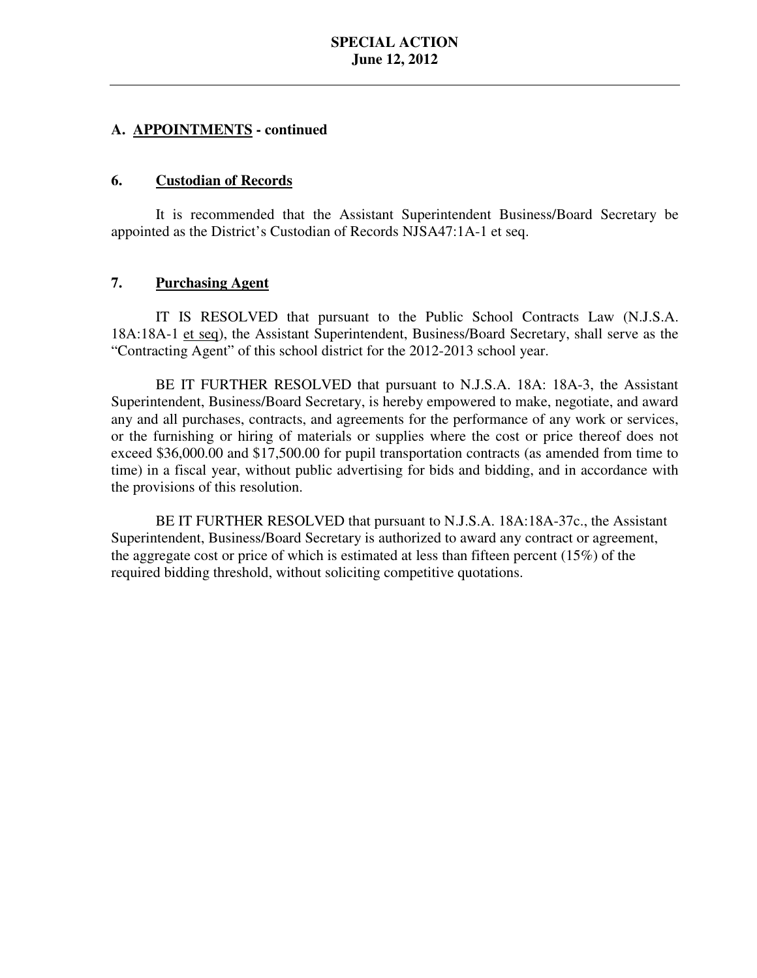#### **6. Custodian of Records**

 It is recommended that the Assistant Superintendent Business/Board Secretary be appointed as the District's Custodian of Records NJSA47:1A-1 et seq.

# **7. Purchasing Agent**

18A:18A-1 et seq), the Assistant Superintendent, Business/Board Secretary, shall serve as the "Contracting Agent" of this school district for the 2012-2013 school year. IT IS RESOLVED that pursuant to the Public School Contracts Law (N.J.S.A.

 Superintendent, Business/Board Secretary, is hereby empowered to make, negotiate, and award any and all purchases, contracts, and agreements for the performance of any work or services, or the furnishing or hiring of materials or supplies where the cost or price thereof does not exceed \$36,000.00 and \$17,500.00 for pupil transportation contracts (as amended from time to time) in a fiscal year, without public advertising for bids and bidding, and in accordance with the provisions of this resolution. BE IT FURTHER RESOLVED that pursuant to N.J.S.A. 18A: 18A-3, the Assistant

 BE IT FURTHER RESOLVED that pursuant to N.J.S.A. 18A:18A-37c., the Assistant Superintendent, Business/Board Secretary is authorized to award any contract or agreement, the aggregate cost or price of which is estimated at less than fifteen percent (15%) of the required bidding threshold, without soliciting competitive quotations.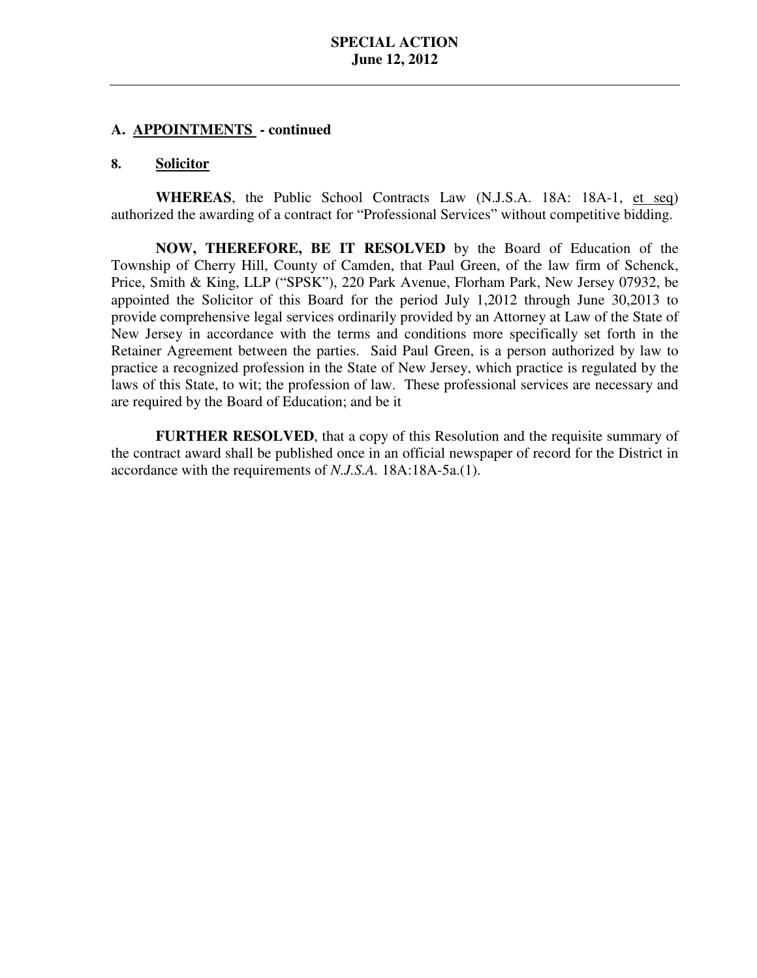#### **8. Solicitor**

 **WHEREAS**, the Public School Contracts Law (N.J.S.A. 18A: 18A-1, et seq) authorized the awarding of a contract for "Professional Services" without competitive bidding.

 **NOW, THEREFORE, BE IT RESOLVED** by the Board of Education of the Township of Cherry Hill, County of Camden, that Paul Green, of the law firm of Schenck, Price, Smith & King, LLP ("SPSK"), 220 Park Avenue, Florham Park, New Jersey 07932, be appointed the Solicitor of this Board for the period July 1,2012 through June 30,2013 to provide comprehensive legal services ordinarily provided by an Attorney at Law of the State of New Jersey in accordance with the terms and conditions more specifically set forth in the Retainer Agreement between the parties. Said Paul Green, is a person authorized by law to practice a recognized profession in the State of New Jersey, which practice is regulated by the laws of this State, to wit; the profession of law. These professional services are necessary and are required by the Board of Education; and be it

 **FURTHER RESOLVED**, that a copy of this Resolution and the requisite summary of the contract award shall be published once in an official newspaper of record for the District in accordance with the requirements of *N.J.S.A.* 18A:18A-5a.(1).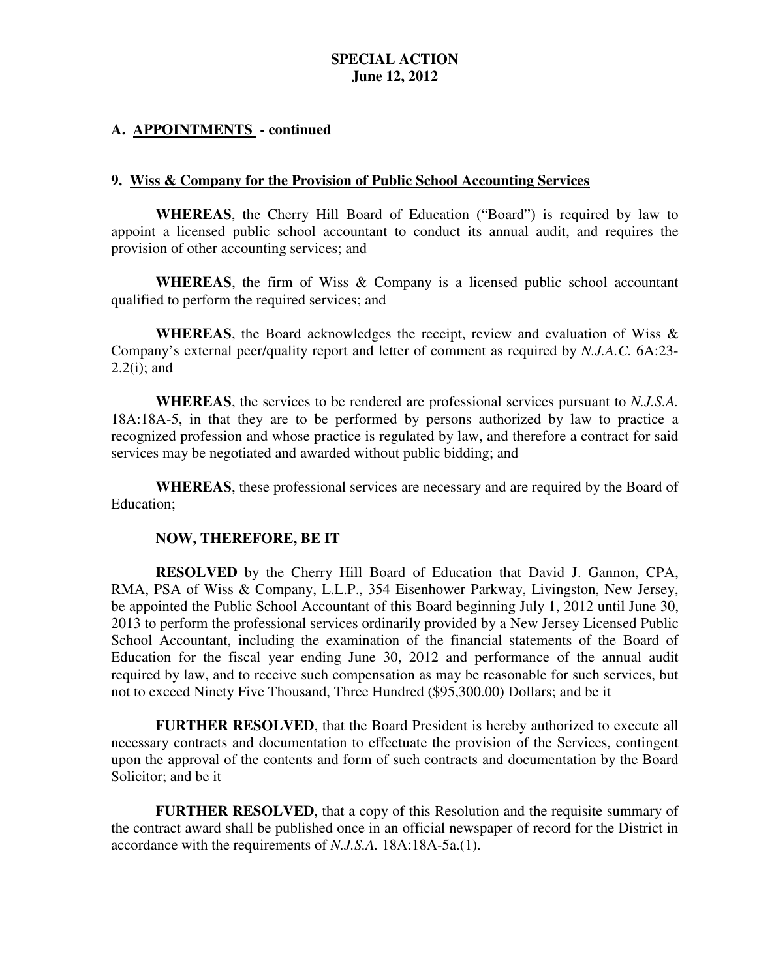## **9. Wiss & Company for the Provision of Public School Accounting Services**

 **WHEREAS**, the Cherry Hill Board of Education ("Board") is required by law to appoint a licensed public school accountant to conduct its annual audit, and requires the provision of other accounting services; and

 **WHEREAS**, the firm of Wiss & Company is a licensed public school accountant qualified to perform the required services; and

 **WHEREAS**, the Board acknowledges the receipt, review and evaluation of Wiss & Company's external peer/quality report and letter of comment as required by *N.J.A.C.* 6A:23 2.2(i); and

 **WHEREAS**, the services to be rendered are professional services pursuant to *N.J.S.A.* 18A:18A-5, in that they are to be performed by persons authorized by law to practice a recognized profession and whose practice is regulated by law, and therefore a contract for said services may be negotiated and awarded without public bidding; and

 **WHEREAS**, these professional services are necessary and are required by the Board of Education;

## **NOW, THEREFORE, BE IT**

 **RESOLVED** by the Cherry Hill Board of Education that David J. Gannon, CPA, RMA, PSA of Wiss & Company, L.L.P., 354 Eisenhower Parkway, Livingston, New Jersey, be appointed the Public School Accountant of this Board beginning July 1, 2012 until June 30, 2013 to perform the professional services ordinarily provided by a New Jersey Licensed Public School Accountant, including the examination of the financial statements of the Board of Education for the fiscal year ending June 30, 2012 and performance of the annual audit required by law, and to receive such compensation as may be reasonable for such services, but not to exceed Ninety Five Thousand, Three Hundred (\$95,300.00) Dollars; and be it

 **FURTHER RESOLVED**, that the Board President is hereby authorized to execute all necessary contracts and documentation to effectuate the provision of the Services, contingent upon the approval of the contents and form of such contracts and documentation by the Board Solicitor; and be it

 **FURTHER RESOLVED**, that a copy of this Resolution and the requisite summary of the contract award shall be published once in an official newspaper of record for the District in accordance with the requirements of *N.J.S.A.* 18A:18A-5a.(1).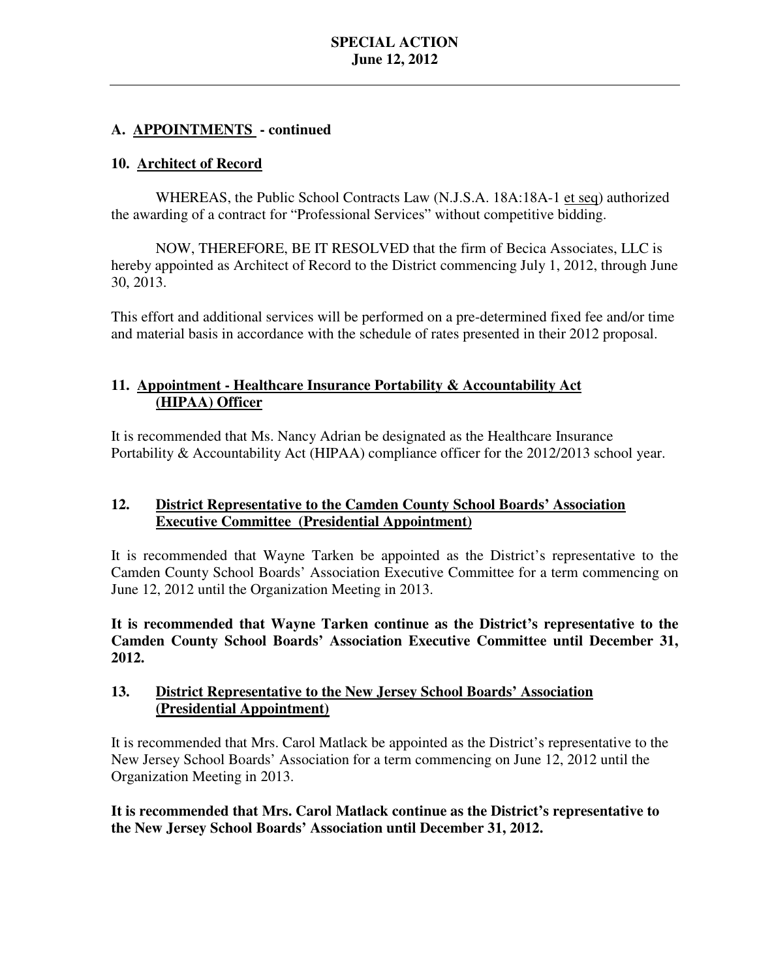# **10. Architect of Record**

WHEREAS, the Public School Contracts Law (N.J.S.A. 18A:18A-1 et seq) authorized the awarding of a contract for "Professional Services" without competitive bidding.

 NOW, THEREFORE, BE IT RESOLVED that the firm of Becica Associates, LLC is hereby appointed as Architect of Record to the District commencing July 1, 2012, through June 30, 2013.

 This effort and additional services will be performed on a pre-determined fixed fee and/or time and material basis in accordance with the schedule of rates presented in their 2012 proposal.

# 11. **Appointment - Healthcare Insurance Portability & Accountability Act (HIPAA) Officer**

 It is recommended that Ms. Nancy Adrian be designated as the Healthcare Insurance Portability & Accountability Act (HIPAA) compliance officer for the 2012/2013 school year.

#### $12.$ **Executive Committee (Presidential Appointment) 12. District Representative to the Camden County School Boards' Association**

 It is recommended that Wayne Tarken be appointed as the District's representative to the Camden County School Boards' Association Executive Committee for a term commencing on June 12, 2012 until the Organization Meeting in 2013.

 **It is recommended that Wayne Tarken continue as the District's representative to the Camden County School Boards' Association Executive Committee until December 31, 2012.** 

#### $13.$ **District Representative to the New Jersey School Boards' Association (Presidential Appointment)**

 It is recommended that Mrs. Carol Matlack be appointed as the District's representative to the New Jersey School Boards' Association for a term commencing on June 12, 2012 until the Organization Meeting in 2013.

 **It is recommended that Mrs. Carol Matlack continue as the District's representative to the New Jersey School Boards' Association until December 31, 2012.**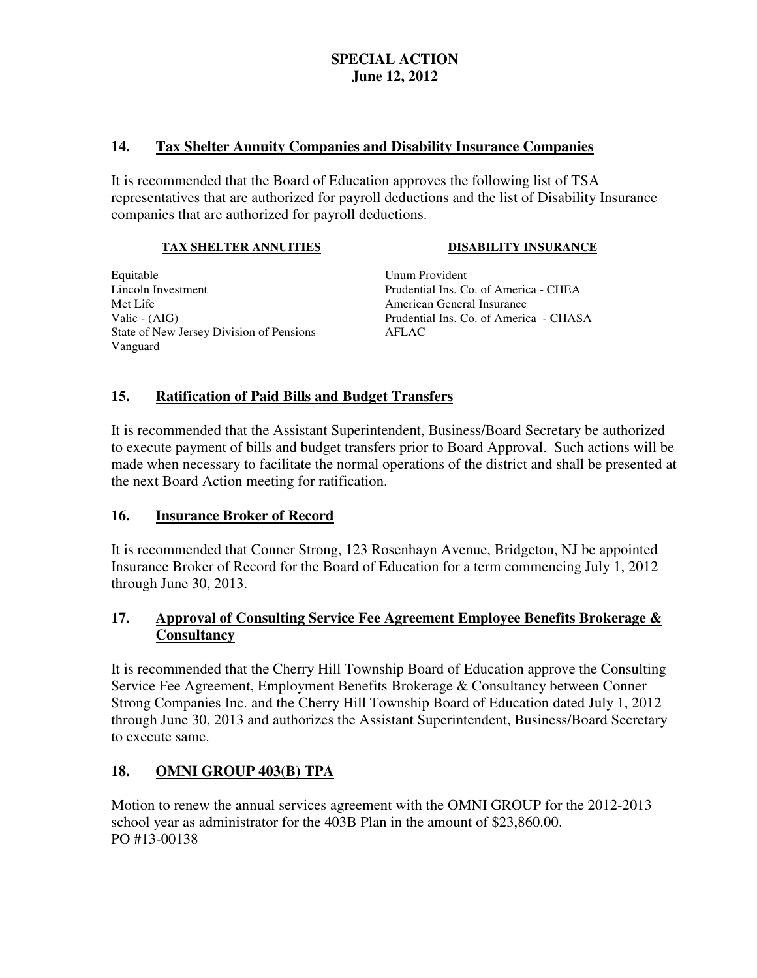#### $14.$ **14. Tax Shelter Annuity Companies and Disability Insurance Companies**

 It is recommended that the Board of Education approves the following list of TSA representatives that are authorized for payroll deductions and the list of Disability Insurance companies that are authorized for payroll deductions.

## **TAX SHELTER ANNUITIES**

## **DISABILITY INSURANCE**

Equitable Lincoln Investment Met Life Valic - (AIG) State of New Jersey Division of Pensions AFLAC Vanguard

Unum Provident Prudential Ins. Co. of America - CHEA American General Insurance Prudential Ins. Co. of America - CHASA

# **15. Ratification of Paid Bills and Budget Transfers**

 It is recommended that the Assistant Superintendent, Business/Board Secretary be authorized to execute payment of bills and budget transfers prior to Board Approval. Such actions will be made when necessary to facilitate the normal operations of the district and shall be presented at the next Board Action meeting for ratification.

# 16. **Insurance Broker of Record**

 It is recommended that Conner Strong, 123 Rosenhayn Avenue, Bridgeton, NJ be appointed Insurance Broker of Record for the Board of Education for a term commencing July 1, 2012 through June 30, 2013.

# 17. **Approval of Consulting Service Fee Agreement Employee Benefits Brokerage & Consultancy**

 It is recommended that the Cherry Hill Township Board of Education approve the Consulting Service Fee Agreement, Employment Benefits Brokerage & Consultancy between Conner Strong Companies Inc. and the Cherry Hill Township Board of Education dated July 1, 2012 through June 30, 2013 and authorizes the Assistant Superintendent, Business/Board Secretary to execute same.

# **18. OMNI GROUP 403(B) TPA**

 Motion to renew the annual services agreement with the OMNI GROUP for the 2012-2013 school year as administrator for the 403B Plan in the amount of \$23,860.00. PO #13-00138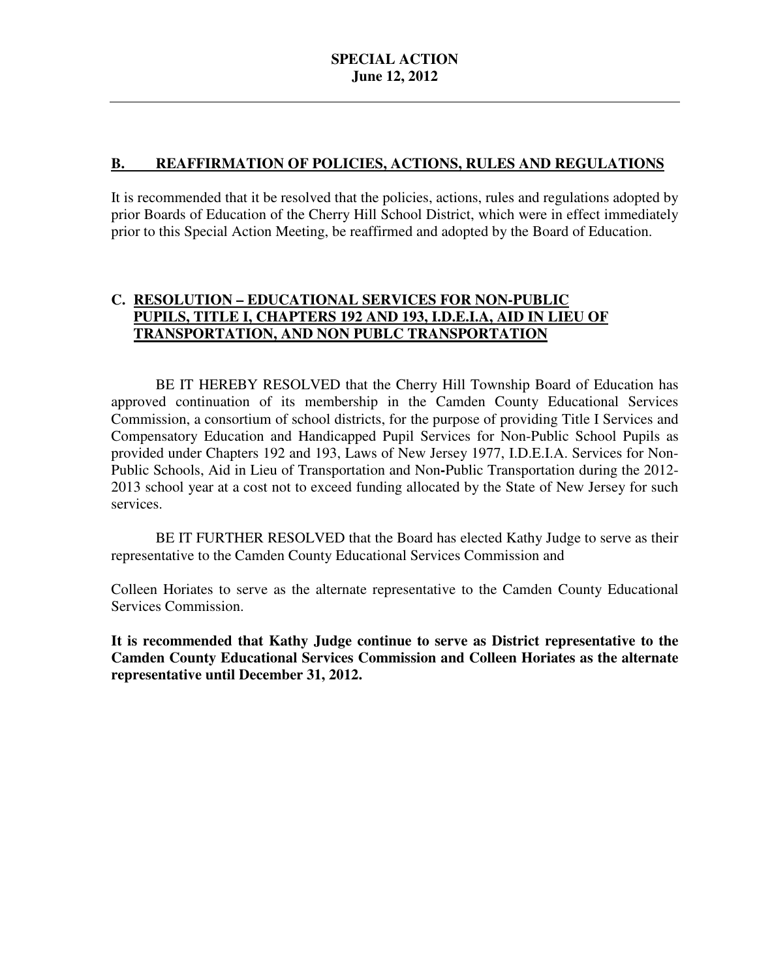# **B. REAFFIRMATION OF POLICIES, ACTIONS, RULES AND REGULATIONS**

 It is recommended that it be resolved that the policies, actions, rules and regulations adopted by prior Boards of Education of the Cherry Hill School District, which were in effect immediately prior to this Special Action Meeting, be reaffirmed and adopted by the Board of Education.

# **C. RESOLUTION – EDUCATIONAL SERVICES FOR NON-PUBLIC PUPILS, TITLE I, CHAPTERS 192 AND 193, I.D.E.I.A, AID IN LIEU OF TRANSPORTATION, AND NON PUBLC TRANSPORTATION**

 approved continuation of its membership in the Camden County Educational Services Commission, a consortium of school districts, for the purpose of providing Title I Services and Compensatory Education and Handicapped Pupil Services for Non-Public School Pupils as provided under Chapters 192 and 193, Laws of New Jersey 1977, I.D.E.I.A. Services for Non- Public Schools, Aid in Lieu of Transportation and Non**-**Public Transportation during the 2012 2013 school year at a cost not to exceed funding allocated by the State of New Jersey for such BE IT HEREBY RESOLVED that the Cherry Hill Township Board of Education has services.

 representative to the Camden County Educational Services Commission and BE IT FURTHER RESOLVED that the Board has elected Kathy Judge to serve as their

 Colleen Horiates to serve as the alternate representative to the Camden County Educational Services Commission.

 **It is recommended that Kathy Judge continue to serve as District representative to the Camden County Educational Services Commission and Colleen Horiates as the alternate representative until December 31, 2012.**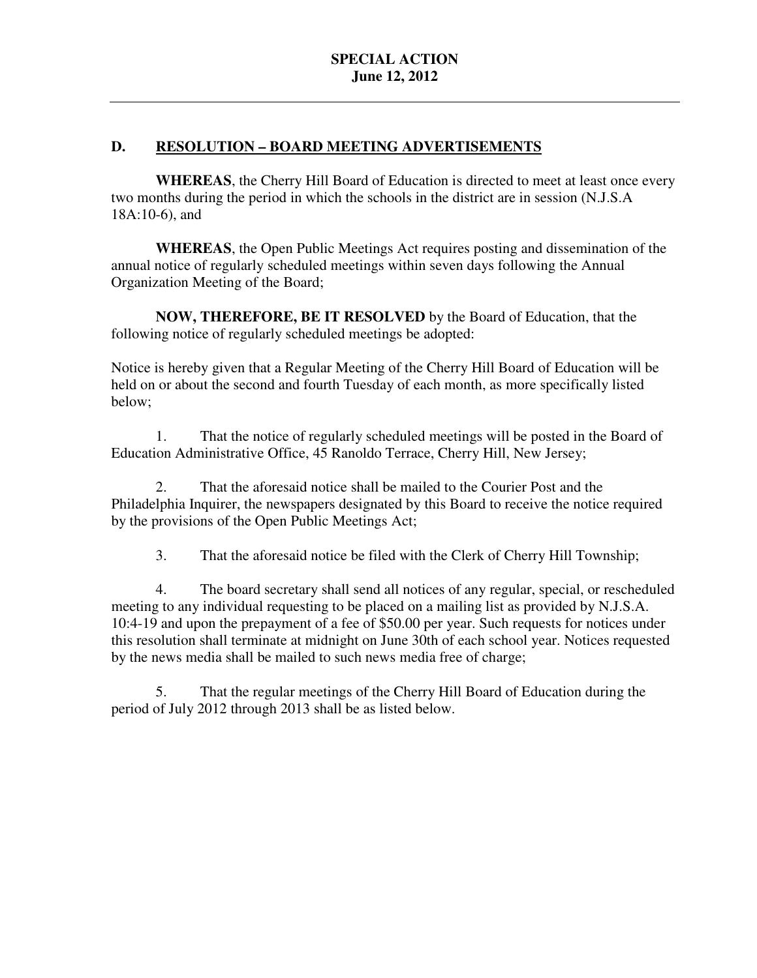# **D.** RESOLUTION - BOARD MEETING ADVERTISEMENTS

 **WHEREAS**, the Cherry Hill Board of Education is directed to meet at least once every two months during the period in which the schools in the district are in session (N.J.S.A 18A:10-6), and

 **WHEREAS**, the Open Public Meetings Act requires posting and dissemination of the annual notice of regularly scheduled meetings within seven days following the Annual Organization Meeting of the Board;

 **NOW, THEREFORE, BE IT RESOLVED** by the Board of Education, that the following notice of regularly scheduled meetings be adopted:

 Notice is hereby given that a Regular Meeting of the Cherry Hill Board of Education will be held on or about the second and fourth Tuesday of each month, as more specifically listed below;

 Education Administrative Office, 45 Ranoldo Terrace, Cherry Hill, New Jersey; 1. That the notice of regularly scheduled meetings will be posted in the Board of

 Philadelphia Inquirer, the newspapers designated by this Board to receive the notice required by the provisions of the Open Public Meetings Act; 2. That the aforesaid notice shall be mailed to the Courier Post and the

3. That the aforesaid notice be filed with the Clerk of Cherry Hill Township;

 4. The board secretary shall send all notices of any regular, special, or rescheduled meeting to any individual requesting to be placed on a mailing list as provided by N.J.S.A. 10:4-19 and upon the prepayment of a fee of \$50.00 per year. Such requests for notices under this resolution shall terminate at midnight on June 30th of each school year. Notices requested by the news media shall be mailed to such news media free of charge;

 5. That the regular meetings of the Cherry Hill Board of Education during the period of July 2012 through 2013 shall be as listed below.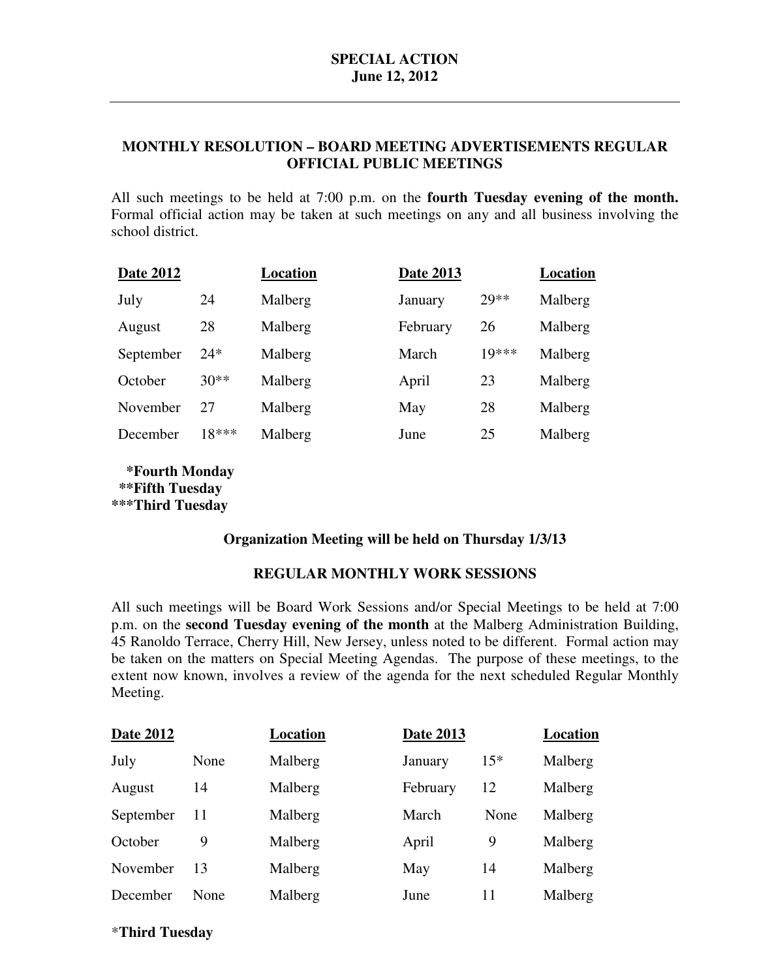# **MONTHLY RESOLUTION – BOARD MEETING ADVERTISEMENTS REGULAR OFFICIAL PUBLIC MEETINGS**

 All such meetings to be held at 7:00 p.m. on the **fourth Tuesday evening of the month.**  Formal official action may be taken at such meetings on any and all business involving the school district.

| <b>Date 2012</b> |         | Location | <b>Date 2013</b> |         | Location |
|------------------|---------|----------|------------------|---------|----------|
| July             | 24      | Malberg  | January          | $20**$  | Malberg  |
| August           | 28      | Malberg  | February         | 26      | Malberg  |
| September        | $24*$   | Malberg  | March            | $10***$ | Malberg  |
| October          | $30**$  | Malberg  | April            | 23      | Malberg  |
| November         | 27      | Malberg  | May              | 28      | Malberg  |
| December         | $18***$ | Malberg  | June             | 25      | Malberg  |
|                  |         |          |                  |         |          |

 **\*\*\*Third Tuesday \*Fourth Monday \*\*Fifth Tuesday** 

## **Organization Meeting will be held on Thursday 1/3/13**

# **REGULAR MONTHLY WORK SESSIONS**

 All such meetings will be Board Work Sessions and/or Special Meetings to be held at 7:00 p.m. on the **second Tuesday evening of the month** at the Malberg Administration Building, 45 Ranoldo Terrace, Cherry Hill, New Jersey, unless noted to be different. Formal action may be taken on the matters on Special Meeting Agendas. The purpose of these meetings, to the extent now known, involves a review of the agenda for the next scheduled Regular Monthly Meeting.

| <b>Date 2012</b> |      | Location | <b>Date 2013</b> |       | Location |
|------------------|------|----------|------------------|-------|----------|
| July             | None | Malberg  | January          | $15*$ | Malberg  |
| August           | 14   | Malberg  | February         | 12    | Malberg  |
| September        | 11   | Malberg  | March            | None  | Malberg  |
| October          | 9    | Malberg  | April            | 9     | Malberg  |
| November         | 13   | Malberg  | May              | 14    | Malberg  |
| December         | None | Malberg  | June             | 11    | Malberg  |

## \***Third Tuesday**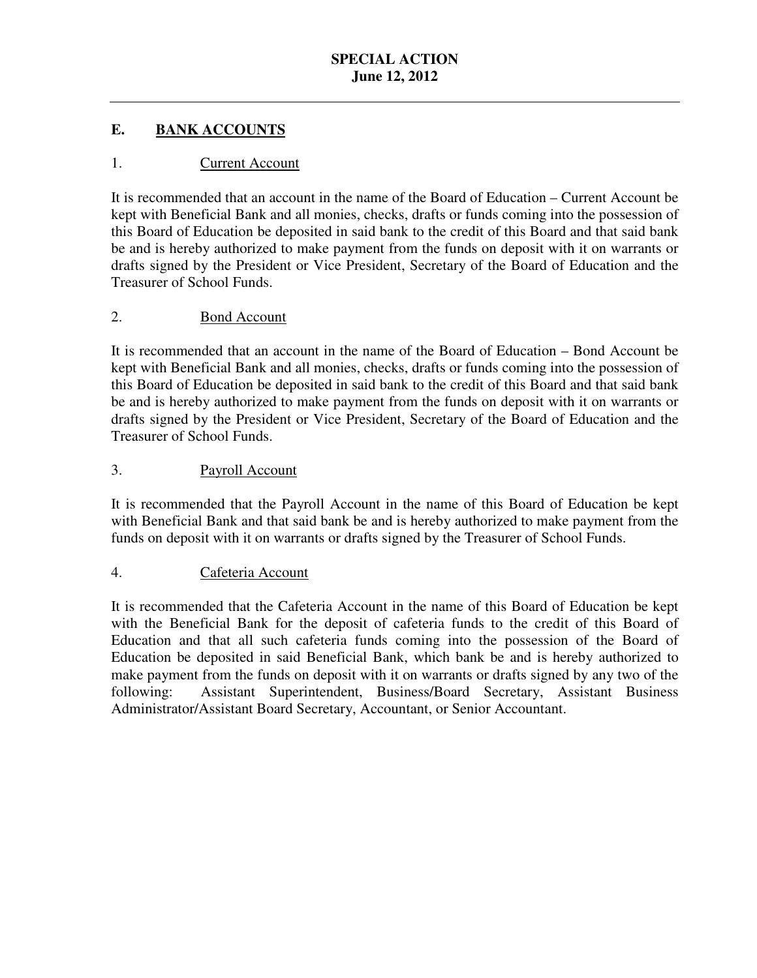#### $$ **EANK ACCOUNTS**

# 1. Current Account

 It is recommended that an account in the name of the Board of Education – Current Account be kept with Beneficial Bank and all monies, checks, drafts or funds coming into the possession of this Board of Education be deposited in said bank to the credit of this Board and that said bank be and is hereby authorized to make payment from the funds on deposit with it on warrants or drafts signed by the President or Vice President, Secretary of the Board of Education and the Treasurer of School Funds.

# 2. Bond Account

 It is recommended that an account in the name of the Board of Education – Bond Account be kept with Beneficial Bank and all monies, checks, drafts or funds coming into the possession of this Board of Education be deposited in said bank to the credit of this Board and that said bank be and is hereby authorized to make payment from the funds on deposit with it on warrants or drafts signed by the President or Vice President, Secretary of the Board of Education and the Treasurer of School Funds.

# 3. Payroll Account

 It is recommended that the Payroll Account in the name of this Board of Education be kept with Beneficial Bank and that said bank be and is hereby authorized to make payment from the funds on deposit with it on warrants or drafts signed by the Treasurer of School Funds.

# 4. Cafeteria Account

 It is recommended that the Cafeteria Account in the name of this Board of Education be kept with the Beneficial Bank for the deposit of cafeteria funds to the credit of this Board of Education and that all such cafeteria funds coming into the possession of the Board of make payment from the funds on deposit with it on warrants or drafts signed by any two of the following: Administrator/Assistant Board Secretary, Accountant, or Senior Accountant. Education be deposited in said Beneficial Bank, which bank be and is hereby authorized to Assistant Superintendent, Business/Board Secretary, Assistant Business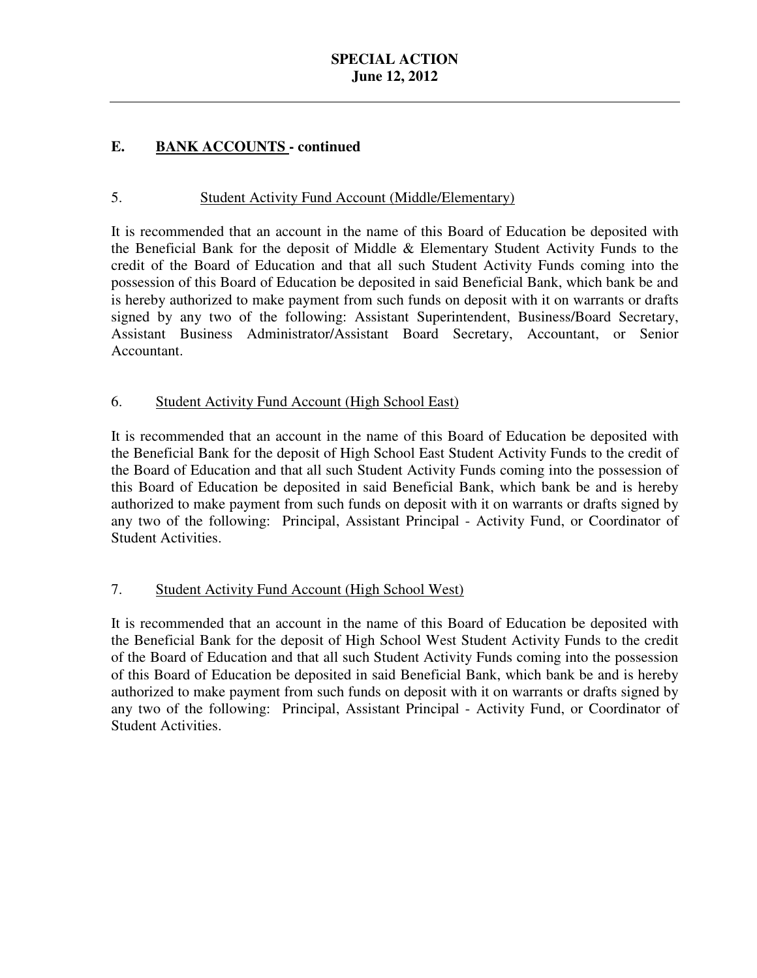# **SPECIAL ACTION June 12, 2012**

#### E. **EANK ACCOUNTS** - continued

# 5. Student Activity Fund Account (Middle/Elementary)

 It is recommended that an account in the name of this Board of Education be deposited with the Beneficial Bank for the deposit of Middle & Elementary Student Activity Funds to the credit of the Board of Education and that all such Student Activity Funds coming into the possession of this Board of Education be deposited in said Beneficial Bank, which bank be and is hereby authorized to make payment from such funds on deposit with it on warrants or drafts signed by any two of the following: Assistant Superintendent, Business/Board Secretary, Assistant Business Administrator/Assistant Board Secretary, Accountant, or Senior Accountant.

# 6. Student Activity Fund Account (High School East)

 It is recommended that an account in the name of this Board of Education be deposited with the Beneficial Bank for the deposit of High School East Student Activity Funds to the credit of the Board of Education and that all such Student Activity Funds coming into the possession of this Board of Education be deposited in said Beneficial Bank, which bank be and is hereby authorized to make payment from such funds on deposit with it on warrants or drafts signed by any two of the following: Principal, Assistant Principal - Activity Fund, or Coordinator of Student Activities.

## 7. Student Activity Fund Account (High School West)

 It is recommended that an account in the name of this Board of Education be deposited with the Beneficial Bank for the deposit of High School West Student Activity Funds to the credit of the Board of Education and that all such Student Activity Funds coming into the possession of this Board of Education be deposited in said Beneficial Bank, which bank be and is hereby authorized to make payment from such funds on deposit with it on warrants or drafts signed by any two of the following: Principal, Assistant Principal - Activity Fund, or Coordinator of Student Activities.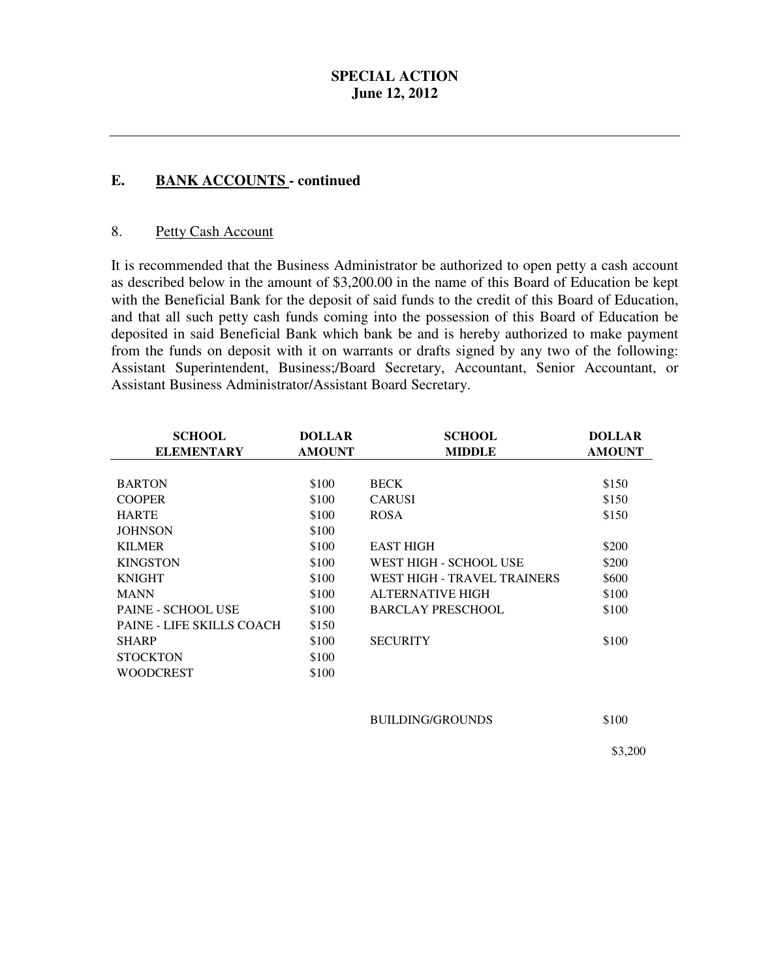# **SPECIAL ACTION June 12, 2012**

#### **. EANK ACCOUNTS - continued**

#### 8. Petty Cash Account

 It is recommended that the Business Administrator be authorized to open petty a cash account as described below in the amount of \$3,200.00 in the name of this Board of Education be kept with the Beneficial Bank for the deposit of said funds to the credit of this Board of Education, and that all such petty cash funds coming into the possession of this Board of Education be deposited in said Beneficial Bank which bank be and is hereby authorized to make payment from the funds on deposit with it on warrants or drafts signed by any two of the following: Assistant Superintendent, Business;/Board Secretary, Accountant, Senior Accountant, or Assistant Business Administrator/Assistant Board Secretary.

| <b>SCHOOL</b><br><b>ELEMENTARY</b> | <b>DOLLAR</b><br><b>AMOUNT</b> | <b>SCHOOL</b><br><b>MIDDLE</b> | <b>DOLLAR</b><br><b>AMOUNT</b> |
|------------------------------------|--------------------------------|--------------------------------|--------------------------------|
|                                    |                                |                                |                                |
| <b>BARTON</b>                      | \$100                          | <b>BECK</b>                    | \$150                          |
| <b>COOPER</b>                      | \$100                          | <b>CARUSI</b>                  | \$150                          |
| <b>HARTE</b>                       | \$100                          | <b>ROSA</b>                    | \$150                          |
| <b>JOHNSON</b>                     | \$100                          |                                |                                |
| <b>KILMER</b>                      | \$100                          | <b>EAST HIGH</b>               | \$200                          |
| <b>KINGSTON</b>                    | \$100                          | WEST HIGH - SCHOOL USE         | \$200                          |
| <b>KNIGHT</b>                      | \$100                          | WEST HIGH - TRAVEL TRAINERS    | \$600                          |
| <b>MANN</b>                        | \$100                          | <b>ALTERNATIVE HIGH</b>        | \$100                          |
| PAINE - SCHOOL USE                 | \$100                          | <b>BARCLAY PRESCHOOL</b>       | \$100                          |
| <b>PAINE - LIFE SKILLS COACH</b>   | \$150                          |                                |                                |
| <b>SHARP</b>                       | \$100                          | <b>SECURITY</b>                | \$100                          |
| <b>STOCKTON</b>                    | \$100                          |                                |                                |
| <b>WOODCREST</b>                   | \$100                          |                                |                                |
|                                    |                                |                                |                                |
|                                    |                                | <b>BUILDING/GROUNDS</b>        | \$100                          |

\$3,200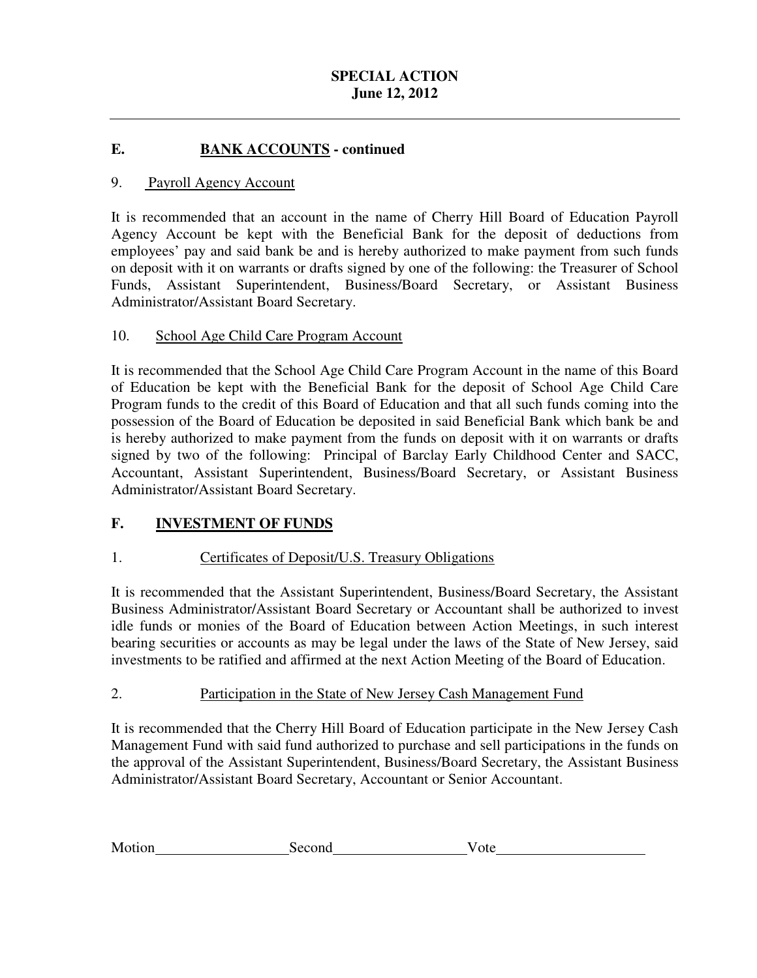#### $$ **E. BANK ACCOUNTS - continued**

#### 9. Payroll Agency Account

 It is recommended that an account in the name of Cherry Hill Board of Education Payroll Agency Account be kept with the Beneficial Bank for the deposit of deductions from employees' pay and said bank be and is hereby authorized to make payment from such funds on deposit with it on warrants or drafts signed by one of the following: the Treasurer of School Funds, Assistant Superintendent, Business/Board Secretary, or Assistant Business Administrator/Assistant Board Secretary.

#### $10<sub>l</sub>$ School Age Child Care Program Account

 It is recommended that the School Age Child Care Program Account in the name of this Board of Education be kept with the Beneficial Bank for the deposit of School Age Child Care Program funds to the credit of this Board of Education and that all such funds coming into the possession of the Board of Education be deposited in said Beneficial Bank which bank be and is hereby authorized to make payment from the funds on deposit with it on warrants or drafts signed by two of the following: Principal of Barclay Early Childhood Center and SACC, Accountant, Assistant Superintendent, Business/Board Secretary, or Assistant Business Administrator/Assistant Board Secretary.

# **F. INVESTMENT OF FUNDS**

# 1. Certificates of Deposit/U.S. Treasury Obligations

 It is recommended that the Assistant Superintendent, Business/Board Secretary, the Assistant Business Administrator/Assistant Board Secretary or Accountant shall be authorized to invest idle funds or monies of the Board of Education between Action Meetings, in such interest bearing securities or accounts as may be legal under the laws of the State of New Jersey, said investments to be ratified and affirmed at the next Action Meeting of the Board of Education.

# 2. Participation in the State of New Jersey Cash Management Fund

 It is recommended that the Cherry Hill Board of Education participate in the New Jersey Cash Management Fund with said fund authorized to purchase and sell participations in the funds on the approval of the Assistant Superintendent, Business/Board Secretary, the Assistant Business Administrator/Assistant Board Secretary, Accountant or Senior Accountant.

| Motion<br>Second<br>v ote |  |
|---------------------------|--|
|---------------------------|--|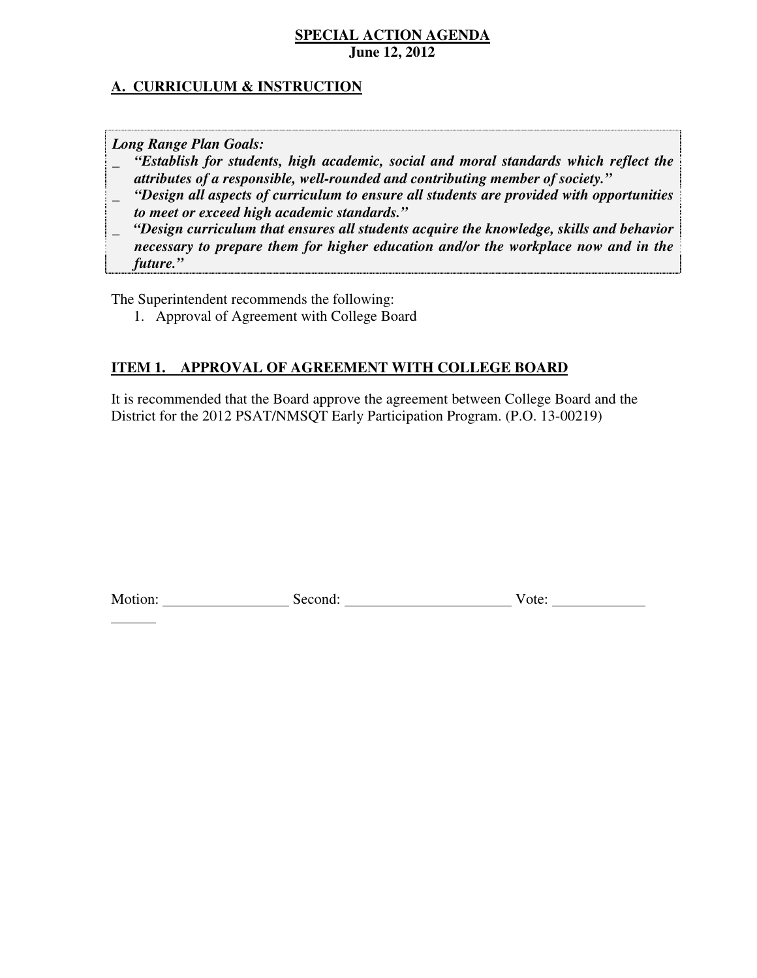# **A. CURRICULUM & INSTRUCTION**

 *Long Range Plan Goals:* 

 $\overline{a}$ 

- \_ *"Establish for students, high academic, social and moral standards which reflect the attributes of a responsible, well-rounded and contributing member of society."*
- \_ *"Design all aspects of curriculum to ensure all students are provided with opportunities to meet or exceed high academic standards."*
- \_ *"Design curriculum that ensures all students acquire the knowledge, skills and behavior necessary to prepare them for higher education and/or the workplace now and in the future."*

The Superintendent recommends the following:

1. Approval of Agreement with College Board

# **ITEM 1. APPROVAL OF AGREEMENT WITH COLLEGE BOARD**

 It is recommended that the Board approve the agreement between College Board and the District for the 2012 PSAT/NMSQT Early Participation Program. (P.O. 13-00219)

| Motion: | second: | ote |
|---------|---------|-----|
|---------|---------|-----|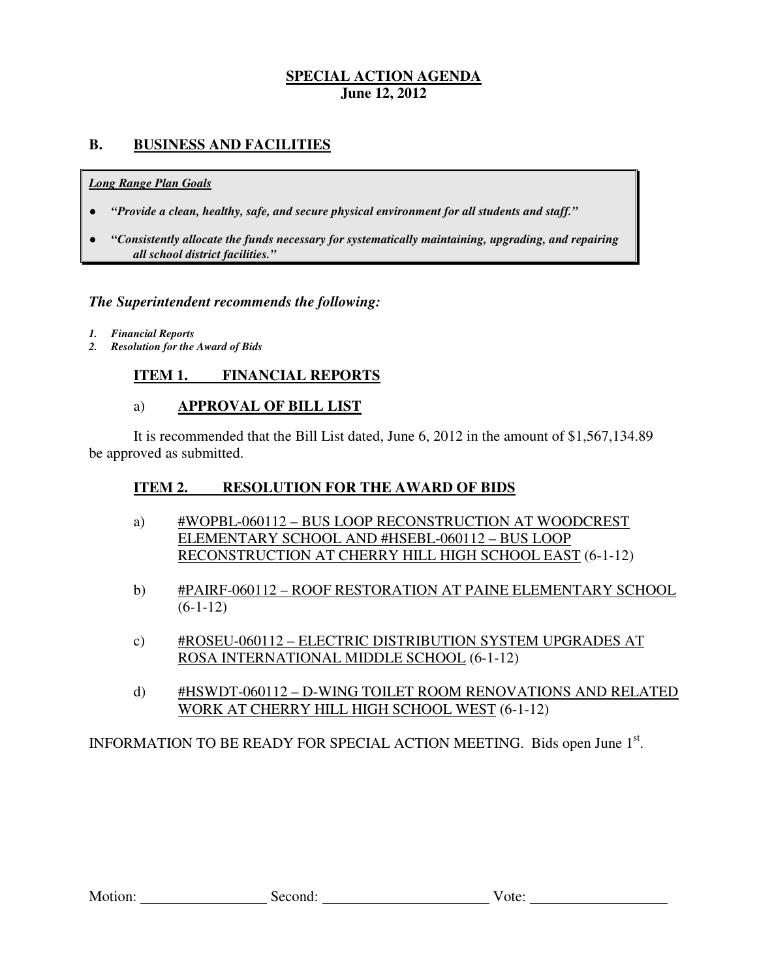# **B. BUSINESS AND FACILITIES**

#### *Long Range Plan Goals*

- *"Provide a clean, healthy, safe, and secure physical environment for all students and staff."*
- *all school district facilities."*  ● *"Consistently allocate the funds necessary for systematically maintaining, upgrading, and repairing*

## *The Superintendent recommends the following:*

- *1. Financial Reports*
- *2. Resolution for the Award of Bids*

# **ITEM 1. FINANCIAL REPORTS**

## a) **APPROVAL OF BILL LIST**

 be approved as submitted. It is recommended that the Bill List dated, June 6, 2012 in the amount of \$1,567,134.89

#### **ITEM 2. RESOLUTION FOR THE AWARD OF BIDS**

- ELEMENTARY SCHOOL AND #HSEBL-060112 BUS LOOP RECONSTRUCTION AT CHERRY HILL HIGH SCHOOL EAST (6-1-12) a) #WOPBL-060112 – BUS LOOP RECONSTRUCTION AT WOODCREST
- b) #PAIRF-060112 ROOF RESTORATION AT PAINE ELEMENTARY SCHOOL  $(6-1-12)$
- ROSA INTERNATIONAL MIDDLE SCHOOL (6-1-12) c) #ROSEU-060112 – ELECTRIC DISTRIBUTION SYSTEM UPGRADES AT
- d) #HSWDT-060112 D-WING TOILET ROOM RENOVATIONS AND RELATED WORK AT CHERRY HILL HIGH SCHOOL WEST (6-1-12)

INFORMATION TO BE READY FOR SPECIAL ACTION MEETING. Bids open June 1<sup>st</sup>.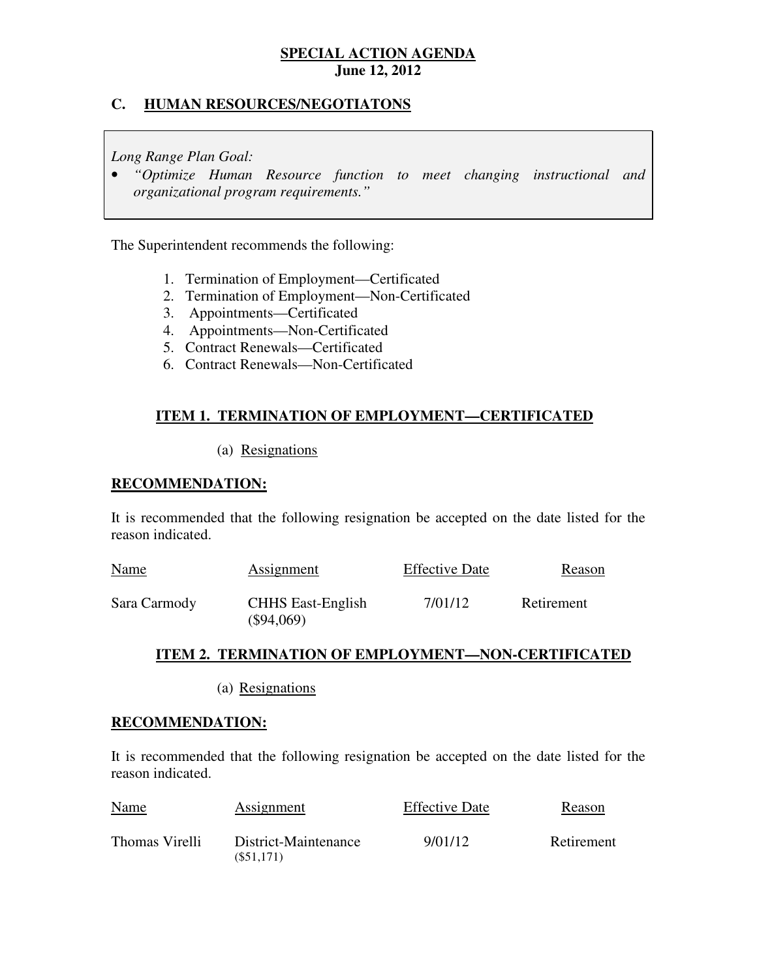# **C. HUMAN RESOURCES/NEGOTIATONS**

 *Long Range Plan Goal:* 

 • *"Optimize Human Resource function to meet changing instructional and organizational program requirements."* 

The Superintendent recommends the following:

- 1. Termination of Employment—Certificated
- 2. Termination of Employment—Non-Certificated
- 3. Appointments—Certificated
- 4. Appointments—Non-Certificated
- 5. Contract Renewals—Certificated
- 6. Contract Renewals—Non-Certificated

# **ITEM 1. TERMINATION OF EMPLOYMENT—CERTIFICATED**

## (a) Resignations

## **RECOMMENDATION:**

 It is recommended that the following resignation be accepted on the date listed for the reason indicated.

| <b>Name</b>  | <b>Assignment</b>                        | <b>Effective Date</b> | Reason     |
|--------------|------------------------------------------|-----------------------|------------|
| Sara Carmody | <b>CHHS</b> East-English<br>$(\$94,069)$ | 7/01/12               | Retirement |

## **ITEM 2. TERMINATION OF EMPLOYMENT—NON-CERTIFICATED**

(a) Resignations

## **RECOMMENDATION:**

 It is recommended that the following resignation be accepted on the date listed for the reason indicated.

| <b>Name</b>    | Assignment                        | <b>Effective Date</b> | Reason     |
|----------------|-----------------------------------|-----------------------|------------|
| Thomas Virelli | District-Maintenance<br>(S51.171) | 9/01/12               | Retirement |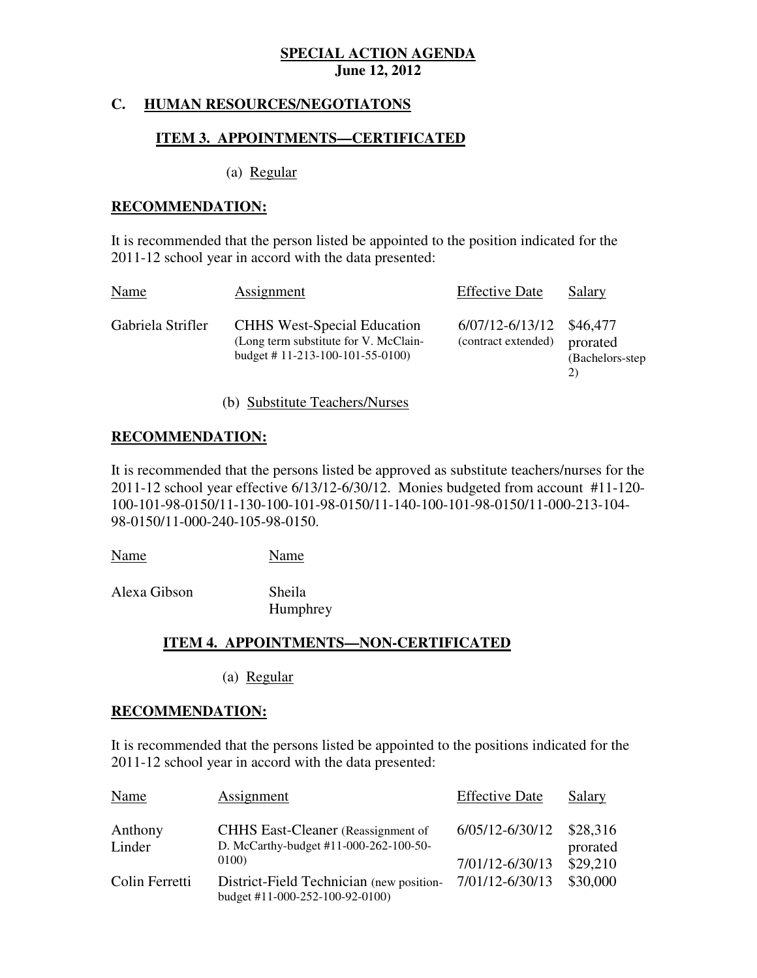# **C. HUMAN RESOURCES/NEGOTIATONS**

## **ITEM 3. APPOINTMENTS—CERTIFICATED**

(a) Regular

## **RECOMMENDATION:**

 It is recommended that the person listed be appointed to the position indicated for the 2011-12 school year in accord with the data presented:

| Name              | Assignment                                                                                                      | <b>Effective Date</b>                           | <b>Salary</b>                      |
|-------------------|-----------------------------------------------------------------------------------------------------------------|-------------------------------------------------|------------------------------------|
| Gabriela Strifler | <b>CHHS West-Special Education</b><br>(Long term substitute for V. McClain-<br>budget # 11-213-100-101-55-0100) | 6/07/12-6/13/12 \$46,477<br>(contract extended) | prorated<br>(Bachelors-step)<br>2) |

(b) Substitute Teachers/Nurses

## **RECOMMENDATION:**

 It is recommended that the persons listed be approved as substitute teachers/nurses for the 2011-12 school year effective 6/13/12-6/30/12. Monies budgeted from account #11-120 100-101-98-0150/11-130-100-101-98-0150/11-140-100-101-98-0150/11-000-213-104 98-0150/11-000-240-105-98-0150.

Name Name

Alexa Gibson Sheila

Humphrey

## **ITEM 4. APPOINTMENTS—NON-CERTIFICATED**

(a) Regular

### **RECOMMENDATION:**

 It is recommended that the persons listed be appointed to the positions indicated for the 2011-12 school year in accord with the data presented:

| Name              | Assignment                                                                          | <b>Effective Date</b> | Salary               |
|-------------------|-------------------------------------------------------------------------------------|-----------------------|----------------------|
| Anthony<br>Linder | <b>CHHS</b> East-Cleaner (Reassignment of<br>D. McCarthy-budget #11-000-262-100-50- | 6/05/12-6/30/12       | \$28,316<br>prorated |
|                   | 0100)                                                                               | 7/01/12-6/30/13       | \$29,210             |
| Colin Ferretti    | District-Field Technician (new position-<br>budget #11-000-252-100-92-0100)         | 7/01/12-6/30/13       | \$30,000             |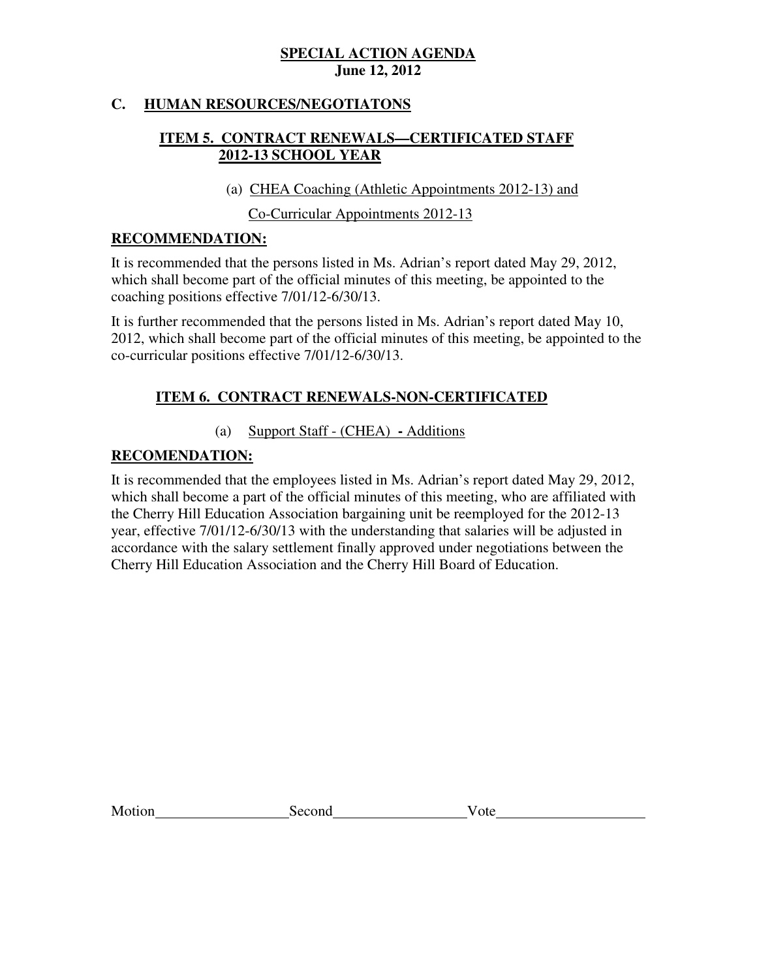# **C. HUMAN RESOURCES/NEGOTIATONS**

# **ITEM 5. CONTRACT RENEWALS—CERTIFICATED STAFF 2012-13 SCHOOL YEAR**

(a) CHEA Coaching (Athletic Appointments 2012-13) and

Co-Curricular Appointments 2012-13

# **RECOMMENDATION:**

 It is recommended that the persons listed in Ms. Adrian's report dated May 29, 2012, which shall become part of the official minutes of this meeting, be appointed to the coaching positions effective 7/01/12-6/30/13.

 It is further recommended that the persons listed in Ms. Adrian's report dated May 10, 2012, which shall become part of the official minutes of this meeting, be appointed to the co-curricular positions effective 7/01/12-6/30/13.

# **ITEM 6. CONTRACT RENEWALS-NON-CERTIFICATED**

# (a) Support Staff - (CHEA) **-** Additions

# **RECOMENDATION:**

 It is recommended that the employees listed in Ms. Adrian's report dated May 29, 2012, which shall become a part of the official minutes of this meeting, who are affiliated with the Cherry Hill Education Association bargaining unit be reemployed for the 2012-13 year, effective 7/01/12-6/30/13 with the understanding that salaries will be adjusted in accordance with the salary settlement finally approved under negotiations between the Cherry Hill Education Association and the Cherry Hill Board of Education.

**Motion** 

Second Vote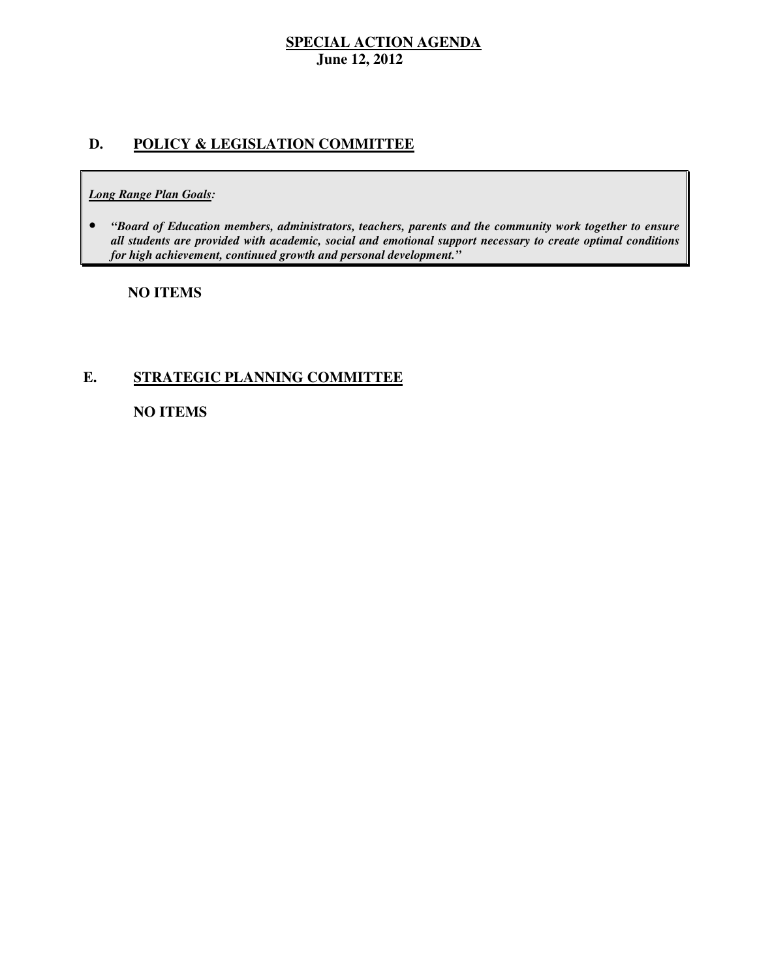# **D. POLICY & LEGISLATION COMMITTEE**

#### *Long Range Plan Goals:*

**•** "Board of Education members, administrators, teachers, parents and the community work together to ensure  *all students are provided with academic, social and emotional support necessary to create optimal conditions for high achievement, continued growth and personal development."* 

## **NO ITEMS**

# **E. STRATEGIC PLANNING COMMITTEE**

# **NO ITEMS**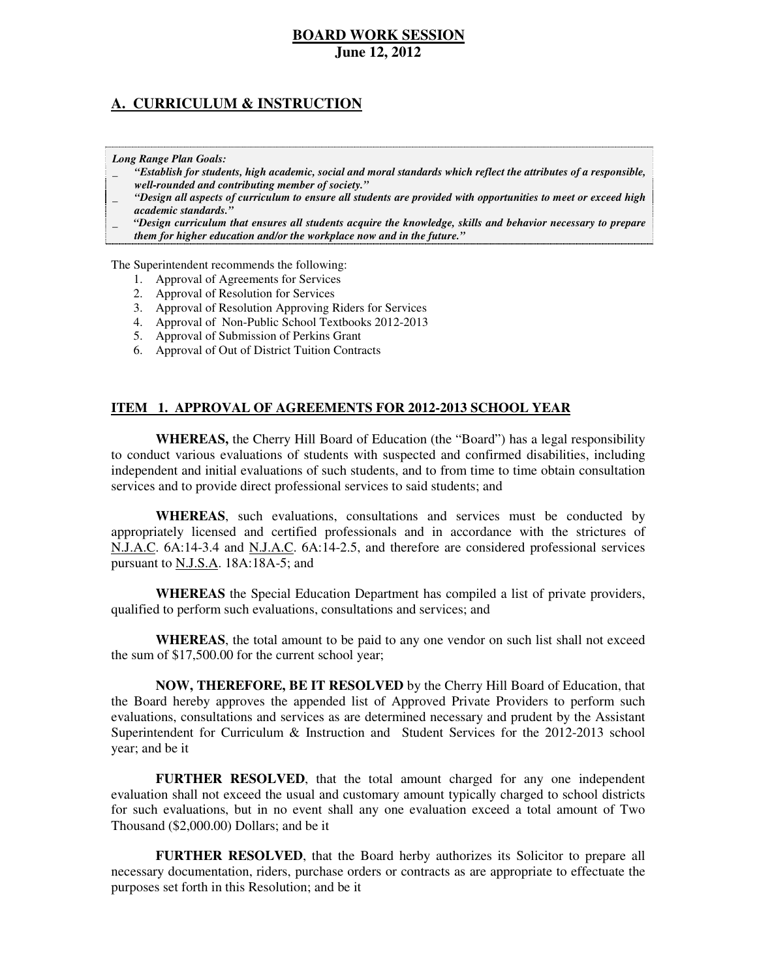# **A. CURRICULUM & INSTRUCTION**

#### *Long Range Plan Goals:*

- \_ *"Establish for students, high academic, social and moral standards which reflect the attributes of a responsible, well-rounded and contributing member of society."*
- \_ *"Design all aspects of curriculum to ensure all students are provided with opportunities to meet or exceed high academic standards."*
- \_ *"Design curriculum that ensures all students acquire the knowledge, skills and behavior necessary to prepare them for higher education and/or the workplace now and in the future."*

The Superintendent recommends the following:

- 1. Approval of Agreements for Services
- 2. Approval of Resolution for Services
- 3. Approval of Resolution Approving Riders for Services
- 4. Approval of Non-Public School Textbooks 2012-2013
- 5. Approval of Submission of Perkins Grant
- 6. Approval of Out of District Tuition Contracts

### **ITEM 1. APPROVAL OF AGREEMENTS FOR 2012-2013 SCHOOL YEAR**

 **WHEREAS,** the Cherry Hill Board of Education (the "Board") has a legal responsibility to conduct various evaluations of students with suspected and confirmed disabilities, including independent and initial evaluations of such students, and to from time to time obtain consultation services and to provide direct professional services to said students; and

 **WHEREAS**, such evaluations, consultations and services must be conducted by appropriately licensed and certified professionals and in accordance with the strictures of N.J.A.C. 6A:14-3.4 and N.J.A.C. 6A:14-2.5, and therefore are considered professional services pursuant to **N.J.S.A.** 18A:18A-5; and

 **WHEREAS** the Special Education Department has compiled a list of private providers, qualified to perform such evaluations, consultations and services; and

 **WHEREAS**, the total amount to be paid to any one vendor on such list shall not exceed the sum of \$17,500.00 for the current school year;

 **NOW, THEREFORE, BE IT RESOLVED** by the Cherry Hill Board of Education, that the Board hereby approves the appended list of Approved Private Providers to perform such evaluations, consultations and services as are determined necessary and prudent by the Assistant Superintendent for Curriculum & Instruction and Student Services for the 2012-2013 school year; and be it

 **FURTHER RESOLVED**, that the total amount charged for any one independent evaluation shall not exceed the usual and customary amount typically charged to school districts for such evaluations, but in no event shall any one evaluation exceed a total amount of Two Thousand (\$2,000.00) Dollars; and be it

 **FURTHER RESOLVED**, that the Board herby authorizes its Solicitor to prepare all necessary documentation, riders, purchase orders or contracts as are appropriate to effectuate the purposes set forth in this Resolution; and be it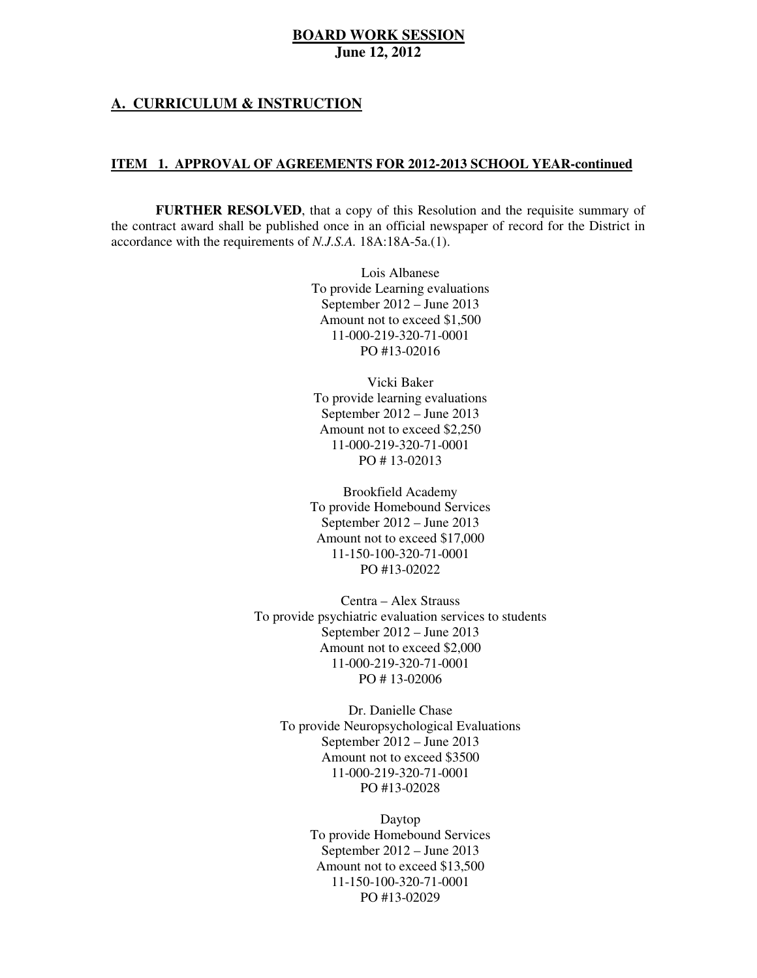### **A. CURRICULUM & INSTRUCTION**

#### **ITEM 1. APPROVAL OF AGREEMENTS FOR 2012-2013 SCHOOL YEAR-continued**

 **FURTHER RESOLVED**, that a copy of this Resolution and the requisite summary of the contract award shall be published once in an official newspaper of record for the District in accordance with the requirements of *N.J.S.A.* 18A:18A-5a.(1).

> Lois Albanese To provide Learning evaluations September 2012 – June 2013 Amount not to exceed \$1,500 PO #13-02016 11-000-219-320-71-0001

 Vicki Baker To provide learning evaluations September 2012 – June 2013 Amount not to exceed \$2,250 PO # 13-02013 11-000-219-320-71-0001

 Brookfield Academy To provide Homebound Services September 2012 – June 2013 Amount not to exceed \$17,000 PO #13-02022 11-150-100-320-71-0001

 Centra – Alex Strauss To provide psychiatric evaluation services to students September 2012 – June 2013 Amount not to exceed \$2,000 PO # 13-02006 11-000-219-320-71-0001

 Dr. Danielle Chase To provide Neuropsychological Evaluations September 2012 – June 2013 Amount not to exceed \$3500 PO #13-02028 11-000-219-320-71-0001

> To provide Homebound Services September 2012 – June 2013 Amount not to exceed \$13,500 PO #13-02029 Daytop 11-150-100-320-71-0001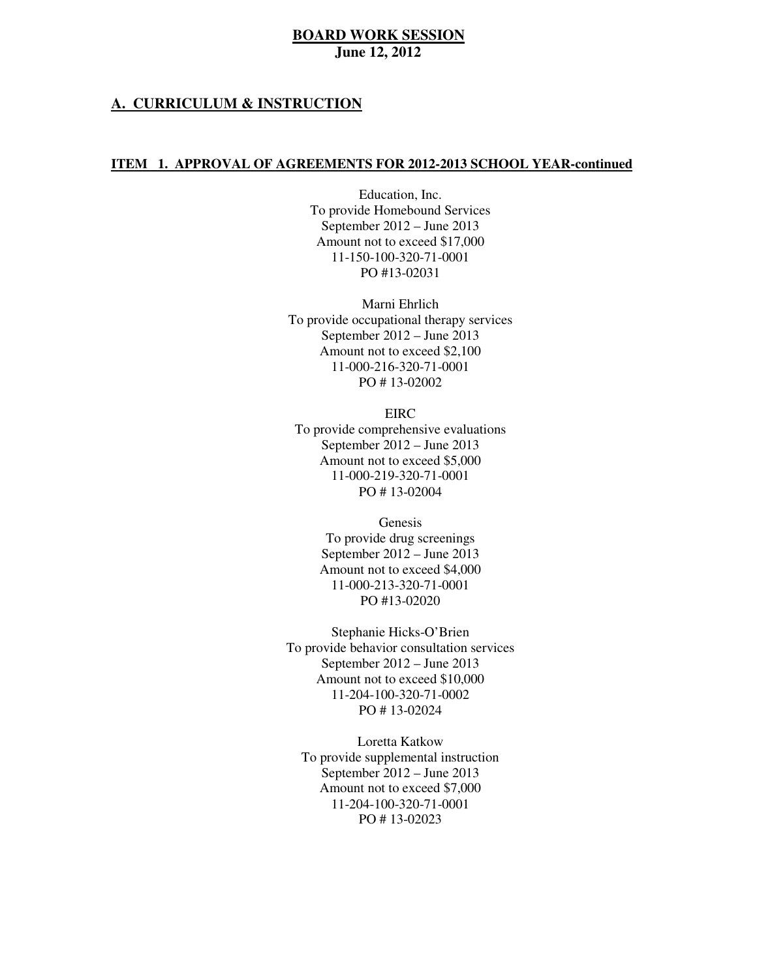### **A. CURRICULUM & INSTRUCTION**

#### **ITEM 1. APPROVAL OF AGREEMENTS FOR 2012-2013 SCHOOL YEAR-continued**

 Education, Inc. To provide Homebound Services September 2012 – June 2013 Amount not to exceed \$17,000 PO #13-02031 11-150-100-320-71-0001

 Marni Ehrlich To provide occupational therapy services September 2012 – June 2013 Amount not to exceed \$2,100 PO # 13-02002 11-000-216-320-71-0001

 To provide comprehensive evaluations September 2012 – June 2013 Amount not to exceed \$5,000 PO # 13-02004 EIRC 11-000-219-320-71-0001

> To provide drug screenings September 2012 – June 2013 Amount not to exceed \$4,000 PO #13-02020 Genesis 11-000-213-320-71-0001

 To provide behavior consultation services September 2012 – June 2013 Amount not to exceed \$10,000 PO # 13-02024 Stephanie Hicks-O'Brien 11-204-100-320-71-0002

 Loretta Katkow To provide supplemental instruction September 2012 – June 2013 Amount not to exceed \$7,000 PO # 13-02023 11-204-100-320-71-0001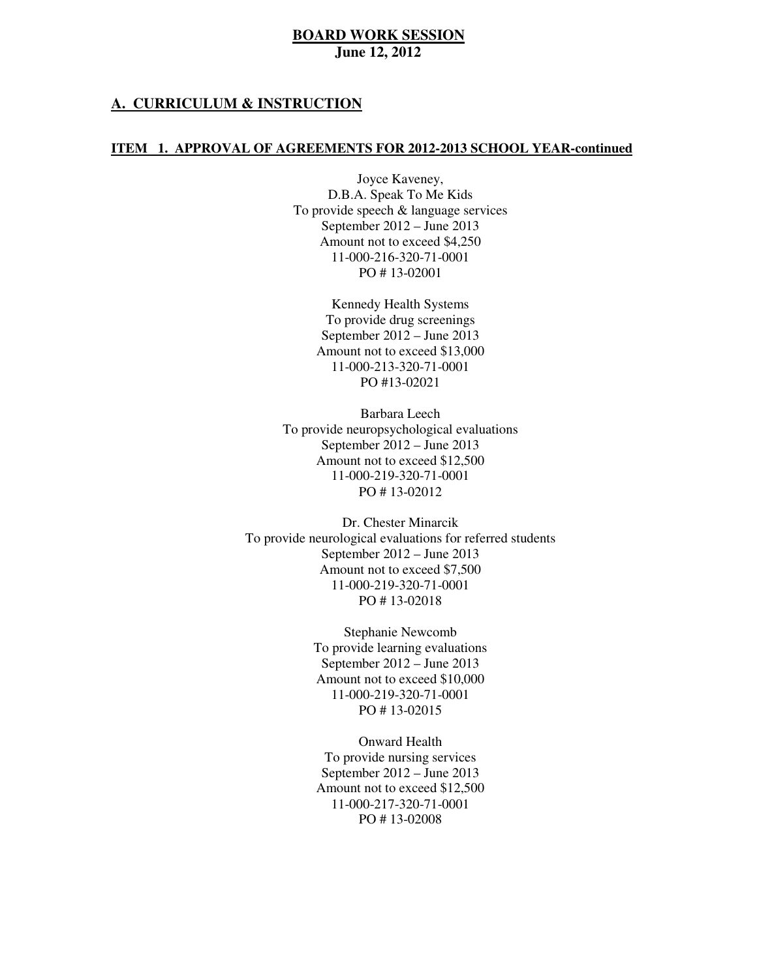### **A. CURRICULUM & INSTRUCTION**

#### **ITEM 1. APPROVAL OF AGREEMENTS FOR 2012-2013 SCHOOL YEAR-continued**

 Joyce Kaveney, To provide speech & language services September 2012 – June 2013 Amount not to exceed \$4,250 PO # 13-02001 D.B.A. Speak To Me Kids 11-000-216-320-71-0001

> Kennedy Health Systems To provide drug screenings September 2012 – June 2013 Amount not to exceed \$13,000 PO #13-02021 11-000-213-320-71-0001

 Barbara Leech To provide neuropsychological evaluations September 2012 – June 2013 Amount not to exceed \$12,500 PO # 13-02012 11-000-219-320-71-0001

 Dr. Chester Minarcik To provide neurological evaluations for referred students September 2012 – June 2013 Amount not to exceed \$7,500 PO # 13-02018 11-000-219-320-71-0001

> Stephanie Newcomb To provide learning evaluations September 2012 – June 2013 Amount not to exceed \$10,000 PO # 13-02015 11-000-219-320-71-0001

 Onward Health To provide nursing services September 2012 – June 2013 Amount not to exceed \$12,500 PO # 13-02008 11-000-217-320-71-0001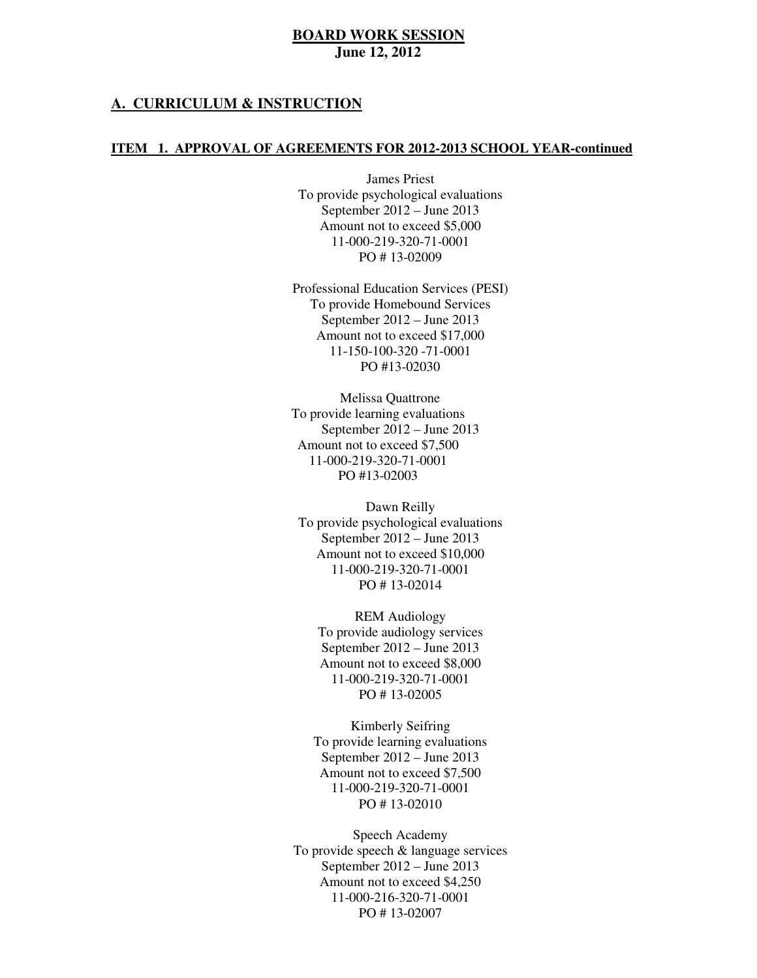#### **A. CURRICULUM & INSTRUCTION**

#### **ITEM 1. APPROVAL OF AGREEMENTS FOR 2012-2013 SCHOOL YEAR-continued**

 James Priest To provide psychological evaluations September 2012 – June 2013 Amount not to exceed \$5,000 PO # 13-02009 11-000-219-320-71-0001

 Professional Education Services (PESI) To provide Homebound Services September 2012 – June 2013 Amount not to exceed \$17,000 11-150-100-320 -71-0001 PO #13-02030

 To provide learning evaluations September 2012 – June 2013 Amount not to exceed \$7,500 PO #13-02003 Melissa Quattrone 11-000-219-320-71-0001

 Dawn Reilly To provide psychological evaluations September 2012 – June 2013 Amount not to exceed \$10,000 PO # 13-02014 11-000-219-320-71-0001

 REM Audiology To provide audiology services September 2012 – June 2013 Amount not to exceed \$8,000 PO # 13-02005 11-000-219-320-71-0001

 Kimberly Seifring To provide learning evaluations September 2012 – June 2013 Amount not to exceed \$7,500 PO # 13-02010 11-000-219-320-71-0001

 Speech Academy To provide speech & language services September 2012 – June 2013 Amount not to exceed \$4,250 PO # 13-02007 11-000-216-320-71-0001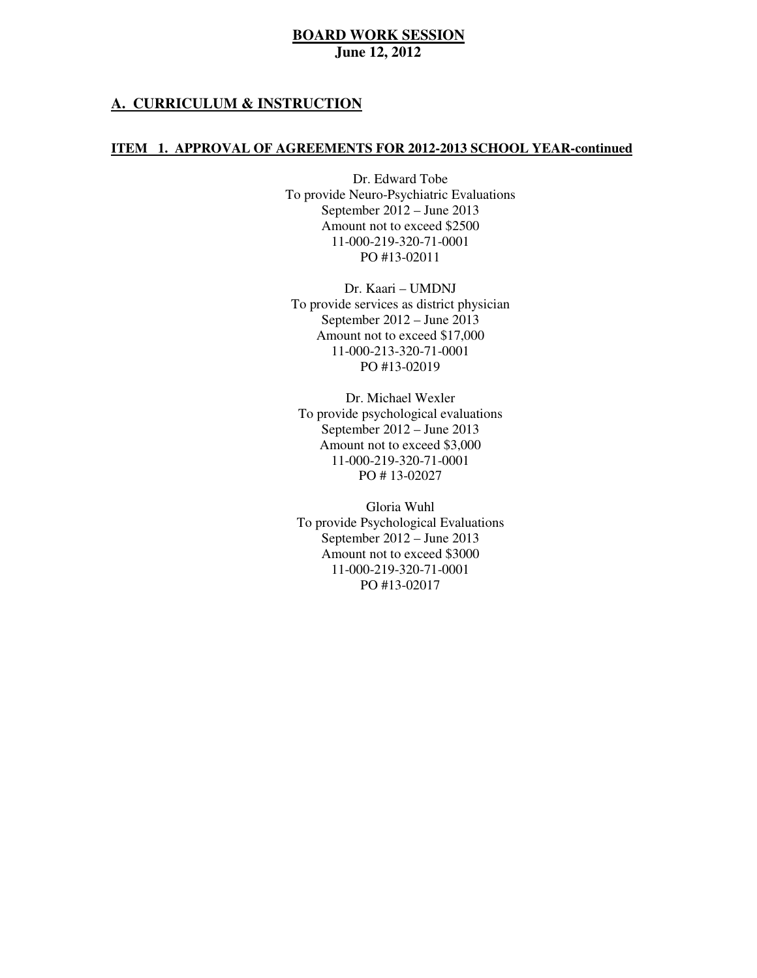### **A. CURRICULUM & INSTRUCTION**

#### **ITEM 1. APPROVAL OF AGREEMENTS FOR 2012-2013 SCHOOL YEAR-continued**

 Dr. Edward Tobe To provide Neuro-Psychiatric Evaluations September 2012 – June 2013 Amount not to exceed \$2500 PO #13-02011 11-000-219-320-71-0001

 Dr. Kaari – UMDNJ To provide services as district physician September 2012 – June 2013 Amount not to exceed \$17,000 PO #13-02019 11-000-213-320-71-0001

 Dr. Michael Wexler To provide psychological evaluations September 2012 – June 2013 Amount not to exceed \$3,000 PO # 13-02027 11-000-219-320-71-0001

 Gloria Wuhl To provide Psychological Evaluations September 2012 – June 2013 Amount not to exceed \$3000 PO #13-02017 11-000-219-320-71-0001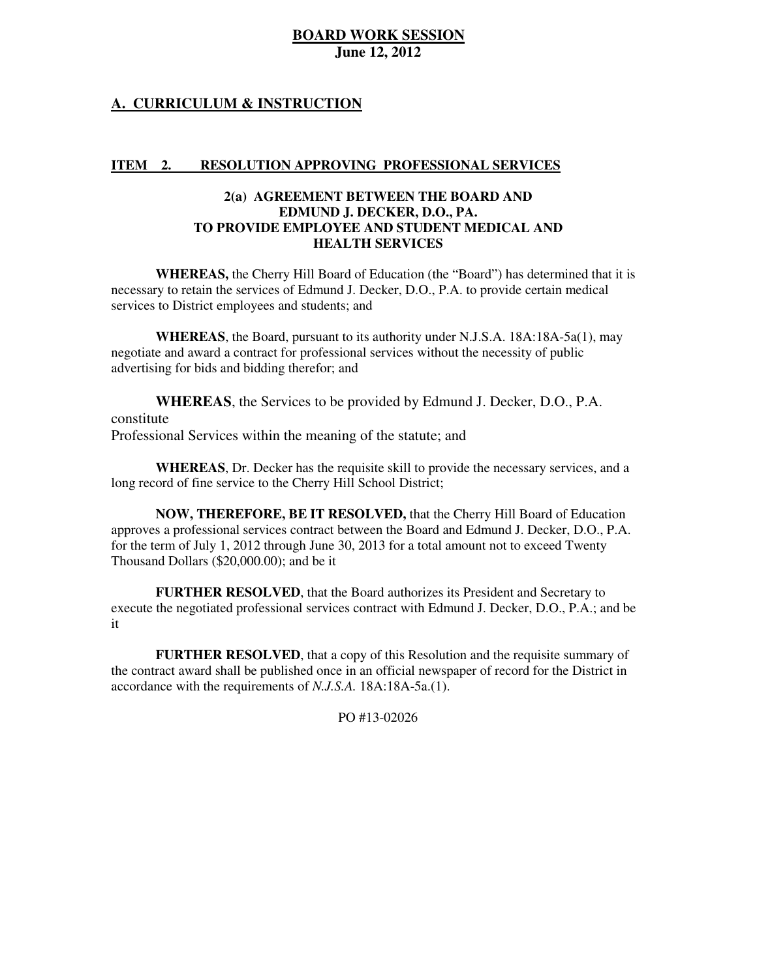# **A. CURRICULUM & INSTRUCTION**

#### **ITEM** 2. **RESOLUTION APPROVING PROFESSIONAL SERVICES**

### **2(a) AGREEMENT BETWEEN THE BOARD AND EDMUND J. DECKER, D.O., PA. TO PROVIDE EMPLOYEE AND STUDENT MEDICAL AND HEALTH SERVICES**

 **WHEREAS,** the Cherry Hill Board of Education (the "Board") has determined that it is necessary to retain the services of Edmund J. Decker, D.O., P.A. to provide certain medical services to District employees and students; and

 **WHEREAS**, the Board, pursuant to its authority under N.J.S.A. 18A:18A-5a(1), may negotiate and award a contract for professional services without the necessity of public advertising for bids and bidding therefor; and

 **WHEREAS**, the Services to be provided by Edmund J. Decker, D.O., P.A. Professional Services within the meaning of the statute; and constitute

 **WHEREAS**, Dr. Decker has the requisite skill to provide the necessary services, and a long record of fine service to the Cherry Hill School District;

 **NOW, THEREFORE, BE IT RESOLVED,** that the Cherry Hill Board of Education approves a professional services contract between the Board and Edmund J. Decker, D.O., P.A. for the term of July 1, 2012 through June 30, 2013 for a total amount not to exceed Twenty Thousand Dollars (\$20,000.00); and be it

 **FURTHER RESOLVED**, that the Board authorizes its President and Secretary to execute the negotiated professional services contract with Edmund J. Decker, D.O., P.A.; and be it

 **FURTHER RESOLVED**, that a copy of this Resolution and the requisite summary of the contract award shall be published once in an official newspaper of record for the District in accordance with the requirements of *N.J.S.A.* 18A:18A-5a.(1).

PO #13-02026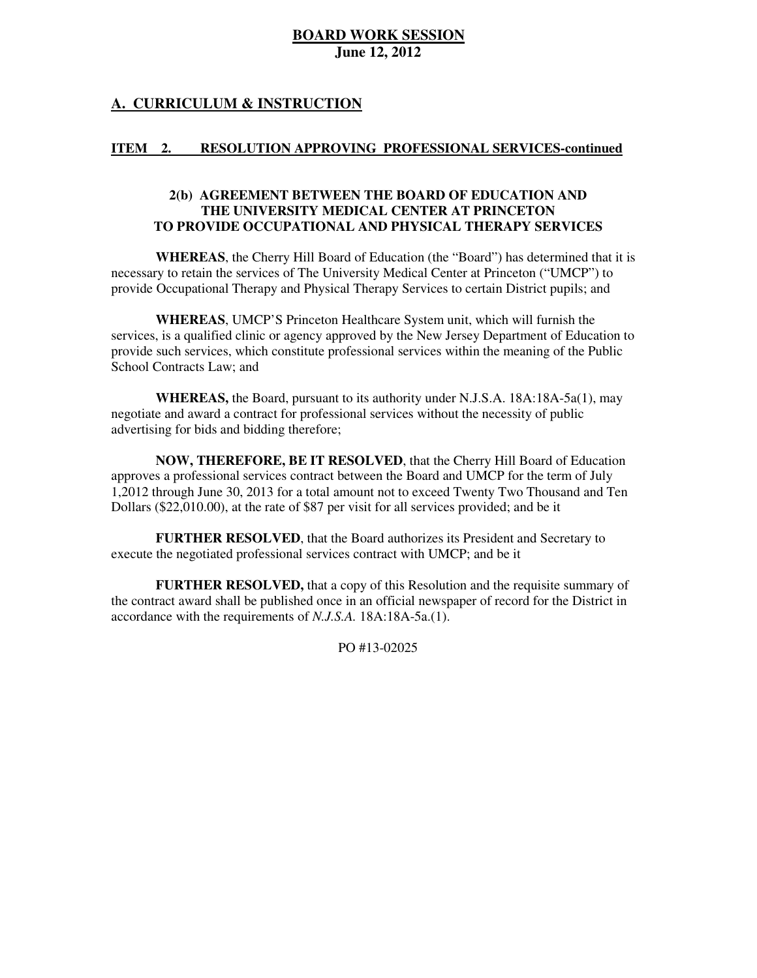## **A. CURRICULUM & INSTRUCTION**

#### **ITEM** 2. RESOLUTION APPROVING PROFESSIONAL SERVICES-continued

### **2(b) AGREEMENT BETWEEN THE BOARD OF EDUCATION AND THE UNIVERSITY MEDICAL CENTER AT PRINCETON TO PROVIDE OCCUPATIONAL AND PHYSICAL THERAPY SERVICES**

 **WHEREAS**, the Cherry Hill Board of Education (the "Board") has determined that it is necessary to retain the services of The University Medical Center at Princeton ("UMCP") to provide Occupational Therapy and Physical Therapy Services to certain District pupils; and

 **WHEREAS**, UMCP'S Princeton Healthcare System unit, which will furnish the services, is a qualified clinic or agency approved by the New Jersey Department of Education to provide such services, which constitute professional services within the meaning of the Public School Contracts Law; and

 **WHEREAS,** the Board, pursuant to its authority under N.J.S.A. 18A:18A-5a(1), may negotiate and award a contract for professional services without the necessity of public advertising for bids and bidding therefore;

 **NOW, THEREFORE, BE IT RESOLVED**, that the Cherry Hill Board of Education approves a professional services contract between the Board and UMCP for the term of July 1,2012 through June 30, 2013 for a total amount not to exceed Twenty Two Thousand and Ten Dollars (\$22,010.00), at the rate of \$87 per visit for all services provided; and be it

 **FURTHER RESOLVED**, that the Board authorizes its President and Secretary to execute the negotiated professional services contract with UMCP; and be it

 **FURTHER RESOLVED,** that a copy of this Resolution and the requisite summary of the contract award shall be published once in an official newspaper of record for the District in accordance with the requirements of *N.J.S.A.* 18A:18A-5a.(1).

PO #13-02025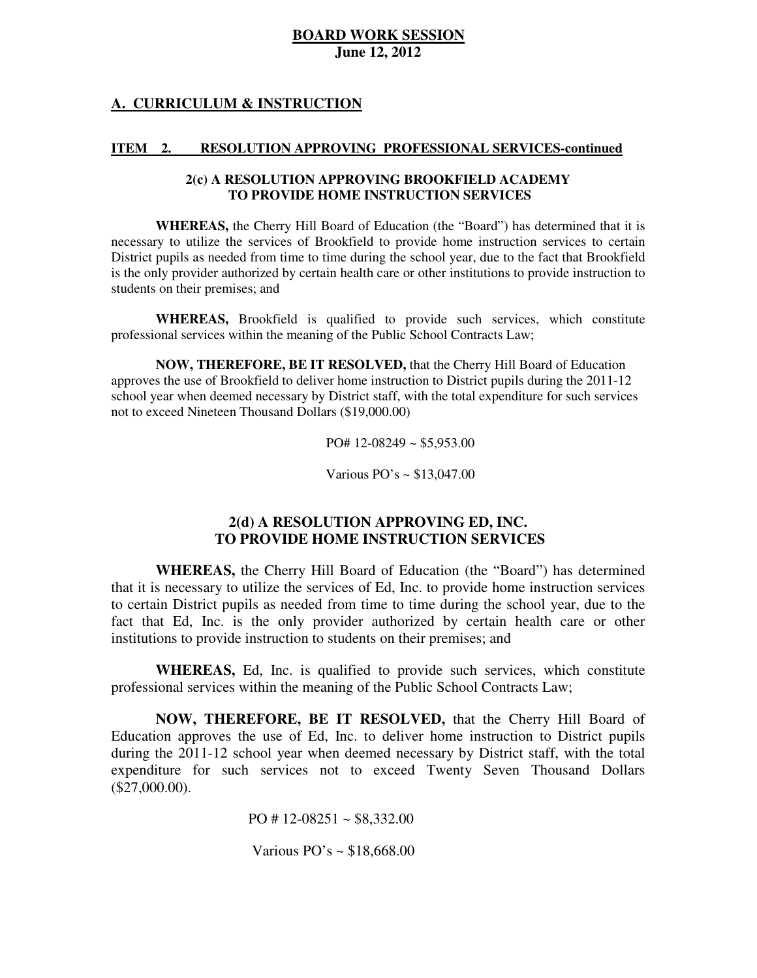## **A. CURRICULUM & INSTRUCTION**

#### **ITEM** 2. RESOLUTION APPROVING PROFESSIONAL SERVICES-continued

#### **2(c) A RESOLUTION APPROVING BROOKFIELD ACADEMY TO PROVIDE HOME INSTRUCTION SERVICES**

 **WHEREAS,** the Cherry Hill Board of Education (the "Board") has determined that it is necessary to utilize the services of Brookfield to provide home instruction services to certain District pupils as needed from time to time during the school year, due to the fact that Brookfield is the only provider authorized by certain health care or other institutions to provide instruction to students on their premises; and

 **WHEREAS,** Brookfield is qualified to provide such services, which constitute professional services within the meaning of the Public School Contracts Law;

 **NOW, THEREFORE, BE IT RESOLVED,** that the Cherry Hill Board of Education approves the use of Brookfield to deliver home instruction to District pupils during the 2011-12 school year when deemed necessary by District staff, with the total expenditure for such services not to exceed Nineteen Thousand Dollars (\$19,000.00)

PO# 12-08249 ~ \$5,953.00

Various PO's ~ \$13,047.00

## **2(d) A RESOLUTION APPROVING ED, INC. TO PROVIDE HOME INSTRUCTION SERVICES**

 **WHEREAS,** the Cherry Hill Board of Education (the "Board") has determined that it is necessary to utilize the services of Ed, Inc. to provide home instruction services to certain District pupils as needed from time to time during the school year, due to the fact that Ed, Inc. is the only provider authorized by certain health care or other institutions to provide instruction to students on their premises; and

 **WHEREAS,** Ed, Inc. is qualified to provide such services, which constitute professional services within the meaning of the Public School Contracts Law;

 **NOW, THEREFORE, BE IT RESOLVED,** that the Cherry Hill Board of Education approves the use of Ed, Inc. to deliver home instruction to District pupils during the 2011-12 school year when deemed necessary by District staff, with the total expenditure for such services not to exceed Twenty Seven Thousand Dollars (\$27,000.00).

PO # 12-08251 ~  $$8,332.00$ 

Various PO's ~ \$18,668.00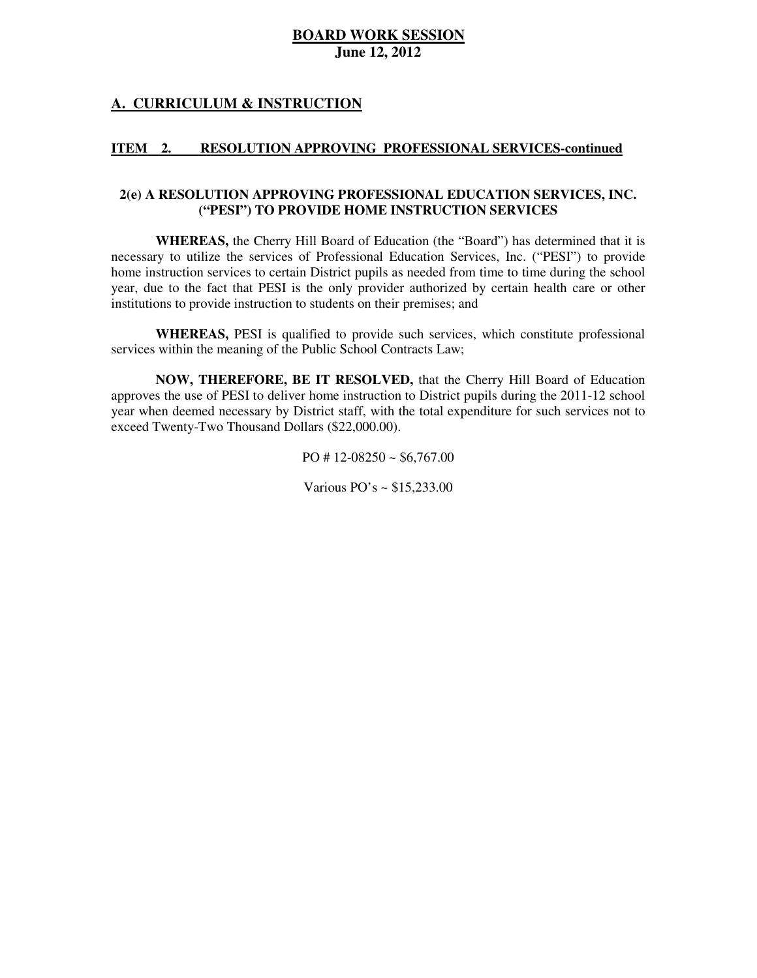# **A. CURRICULUM & INSTRUCTION**

#### **ITEM** 2. RESOLUTION APPROVING PROFESSIONAL SERVICES-continued

### **2(e) A RESOLUTION APPROVING PROFESSIONAL EDUCATION SERVICES, INC. ("PESI") TO PROVIDE HOME INSTRUCTION SERVICES**

 **WHEREAS,** the Cherry Hill Board of Education (the "Board") has determined that it is necessary to utilize the services of Professional Education Services, Inc. ("PESI") to provide home instruction services to certain District pupils as needed from time to time during the school year, due to the fact that PESI is the only provider authorized by certain health care or other institutions to provide instruction to students on their premises; and

 **WHEREAS,** PESI is qualified to provide such services, which constitute professional services within the meaning of the Public School Contracts Law;

 **NOW, THEREFORE, BE IT RESOLVED,** that the Cherry Hill Board of Education approves the use of PESI to deliver home instruction to District pupils during the 2011-12 school year when deemed necessary by District staff, with the total expenditure for such services not to exceed Twenty-Two Thousand Dollars (\$22,000.00).

PO # 12-08250 ~ \$6,767.00

Various PO's ~ \$15,233.00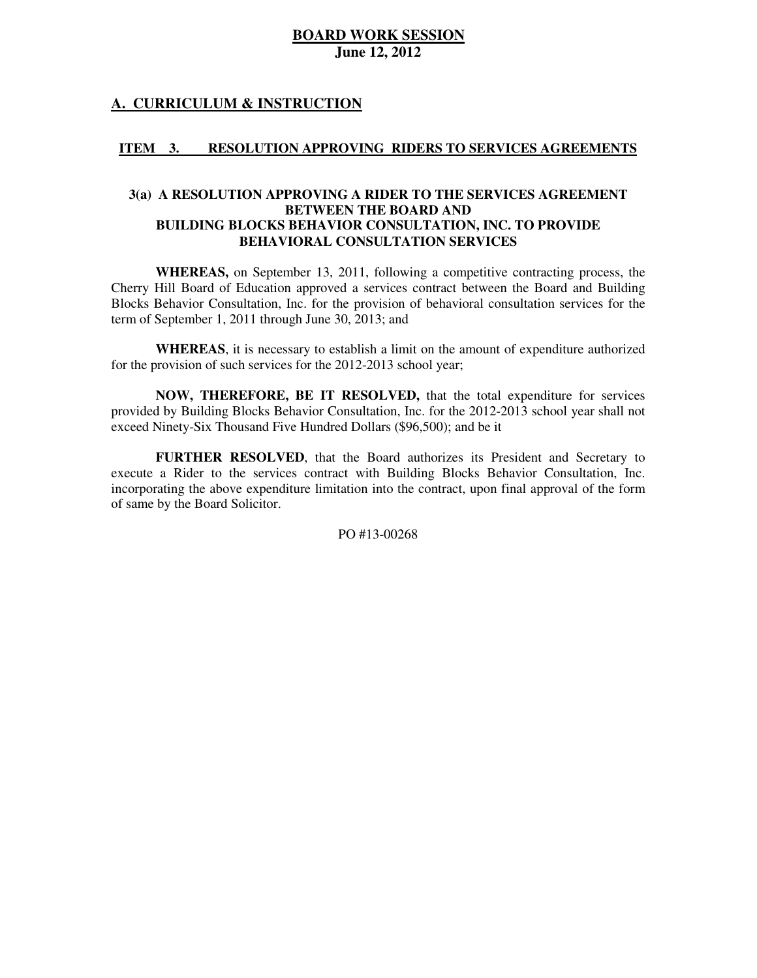## **A. CURRICULUM & INSTRUCTION**

#### **ITEM** 3. RESOLUTION APPROVING RIDERS TO SERVICES AGREEMENTS

### **3(a) A RESOLUTION APPROVING A RIDER TO THE SERVICES AGREEMENT BETWEEN THE BOARD AND BUILDING BLOCKS BEHAVIOR CONSULTATION, INC. TO PROVIDE BEHAVIORAL CONSULTATION SERVICES**

 **WHEREAS,** on September 13, 2011, following a competitive contracting process, the Cherry Hill Board of Education approved a services contract between the Board and Building Blocks Behavior Consultation, Inc. for the provision of behavioral consultation services for the term of September 1, 2011 through June 30, 2013; and

 **WHEREAS**, it is necessary to establish a limit on the amount of expenditure authorized for the provision of such services for the 2012-2013 school year;

 **NOW, THEREFORE, BE IT RESOLVED,** that the total expenditure for services provided by Building Blocks Behavior Consultation, Inc. for the 2012-2013 school year shall not exceed Ninety-Six Thousand Five Hundred Dollars (\$96,500); and be it

 **FURTHER RESOLVED**, that the Board authorizes its President and Secretary to execute a Rider to the services contract with Building Blocks Behavior Consultation, Inc. incorporating the above expenditure limitation into the contract, upon final approval of the form of same by the Board Solicitor.

PO #13-00268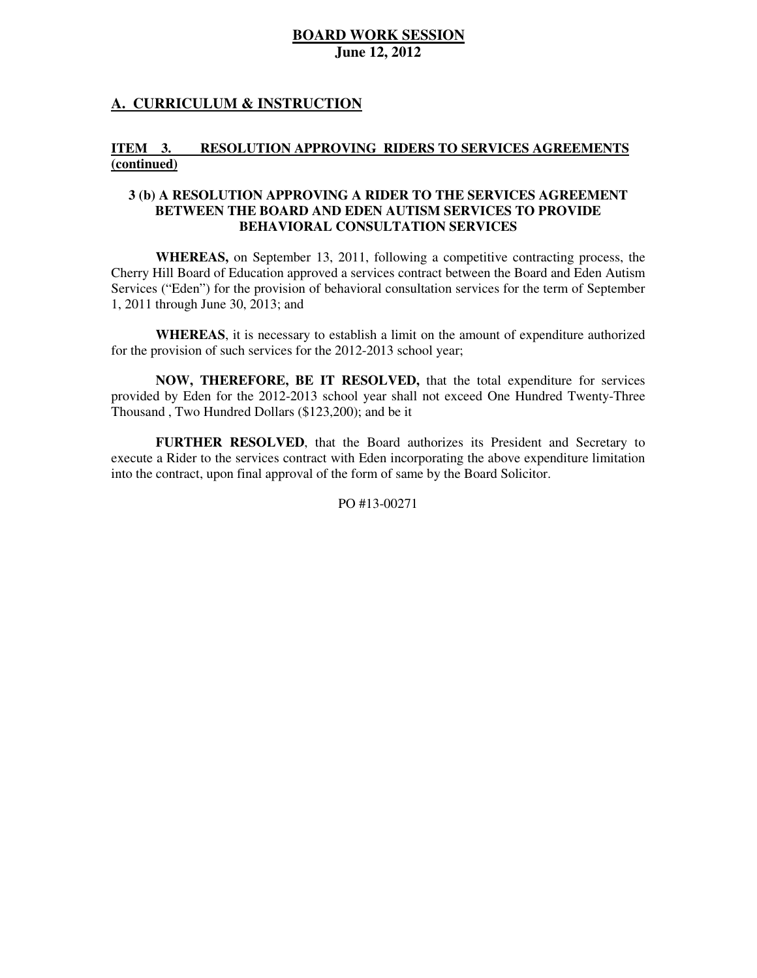# **A. CURRICULUM & INSTRUCTION**

#### **ITEM** 3. RESOLUTION APPROVING RIDERS TO SERVICES AGREEMENTS **(continued)**

### **3 (b) A RESOLUTION APPROVING A RIDER TO THE SERVICES AGREEMENT BETWEEN THE BOARD AND EDEN AUTISM SERVICES TO PROVIDE BEHAVIORAL CONSULTATION SERVICES**

 **WHEREAS,** on September 13, 2011, following a competitive contracting process, the Cherry Hill Board of Education approved a services contract between the Board and Eden Autism Services ("Eden") for the provision of behavioral consultation services for the term of September 1, 2011 through June 30, 2013; and

 **WHEREAS**, it is necessary to establish a limit on the amount of expenditure authorized for the provision of such services for the 2012-2013 school year;

 **NOW, THEREFORE, BE IT RESOLVED,** that the total expenditure for services provided by Eden for the 2012-2013 school year shall not exceed One Hundred Twenty-Three Thousand , Two Hundred Dollars (\$123,200); and be it

 **FURTHER RESOLVED**, that the Board authorizes its President and Secretary to execute a Rider to the services contract with Eden incorporating the above expenditure limitation into the contract, upon final approval of the form of same by the Board Solicitor.

PO #13-00271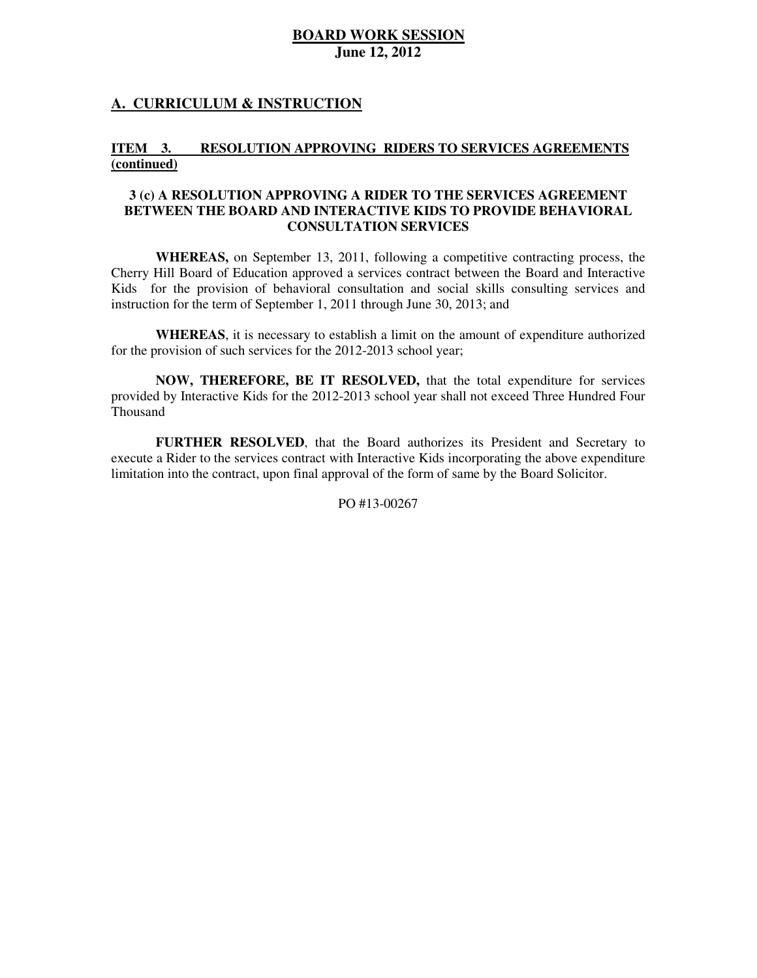# **A. CURRICULUM & INSTRUCTION**

#### **ITEM** 3. RESOLUTION APPROVING RIDERS TO SERVICES AGREEMENTS **(continued)**

### **3 (c) A RESOLUTION APPROVING A RIDER TO THE SERVICES AGREEMENT BETWEEN THE BOARD AND INTERACTIVE KIDS TO PROVIDE BEHAVIORAL CONSULTATION SERVICES**

 **WHEREAS,** on September 13, 2011, following a competitive contracting process, the Cherry Hill Board of Education approved a services contract between the Board and Interactive Kids for the provision of behavioral consultation and social skills consulting services and instruction for the term of September 1, 2011 through June 30, 2013; and

 **WHEREAS**, it is necessary to establish a limit on the amount of expenditure authorized for the provision of such services for the 2012-2013 school year;

 **NOW, THEREFORE, BE IT RESOLVED,** that the total expenditure for services provided by Interactive Kids for the 2012-2013 school year shall not exceed Three Hundred Four Thousand

 **FURTHER RESOLVED**, that the Board authorizes its President and Secretary to execute a Rider to the services contract with Interactive Kids incorporating the above expenditure limitation into the contract, upon final approval of the form of same by the Board Solicitor.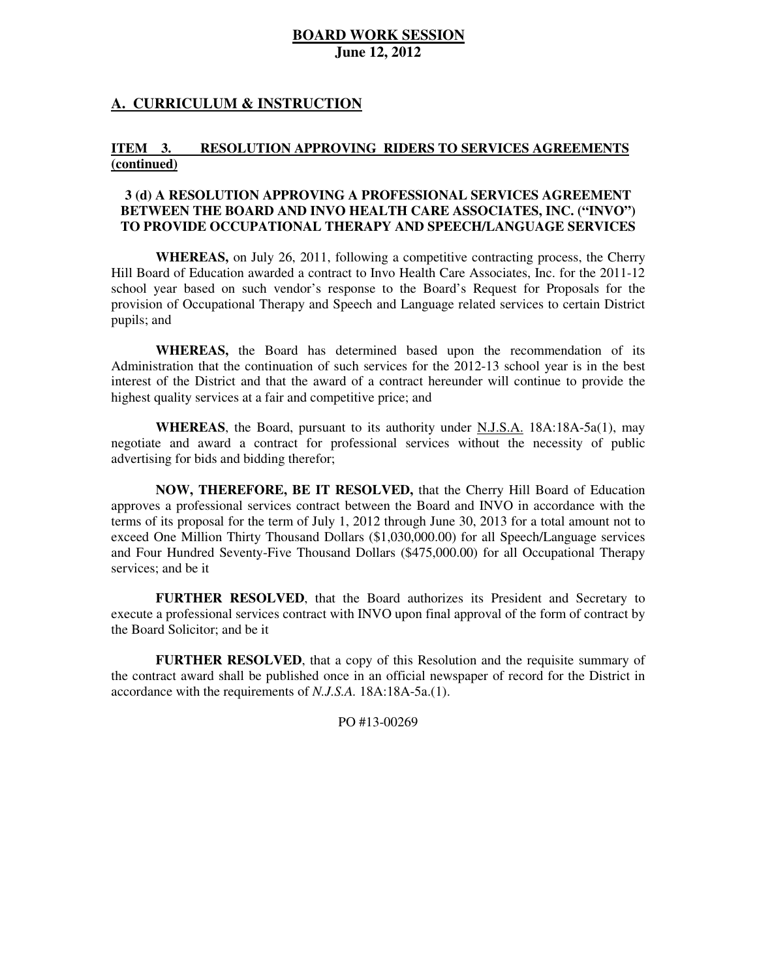### **A. CURRICULUM & INSTRUCTION**

#### **ITEM** 3. **RESOLUTION APPROVING RIDERS TO SERVICES AGREEMENTS (continued)**

### **3 (d) A RESOLUTION APPROVING A PROFESSIONAL SERVICES AGREEMENT BETWEEN THE BOARD AND INVO HEALTH CARE ASSOCIATES, INC. ("INVO") TO PROVIDE OCCUPATIONAL THERAPY AND SPEECH/LANGUAGE SERVICES**

 **WHEREAS,** on July 26, 2011, following a competitive contracting process, the Cherry Hill Board of Education awarded a contract to Invo Health Care Associates, Inc. for the 2011-12 school year based on such vendor's response to the Board's Request for Proposals for the provision of Occupational Therapy and Speech and Language related services to certain District pupils; and

 **WHEREAS,** the Board has determined based upon the recommendation of its Administration that the continuation of such services for the 2012-13 school year is in the best interest of the District and that the award of a contract hereunder will continue to provide the highest quality services at a fair and competitive price; and

 **WHEREAS**, the Board, pursuant to its authority under N.J.S.A. 18A:18A-5a(1), may negotiate and award a contract for professional services without the necessity of public advertising for bids and bidding therefor;

 **NOW, THEREFORE, BE IT RESOLVED,** that the Cherry Hill Board of Education approves a professional services contract between the Board and INVO in accordance with the terms of its proposal for the term of July 1, 2012 through June 30, 2013 for a total amount not to exceed One Million Thirty Thousand Dollars (\$1,030,000.00) for all Speech/Language services and Four Hundred Seventy-Five Thousand Dollars (\$475,000.00) for all Occupational Therapy services; and be it

 **FURTHER RESOLVED**, that the Board authorizes its President and Secretary to execute a professional services contract with INVO upon final approval of the form of contract by the Board Solicitor; and be it

 **FURTHER RESOLVED**, that a copy of this Resolution and the requisite summary of the contract award shall be published once in an official newspaper of record for the District in accordance with the requirements of *N.J.S.A.* 18A:18A-5a.(1).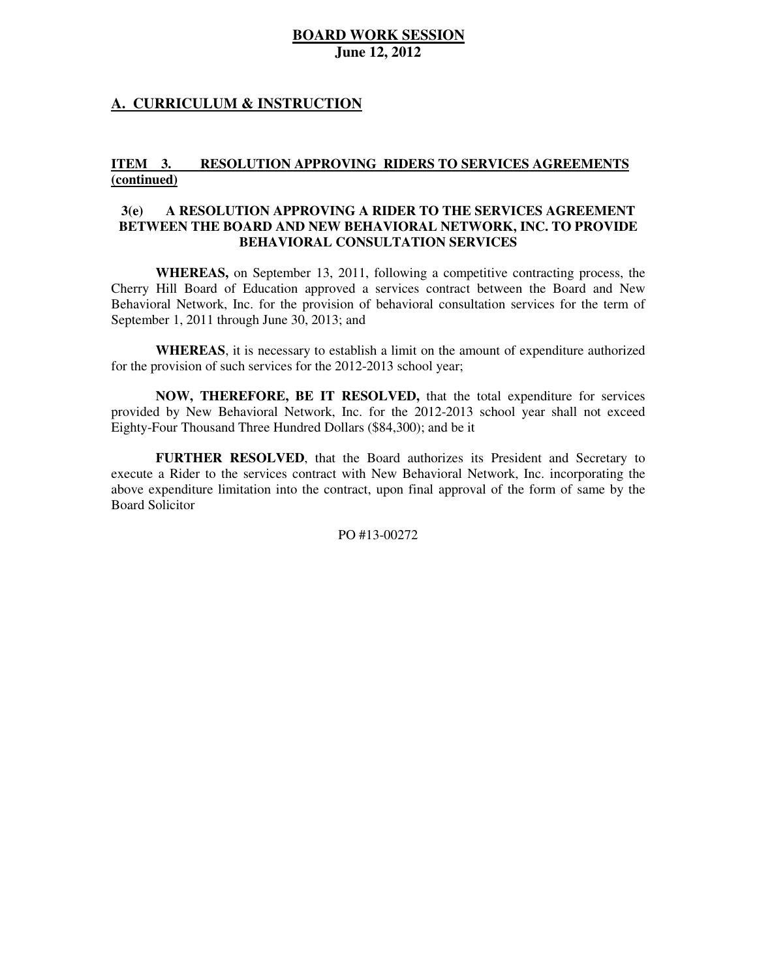### **A. CURRICULUM & INSTRUCTION**

#### **ITEM** 3. RESOLUTION APPROVING RIDERS TO SERVICES AGREEMENTS **(continued)**

### $3(e)$  **BETWEEN THE BOARD AND NEW BEHAVIORAL NETWORK, INC. TO PROVIDE BEHAVIORAL CONSULTATION SERVICES 3(e) A RESOLUTION APPROVING A RIDER TO THE SERVICES AGREEMENT**

 **WHEREAS,** on September 13, 2011, following a competitive contracting process, the Cherry Hill Board of Education approved a services contract between the Board and New Behavioral Network, Inc. for the provision of behavioral consultation services for the term of September 1, 2011 through June 30, 2013; and

 **WHEREAS**, it is necessary to establish a limit on the amount of expenditure authorized for the provision of such services for the 2012-2013 school year;

 **NOW, THEREFORE, BE IT RESOLVED,** that the total expenditure for services provided by New Behavioral Network, Inc. for the 2012-2013 school year shall not exceed Eighty-Four Thousand Three Hundred Dollars (\$84,300); and be it

 **FURTHER RESOLVED**, that the Board authorizes its President and Secretary to execute a Rider to the services contract with New Behavioral Network, Inc. incorporating the above expenditure limitation into the contract, upon final approval of the form of same by the Board Solicitor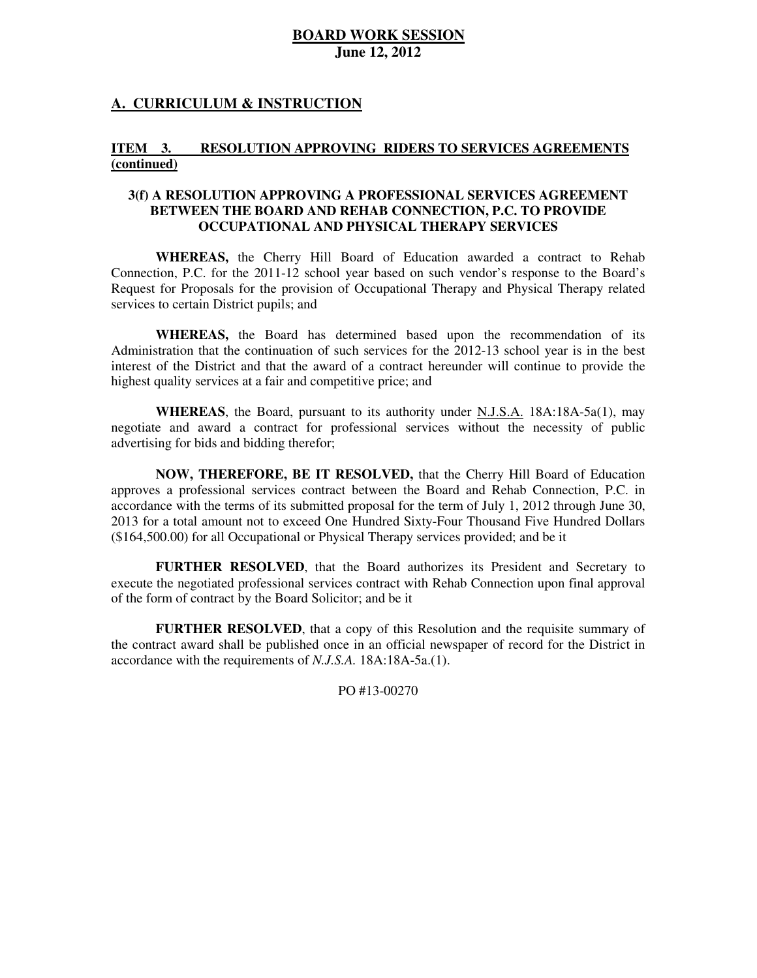### **A. CURRICULUM & INSTRUCTION**

#### **ITEM** 3. **RESOLUTION APPROVING RIDERS TO SERVICES AGREEMENTS (continued)**

### **3(f) A RESOLUTION APPROVING A PROFESSIONAL SERVICES AGREEMENT BETWEEN THE BOARD AND REHAB CONNECTION, P.C. TO PROVIDE OCCUPATIONAL AND PHYSICAL THERAPY SERVICES**

 **WHEREAS,** the Cherry Hill Board of Education awarded a contract to Rehab Connection, P.C. for the 2011-12 school year based on such vendor's response to the Board's Request for Proposals for the provision of Occupational Therapy and Physical Therapy related services to certain District pupils; and

 **WHEREAS,** the Board has determined based upon the recommendation of its Administration that the continuation of such services for the 2012-13 school year is in the best interest of the District and that the award of a contract hereunder will continue to provide the highest quality services at a fair and competitive price; and

 **WHEREAS**, the Board, pursuant to its authority under N.J.S.A. 18A:18A-5a(1), may negotiate and award a contract for professional services without the necessity of public advertising for bids and bidding therefor;

 **NOW, THEREFORE, BE IT RESOLVED,** that the Cherry Hill Board of Education approves a professional services contract between the Board and Rehab Connection, P.C. in accordance with the terms of its submitted proposal for the term of July 1, 2012 through June 30, 2013 for a total amount not to exceed One Hundred Sixty-Four Thousand Five Hundred Dollars (\$164,500.00) for all Occupational or Physical Therapy services provided; and be it

 **FURTHER RESOLVED**, that the Board authorizes its President and Secretary to execute the negotiated professional services contract with Rehab Connection upon final approval of the form of contract by the Board Solicitor; and be it

 **FURTHER RESOLVED**, that a copy of this Resolution and the requisite summary of the contract award shall be published once in an official newspaper of record for the District in accordance with the requirements of *N.J.S.A.* 18A:18A-5a.(1).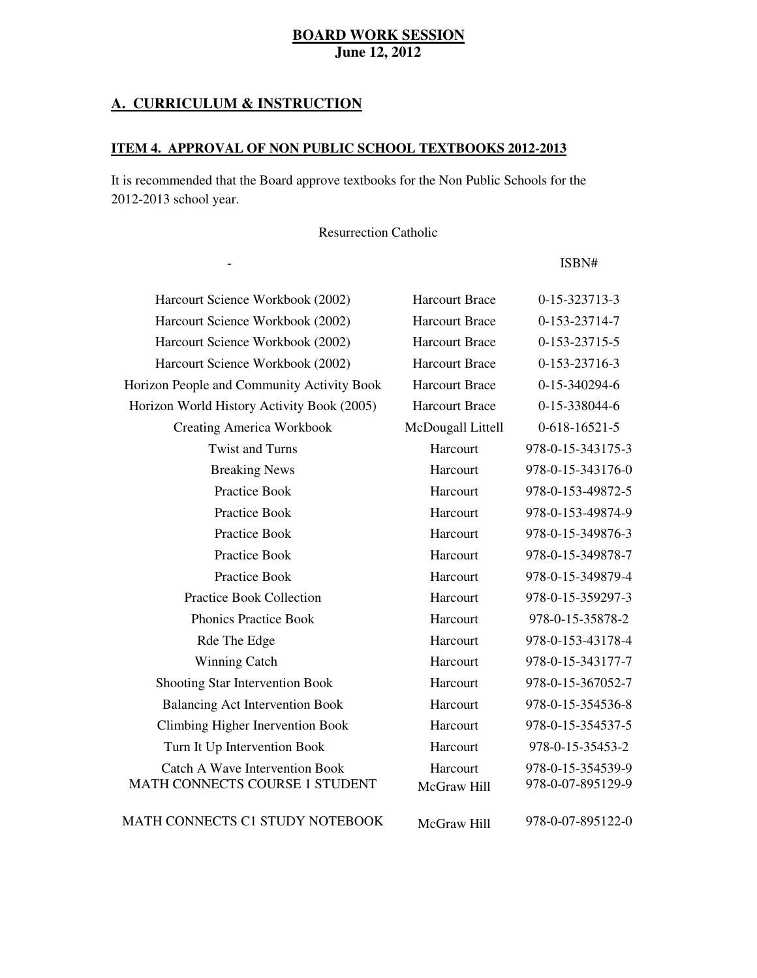### **A. CURRICULUM & INSTRUCTION**

 $\frac{1}{2}$ 

### **ITEM 4. APPROVAL OF NON PUBLIC SCHOOL TEXTBOOKS 2012-2013**

Subject Textbook Name Publisher

 It is recommended that the Board approve textbooks for the Non Public Schools for the 2012-2013 school year.

Resurrection Catholic

- ISBN#

| Harcourt Science Workbook (2002)                                        | <b>Harcourt Brace</b>   | 0-15-323713-3                          |
|-------------------------------------------------------------------------|-------------------------|----------------------------------------|
| Harcourt Science Workbook (2002)                                        | <b>Harcourt Brace</b>   | 0-153-23714-7                          |
| Harcourt Science Workbook (2002)                                        | <b>Harcourt Brace</b>   | 0-153-23715-5                          |
| Harcourt Science Workbook (2002)                                        | <b>Harcourt Brace</b>   | 0-153-23716-3                          |
| Horizon People and Community Activity Book                              | <b>Harcourt Brace</b>   | 0-15-340294-6                          |
| Horizon World History Activity Book (2005)                              | <b>Harcourt Brace</b>   | 0-15-338044-6                          |
| <b>Creating America Workbook</b>                                        | McDougall Littell       | $0-618-16521-5$                        |
| <b>Twist and Turns</b>                                                  | Harcourt                | 978-0-15-343175-3                      |
| <b>Breaking News</b>                                                    | Harcourt                | 978-0-15-343176-0                      |
| Practice Book                                                           | Harcourt                | 978-0-153-49872-5                      |
| Practice Book                                                           | Harcourt                | 978-0-153-49874-9                      |
| Practice Book                                                           | Harcourt                | 978-0-15-349876-3                      |
| Practice Book                                                           | Harcourt                | 978-0-15-349878-7                      |
| Practice Book                                                           | Harcourt                | 978-0-15-349879-4                      |
| <b>Practice Book Collection</b>                                         | Harcourt                | 978-0-15-359297-3                      |
| <b>Phonics Practice Book</b>                                            | Harcourt                | 978-0-15-35878-2                       |
| Rde The Edge                                                            | Harcourt                | 978-0-153-43178-4                      |
| <b>Winning Catch</b>                                                    | Harcourt                | 978-0-15-343177-7                      |
| Shooting Star Intervention Book                                         | Harcourt                | 978-0-15-367052-7                      |
| <b>Balancing Act Intervention Book</b>                                  | Harcourt                | 978-0-15-354536-8                      |
| Climbing Higher Inervention Book                                        | Harcourt                | 978-0-15-354537-5                      |
| Turn It Up Intervention Book                                            | Harcourt                | 978-0-15-35453-2                       |
| <b>Catch A Wave Intervention Book</b><br>MATH CONNECTS COURSE 1 STUDENT | Harcourt<br>McGraw Hill | 978-0-15-354539-9<br>978-0-07-895129-9 |
|                                                                         |                         |                                        |

MATH CONNECTS C1 STUDY NOTEBOOK McGraw Hill 978-0-07-895122-0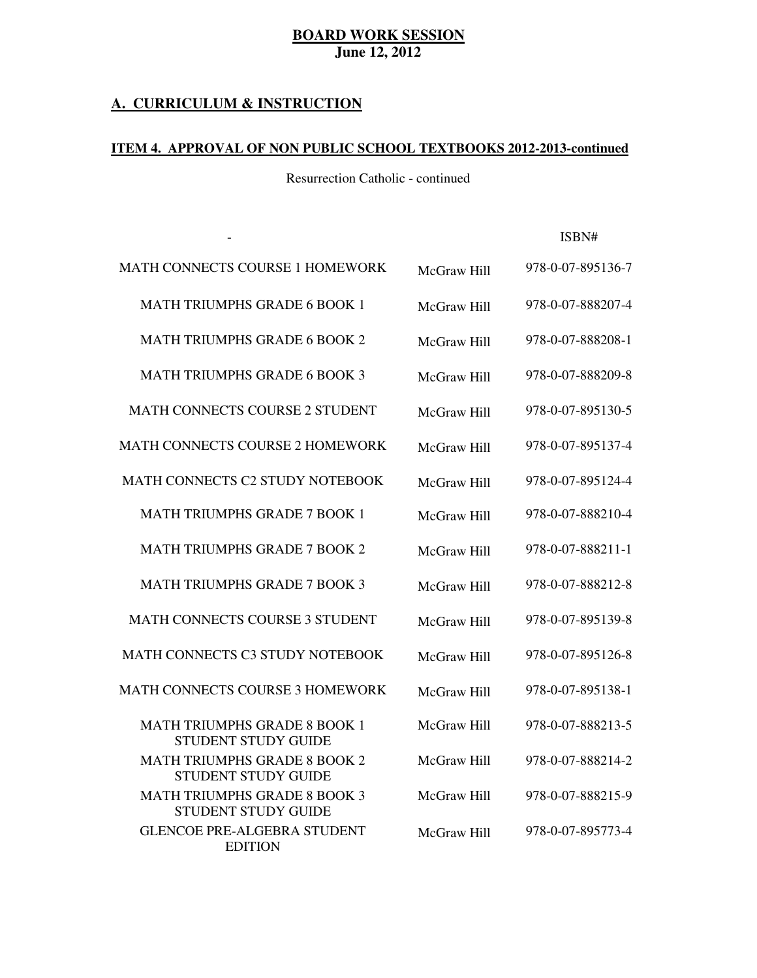### **A. CURRICULUM & INSTRUCTION**

 $\omega$ 

### **ITEM 4. APPROVAL OF NON PUBLIC SCHOOL TEXTBOOKS 2012-2013-continued**

Resurrection Catholic - continued

Subject Textbook Name Publisher

- ISBN#

| <b>MATH CONNECTS COURSE 1 HOMEWORK</b>                            | McGraw Hill | 978-0-07-895136-7 |
|-------------------------------------------------------------------|-------------|-------------------|
| <b>MATH TRIUMPHS GRADE 6 BOOK 1</b>                               | McGraw Hill | 978-0-07-888207-4 |
| <b>MATH TRIUMPHS GRADE 6 BOOK 2</b>                               | McGraw Hill | 978-0-07-888208-1 |
| <b>MATH TRIUMPHS GRADE 6 BOOK 3</b>                               | McGraw Hill | 978-0-07-888209-8 |
| <b>MATH CONNECTS COURSE 2 STUDENT</b>                             | McGraw Hill | 978-0-07-895130-5 |
| <b>MATH CONNECTS COURSE 2 HOMEWORK</b>                            | McGraw Hill | 978-0-07-895137-4 |
| <b>MATH CONNECTS C2 STUDY NOTEBOOK</b>                            | McGraw Hill | 978-0-07-895124-4 |
| <b>MATH TRIUMPHS GRADE 7 BOOK 1</b>                               | McGraw Hill | 978-0-07-888210-4 |
| <b>MATH TRIUMPHS GRADE 7 BOOK 2</b>                               | McGraw Hill | 978-0-07-888211-1 |
| <b>MATH TRIUMPHS GRADE 7 BOOK 3</b>                               | McGraw Hill | 978-0-07-888212-8 |
| <b>MATH CONNECTS COURSE 3 STUDENT</b>                             | McGraw Hill | 978-0-07-895139-8 |
| MATH CONNECTS C3 STUDY NOTEBOOK                                   | McGraw Hill | 978-0-07-895126-8 |
| MATH CONNECTS COURSE 3 HOMEWORK                                   | McGraw Hill | 978-0-07-895138-1 |
| <b>MATH TRIUMPHS GRADE 8 BOOK 1</b><br>STUDENT STUDY GUIDE        | McGraw Hill | 978-0-07-888213-5 |
| <b>MATH TRIUMPHS GRADE 8 BOOK 2</b><br><b>STUDENT STUDY GUIDE</b> | McGraw Hill | 978-0-07-888214-2 |
| <b>MATH TRIUMPHS GRADE 8 BOOK 3</b><br>STUDENT STUDY GUIDE        | McGraw Hill | 978-0-07-888215-9 |
| <b>GLENCOE PRE-ALGEBRA STUDENT</b><br><b>EDITION</b>              | McGraw Hill | 978-0-07-895773-4 |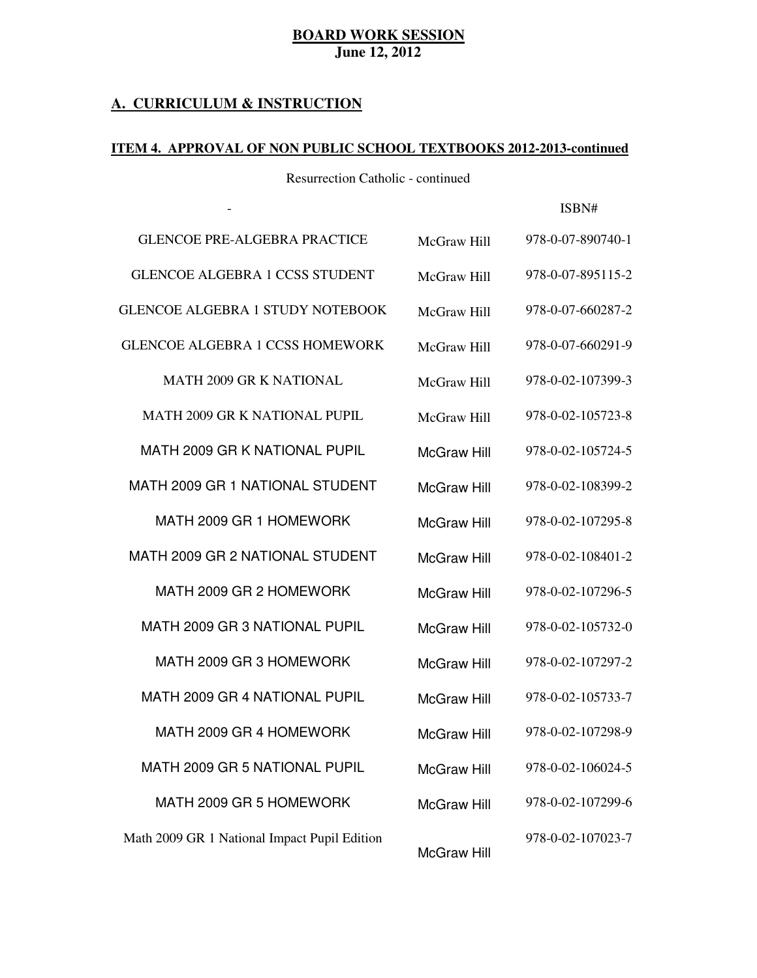### **A. CURRICULUM & INSTRUCTION**

 $\Box$ 

### **ITEM 4. APPROVAL OF NON PUBLIC SCHOOL TEXTBOOKS 2012-2013-continued**

Resurrection Catholic - continued

Subject Textbook Name Publisher

- ISBN#

| <b>GLENCOE PRE-ALGEBRA PRACTICE</b>          | McGraw Hill        | 978-0-07-890740-1 |
|----------------------------------------------|--------------------|-------------------|
| <b>GLENCOE ALGEBRA 1 CCSS STUDENT</b>        | McGraw Hill        | 978-0-07-895115-2 |
| <b>GLENCOE ALGEBRA 1 STUDY NOTEBOOK</b>      | McGraw Hill        | 978-0-07-660287-2 |
| <b>GLENCOE ALGEBRA 1 CCSS HOMEWORK</b>       | McGraw Hill        | 978-0-07-660291-9 |
| <b>MATH 2009 GR K NATIONAL</b>               | McGraw Hill        | 978-0-02-107399-3 |
| <b>MATH 2009 GR K NATIONAL PUPIL</b>         | McGraw Hill        | 978-0-02-105723-8 |
| MATH 2009 GR K NATIONAL PUPIL                | <b>McGraw Hill</b> | 978-0-02-105724-5 |
| MATH 2009 GR 1 NATIONAL STUDENT              | <b>McGraw Hill</b> | 978-0-02-108399-2 |
| MATH 2009 GR 1 HOMEWORK                      | <b>McGraw Hill</b> | 978-0-02-107295-8 |
| MATH 2009 GR 2 NATIONAL STUDENT              | <b>McGraw Hill</b> | 978-0-02-108401-2 |
| MATH 2009 GR 2 HOMEWORK                      | <b>McGraw Hill</b> | 978-0-02-107296-5 |
| MATH 2009 GR 3 NATIONAL PUPIL                | <b>McGraw Hill</b> | 978-0-02-105732-0 |
| MATH 2009 GR 3 HOMEWORK                      | <b>McGraw Hill</b> | 978-0-02-107297-2 |
| MATH 2009 GR 4 NATIONAL PUPIL                | <b>McGraw Hill</b> | 978-0-02-105733-7 |
| MATH 2009 GR 4 HOMEWORK                      | <b>McGraw Hill</b> | 978-0-02-107298-9 |
| MATH 2009 GR 5 NATIONAL PUPIL                | <b>McGraw Hill</b> | 978-0-02-106024-5 |
| MATH 2009 GR 5 HOMEWORK                      | <b>McGraw Hill</b> | 978-0-02-107299-6 |
| Math 2009 GR 1 National Impact Pupil Edition | <b>McGraw Hill</b> | 978-0-02-107023-7 |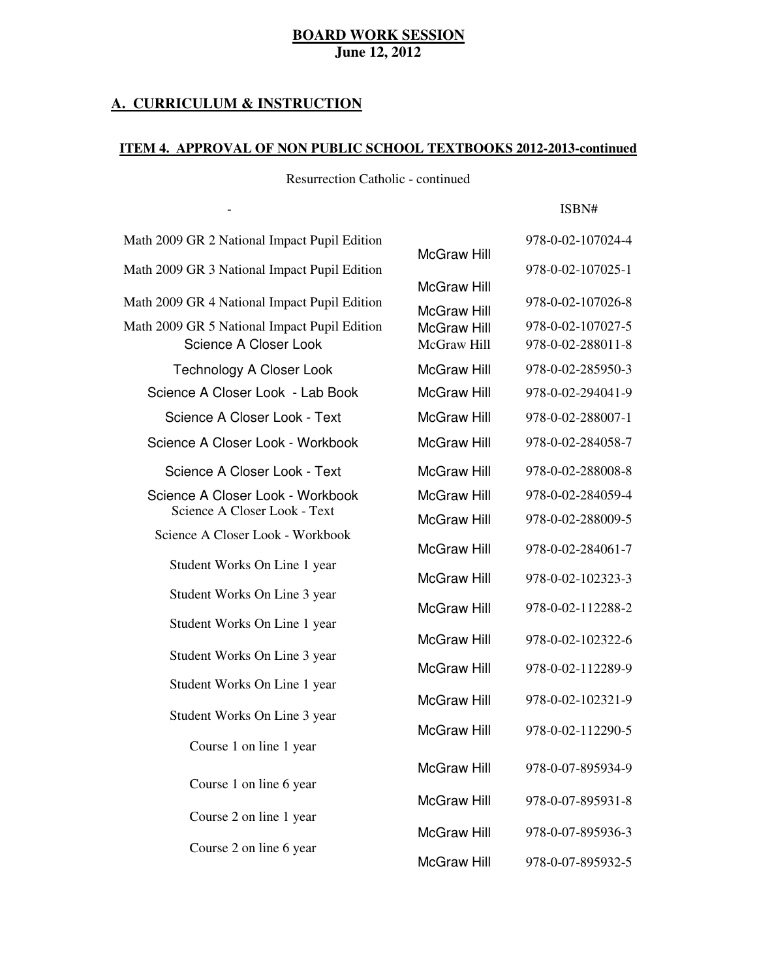### **A. CURRICULUM & INSTRUCTION**

 $\omega$ 

### **ITEM 4. APPROVAL OF NON PUBLIC SCHOOL TEXTBOOKS 2012-2013-continued**

Resurrection Catholic - continued

Subject Textbook Name Publisher

ISBN#

| Math 2009 GR 2 National Impact Pupil Edition                          |                                          | 978-0-02-107024-4                      |
|-----------------------------------------------------------------------|------------------------------------------|----------------------------------------|
| Math 2009 GR 3 National Impact Pupil Edition                          | <b>McGraw Hill</b>                       | 978-0-02-107025-1                      |
| Math 2009 GR 4 National Impact Pupil Edition                          | <b>McGraw Hill</b><br><b>McGraw Hill</b> | 978-0-02-107026-8                      |
| Math 2009 GR 5 National Impact Pupil Edition<br>Science A Closer Look | <b>McGraw Hill</b><br>McGraw Hill        | 978-0-02-107027-5<br>978-0-02-288011-8 |
| <b>Technology A Closer Look</b>                                       | <b>McGraw Hill</b>                       | 978-0-02-285950-3                      |
| Science A Closer Look - Lab Book                                      | <b>McGraw Hill</b>                       | 978-0-02-294041-9                      |
| Science A Closer Look - Text                                          | <b>McGraw Hill</b>                       | 978-0-02-288007-1                      |
| Science A Closer Look - Workbook                                      | <b>McGraw Hill</b>                       | 978-0-02-284058-7                      |
| Science A Closer Look - Text                                          | <b>McGraw Hill</b>                       | 978-0-02-288008-8                      |
| Science A Closer Look - Workbook                                      | <b>McGraw Hill</b>                       | 978-0-02-284059-4                      |
| Science A Closer Look - Text                                          | <b>McGraw Hill</b>                       | 978-0-02-288009-5                      |
| Science A Closer Look - Workbook                                      | <b>McGraw Hill</b>                       | 978-0-02-284061-7                      |
| Student Works On Line 1 year                                          | <b>McGraw Hill</b>                       | 978-0-02-102323-3                      |
| Student Works On Line 3 year                                          | <b>McGraw Hill</b>                       | 978-0-02-112288-2                      |
| Student Works On Line 1 year                                          | <b>McGraw Hill</b>                       |                                        |
| Student Works On Line 3 year                                          |                                          | 978-0-02-102322-6                      |
| Student Works On Line 1 year                                          | <b>McGraw Hill</b>                       | 978-0-02-112289-9                      |
| Student Works On Line 3 year                                          | <b>McGraw Hill</b>                       | 978-0-02-102321-9                      |
|                                                                       | <b>McGraw Hill</b>                       | 978-0-02-112290-5                      |
| Course 1 on line 1 year                                               |                                          |                                        |
| Course 1 on line 6 year                                               | <b>McGraw Hill</b>                       | 978-0-07-895934-9                      |
|                                                                       | <b>McGraw Hill</b>                       | 978-0-07-895931-8                      |
| Course 2 on line 1 year                                               | <b>McGraw Hill</b>                       | 978-0-07-895936-3                      |
| Course 2 on line 6 year                                               | <b>McGraw Hill</b>                       | 978-0-07-895932-5                      |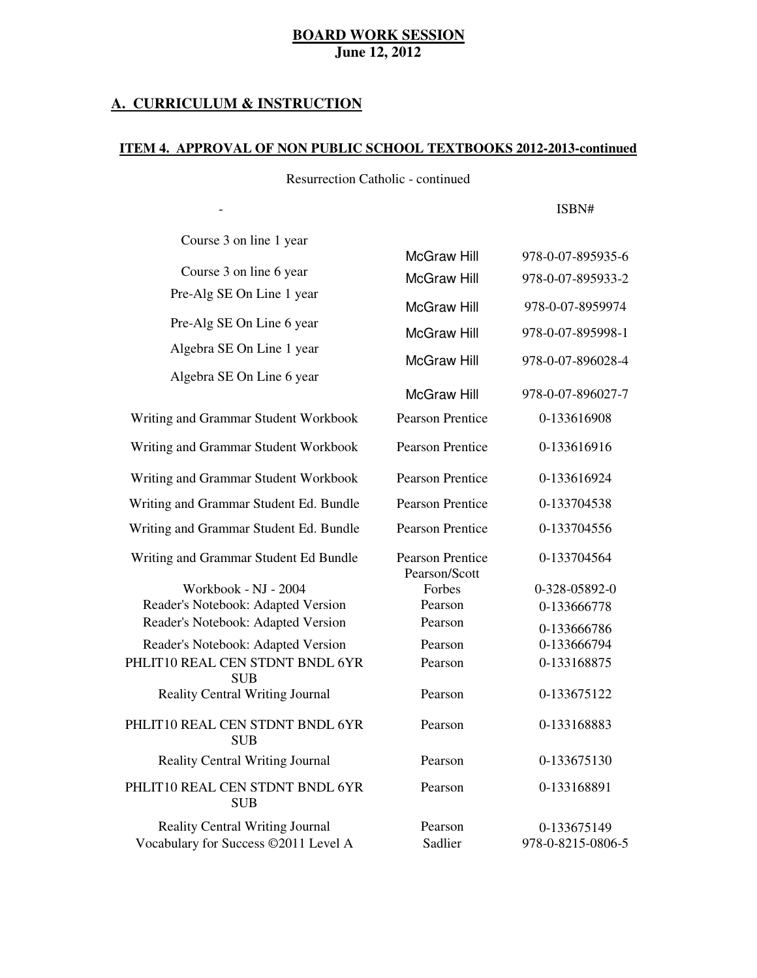### **A. CURRICULUM & INSTRUCTION**

 $\sim$ 

### **ITEM 4. APPROVAL OF NON PUBLIC SCHOOL TEXTBOOKS 2012-2013-continued**

Resurrection Catholic - continued

Subject Textbook Name Publisher

ISBN#

| Course 3 on line 1 year                       |                                   |                   |
|-----------------------------------------------|-----------------------------------|-------------------|
|                                               | <b>McGraw Hill</b>                | 978-0-07-895935-6 |
| Course 3 on line 6 year                       | <b>McGraw Hill</b>                | 978-0-07-895933-2 |
| Pre-Alg SE On Line 1 year                     | <b>McGraw Hill</b>                | 978-0-07-8959974  |
| Pre-Alg SE On Line 6 year                     | <b>McGraw Hill</b>                | 978-0-07-895998-1 |
| Algebra SE On Line 1 year                     | <b>McGraw Hill</b>                | 978-0-07-896028-4 |
| Algebra SE On Line 6 year                     |                                   |                   |
|                                               | <b>McGraw Hill</b>                | 978-0-07-896027-7 |
| Writing and Grammar Student Workbook          | <b>Pearson Prentice</b>           | 0-133616908       |
| Writing and Grammar Student Workbook          | <b>Pearson Prentice</b>           | 0-133616916       |
| Writing and Grammar Student Workbook          | <b>Pearson Prentice</b>           | 0-133616924       |
| Writing and Grammar Student Ed. Bundle        | <b>Pearson Prentice</b>           | 0-133704538       |
| Writing and Grammar Student Ed. Bundle        | Pearson Prentice                  | 0-133704556       |
| Writing and Grammar Student Ed Bundle         | Pearson Prentice<br>Pearson/Scott | 0-133704564       |
| Workbook - NJ - 2004                          | Forbes                            | 0-328-05892-0     |
| Reader's Notebook: Adapted Version            | Pearson                           | 0-133666778       |
| Reader's Notebook: Adapted Version            | Pearson                           | 0-133666786       |
| Reader's Notebook: Adapted Version            | Pearson                           | 0-133666794       |
| PHLIT10 REAL CEN STDNT BNDL 6YR<br><b>SUB</b> | Pearson                           | 0-133168875       |
| <b>Reality Central Writing Journal</b>        | Pearson                           | 0-133675122       |
| PHLIT10 REAL CEN STDNT BNDL 6YR<br><b>SUB</b> | Pearson                           | 0-133168883       |
| <b>Reality Central Writing Journal</b>        | Pearson                           | 0-133675130       |
| PHLIT10 REAL CEN STDNT BNDL 6YR<br><b>SUB</b> | Pearson                           | 0-133168891       |
| <b>Reality Central Writing Journal</b>        | Pearson                           | 0-133675149       |
| Vocabulary for Success ©2011 Level A          | Sadlier                           | 978-0-8215-0806-5 |
|                                               |                                   |                   |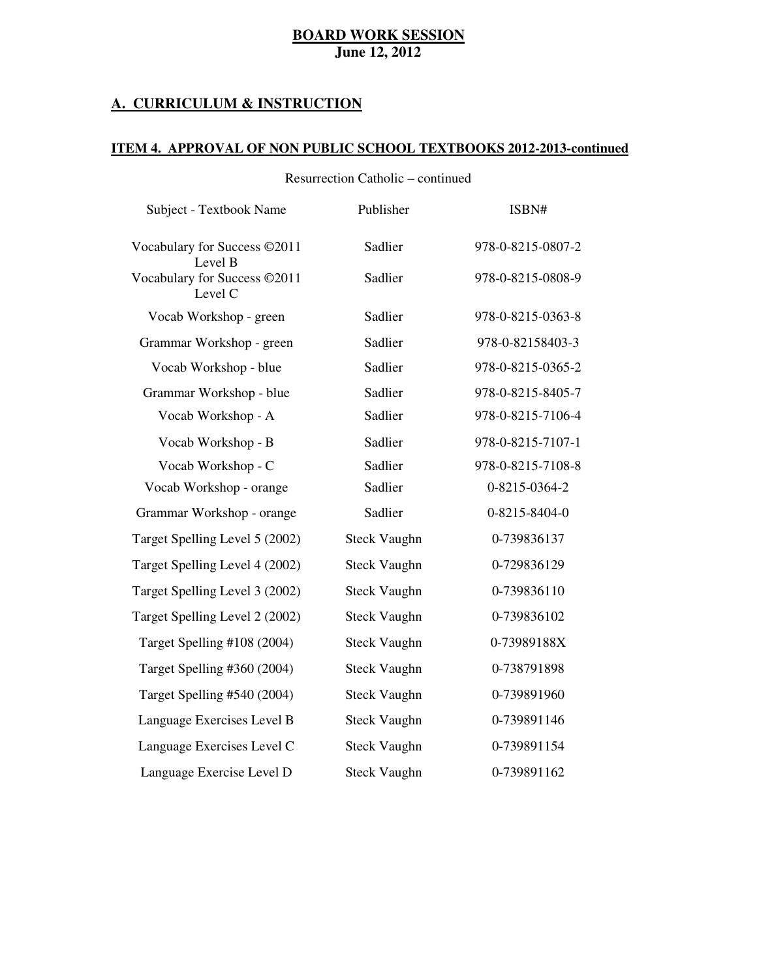### **A. CURRICULUM & INSTRUCTION**

### **ITEM 4. APPROVAL OF NON PUBLIC SCHOOL TEXTBOOKS 2012-2013-continued**

| Subject - Textbook Name                 | Publisher           | ISBN#             |
|-----------------------------------------|---------------------|-------------------|
| Vocabulary for Success ©2011<br>Level B | Sadlier             | 978-0-8215-0807-2 |
| Vocabulary for Success ©2011<br>Level C | Sadlier             | 978-0-8215-0808-9 |
| Vocab Workshop - green                  | Sadlier             | 978-0-8215-0363-8 |
| Grammar Workshop - green                | Sadlier             | 978-0-82158403-3  |
| Vocab Workshop - blue                   | Sadlier             | 978-0-8215-0365-2 |
| Grammar Workshop - blue                 | Sadlier             | 978-0-8215-8405-7 |
| Vocab Workshop - A                      | Sadlier             | 978-0-8215-7106-4 |
| Vocab Workshop - B                      | Sadlier             | 978-0-8215-7107-1 |
| Vocab Workshop - C                      | Sadlier             | 978-0-8215-7108-8 |
| Vocab Workshop - orange                 | Sadlier             | 0-8215-0364-2     |
| Grammar Workshop - orange               | Sadlier             | 0-8215-8404-0     |
| Target Spelling Level 5 (2002)          | <b>Steck Vaughn</b> | 0-739836137       |
| Target Spelling Level 4 (2002)          | <b>Steck Vaughn</b> | 0-729836129       |
| Target Spelling Level 3 (2002)          | <b>Steck Vaughn</b> | 0-739836110       |
| Target Spelling Level 2 (2002)          | <b>Steck Vaughn</b> | 0-739836102       |
| Target Spelling #108 (2004)             | <b>Steck Vaughn</b> | 0-73989188X       |
| Target Spelling #360 (2004)             | <b>Steck Vaughn</b> | 0-738791898       |
| Target Spelling #540 (2004)             | <b>Steck Vaughn</b> | 0-739891960       |
| Language Exercises Level B              | <b>Steck Vaughn</b> | 0-739891146       |
|                                         |                     |                   |
| Language Exercises Level C              | <b>Steck Vaughn</b> | 0-739891154       |
| Language Exercise Level D               | <b>Steck Vaughn</b> | 0-739891162       |

Resurrection Catholic – continued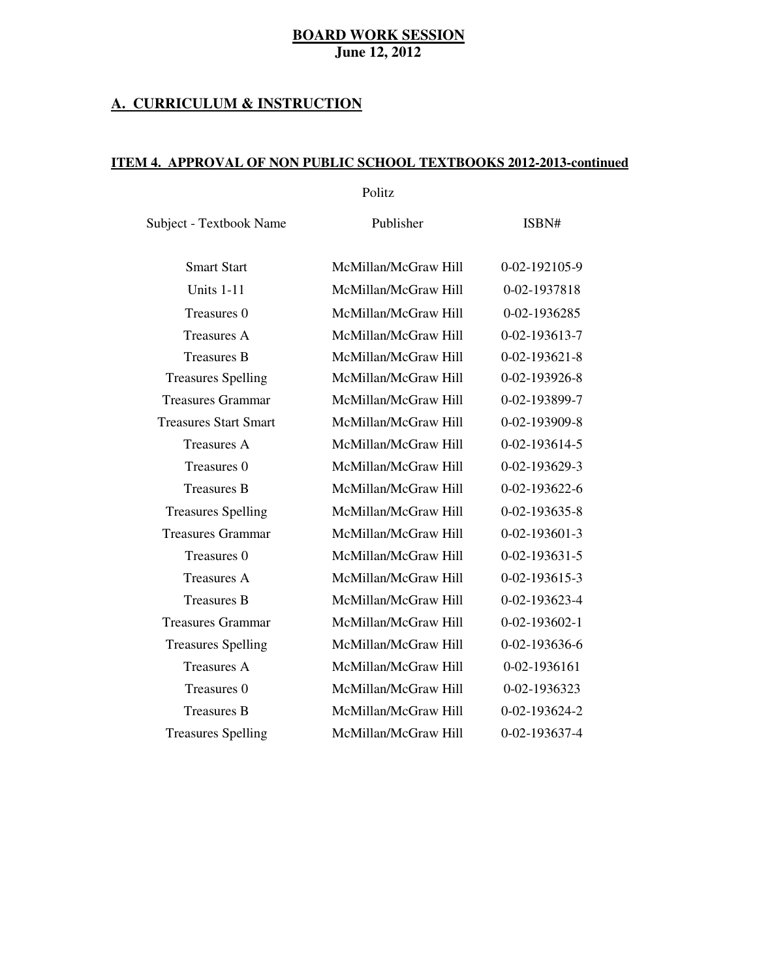### **A. CURRICULUM & INSTRUCTION**

### **ITEM 4. APPROVAL OF NON PUBLIC SCHOOL TEXTBOOKS 2012-2013-continued**

Politz

Subject - Textbook Name Publisher ISBN#

| <b>Smart Start</b>           | McMillan/McGraw Hill | 0-02-192105-9         |
|------------------------------|----------------------|-----------------------|
| Units 1-11                   | McMillan/McGraw Hill | 0-02-1937818          |
| Treasures 0                  | McMillan/McGraw Hill | 0-02-1936285          |
| <b>Treasures A</b>           | McMillan/McGraw Hill | 0-02-193613-7         |
| <b>Treasures B</b>           | McMillan/McGraw Hill | $0 - 02 - 193621 - 8$ |
| <b>Treasures Spelling</b>    | McMillan/McGraw Hill | 0-02-193926-8         |
| <b>Treasures Grammar</b>     | McMillan/McGraw Hill | 0-02-193899-7         |
| <b>Treasures Start Smart</b> | McMillan/McGraw Hill | 0-02-193909-8         |
| Treasures A                  | McMillan/McGraw Hill | 0-02-193614-5         |
| Treasures 0                  | McMillan/McGraw Hill | 0-02-193629-3         |
| <b>Treasures B</b>           | McMillan/McGraw Hill | 0-02-193622-6         |
| <b>Treasures Spelling</b>    | McMillan/McGraw Hill | $0 - 02 - 193635 - 8$ |
| <b>Treasures Grammar</b>     | McMillan/McGraw Hill | $0 - 02 - 193601 - 3$ |
| Treasures 0                  | McMillan/McGraw Hill | $0 - 02 - 193631 - 5$ |
| <b>Treasures A</b>           | McMillan/McGraw Hill | 0-02-193615-3         |
| <b>Treasures B</b>           | McMillan/McGraw Hill | 0-02-193623-4         |
| Treasures Grammar            | McMillan/McGraw Hill | $0 - 02 - 193602 - 1$ |
| <b>Treasures Spelling</b>    | McMillan/McGraw Hill | 0-02-193636-6         |
| <b>Treasures A</b>           | McMillan/McGraw Hill | 0-02-1936161          |
| Treasures 0                  | McMillan/McGraw Hill | 0-02-1936323          |
| <b>Treasures B</b>           | McMillan/McGraw Hill | 0-02-193624-2         |
| <b>Treasures Spelling</b>    | McMillan/McGraw Hill | 0-02-193637-4         |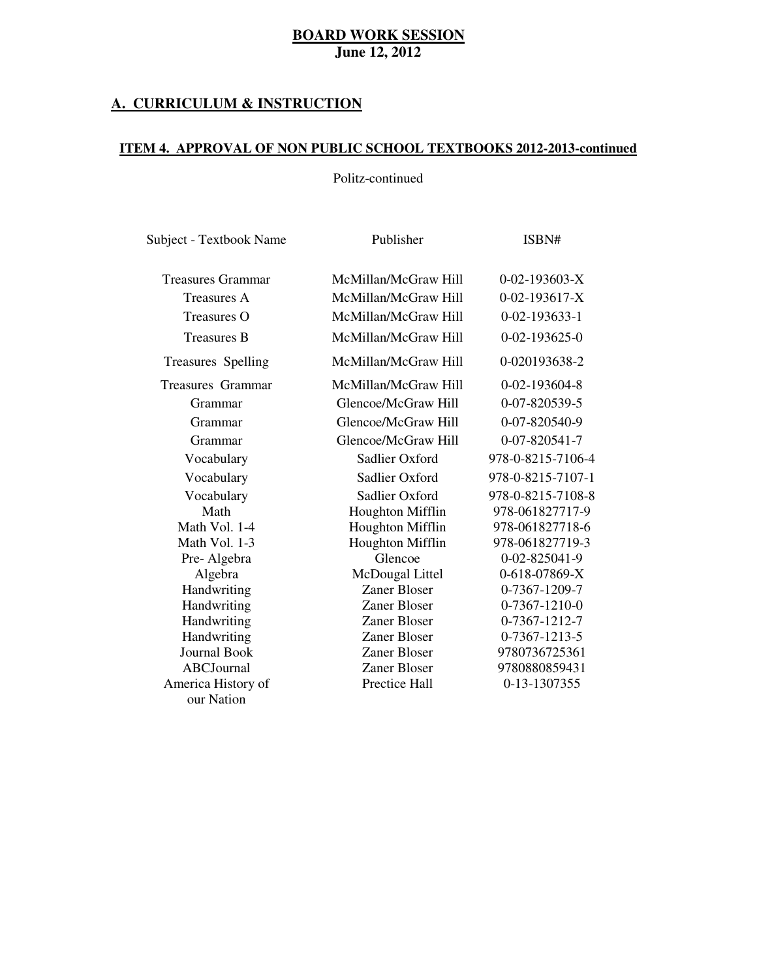### **A. CURRICULUM & INSTRUCTION**

### **ITEM 4. APPROVAL OF NON PUBLIC SCHOOL TEXTBOOKS 2012-2013-continued**

### Politz-continued

| Subject - Textbook Name  | Publisher               | ISBN#                 |  |
|--------------------------|-------------------------|-----------------------|--|
| <b>Treasures Grammar</b> | McMillan/McGraw Hill    | $0-02-193603-X$       |  |
| <b>Treasures A</b>       | McMillan/McGraw Hill    | $0-02-193617-X$       |  |
| <b>Treasures O</b>       | McMillan/McGraw Hill    | $0 - 02 - 193633 - 1$ |  |
| <b>Treasures B</b>       | McMillan/McGraw Hill    | $0 - 02 - 193625 - 0$ |  |
| Treasures Spelling       | McMillan/McGraw Hill    | 0-020193638-2         |  |
| <b>Treasures Grammar</b> | McMillan/McGraw Hill    | $0 - 02 - 193604 - 8$ |  |
| Grammar                  | Glencoe/McGraw Hill     | 0-07-820539-5         |  |
| Grammar                  | Glencoe/McGraw Hill     | 0-07-820540-9         |  |
| Grammar                  | Glencoe/McGraw Hill     | 0-07-820541-7         |  |
| Vocabulary               | Sadlier Oxford          | 978-0-8215-7106-4     |  |
| Vocabulary               | Sadlier Oxford          | 978-0-8215-7107-1     |  |
| Vocabulary               | Sadlier Oxford          | 978-0-8215-7108-8     |  |
| Math                     | Houghton Mifflin        | 978-061827717-9       |  |
| Math Vol. 1-4            | <b>Houghton Mifflin</b> | 978-061827718-6       |  |
| Math Vol. 1-3            | <b>Houghton Mifflin</b> | 978-061827719-3       |  |
| Pre-Algebra              | Glencoe                 | 0-02-825041-9         |  |
| Algebra                  | McDougal Littel         | 0-618-07869-X         |  |
| Handwriting              | Zaner Bloser            | 0-7367-1209-7         |  |
| Handwriting              | Zaner Bloser            | 0-7367-1210-0         |  |
| Handwriting              | Zaner Bloser            | 0-7367-1212-7         |  |
| Handwriting              | Zaner Bloser            | 0-7367-1213-5         |  |
| <b>Journal Book</b>      | Zaner Bloser            | 9780736725361         |  |
| <b>ABCJournal</b>        | Zaner Bloser            | 9780880859431         |  |
| America History of       | Prectice Hall           | 0-13-1307355          |  |
| our Nation               |                         |                       |  |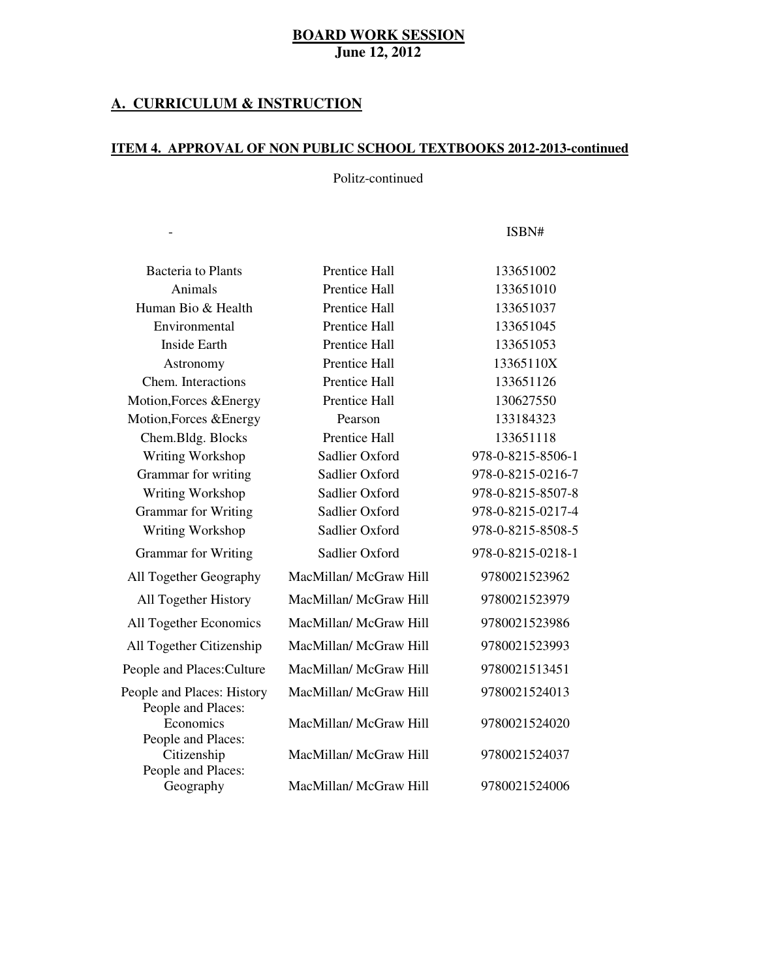### **A. CURRICULUM & INSTRUCTION**

Subject Textbook Name Publisher

 $\sim 10^{-11}$ 

### **ITEM 4. APPROVAL OF NON PUBLIC SCHOOL TEXTBOOKS 2012-2013-continued**

# Politz-continued

- ISBN#

| Bacteria to Plants                               | Prentice Hall          | 133651002         |
|--------------------------------------------------|------------------------|-------------------|
| Animals                                          | <b>Prentice Hall</b>   | 133651010         |
| Human Bio & Health                               | <b>Prentice Hall</b>   | 133651037         |
| Environmental                                    | Prentice Hall          | 133651045         |
| <b>Inside Earth</b>                              | Prentice Hall          | 133651053         |
| Astronomy                                        | <b>Prentice Hall</b>   | 13365110X         |
| Chem. Interactions                               | Prentice Hall          | 133651126         |
| Motion, Forces & Energy                          | <b>Prentice Hall</b>   | 130627550         |
| Motion, Forces & Energy                          | Pearson                | 133184323         |
| Chem.Bldg. Blocks                                | <b>Prentice Hall</b>   | 133651118         |
| Writing Workshop                                 | Sadlier Oxford         | 978-0-8215-8506-1 |
| Grammar for writing                              | Sadlier Oxford         | 978-0-8215-0216-7 |
| Writing Workshop                                 | Sadlier Oxford         | 978-0-8215-8507-8 |
| <b>Grammar</b> for Writing                       | Sadlier Oxford         | 978-0-8215-0217-4 |
| Writing Workshop                                 | Sadlier Oxford         | 978-0-8215-8508-5 |
| <b>Grammar</b> for Writing                       | Sadlier Oxford         | 978-0-8215-0218-1 |
| All Together Geography                           | MacMillan/ McGraw Hill | 9780021523962     |
| All Together History                             | MacMillan/ McGraw Hill | 9780021523979     |
| All Together Economics                           | MacMillan/ McGraw Hill | 9780021523986     |
| All Together Citizenship                         | MacMillan/ McGraw Hill | 9780021523993     |
| People and Places: Culture                       | MacMillan/ McGraw Hill | 9780021513451     |
| People and Places: History<br>People and Places: | MacMillan/ McGraw Hill | 9780021524013     |
| Economics<br>People and Places:                  | MacMillan/ McGraw Hill | 9780021524020     |
| Citizenship<br>People and Places:                | MacMillan/ McGraw Hill | 9780021524037     |
| Geography                                        | MacMillan/ McGraw Hill | 9780021524006     |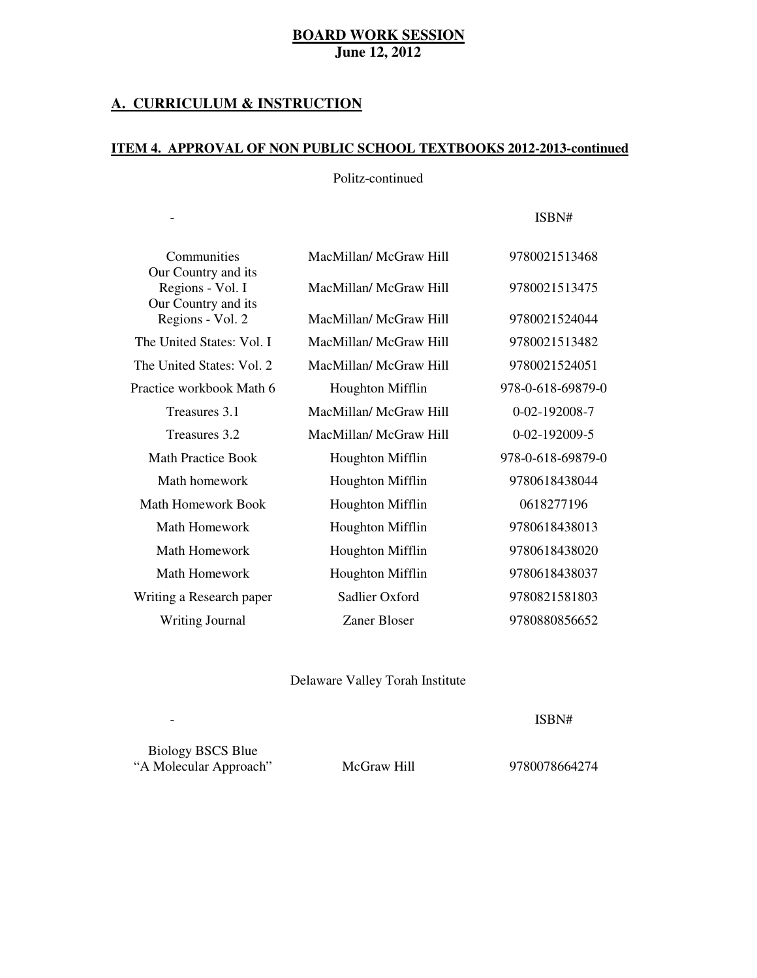### **A. CURRICULUM & INSTRUCTION**

Subject Textbook Name Publisher

 $\bar{\phantom{a}}$ 

### **ITEM 4. APPROVAL OF NON PUBLIC SCHOOL TEXTBOOKS 2012-2013-continued**

### Politz-continued

- ISBN#

| Communities<br>Our Country and its      | MacMillan/McGraw Hill   | 9780021513468     |
|-----------------------------------------|-------------------------|-------------------|
| Regions - Vol. I<br>Our Country and its | MacMillan/McGraw Hill   | 9780021513475     |
| Regions - Vol. 2                        | MacMillan/McGraw Hill   | 9780021524044     |
| The United States: Vol. I               | MacMillan/McGraw Hill   | 9780021513482     |
| The United States: Vol. 2               | MacMillan/McGraw Hill   | 9780021524051     |
| Practice workbook Math 6                | <b>Houghton Mifflin</b> | 978-0-618-69879-0 |
| Treasures 3.1                           | MacMillan/McGraw Hill   | 0-02-192008-7     |
| Treasures 3.2                           | MacMillan/McGraw Hill   | 0-02-192009-5     |
| <b>Math Practice Book</b>               | <b>Houghton Mifflin</b> | 978-0-618-69879-0 |
| Math homework                           | <b>Houghton Mifflin</b> | 9780618438044     |
| <b>Math Homework Book</b>               | <b>Houghton Mifflin</b> | 0618277196        |
| Math Homework                           | <b>Houghton Mifflin</b> | 9780618438013     |
| Math Homework                           | <b>Houghton Mifflin</b> | 9780618438020     |
| Math Homework                           | <b>Houghton Mifflin</b> | 9780618438037     |
| Writing a Research paper                | Sadlier Oxford          | 9780821581803     |
| <b>Writing Journal</b>                  | Zaner Bloser            | 9780880856652     |

Delaware Valley Torah Institute

- ISBN#

Biology BSCS Blue "A Molecular Approach" McGraw Hill 9780078664274

Subject Textbook Name Publisher

 $\mathbb{L}$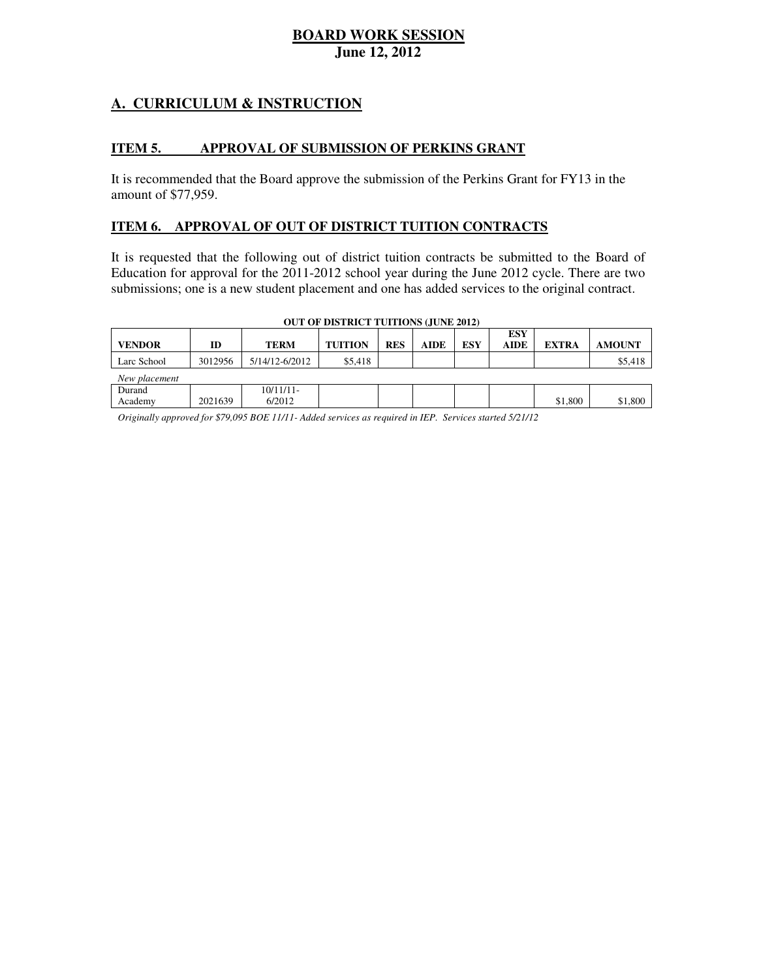# **A. CURRICULUM & INSTRUCTION**

#### **ITEM 5. APPROVAL OF SUBMISSION OF PERKINS GRANT**

 It is recommended that the Board approve the submission of the Perkins Grant for FY13 in the amount of \$77,959.

### **ITEM 6. APPROVAL OF OUT OF DISTRICT TUITION CONTRACTS**

 It is requested that the following out of district tuition contracts be submitted to the Board of Education for approval for the 2011-2012 school year during the June 2012 cycle. There are two submissions; one is a new student placement and one has added services to the original contract.

| <b>OUT OF DISTRICT TUITIONS (JUNE 2012)</b> |         |                        |                |            |             |            |                           |              |               |
|---------------------------------------------|---------|------------------------|----------------|------------|-------------|------------|---------------------------|--------------|---------------|
| <b>VENDOR</b>                               | ID      | <b>TERM</b>            | <b>TUITION</b> | <b>RES</b> | <b>AIDE</b> | <b>ESY</b> | <b>ESY</b><br><b>AIDE</b> | <b>EXTRA</b> | <b>AMOUNT</b> |
| Larc School                                 | 3012956 | 5/14/12-6/2012         | \$5,418        |            |             |            |                           |              | \$5,418       |
| New placement                               |         |                        |                |            |             |            |                           |              |               |
| Durand<br>Academy                           | 2021639 | $10/11/11$ -<br>6/2012 |                |            |             |            |                           | \$1,800      | \$1,800       |

 *Originally approved for \$79,095 BOE 11/11- Added services as required in IEP. Services started 5/21/12*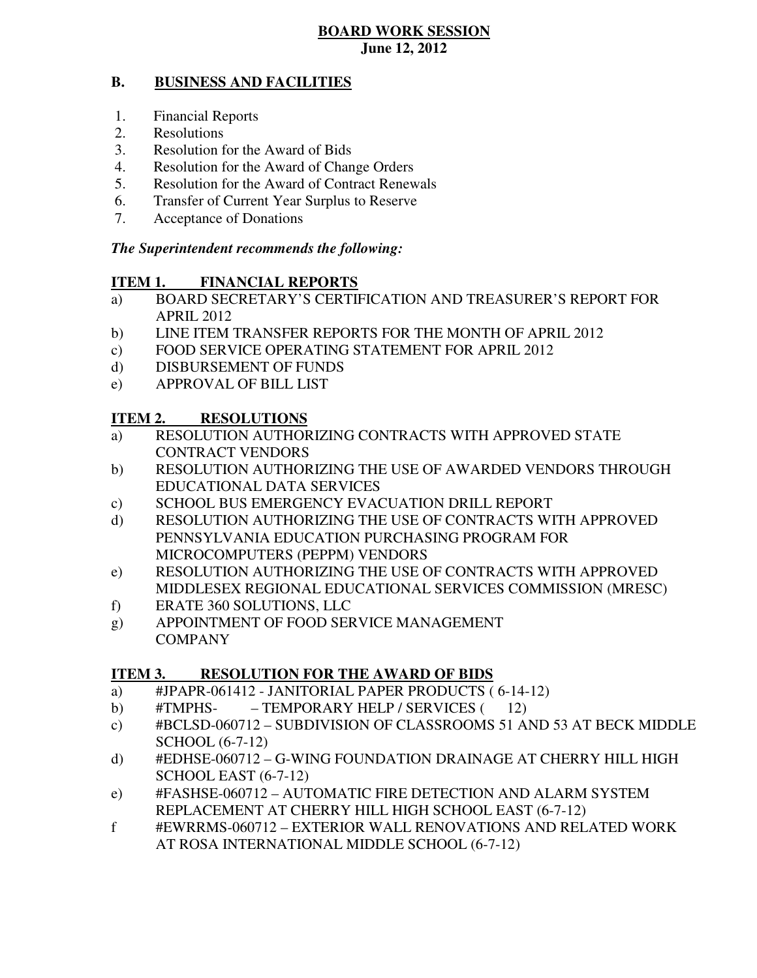#### **B. BUSINESS AND FACILITIES**

- 1. Financial Reports
- 2. Resolutions
- 3. Resolution for the Award of Bids
- 4. Resolution for the Award of Change Orders
- 5. Resolution for the Award of Contract Renewals
- 6. Transfer of Current Year Surplus to Reserve
- 7. Acceptance of Donations

### *The Superintendent recommends the following:*

#### **ITEM 1. FINANCIAL REPORTS**

- a) BOARD SECRETARY'S CERTIFICATION AND TREASURER'S REPORT FOR APRIL 2012
- $b)$ LINE ITEM TRANSFER REPORTS FOR THE MONTH OF APRIL 2012
- $\mathbf{c})$ FOOD SERVICE OPERATING STATEMENT FOR APRIL 2012
- d) DISBURSEMENT OF FUNDS
- e) APPROVAL OF BILL LIST

#### **ITEM 2. RESOLUTIONS**

- a) RESOLUTION AUTHORIZING CONTRACTS WITH APPROVED STATE CONTRACT VENDORS
- b) RESOLUTION AUTHORIZING THE USE OF AWARDED VENDORS THROUGH EDUCATIONAL DATA SERVICES
- c) SCHOOL BUS EMERGENCY EVACUATION DRILL REPORT
- d) RESOLUTION AUTHORIZING THE USE OF CONTRACTS WITH APPROVED PENNSYLVANIA EDUCATION PURCHASING PROGRAM FOR MICROCOMPUTERS (PEPPM) VENDORS
- e) RESOLUTION AUTHORIZING THE USE OF CONTRACTS WITH APPROVED MIDDLESEX REGIONAL EDUCATIONAL SERVICES COMMISSION (MRESC)
- f) ERATE 360 SOLUTIONS, LLC
- g) APPOINTMENT OF FOOD SERVICE MANAGEMENT **COMPANY**

#### **ITEM 3. RESOLUTION FOR THE AWARD OF BIDS**

- a) #JPAPR-061412 JANITORIAL PAPER PRODUCTS ( 6-14-12)
- #TMPHSb) #TMPHS- – TEMPORARY HELP / SERVICES (12)
- c) #BCLSD-060712 SUBDIVISION OF CLASSROOMS 51 AND 53 AT BECK MIDDLE SCHOOL (6-7-12)
- d) #EDHSE-060712 G-WING FOUNDATION DRAINAGE AT CHERRY HILL HIGH SCHOOL EAST (6-7-12)
- e) #FASHSE-060712 AUTOMATIC FIRE DETECTION AND ALARM SYSTEM REPLACEMENT AT CHERRY HILL HIGH SCHOOL EAST (6-7-12)
- f #EWRRMS-060712 EXTERIOR WALL RENOVATIONS AND RELATED WORK AT ROSA INTERNATIONAL MIDDLE SCHOOL (6-7-12)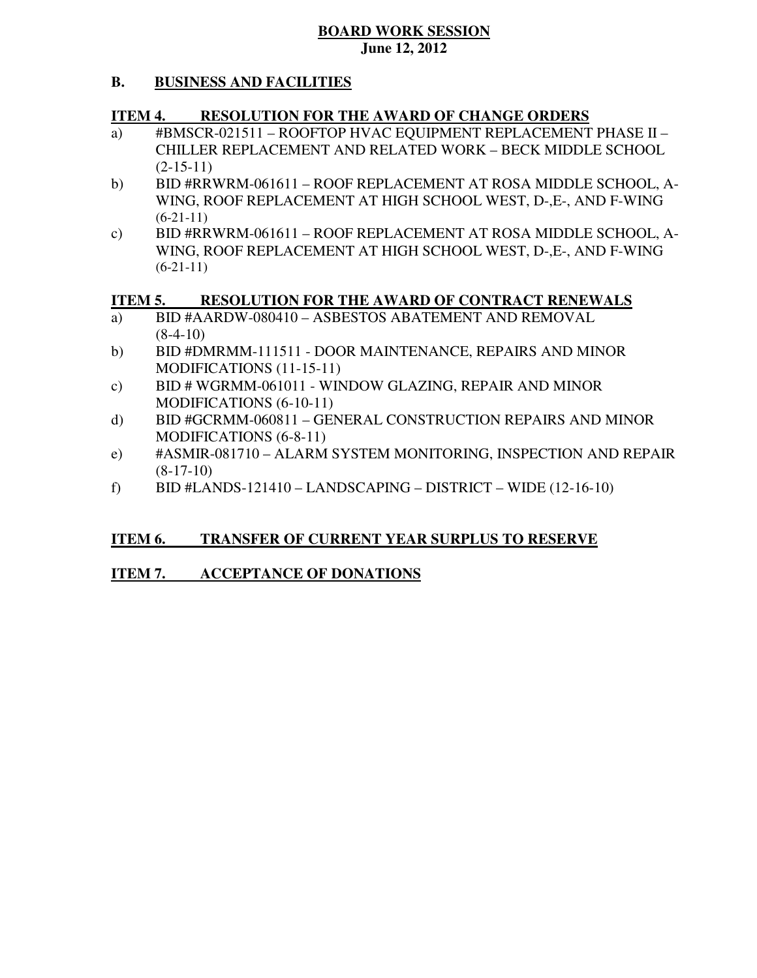#### **B. BUSINESS AND FACILITIES**

#### **ITEM 4. RESOLUTION FOR THE AWARD OF CHANGE ORDERS**

- a) #BMSCR-021511 ROOFTOP HVAC EQUIPMENT REPLACEMENT PHASE II CHILLER REPLACEMENT AND RELATED WORK – BECK MIDDLE SCHOOL  $(2-15-11)$
- $b)$  WING, ROOF REPLACEMENT AT HIGH SCHOOL WEST, D-,E-, AND F-WING BID #RRWRM-061611 – ROOF REPLACEMENT AT ROSA MIDDLE SCHOOL, A- $(6-21-11)$
- $\mathbf{c})$  WING, ROOF REPLACEMENT AT HIGH SCHOOL WEST, D-,E-, AND F-WING BID #RRWRM-061611 – ROOF REPLACEMENT AT ROSA MIDDLE SCHOOL, A- $(6-21-11)$

#### **ITEM 5. RESOLUTION FOR THE AWARD OF CONTRACT RENEWALS**

- a) BID #AARDW-080410 – ASBESTOS ABATEMENT AND REMOVAL  $(8-4-10)$
- b) MODIFICATIONS (11-15-11) BID #DMRMM-111511 - DOOR MAINTENANCE, REPAIRS AND MINOR
- $\mathbf{c})$  MODIFICATIONS (6-10-11) BID # WGRMM-061011 - WINDOW GLAZING, REPAIR AND MINOR
- d) MODIFICATIONS (6-8-11) BID #GCRMM-060811 – GENERAL CONSTRUCTION REPAIRS AND MINOR
- e) #ASMIR-081710 ALARM SYSTEM MONITORING, INSPECTION AND REPAIR  $(8-17-10)$
- $f$ ) f) BID #LANDS-121410 – LANDSCAPING – DISTRICT – WIDE (12-16-10)

#### **ITEM 6. TRANSFER OF CURRENT YEAR SURPLUS TO RESERVE**

#### **ITEM 7. ACCEPTANCE OF DONATIONS**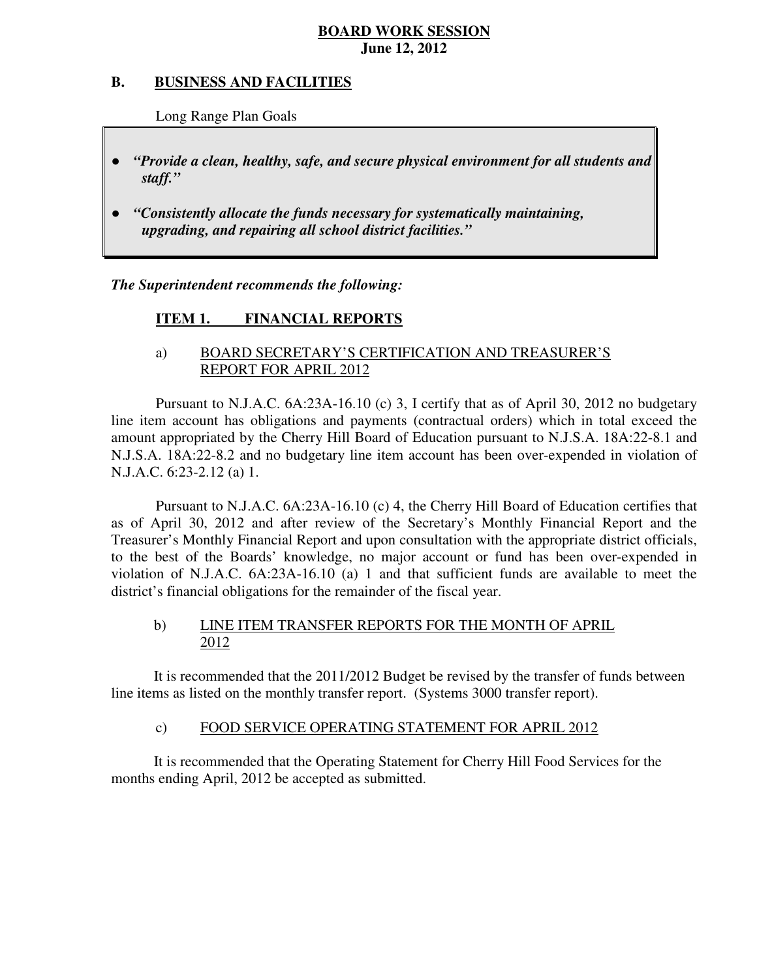#### **B. B. BUSINESS AND FACILITIES**

Long Range Plan Goals

- *"Provide a clean, healthy, safe, and secure physical environment for all students and staff."*
- *upgrading, and repairing all school district facilities."*  ● *"Consistently allocate the funds necessary for systematically maintaining,*

 *The Superintendent recommends the following:* 

#### **ITEM 1. FINANCIAL REPORTS**

# a) BOARD SECRETARY'S CERTIFICATION AND TREASURER'S REPORT FOR APRIL 2012

 Pursuant to N.J.A.C. 6A:23A-16.10 (c) 3, I certify that as of April 30, 2012 no budgetary line item account has obligations and payments (contractual orders) which in total exceed the amount appropriated by the Cherry Hill Board of Education pursuant to N.J.S.A. 18A:22-8.1 and N.J.S.A. 18A:22-8.2 and no budgetary line item account has been over-expended in violation of N.J.A.C. 6:23-2.12 (a) 1.

 Pursuant to N.J.A.C. 6A:23A-16.10 (c) 4, the Cherry Hill Board of Education certifies that as of April 30, 2012 and after review of the Secretary's Monthly Financial Report and the Treasurer's Monthly Financial Report and upon consultation with the appropriate district officials, to the best of the Boards' knowledge, no major account or fund has been over-expended in violation of N.J.A.C. 6A:23A-16.10 (a) 1 and that sufficient funds are available to meet the district's financial obligations for the remainder of the fiscal year.

### $b)$ LINE ITEM TRANSFER REPORTS FOR THE MONTH OF APRIL 2012

 It is recommended that the 2011/2012 Budget be revised by the transfer of funds between line items as listed on the monthly transfer report. (Systems 3000 transfer report).

#### $\mathbf{c})$ FOOD SERVICE OPERATING STATEMENT FOR APRIL 2012

 It is recommended that the Operating Statement for Cherry Hill Food Services for the months ending April, 2012 be accepted as submitted.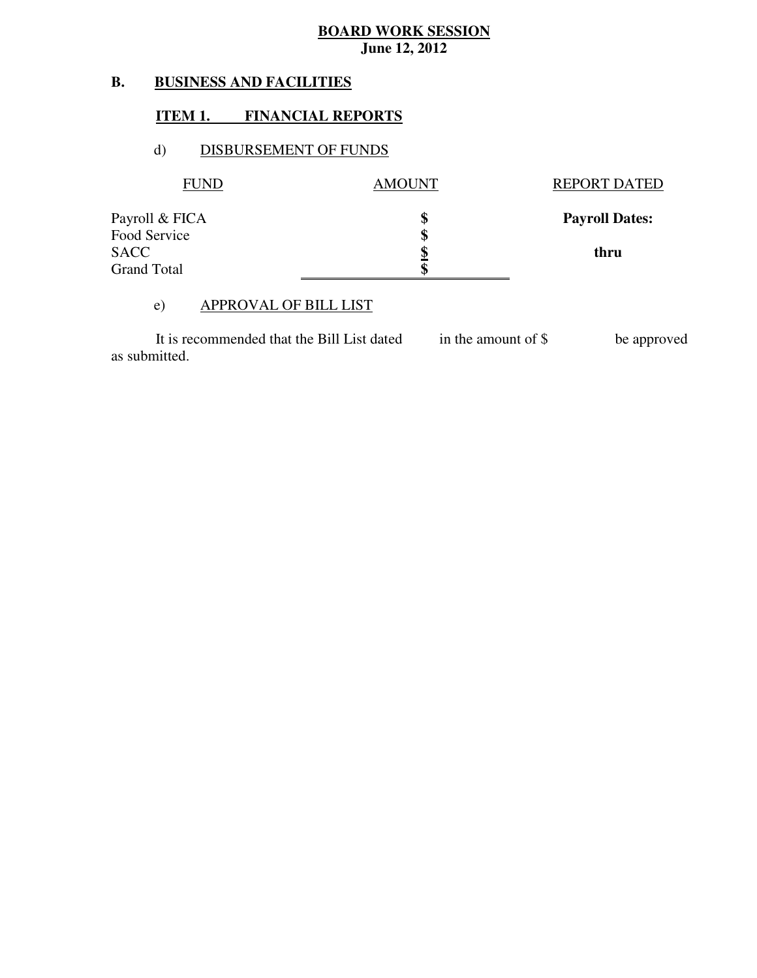#### **B. BUSINESS AND FACILITIES**

### **ITEM 1. FINANCIAL REPORTS**

### d) DISBURSEMENT OF FUNDS

| <b>FUND</b>        | <b>AMOUNT</b> | <b>REPORT DATED</b>   |
|--------------------|---------------|-----------------------|
| Payroll & FICA     | \$            | <b>Payroll Dates:</b> |
| Food Service       | \$            |                       |
| SACC               | \$            | thru                  |
| <b>Grand Total</b> | ¢             |                       |

### e) APPROVAL OF BILL LIST

 as submitted. It is recommended that the Bill List dated in the amount of \$ be approved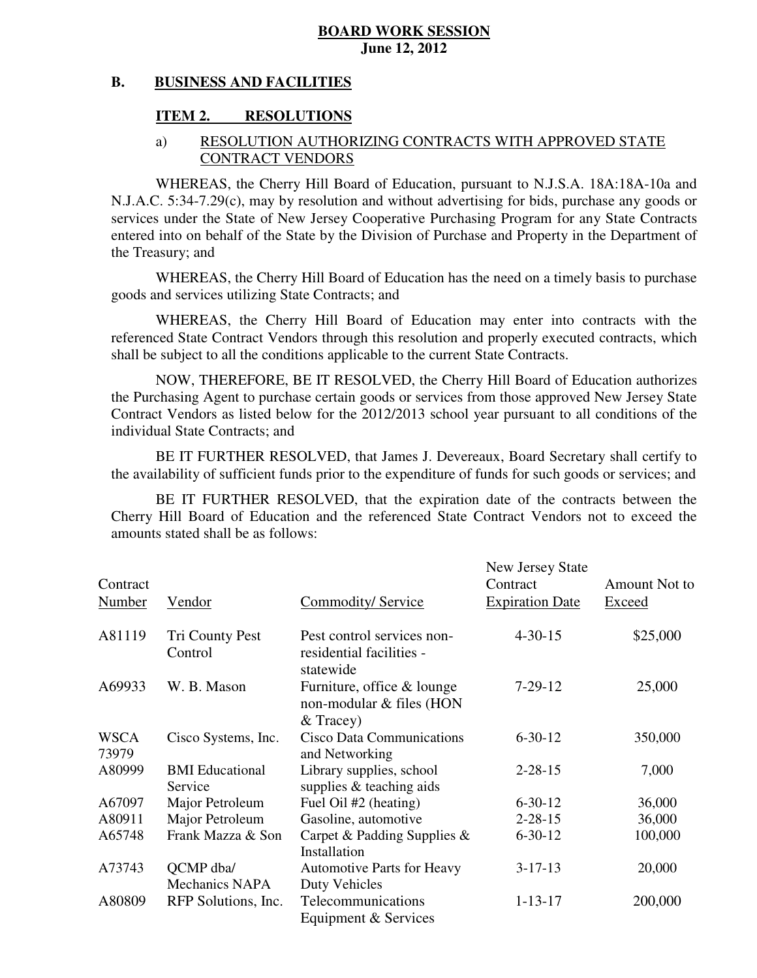#### **B. BUSINESS AND FACILITIES**

# **ITEM 2. RESOLUTIONS**

### a) RESOLUTION AUTHORIZING CONTRACTS WITH APPROVED STATE CONTRACT VENDORS

 WHEREAS, the Cherry Hill Board of Education, pursuant to N.J.S.A. 18A:18A-10a and N.J.A.C. 5:34-7.29(c), may by resolution and without advertising for bids, purchase any goods or services under the State of New Jersey Cooperative Purchasing Program for any State Contracts entered into on behalf of the State by the Division of Purchase and Property in the Department of the Treasury; and

 WHEREAS, the Cherry Hill Board of Education has the need on a timely basis to purchase goods and services utilizing State Contracts; and

 WHEREAS, the Cherry Hill Board of Education may enter into contracts with the referenced State Contract Vendors through this resolution and properly executed contracts, which shall be subject to all the conditions applicable to the current State Contracts.

 NOW, THEREFORE, BE IT RESOLVED, the Cherry Hill Board of Education authorizes the Purchasing Agent to purchase certain goods or services from those approved New Jersey State Contract Vendors as listed below for the 2012/2013 school year pursuant to all conditions of the individual State Contracts; and

 the availability of sufficient funds prior to the expenditure of funds for such goods or services; and BE IT FURTHER RESOLVED, that James J. Devereaux, Board Secretary shall certify to

 Cherry Hill Board of Education and the referenced State Contract Vendors not to exceed the amounts stated shall be as follows: BE IT FURTHER RESOLVED, that the expiration date of the contracts between the

| Contract<br>Number   | Vendor                             | Commodity/Service                                      | New Jersey State<br>Contract<br><b>Expiration Date</b> | Amount Not to<br>Exceed |
|----------------------|------------------------------------|--------------------------------------------------------|--------------------------------------------------------|-------------------------|
| A81119               | Tri County Pest<br>Control         | Pest control services non-<br>residential facilities - | $4 - 30 - 15$                                          | \$25,000                |
|                      |                                    | statewide                                              |                                                        |                         |
| A69933               | W. B. Mason                        | Furniture, office & lounge<br>non-modular & files (HON | $7 - 29 - 12$                                          | 25,000                  |
|                      |                                    | $&$ Tracey)                                            |                                                        |                         |
| <b>WSCA</b><br>73979 | Cisco Systems, Inc.                | <b>Cisco Data Communications</b><br>and Networking     | $6 - 30 - 12$                                          | 350,000                 |
| A80999               | <b>BMI</b> Educational<br>Service  | Library supplies, school<br>supplies & teaching aids   | $2 - 28 - 15$                                          | 7,000                   |
| A67097               | Major Petroleum                    | Fuel Oil #2 (heating)                                  | $6 - 30 - 12$                                          | 36,000                  |
| A80911               | Major Petroleum                    | Gasoline, automotive                                   | $2 - 28 - 15$                                          | 36,000                  |
| A65748               | Frank Mazza & Son                  | Carpet & Padding Supplies $\&$<br>Installation         | $6 - 30 - 12$                                          | 100,000                 |
| A73743               | QCMP dba/<br><b>Mechanics NAPA</b> | <b>Automotive Parts for Heavy</b><br>Duty Vehicles     | $3 - 17 - 13$                                          | 20,000                  |
| A80809               | RFP Solutions, Inc.                | Telecommunications<br>Equipment & Services             | $1 - 13 - 17$                                          | 200,000                 |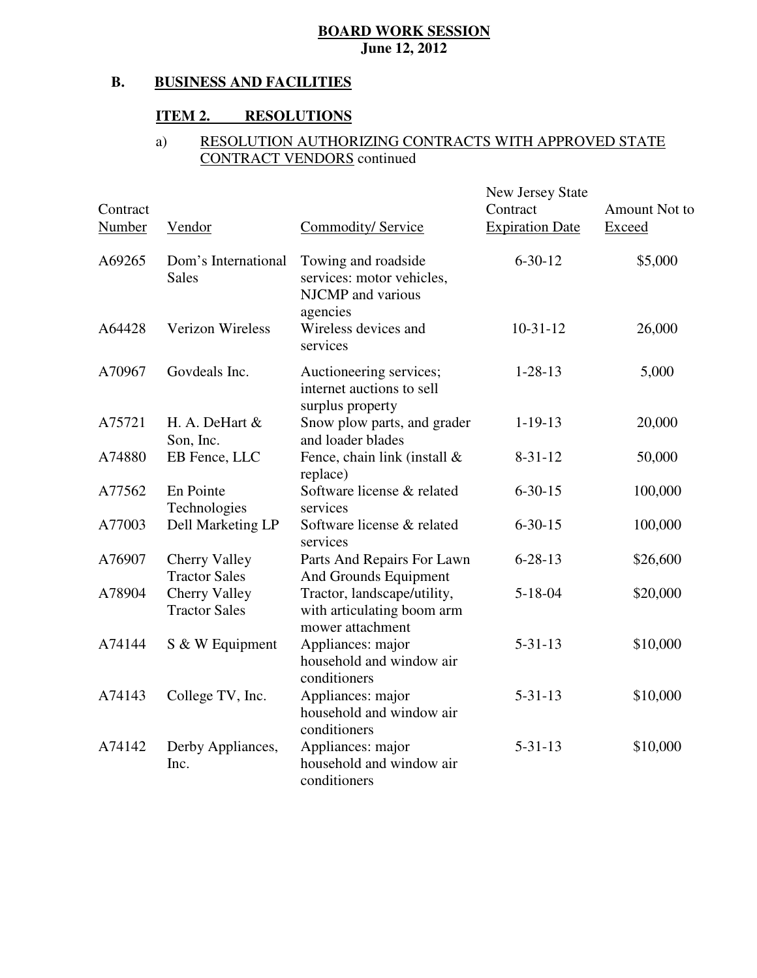#### **B. BUSINESS AND FACILITIES**

### **ITEM 2. RESOLUTIONS**

#### $\overline{a}$  $\overline{a}$ a) RESOLUTION AUTHORIZING CONTRACTS WITH APPROVED STATE CONTRACT VENDORS continued

| Contract<br>Number | Vendor                                | Commodity/ Service                                                                | <b>New Jersey State</b><br>Contract<br><b>Expiration Date</b> | <b>Amount Not to</b><br>Exceed |
|--------------------|---------------------------------------|-----------------------------------------------------------------------------------|---------------------------------------------------------------|--------------------------------|
| A69265             | Dom's International<br><b>Sales</b>   | Towing and roadside<br>services: motor vehicles,<br>NJCMP and various<br>agencies | $6 - 30 - 12$                                                 | \$5,000                        |
| A64428             | <b>Verizon Wireless</b>               | Wireless devices and<br>services                                                  | $10-31-12$                                                    | 26,000                         |
| A70967             | Govdeals Inc.                         | Auctioneering services;<br>internet auctions to sell<br>surplus property          | $1 - 28 - 13$                                                 | 5,000                          |
| A75721             | H. A. DeHart $&$<br>Son, Inc.         | Snow plow parts, and grader<br>and loader blades                                  | $1 - 19 - 13$                                                 | 20,000                         |
| A74880             | EB Fence, LLC                         | Fence, chain link (install &<br>replace)                                          | $8 - 31 - 12$                                                 | 50,000                         |
| A77562             | En Pointe<br>Technologies             | Software license & related<br>services                                            | $6 - 30 - 15$                                                 | 100,000                        |
| A77003             | Dell Marketing LP                     | Software license & related<br>services                                            | $6 - 30 - 15$                                                 | 100,000                        |
| A76907             | Cherry Valley<br><b>Tractor Sales</b> | Parts And Repairs For Lawn<br>And Grounds Equipment                               | $6 - 28 - 13$                                                 | \$26,600                       |
| A78904             | Cherry Valley<br><b>Tractor Sales</b> | Tractor, landscape/utility,<br>with articulating boom arm<br>mower attachment     | $5 - 18 - 04$                                                 | \$20,000                       |
| A74144             | S & W Equipment                       | Appliances: major<br>household and window air<br>conditioners                     | $5 - 31 - 13$                                                 | \$10,000                       |
| A74143             | College TV, Inc.                      | Appliances: major<br>household and window air<br>conditioners                     | $5 - 31 - 13$                                                 | \$10,000                       |
| A74142             | Derby Appliances,<br>Inc.             | Appliances: major<br>household and window air<br>conditioners                     | $5 - 31 - 13$                                                 | \$10,000                       |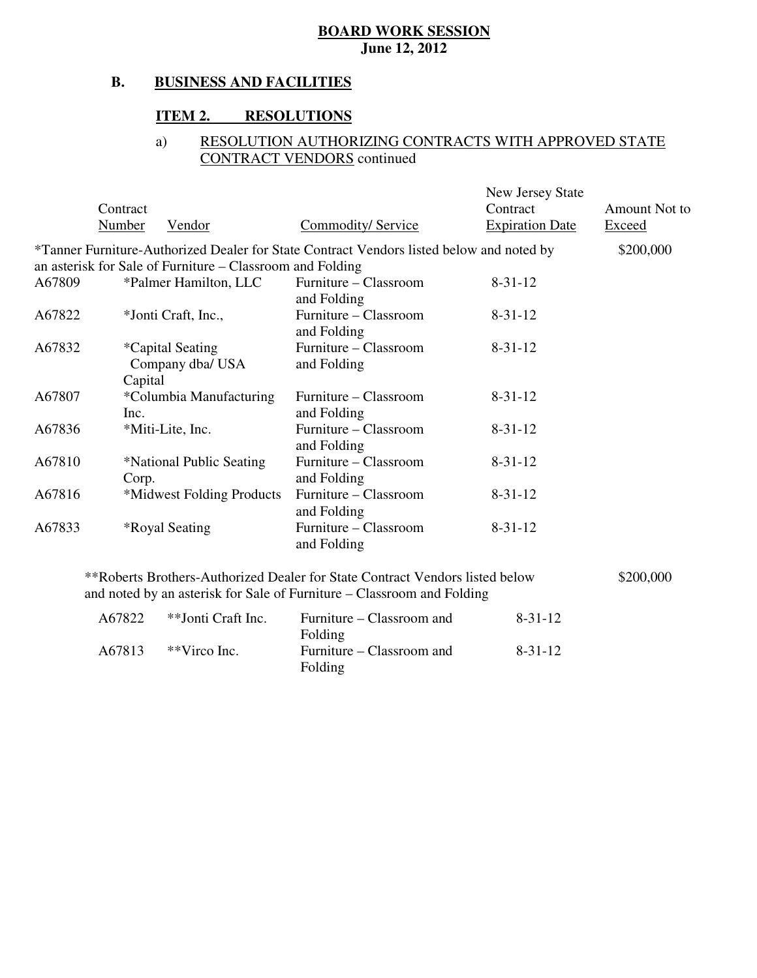#### **B. BUSINESS AND FACILITIES**

### **ITEM 2. RESOLUTIONS**

#### $\overline{a}$  $\overline{a}$ a) RESOLUTION AUTHORIZING CONTRACTS WITH APPROVED STATE CONTRACT VENDORS continued

|        | Contract<br><b>Number</b> | Vendor                                                    | <b>Commodity/ Service</b>                                                                                                                              | New Jersey State<br>Contract<br><b>Expiration Date</b> | Amount Not to<br><b>Exceed</b> |
|--------|---------------------------|-----------------------------------------------------------|--------------------------------------------------------------------------------------------------------------------------------------------------------|--------------------------------------------------------|--------------------------------|
|        |                           |                                                           | *Tanner Furniture-Authorized Dealer for State Contract Vendors listed below and noted by                                                               |                                                        | \$200,000                      |
|        |                           | an asterisk for Sale of Furniture – Classroom and Folding |                                                                                                                                                        |                                                        |                                |
| A67809 |                           | *Palmer Hamilton, LLC                                     | Furniture – Classroom<br>and Folding                                                                                                                   | $8 - 31 - 12$                                          |                                |
| A67822 |                           | *Jonti Craft, Inc.,                                       | Furniture – Classroom<br>and Folding                                                                                                                   | $8 - 31 - 12$                                          |                                |
| A67832 | Capital                   | <i>*</i> Capital Seating<br>Company dba/ USA              | Furniture – Classroom<br>and Folding                                                                                                                   | $8 - 31 - 12$                                          |                                |
| A67807 | Inc.                      | *Columbia Manufacturing                                   | Furniture – Classroom<br>and Folding                                                                                                                   | $8 - 31 - 12$                                          |                                |
| A67836 |                           | *Miti-Lite, Inc.                                          | Furniture – Classroom<br>and Folding                                                                                                                   | $8 - 31 - 12$                                          |                                |
| A67810 | Corp.                     | *National Public Seating                                  | Furniture - Classroom<br>and Folding                                                                                                                   | $8 - 31 - 12$                                          |                                |
| A67816 |                           | *Midwest Folding Products                                 | Furniture – Classroom<br>and Folding                                                                                                                   | $8 - 31 - 12$                                          |                                |
| A67833 |                           | <i><b>*Royal Seating</b></i>                              | Furniture - Classroom<br>and Folding                                                                                                                   | $8 - 31 - 12$                                          |                                |
|        |                           |                                                           | **Roberts Brothers-Authorized Dealer for State Contract Vendors listed below<br>and noted by an asterisk for Sale of Furniture – Classroom and Folding |                                                        | \$200,000                      |
|        | A67822                    | $*$ $\overline{\phantom{a}}$ Lonti Craft Inc              | Furniture $C$ asset of and                                                                                                                             | $8 - 31 - 12$                                          |                                |

| A67822 | **Jonti Craft Inc. | Furniture – Classroom and | $8 - 31 - 12$ |
|--------|--------------------|---------------------------|---------------|
|        |                    | Folding                   |               |
| A67813 | **Virco Inc.       | Furniture – Classroom and | 8-31-12       |
|        |                    | Folding                   |               |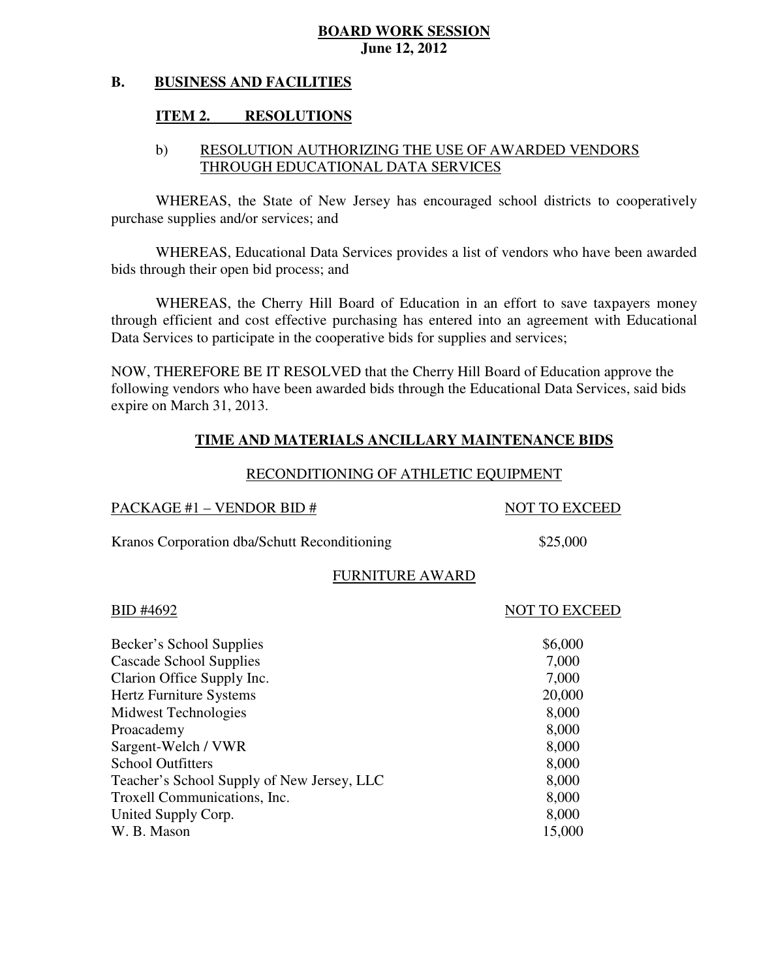#### **B. BUSINESS AND FACILITIES**

### **ITEM 2. RESOLUTIONS**

# b) RESOLUTION AUTHORIZING THE USE OF AWARDED VENDORS THROUGH EDUCATIONAL DATA SERVICES

 WHEREAS, the State of New Jersey has encouraged school districts to cooperatively purchase supplies and/or services; and

 WHEREAS, Educational Data Services provides a list of vendors who have been awarded bids through their open bid process; and

 WHEREAS, the Cherry Hill Board of Education in an effort to save taxpayers money through efficient and cost effective purchasing has entered into an agreement with Educational Data Services to participate in the cooperative bids for supplies and services;

 NOW, THEREFORE BE IT RESOLVED that the Cherry Hill Board of Education approve the following vendors who have been awarded bids through the Educational Data Services, said bids expire on March 31, 2013.

# **TIME AND MATERIALS ANCILLARY MAINTENANCE BIDS**

# RECONDITIONING OF ATHLETIC EQUIPMENT

| PACKAGE #1 - VENDOR BID #                    | <b>NOT TO EXCEED</b> |
|----------------------------------------------|----------------------|
| Kranos Corporation dba/Schutt Reconditioning | \$25,000             |
| <b>FURNITURE AWARD</b>                       |                      |
| BID #4692                                    | <b>NOT TO EXCEED</b> |
| Becker's School Supplies                     | \$6,000              |
| Cascade School Supplies                      | 7,000                |
| Clarion Office Supply Inc.                   | 7,000                |
| Hertz Furniture Systems                      | 20,000               |
| Midwest Technologies                         | 8,000                |
| Proacademy                                   | 8,000                |
| Sargent-Welch / VWR                          | 8,000                |
| <b>School Outfitters</b>                     | 8,000                |
| Teacher's School Supply of New Jersey, LLC   | 8,000                |
| Troxell Communications, Inc.                 | 8,000                |
| United Supply Corp.                          | 8,000                |
| W. B. Mason                                  | 15,000               |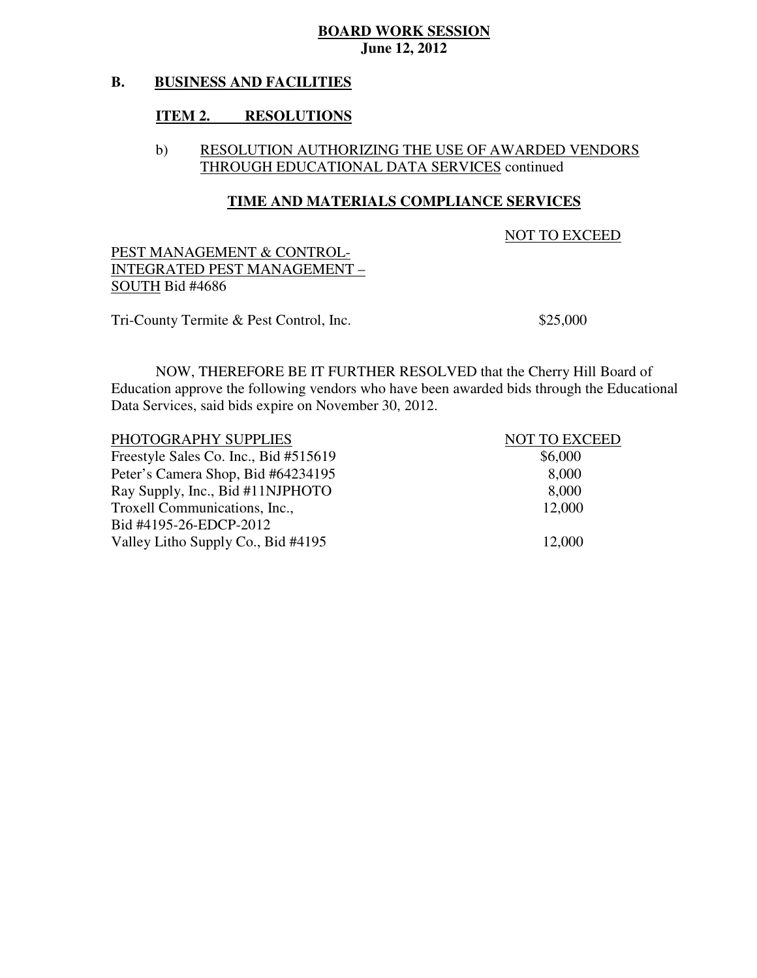#### **B. BUSINESS AND FACILITIES**

### **ITEM 2. RESOLUTIONS**

### b) RESOLUTION AUTHORIZING THE USE OF AWARDED VENDORS THROUGH EDUCATIONAL DATA SERVICES continued

### **TIME AND MATERIALS COMPLIANCE SERVICES**

NOT TO EXCEED

 PEST MANAGEMENT & CONTROL- INTEGRATED PEST MANAGEMENT – SOUTH Bid #4686

Tri-County Termite & Pest Control, Inc.  $$25,000$ 

 NOW, THEREFORE BE IT FURTHER RESOLVED that the Cherry Hill Board of Education approve the following vendors who have been awarded bids through the Educational Data Services, said bids expire on November 30, 2012.

| PHOTOGRAPHY SUPPLIES                  | <b>NOT TO EXCEED</b> |
|---------------------------------------|----------------------|
| Freestyle Sales Co. Inc., Bid #515619 | \$6,000              |
| Peter's Camera Shop, Bid #64234195    | 8,000                |
| Ray Supply, Inc., Bid #11NJPHOTO      | 8,000                |
| Troxell Communications, Inc.,         | 12,000               |
| Bid #4195-26-EDCP-2012                |                      |
| Valley Litho Supply Co., Bid #4195    | 12,000               |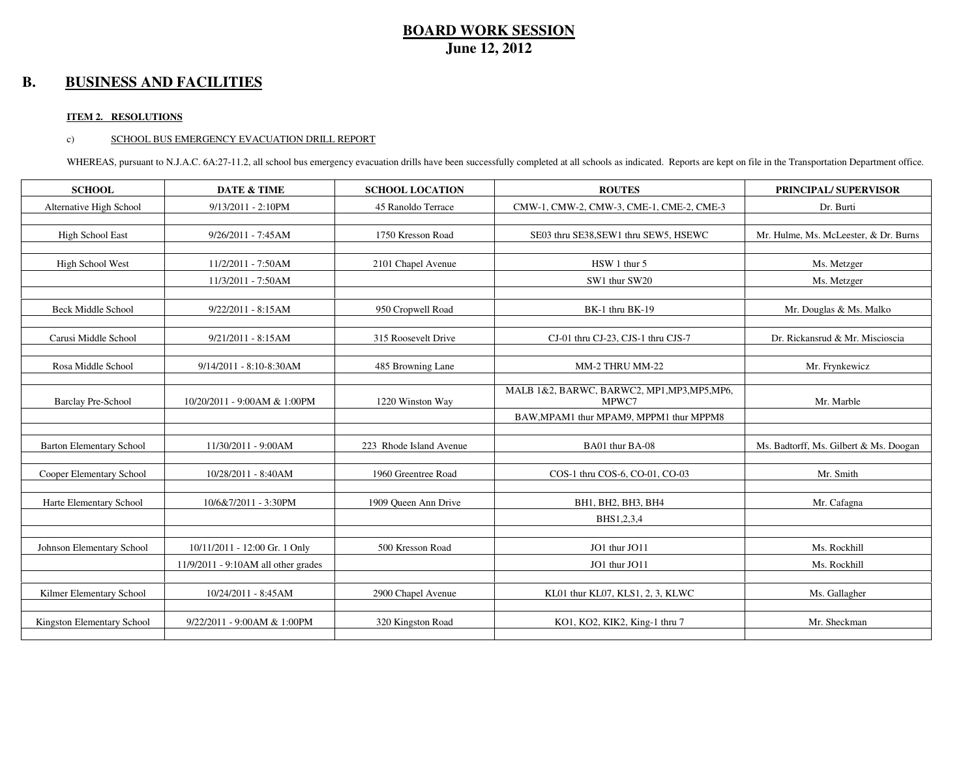### **B. BUSINESS AND FACILITIES**

### **ITEM 2. RESOLUTIONS**

### c) SCHOOL BUS EMERGENCY EVACUATION DRILL REPORT

WHEREAS, pursuant to N.J.A.C. 6A:27-11.2, all school bus emergency evacuation drills have been successfully completed at all schools as indicated. Reports are kept on file in the Transportation Department office.

| <b>SCHOOL</b>                   | <b>DATE &amp; TIME</b>              | <b>SCHOOL LOCATION</b>  | <b>ROUTES</b>                                | <b>PRINCIPAL/ SUPERVISOR</b>           |
|---------------------------------|-------------------------------------|-------------------------|----------------------------------------------|----------------------------------------|
| Alternative High School         | $9/13/2011 - 2:10PM$                | 45 Ranoldo Terrace      | CMW-1, CMW-2, CMW-3, CME-1, CME-2, CME-3     | Dr. Burti                              |
|                                 |                                     |                         |                                              |                                        |
| High School East                | 9/26/2011 - 7:45AM                  | 1750 Kresson Road       | SE03 thru SE38, SEW1 thru SEW5, HSEWC        | Mr. Hulme, Ms. McLeester, & Dr. Burns  |
|                                 |                                     |                         |                                              |                                        |
| High School West                | 11/2/2011 - 7:50AM                  | 2101 Chapel Avenue      | HSW 1 thur 5                                 | Ms. Metzger                            |
|                                 | 11/3/2011 - 7:50AM                  |                         | SW1 thur SW20                                | Ms. Metzger                            |
|                                 |                                     |                         |                                              |                                        |
| <b>Beck Middle School</b>       | 9/22/2011 - 8:15AM                  | 950 Cropwell Road       | BK-1 thru BK-19                              | Mr. Douglas & Ms. Malko                |
|                                 |                                     |                         |                                              |                                        |
| Carusi Middle School            | $9/21/2011 - 8:15AM$                | 315 Roosevelt Drive     | CJ-01 thru CJ-23, CJS-1 thru CJS-7           | Dr. Rickansrud & Mr. Miscioscia        |
|                                 |                                     |                         |                                              |                                        |
| Rosa Middle School              | 9/14/2011 - 8:10-8:30AM             | 485 Browning Lane       | MM-2 THRU MM-22                              | Mr. Frynkewicz                         |
|                                 |                                     |                         | MALB 1&2, BARWC, BARWC2, MP1, MP3, MP5, MP6, |                                        |
| <b>Barclay Pre-School</b>       | 10/20/2011 - 9:00AM & 1:00PM        | 1220 Winston Way        | MPWC7                                        | Mr. Marble                             |
|                                 |                                     |                         | BAW, MPAM1 thur MPAM9, MPPM1 thur MPPM8      |                                        |
|                                 |                                     |                         |                                              |                                        |
| <b>Barton Elementary School</b> | 11/30/2011 - 9:00AM                 | 223 Rhode Island Avenue | BA01 thur BA-08                              | Ms. Badtorff, Ms. Gilbert & Ms. Doogan |
|                                 |                                     |                         |                                              |                                        |
| Cooper Elementary School        | 10/28/2011 - 8:40AM                 | 1960 Greentree Road     | COS-1 thru COS-6, CO-01, CO-03               | Mr. Smith                              |
| Harte Elementary School         | 10/6&7/2011 - 3:30PM                | 1909 Queen Ann Drive    | BH1, BH2, BH3, BH4                           | Mr. Cafagna                            |
|                                 |                                     |                         |                                              |                                        |
|                                 |                                     |                         | BHS1,2,3,4                                   |                                        |
| Johnson Elementary School       | 10/11/2011 - 12:00 Gr. 1 Only       | 500 Kresson Road        | JO1 thur JO11                                | Ms. Rockhill                           |
|                                 | 11/9/2011 - 9:10AM all other grades |                         | JO1 thur JO11                                | Ms. Rockhill                           |
|                                 |                                     |                         |                                              |                                        |
| Kilmer Elementary School        | 10/24/2011 - 8:45AM                 | 2900 Chapel Avenue      | KL01 thur KL07, KLS1, 2, 3, KLWC             | Ms. Gallagher                          |
|                                 |                                     |                         |                                              |                                        |
| Kingston Elementary School      | 9/22/2011 - 9:00AM & 1:00PM         | 320 Kingston Road       | KO1, KO2, KIK2, King-1 thru 7                | Mr. Sheckman                           |
|                                 |                                     |                         |                                              |                                        |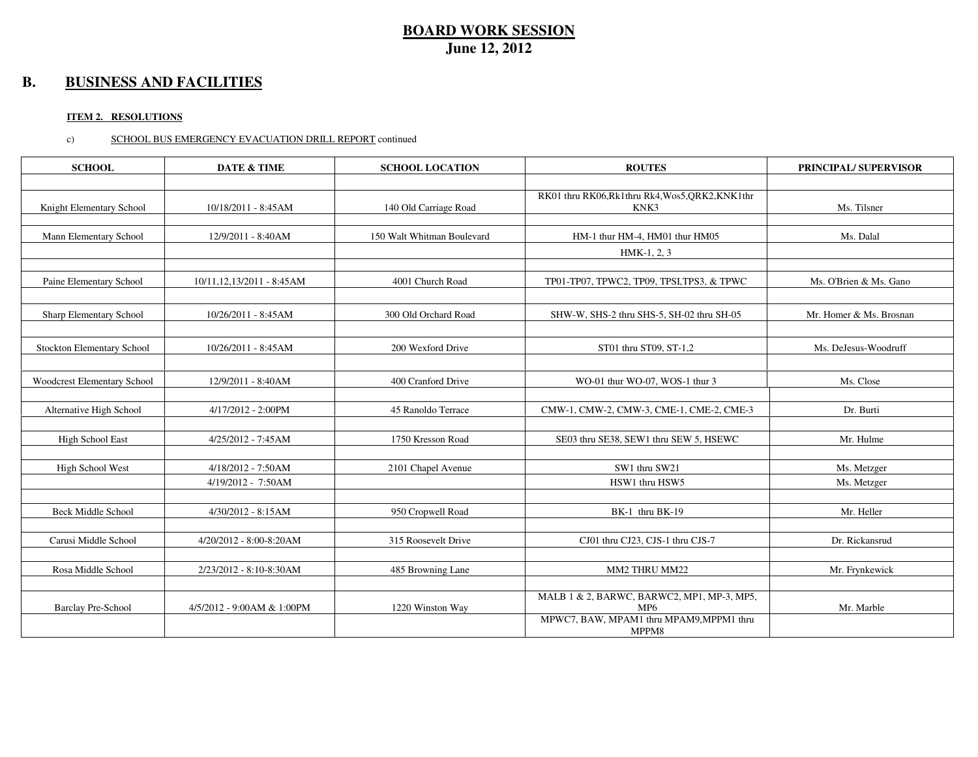### **B. BUSINESS AND FACILITIES**

### **ITEM 2. RESOLUTIONS**

### c) SCHOOL BUS EMERGENCY EVACUATION DRILL REPORT continued

| <b>SCHOOL</b>               | <b>DATE &amp; TIME</b>     | <b>SCHOOL LOCATION</b>     | <b>ROUTES</b>                                                 | <b>PRINCIPAL/ SUPERVISOR</b> |
|-----------------------------|----------------------------|----------------------------|---------------------------------------------------------------|------------------------------|
|                             |                            |                            |                                                               |                              |
| Knight Elementary School    | 10/18/2011 - 8:45AM        | 140 Old Carriage Road      | RK01 thru RK06, Rk1 thru Rk4, Wos5, QRK2, KNK1 thr<br>KNK3    | Ms. Tilsner                  |
| Mann Elementary School      | 12/9/2011 - 8:40AM         | 150 Walt Whitman Boulevard | HM-1 thur HM-4, HM01 thur HM05                                | Ms. Dalal                    |
|                             |                            |                            | $HMK-1, 2, 3$                                                 |                              |
|                             |                            |                            |                                                               |                              |
| Paine Elementary School     | 10/11,12,13/2011 - 8:45AM  | 4001 Church Road           | TP01-TP07, TPWC2, TP09, TPSI, TPS3, & TPWC                    | Ms. O'Brien & Ms. Gano       |
|                             |                            |                            |                                                               |                              |
| Sharp Elementary School     | 10/26/2011 - 8:45AM        | 300 Old Orchard Road       | SHW-W, SHS-2 thru SHS-5, SH-02 thru SH-05                     | Mr. Homer & Ms. Brosnan      |
|                             |                            |                            |                                                               |                              |
| Stockton Elementary School  | 10/26/2011 - 8:45AM        | 200 Wexford Drive          | ST01 thru ST09, ST-1,2                                        | Ms. DeJesus-Woodruff         |
|                             |                            |                            |                                                               |                              |
| Woodcrest Elementary School | 12/9/2011 - 8:40AM         | 400 Cranford Drive         | WO-01 thur WO-07, WOS-1 thur 3                                | Ms. Close                    |
|                             |                            |                            |                                                               |                              |
| Alternative High School     | 4/17/2012 - 2:00PM         | 45 Ranoldo Terrace         | CMW-1, CMW-2, CMW-3, CME-1, CME-2, CME-3                      | Dr. Burti                    |
|                             |                            |                            |                                                               |                              |
| High School East            | 4/25/2012 - 7:45AM         | 1750 Kresson Road          | SE03 thru SE38, SEW1 thru SEW 5, HSEWC                        | Mr. Hulme                    |
|                             |                            |                            |                                                               |                              |
| High School West            | 4/18/2012 - 7:50AM         | 2101 Chapel Avenue         | SW1 thru SW21                                                 | Ms. Metzger                  |
|                             | 4/19/2012 - 7:50AM         |                            | HSW1 thru HSW5                                                | Ms. Metzger                  |
| <b>Beck Middle School</b>   | 4/30/2012 - 8:15AM         |                            | BK-1 thru BK-19                                               | Mr. Heller                   |
|                             |                            | 950 Cropwell Road          |                                                               |                              |
| Carusi Middle School        | 4/20/2012 - 8:00-8:20AM    | 315 Roosevelt Drive        | CJ01 thru CJ23, CJS-1 thru CJS-7                              | Dr. Rickansrud               |
|                             |                            |                            |                                                               |                              |
| Rosa Middle School          | 2/23/2012 - 8:10-8:30AM    | 485 Browning Lane          | MM2 THRU MM22                                                 | Mr. Frynkewick               |
|                             |                            |                            |                                                               |                              |
| <b>Barclay Pre-School</b>   | 4/5/2012 - 9:00AM & 1:00PM | 1220 Winston Way           | MALB 1 & 2, BARWC, BARWC2, MP1, MP-3, MP5,<br>MP <sub>6</sub> | Mr. Marble                   |
|                             |                            |                            | MPWC7, BAW, MPAM1 thru MPAM9, MPPM1 thru                      |                              |
|                             |                            |                            | MPPM8                                                         |                              |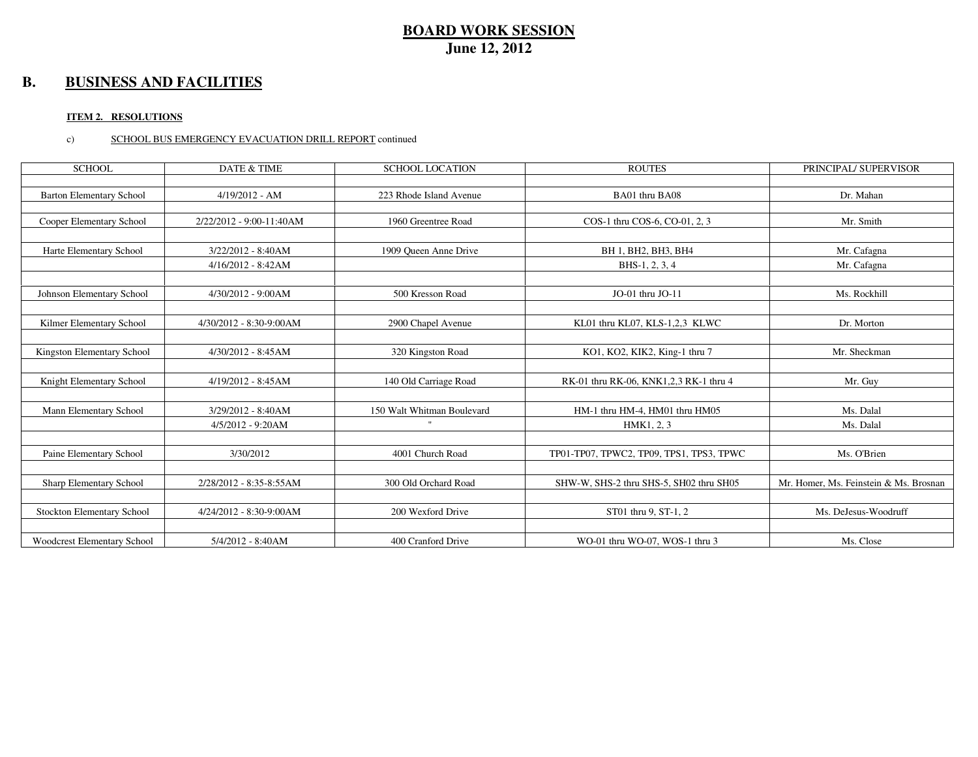### **B. BUSINESS AND FACILITIES**

### **ITEM 2. RESOLUTIONS**

### c) SCHOOL BUS EMERGENCY EVACUATION DRILL REPORT continued

| <b>SCHOOL</b>                     | <b>DATE &amp; TIME</b>   | <b>SCHOOL LOCATION</b>     | <b>ROUTES</b>                            | PRINCIPAL/ SUPERVISOR                  |
|-----------------------------------|--------------------------|----------------------------|------------------------------------------|----------------------------------------|
|                                   |                          |                            |                                          |                                        |
| <b>Barton Elementary School</b>   | $4/19/2012 - AM$         | 223 Rhode Island Avenue    | BA01 thru BA08                           | Dr. Mahan                              |
|                                   |                          |                            |                                          |                                        |
| Cooper Elementary School          | 2/22/2012 - 9:00-11:40AM | 1960 Greentree Road        | COS-1 thru COS-6, CO-01, 2, 3            | Mr. Smith                              |
|                                   |                          |                            |                                          |                                        |
| Harte Elementary School           | 3/22/2012 - 8:40AM       | 1909 Oueen Anne Drive      | BH 1, BH2, BH3, BH4                      | Mr. Cafagna                            |
|                                   | 4/16/2012 - 8:42AM       |                            | BHS-1, 2, 3, 4                           | Mr. Cafagna                            |
|                                   |                          |                            |                                          |                                        |
| Johnson Elementary School         | 4/30/2012 - 9:00AM       | 500 Kresson Road           | JO-01 thru JO-11                         | Ms. Rockhill                           |
|                                   |                          |                            |                                          |                                        |
| Kilmer Elementary School          | 4/30/2012 - 8:30-9:00AM  | 2900 Chapel Avenue         | KL01 thru KL07, KLS-1,2,3 KLWC           | Dr. Morton                             |
|                                   |                          |                            |                                          |                                        |
| Kingston Elementary School        | 4/30/2012 - 8:45AM       | 320 Kingston Road          | KO1, KO2, KIK2, King-1 thru 7            | Mr. Sheckman                           |
|                                   |                          |                            |                                          |                                        |
| Knight Elementary School          | 4/19/2012 - 8:45AM       | 140 Old Carriage Road      | RK-01 thru RK-06, KNK1,2,3 RK-1 thru 4   | Mr. Guy                                |
|                                   |                          |                            |                                          |                                        |
| Mann Elementary School            | 3/29/2012 - 8:40AM       | 150 Walt Whitman Boulevard | HM-1 thru HM-4, HM01 thru HM05           | Ms. Dalal                              |
|                                   | $4/5/2012 - 9:20AM$      |                            | HMK1, 2, 3                               | Ms. Dalal                              |
|                                   |                          |                            |                                          |                                        |
| Paine Elementary School           | 3/30/2012                | 4001 Church Road           | TP01-TP07, TPWC2, TP09, TPS1, TPS3, TPWC | Ms. O'Brien                            |
|                                   |                          |                            |                                          |                                        |
| Sharp Elementary School           | 2/28/2012 - 8:35-8:55AM  | 300 Old Orchard Road       | SHW-W, SHS-2 thru SHS-5, SH02 thru SH05  | Mr. Homer, Ms. Feinstein & Ms. Brosnan |
|                                   |                          |                            |                                          |                                        |
| <b>Stockton Elementary School</b> | 4/24/2012 - 8:30-9:00AM  | 200 Wexford Drive          | ST01 thru 9, ST-1, 2                     | Ms. DeJesus-Woodruff                   |
|                                   |                          |                            |                                          |                                        |
| Woodcrest Elementary School       | 5/4/2012 - 8:40AM        | 400 Cranford Drive         | WO-01 thru WO-07, WOS-1 thru 3           | Ms. Close                              |
|                                   |                          |                            |                                          |                                        |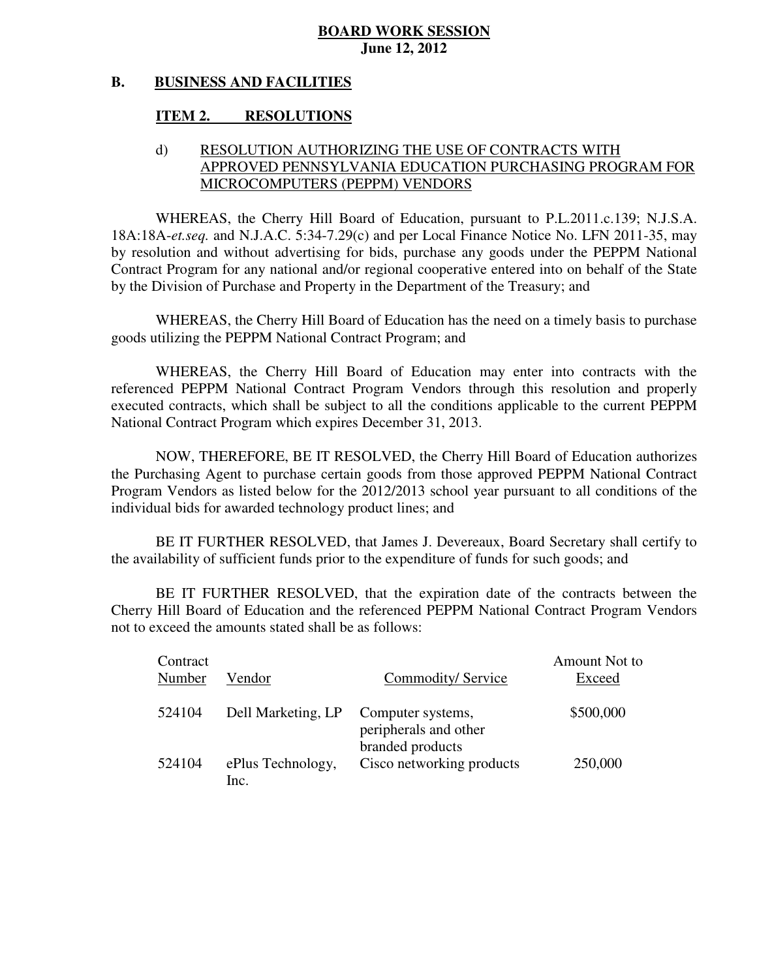#### **B. BUSINESS AND FACILITIES**

#### **ITEM 2. RESOLUTIONS**

# d) RESOLUTION AUTHORIZING THE USE OF CONTRACTS WITH APPROVED PENNSYLVANIA EDUCATION PURCHASING PROGRAM FOR MICROCOMPUTERS (PEPPM) VENDORS

 WHEREAS, the Cherry Hill Board of Education, pursuant to P.L.2011.c.139; N.J.S.A. 18A:18A-*et.seq.* and N.J.A.C. 5:34-7.29(c) and per Local Finance Notice No. LFN 2011-35, may by resolution and without advertising for bids, purchase any goods under the PEPPM National Contract Program for any national and/or regional cooperative entered into on behalf of the State by the Division of Purchase and Property in the Department of the Treasury; and

 WHEREAS, the Cherry Hill Board of Education has the need on a timely basis to purchase goods utilizing the PEPPM National Contract Program; and

 WHEREAS, the Cherry Hill Board of Education may enter into contracts with the referenced PEPPM National Contract Program Vendors through this resolution and properly executed contracts, which shall be subject to all the conditions applicable to the current PEPPM National Contract Program which expires December 31, 2013.

 NOW, THEREFORE, BE IT RESOLVED, the Cherry Hill Board of Education authorizes the Purchasing Agent to purchase certain goods from those approved PEPPM National Contract Program Vendors as listed below for the 2012/2013 school year pursuant to all conditions of the individual bids for awarded technology product lines; and

 the availability of sufficient funds prior to the expenditure of funds for such goods; and BE IT FURTHER RESOLVED, that James J. Devereaux, Board Secretary shall certify to

 Cherry Hill Board of Education and the referenced PEPPM National Contract Program Vendors not to exceed the amounts stated shall be as follows: BE IT FURTHER RESOLVED, that the expiration date of the contracts between the

| Contract<br>Number | Vendor                    | Commodity/Service                                              | Amount Not to<br>Exceed |
|--------------------|---------------------------|----------------------------------------------------------------|-------------------------|
| 524104             | Dell Marketing, LP        | Computer systems,<br>peripherals and other<br>branded products | \$500,000               |
| 524104             | ePlus Technology,<br>Inc. | Cisco networking products                                      | 250,000                 |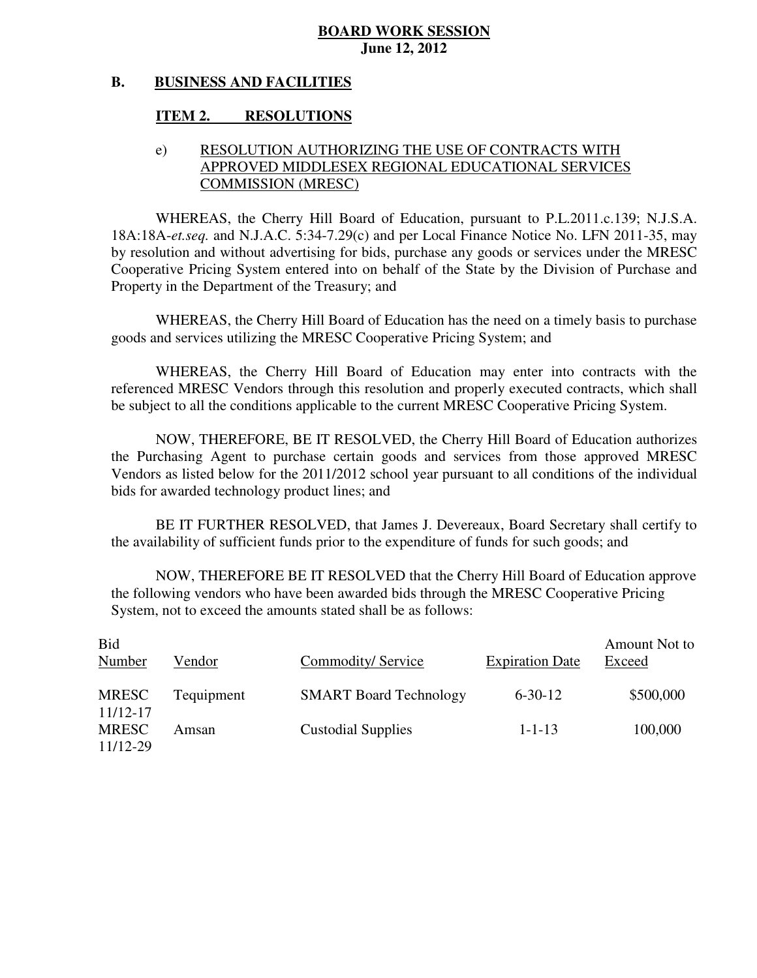#### **B. BUSINESS AND FACILITIES**

### **ITEM 2. RESOLUTIONS**

# e) RESOLUTION AUTHORIZING THE USE OF CONTRACTS WITH APPROVED MIDDLESEX REGIONAL EDUCATIONAL SERVICES COMMISSION (MRESC)

 WHEREAS, the Cherry Hill Board of Education, pursuant to P.L.2011.c.139; N.J.S.A. 18A:18A-*et.seq.* and N.J.A.C. 5:34-7.29(c) and per Local Finance Notice No. LFN 2011-35, may by resolution and without advertising for bids, purchase any goods or services under the MRESC Cooperative Pricing System entered into on behalf of the State by the Division of Purchase and Property in the Department of the Treasury; and

 WHEREAS, the Cherry Hill Board of Education has the need on a timely basis to purchase goods and services utilizing the MRESC Cooperative Pricing System; and

 WHEREAS, the Cherry Hill Board of Education may enter into contracts with the referenced MRESC Vendors through this resolution and properly executed contracts, which shall be subject to all the conditions applicable to the current MRESC Cooperative Pricing System.

 NOW, THEREFORE, BE IT RESOLVED, the Cherry Hill Board of Education authorizes the Purchasing Agent to purchase certain goods and services from those approved MRESC Vendors as listed below for the 2011/2012 school year pursuant to all conditions of the individual bids for awarded technology product lines; and

 the availability of sufficient funds prior to the expenditure of funds for such goods; and BE IT FURTHER RESOLVED, that James J. Devereaux, Board Secretary shall certify to

 NOW, THEREFORE BE IT RESOLVED that the Cherry Hill Board of Education approve the following vendors who have been awarded bids through the MRESC Cooperative Pricing System, not to exceed the amounts stated shall be as follows:

| <b>Bid</b><br>Number     | Vendor     | Commodity/Service             | <b>Expiration Date</b> | Amount Not to<br>Exceed |
|--------------------------|------------|-------------------------------|------------------------|-------------------------|
| <b>MRESC</b><br>11/12-17 | Tequipment | <b>SMART Board Technology</b> | $6 - 30 - 12$          | \$500,000               |
| <b>MRESC</b><br>11/12-29 | Amsan      | <b>Custodial Supplies</b>     | $1 - 1 - 13$           | 100,000                 |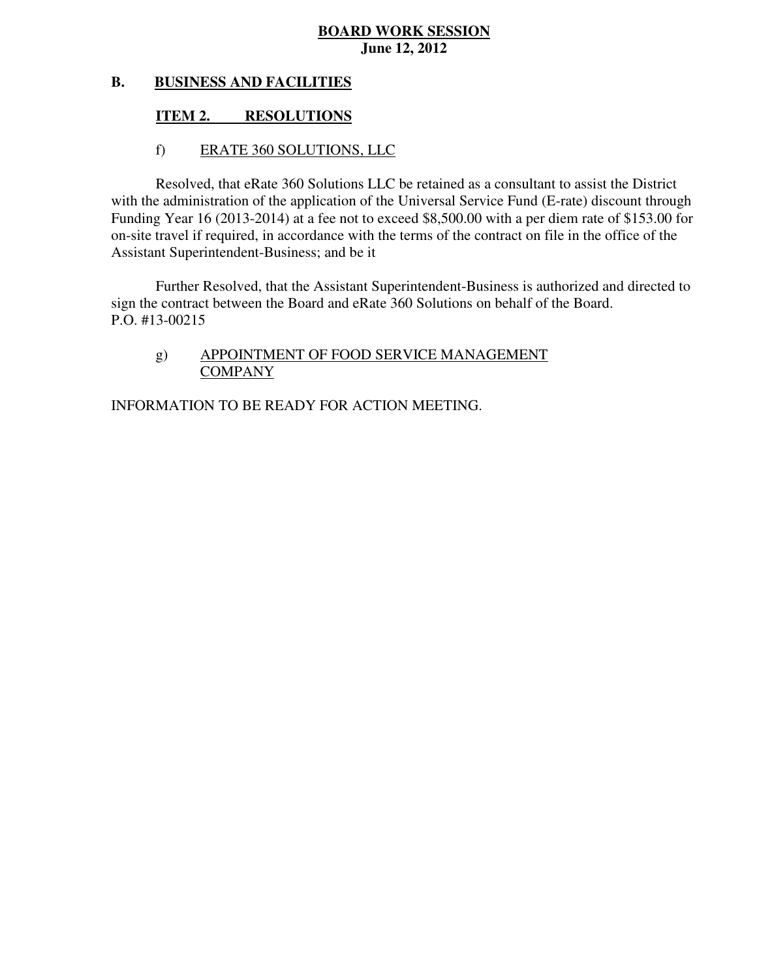#### **B. BUSINESS AND FACILITIES**

### **ITEM 2. RESOLUTIONS**

### f) ERATE 360 SOLUTIONS, LLC

 Resolved, that eRate 360 Solutions LLC be retained as a consultant to assist the District with the administration of the application of the Universal Service Fund (E-rate) discount through Funding Year 16 (2013-2014) at a fee not to exceed \$8,500.00 with a per diem rate of \$153.00 for on-site travel if required, in accordance with the terms of the contract on file in the office of the Assistant Superintendent-Business; and be it

 Further Resolved, that the Assistant Superintendent-Business is authorized and directed to sign the contract between the Board and eRate 360 Solutions on behalf of the Board. P.O. #13-00215

# g) APPOINTMENT OF FOOD SERVICE MANAGEMENT COMPANY

INFORMATION TO BE READY FOR ACTION MEETING.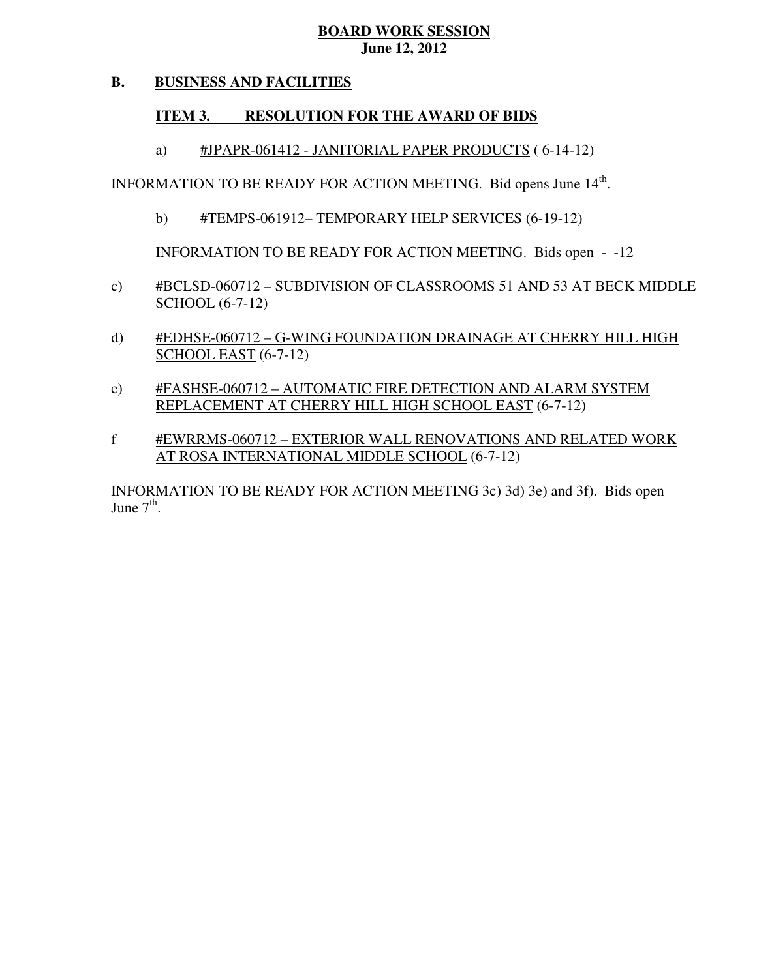#### **B. BUSINESS AND FACILITIES**

# **ITEM 3. RESOLUTION FOR THE AWARD OF BIDS**

a) #JPAPR-061412 - JANITORIAL PAPER PRODUCTS (6-14-12)

INFORMATION TO BE READY FOR ACTION MEETING. Bid opens June 14<sup>th</sup>.

b) #TEMPS-061912– TEMPORARY HELP SERVICES (6-19-12)

INFORMATION TO BE READY FOR ACTION MEETING. Bids open - -12

- c) #BCLSD-060712 SUBDIVISION OF CLASSROOMS 51 AND 53 AT BECK MIDDLE SCHOOL (6-7-12)
- d) #EDHSE-060712 G-WING FOUNDATION DRAINAGE AT CHERRY HILL HIGH SCHOOL EAST (6-7-12)
- e) #FASHSE-060712 AUTOMATIC FIRE DETECTION AND ALARM SYSTEM REPLACEMENT AT CHERRY HILL HIGH SCHOOL EAST (6-7-12)
- f #EWRRMS-060712 EXTERIOR WALL RENOVATIONS AND RELATED WORK AT ROSA INTERNATIONAL MIDDLE SCHOOL (6-7-12)

 INFORMATION TO BE READY FOR ACTION MEETING 3c) 3d) 3e) and 3f). Bids open June  $7<sup>th</sup>$ .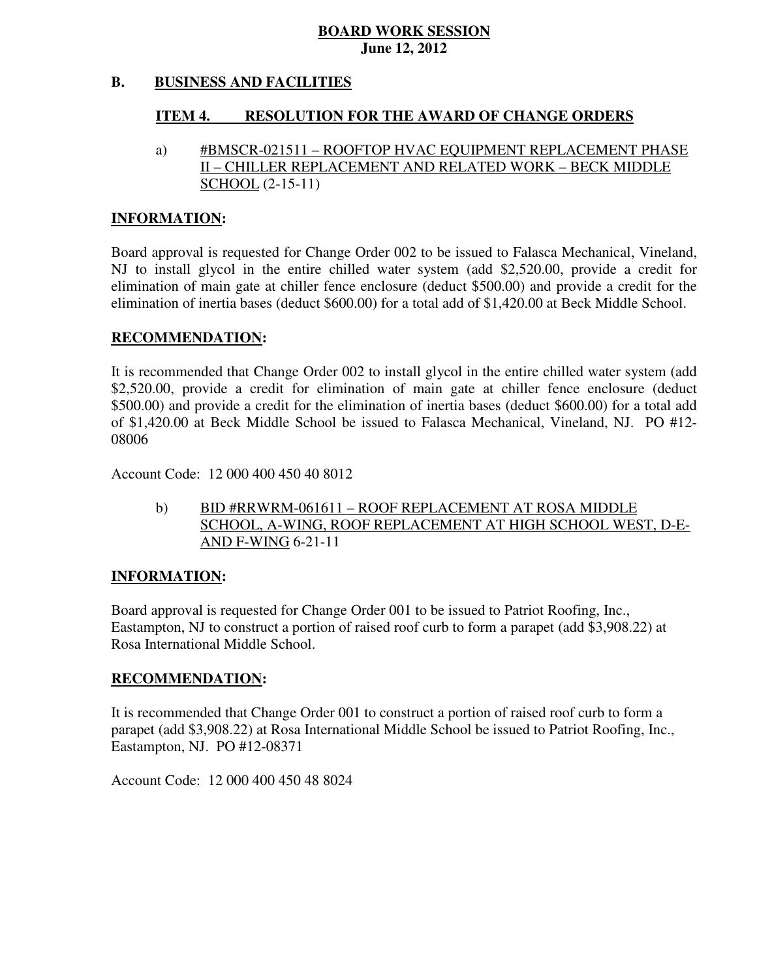#### **B. BUSINESS AND FACILITIES**

#### **ITEM 4. RESOLUTION FOR THE AWARD OF CHANGE ORDERS**

 a) #BMSCR-021511 – ROOFTOP HVAC EQUIPMENT REPLACEMENT PHASE II – CHILLER REPLACEMENT AND RELATED WORK – BECK MIDDLE SCHOOL (2-15-11)

### **INFORMATION:**

 Board approval is requested for Change Order 002 to be issued to Falasca Mechanical, Vineland, NJ to install glycol in the entire chilled water system (add \$2,520.00, provide a credit for elimination of main gate at chiller fence enclosure (deduct \$500.00) and provide a credit for the elimination of inertia bases (deduct \$600.00) for a total add of \$1,420.00 at Beck Middle School.

### **RECOMMENDATION:**

 It is recommended that Change Order 002 to install glycol in the entire chilled water system (add \$2,520.00, provide a credit for elimination of main gate at chiller fence enclosure (deduct \$500.00) and provide a credit for the elimination of inertia bases (deduct \$600.00) for a total add of \$1,420.00 at Beck Middle School be issued to Falasca Mechanical, Vineland, NJ. PO #12 08006

Account Code: 12 000 400 450 40 8012

 $b)$  SCHOOL, A-WING, ROOF REPLACEMENT AT HIGH SCHOOL WEST, D-E- AND F-WING 6-21-11 BID #RRWRM-061611 – ROOF REPLACEMENT AT ROSA MIDDLE

### **INFORMATION:**

 Board approval is requested for Change Order 001 to be issued to Patriot Roofing, Inc., Eastampton, NJ to construct a portion of raised roof curb to form a parapet (add \$3,908.22) at Rosa International Middle School.

### **RECOMMENDATION:**

 It is recommended that Change Order 001 to construct a portion of raised roof curb to form a parapet (add \$3,908.22) at Rosa International Middle School be issued to Patriot Roofing, Inc., Eastampton, NJ. PO #12-08371

Account Code: 12 000 400 450 48 8024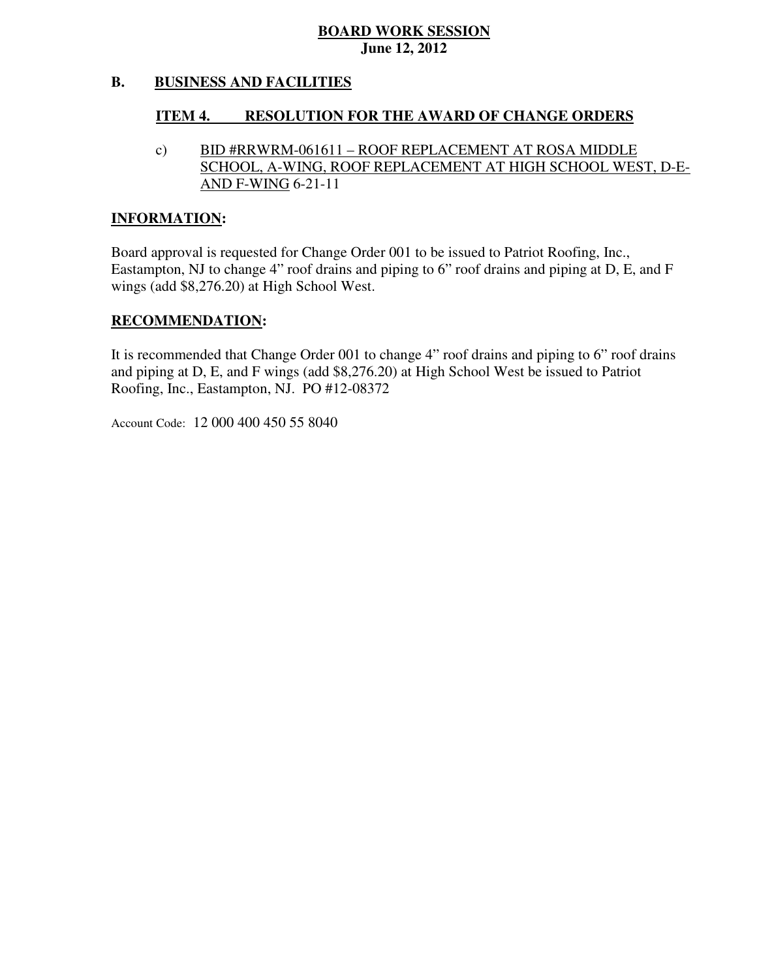#### **B. BUSINESS AND FACILITIES**

#### **ITEM 4. RESOLUTION FOR THE AWARD OF CHANGE ORDERS**

 $\mathbf{c})$  SCHOOL, A-WING, ROOF REPLACEMENT AT HIGH SCHOOL WEST, D-E- AND F-WING 6-21-11 BID #RRWRM-061611 – ROOF REPLACEMENT AT ROSA MIDDLE

### **INFORMATION:**

 Board approval is requested for Change Order 001 to be issued to Patriot Roofing, Inc., Eastampton, NJ to change 4" roof drains and piping to 6" roof drains and piping at D, E, and F wings (add \$8,276.20) at High School West.

### **RECOMMENDATION:**

 It is recommended that Change Order 001 to change 4" roof drains and piping to 6" roof drains and piping at D, E, and F wings (add \$8,276.20) at High School West be issued to Patriot Roofing, Inc., Eastampton, NJ. PO #12-08372

Account Code: 12 000 400 450 55 8040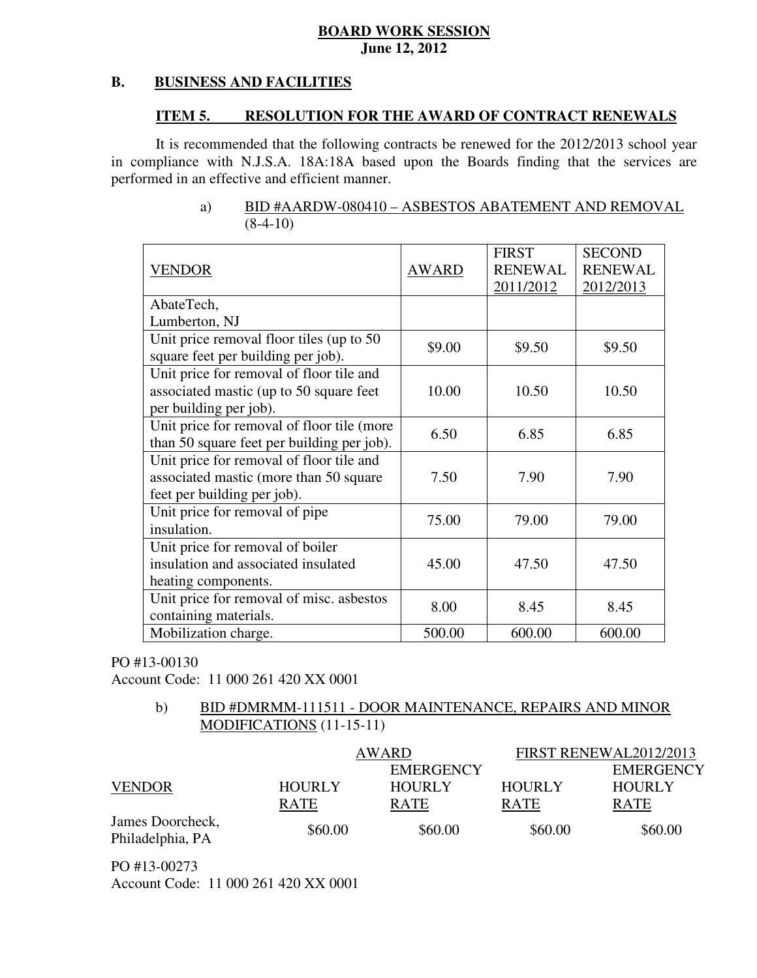#### **B. BUSINESS AND FACILITIES**

#### **ITEM 5. RESOLUTION FOR THE AWARD OF CONTRACT RENEWALS**

 It is recommended that the following contracts be renewed for the 2012/2013 school year in compliance with N.J.S.A. 18A:18A based upon the Boards finding that the services are performed in an effective and efficient manner.

| <b>VENDOR</b>                              | <b>AWARD</b> | <b>FIRST</b><br><b>RENEWAL</b><br>2011/2012 | <b>SECOND</b><br><b>RENEWAL</b><br>2012/2013 |
|--------------------------------------------|--------------|---------------------------------------------|----------------------------------------------|
| AbateTech,                                 |              |                                             |                                              |
| Lumberton, NJ                              |              |                                             |                                              |
| Unit price removal floor tiles (up to 50)  | \$9.00       |                                             |                                              |
| square feet per building per job).         |              | \$9.50                                      | \$9.50                                       |
| Unit price for removal of floor tile and   |              |                                             |                                              |
| associated mastic (up to 50 square feet    | 10.00        | 10.50                                       | 10.50                                        |
| per building per job).                     |              |                                             |                                              |
| Unit price for removal of floor tile (more | 6.50         | 6.85                                        | 6.85                                         |
| than 50 square feet per building per job). |              |                                             |                                              |
| Unit price for removal of floor tile and   |              |                                             |                                              |
| associated mastic (more than 50 square     | 7.50         | 7.90                                        | 7.90                                         |
| feet per building per job).                |              |                                             |                                              |
| Unit price for removal of pipe             | 75.00        | 79.00                                       | 79.00                                        |
| insulation.                                |              |                                             |                                              |
| Unit price for removal of boiler           |              |                                             |                                              |
| insulation and associated insulated        | 45.00        | 47.50                                       | 47.50                                        |
| heating components.                        |              |                                             |                                              |
| Unit price for removal of misc. asbestos   | 8.00         | 8.45                                        | 8.45                                         |
| containing materials.                      |              |                                             |                                              |
| Mobilization charge.                       | 500.00       | 600.00                                      | 600.00                                       |

### a) BID #AARDW-080410 – ASBESTOS ABATEMENT AND REMOVAL  $(8-4-10)$

# PO #13-00130

Account Code: 11 000 261 420 XX 0001

### $b)$  MODIFICATIONS (11-15-11) BID #DMRMM-111511 - DOOR MAINTENANCE, REPAIRS AND MINOR

|                                      |                              | AWARD                        | FIRST RENEWAL2012/2013       |                              |
|--------------------------------------|------------------------------|------------------------------|------------------------------|------------------------------|
|                                      |                              | <b>EMERGENCY</b>             |                              | <b>EMERGENCY</b>             |
| <b>VENDOR</b>                        | <b>HOURLY</b><br><b>RATE</b> | <b>HOURLY</b><br><b>RATE</b> | <b>HOURLY</b><br><b>RATE</b> | <b>HOURLY</b><br><b>RATE</b> |
|                                      |                              |                              |                              |                              |
| James Doorcheck,<br>Philadelphia, PA | \$60.00                      | \$60.00                      | \$60.00                      | \$60.00                      |

PO #13-00273

Account Code: 11 000 261 420 XX 0001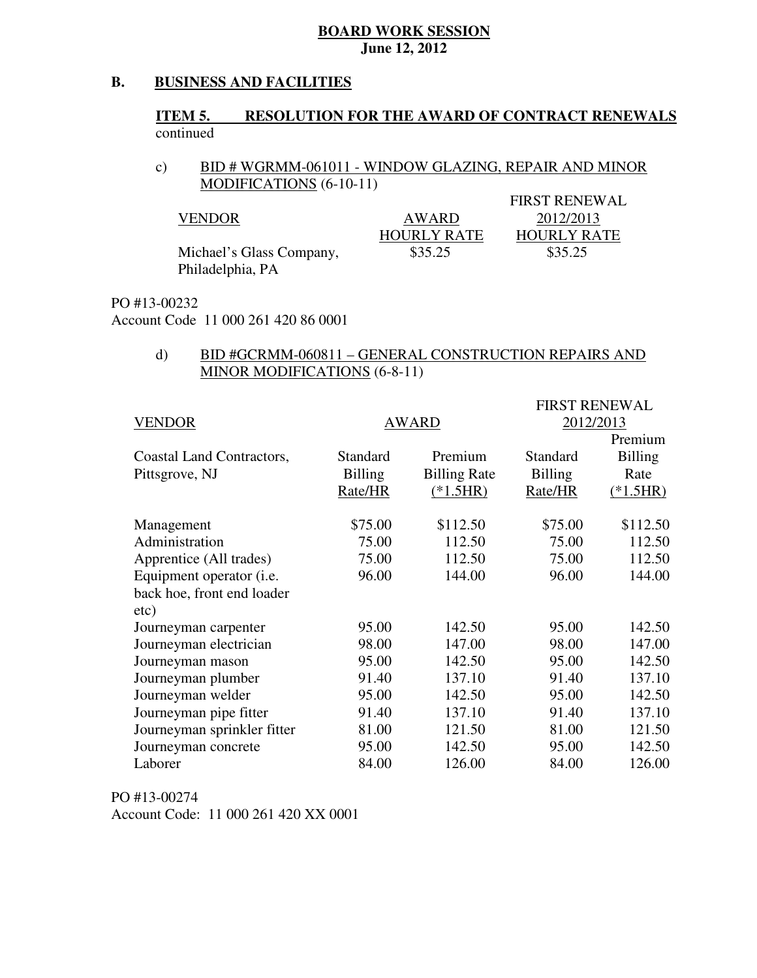#### **B. BUSINESS AND FACILITIES**

### **ITEM 5. RESOLUTION FOR THE AWARD OF CONTRACT RENEWALS** continued

### $c)$  MODIFICATIONS (6-10-11) BID # WGRMM-061011 - WINDOW GLAZING, REPAIR AND MINOR

|                          |                    | <b>FIRST RENEWAL</b> |
|--------------------------|--------------------|----------------------|
| VENDOR                   | AWARD              | 2012/2013            |
|                          | <b>HOURLY RATE</b> | <b>HOURLY RATE</b>   |
| Michael's Glass Company, | \$35.25            | \$35.25              |
| Philadelphia, PA         |                    |                      |

### PO #13-00232

Account Code 11 000 261 420 86 0001

### $\mathbf{d}$  MINOR MODIFICATIONS (6-8-11) BID #GCRMM-060811 – GENERAL CONSTRUCTION REPAIRS AND

|                                  |                 |                     | <b>FIRST RENEWAL</b> |                |
|----------------------------------|-----------------|---------------------|----------------------|----------------|
| <b>VENDOR</b>                    |                 | <b>AWARD</b>        | 2012/2013            |                |
|                                  |                 |                     |                      | Premium        |
| Coastal Land Contractors,        | <b>Standard</b> | Premium             | Standard             | <b>Billing</b> |
| Pittsgrove, NJ                   | <b>Billing</b>  | <b>Billing Rate</b> | <b>Billing</b>       | Rate           |
|                                  | Rate/HR         | $(*1.5HR)$          | Rate/HR              | $(*1.5HR)$     |
| Management                       | \$75.00         | \$112.50            | \$75.00              | \$112.50       |
| Administration                   | 75.00           | 112.50              | 75.00                | 112.50         |
| Apprentice (All trades)          | 75.00           | 112.50              | 75.00                | 112.50         |
| Equipment operator ( <i>i.e.</i> | 96.00           | 144.00              | 96.00                | 144.00         |
| back hoe, front end loader       |                 |                     |                      |                |
| etc)                             |                 |                     |                      |                |
| Journeyman carpenter             | 95.00           | 142.50              | 95.00                | 142.50         |
| Journeyman electrician           | 98.00           | 147.00              | 98.00                | 147.00         |
| Journeyman mason                 | 95.00           | 142.50              | 95.00                | 142.50         |
| Journeyman plumber               | 91.40           | 137.10              | 91.40                | 137.10         |
| Journeyman welder                | 95.00           | 142.50              | 95.00                | 142.50         |
| Journeyman pipe fitter           | 91.40           | 137.10              | 91.40                | 137.10         |
| Journeyman sprinkler fitter      | 81.00           | 121.50              | 81.00                | 121.50         |
| Journeyman concrete              | 95.00           | 142.50              | 95.00                | 142.50         |
| Laborer                          | 84.00           | 126.00              | 84.00                | 126.00         |

 PO #13-00274 Account Code: 11 000 261 420 XX 0001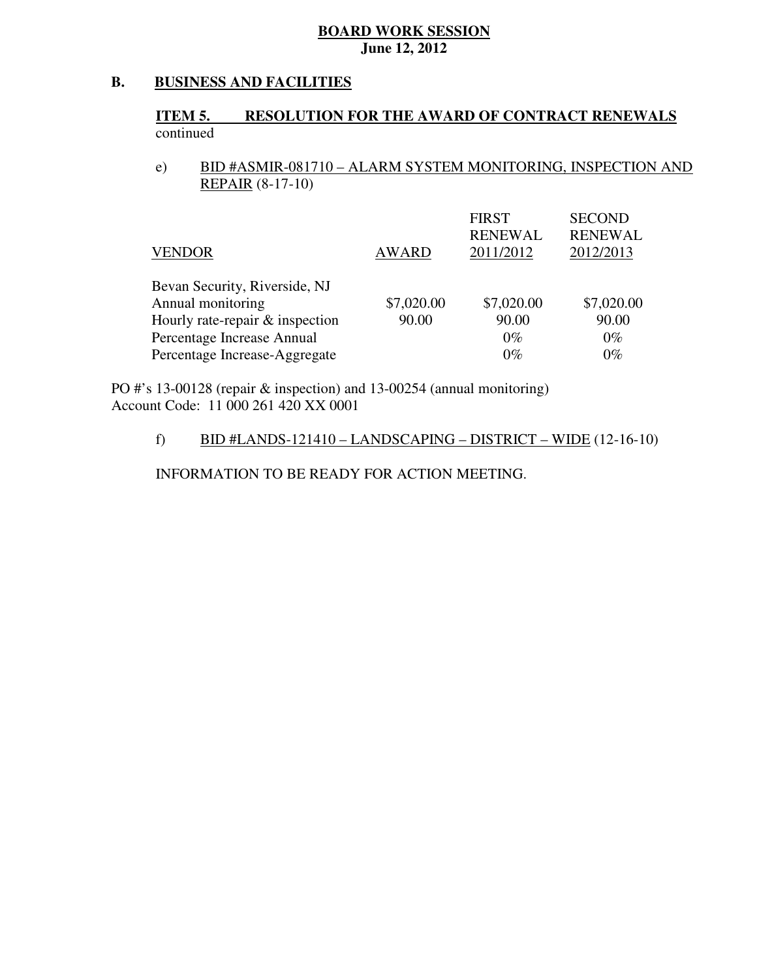#### **B. BUSINESS AND FACILITIES**

### **ITEM 5. RESOLUTION FOR THE AWARD OF CONTRACT RENEWALS** continued

 $e)$  REPAIR (8-17-10) e) BID #ASMIR-081710 – ALARM SYSTEM MONITORING, INSPECTION AND

| <b>VENDOR</b>                     | <b>AWARD</b> | <b>FIRST</b><br><b>RENEWAL</b><br>2011/2012 | <b>SECOND</b><br><b>RENEWAL</b><br>2012/2013 |
|-----------------------------------|--------------|---------------------------------------------|----------------------------------------------|
| Bevan Security, Riverside, NJ     |              |                                             |                                              |
| Annual monitoring                 | \$7,020.00   | \$7,020.00                                  | \$7,020.00                                   |
| Hourly rate-repair $&$ inspection | 90.00        | 90.00                                       | 90.00                                        |
| Percentage Increase Annual        |              | $0\%$                                       | $0\%$                                        |
| Percentage Increase-Aggregate     |              | $0\%$                                       | $0\%$                                        |

 PO #'s 13-00128 (repair & inspection) and 13-00254 (annual monitoring) Account Code: 11 000 261 420 XX 0001

# f) BID  $\#LANDS-121410 - LANDSCAPING - DISTRICT - WIDE (12-16-10)$

INFORMATION TO BE READY FOR ACTION MEETING.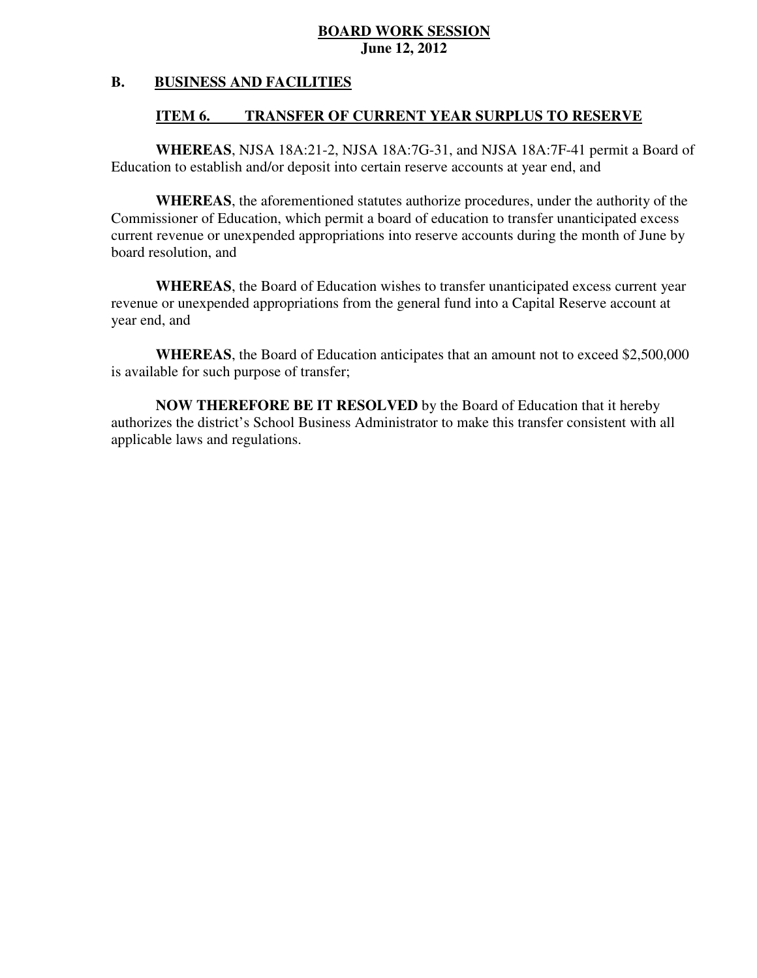#### **B. BUSINESS AND FACILITIES**

#### **ITEM 6. TRANSFER OF CURRENT YEAR SURPLUS TO RESERVE**

 **WHEREAS**, NJSA 18A:21-2, NJSA 18A:7G-31, and NJSA 18A:7F-41 permit a Board of Education to establish and/or deposit into certain reserve accounts at year end, and

 **WHEREAS**, the aforementioned statutes authorize procedures, under the authority of the Commissioner of Education, which permit a board of education to transfer unanticipated excess current revenue or unexpended appropriations into reserve accounts during the month of June by board resolution, and

 **WHEREAS**, the Board of Education wishes to transfer unanticipated excess current year revenue or unexpended appropriations from the general fund into a Capital Reserve account at year end, and

 **WHEREAS**, the Board of Education anticipates that an amount not to exceed \$2,500,000 is available for such purpose of transfer;

 **NOW THEREFORE BE IT RESOLVED** by the Board of Education that it hereby authorizes the district's School Business Administrator to make this transfer consistent with all applicable laws and regulations.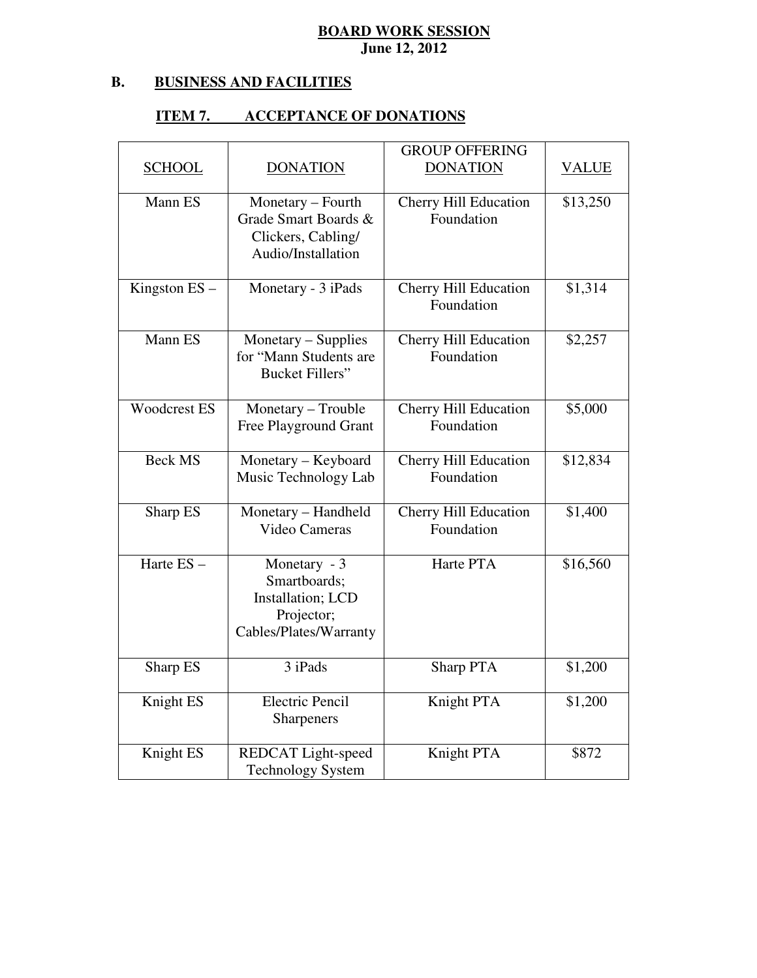#### **B. B. BUSINESS AND FACILITIES**

#### **ITEM 7. ACCEPTANCE OF DONATIONS**

|                     |                                                                                           | <b>GROUP OFFERING</b>                      |              |
|---------------------|-------------------------------------------------------------------------------------------|--------------------------------------------|--------------|
| <b>SCHOOL</b>       | <b>DONATION</b>                                                                           | <b>DONATION</b>                            | <b>VALUE</b> |
| Mann ES             | Monetary – Fourth<br>Grade Smart Boards &<br>Clickers, Cabling/<br>Audio/Installation     | <b>Cherry Hill Education</b><br>Foundation | \$13,250     |
| Kingston $ES -$     | Monetary - 3 iPads                                                                        | <b>Cherry Hill Education</b><br>Foundation | \$1,314      |
| Mann ES             | Monetary - Supplies<br>for "Mann Students are<br><b>Bucket Fillers"</b>                   | <b>Cherry Hill Education</b><br>Foundation | \$2,257      |
| <b>Woodcrest ES</b> | Monetary - Trouble<br>Free Playground Grant                                               | <b>Cherry Hill Education</b><br>Foundation | \$5,000      |
| <b>Beck MS</b>      | Monetary - Keyboard<br>Music Technology Lab                                               | Cherry Hill Education<br>Foundation        | \$12,834     |
| Sharp ES            | Monetary - Handheld<br>Video Cameras                                                      | Cherry Hill Education<br>Foundation        | \$1,400      |
| Harte ES-           | Monetary - 3<br>Smartboards;<br>Installation; LCD<br>Projector;<br>Cables/Plates/Warranty | Harte PTA                                  | \$16,560     |
| Sharp ES            | 3 iPads                                                                                   | Sharp PTA                                  | \$1,200      |
| Knight ES           | <b>Electric Pencil</b><br>Sharpeners                                                      | Knight PTA                                 | \$1,200      |
| Knight ES           | REDCAT Light-speed<br><b>Technology System</b>                                            | Knight PTA                                 | \$872        |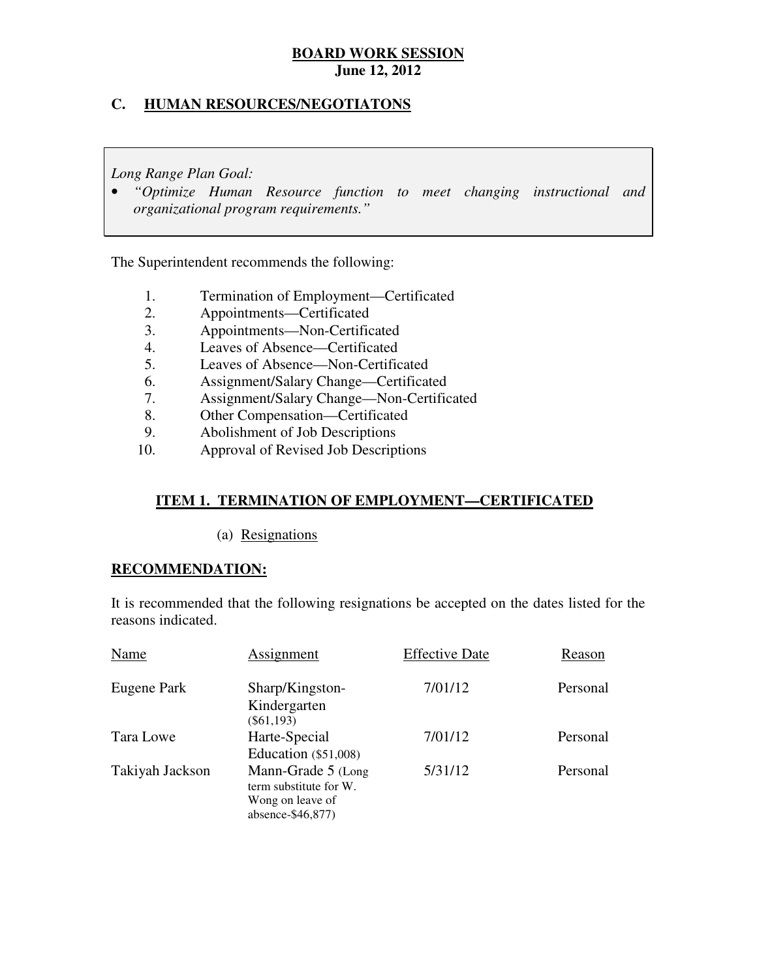#### **C. HUMAN RESOURCES/NEGOTIATONS**

 *Long Range Plan Goal:* 

**•** "Optimize Human Resource function to meet changing instructional and  *organizational program requirements."* 

The Superintendent recommends the following:

- 1. Termination of Employment—Certificated
- 2. Appointments—Certificated
- 3. Appointments—Non-Certificated
- 4. Leaves of Absence—Certificated
- 5. Leaves of Absence—Non-Certificated
- 6. Assignment/Salary Change—Certificated
- 7. Assignment/Salary Change—Non-Certificated<br>8. Other Compensation—Certificated
- Other Compensation—Certificated
- 9. Abolishment of Job Descriptions
- 10. Approval of Revised Job Descriptions

### **ITEM 1. TERMINATION OF EMPLOYMENT—CERTIFICATED**

(a) Resignations

#### **RECOMMENDATION:**

 It is recommended that the following resignations be accepted on the dates listed for the reasons indicated.

| Name            | Assignment                                                                            | <b>Effective Date</b> | Reason   |
|-----------------|---------------------------------------------------------------------------------------|-----------------------|----------|
| Eugene Park     | Sharp/Kingston-<br>Kindergarten<br>$(\$61,193)$                                       | 7/01/12               | Personal |
| Tara Lowe       | Harte-Special<br>Education $(\$51,008)$                                               | 7/01/12               | Personal |
| Takiyah Jackson | Mann-Grade 5 (Long<br>term substitute for W.<br>Wong on leave of<br>absence-\$46,877) | 5/31/12               | Personal |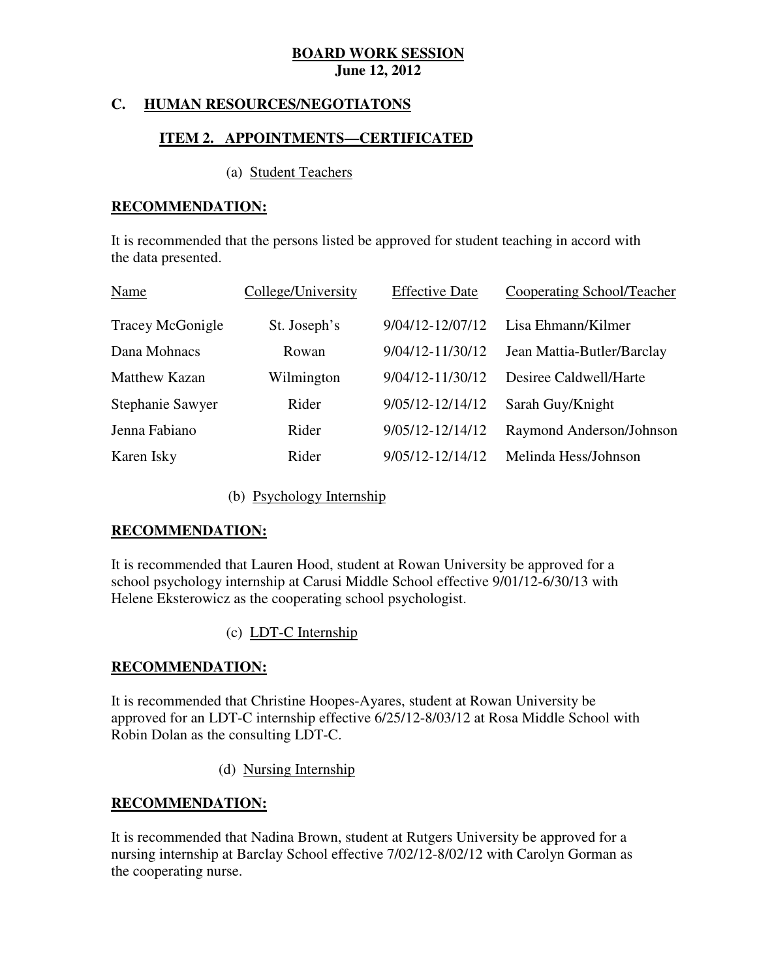#### **C. HUMAN RESOURCES/NEGOTIATONS**

#### **ITEM 2. APPOINTMENTS—CERTIFICATED**

#### (a) Student Teachers

#### **RECOMMENDATION:**

 It is recommended that the persons listed be approved for student teaching in accord with the data presented.

| Name                 | College/University | <b>Effective Date</b> | <b>Cooperating School/Teacher</b> |
|----------------------|--------------------|-----------------------|-----------------------------------|
| Tracey McGonigle     | St. Joseph's       | 9/04/12-12/07/12      | Lisa Ehmann/Kilmer                |
| Dana Mohnacs         | Rowan              | 9/04/12-11/30/12      | Jean Mattia-Butler/Barclay        |
| <b>Matthew Kazan</b> | Wilmington         | 9/04/12-11/30/12      | Desiree Caldwell/Harte            |
| Stephanie Sawyer     | Rider              | 9/05/12-12/14/12      | Sarah Guy/Knight                  |
| Jenna Fabiano        | Rider              | 9/05/12-12/14/12      | Raymond Anderson/Johnson          |
| Karen Isky           | Rider              | 9/05/12-12/14/12      | Melinda Hess/Johnson              |

(b) Psychology Internship

#### **RECOMMENDATION:**

 It is recommended that Lauren Hood, student at Rowan University be approved for a school psychology internship at Carusi Middle School effective 9/01/12-6/30/13 with Helene Eksterowicz as the cooperating school psychologist.

(c) LDT-C Internship

#### **RECOMMENDATION:**

 It is recommended that Christine Hoopes-Ayares, student at Rowan University be approved for an LDT-C internship effective 6/25/12-8/03/12 at Rosa Middle School with Robin Dolan as the consulting LDT-C.

(d) Nursing Internship

#### **RECOMMENDATION:**

 It is recommended that Nadina Brown, student at Rutgers University be approved for a nursing internship at Barclay School effective 7/02/12-8/02/12 with Carolyn Gorman as the cooperating nurse.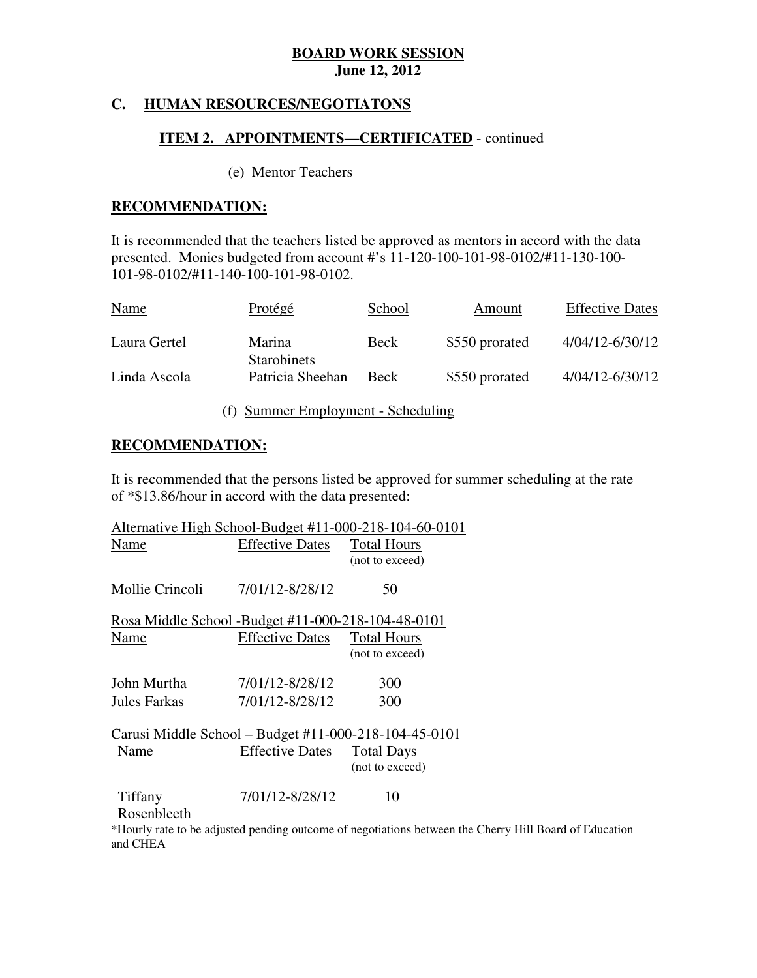#### **C. HUMAN RESOURCES/NEGOTIATONS**

#### **ITEM 2. APPOINTMENTS—CERTIFICATED** - continued

#### (e) Mentor Teachers

#### **RECOMMENDATION:**

 It is recommended that the teachers listed be approved as mentors in accord with the data presented. Monies budgeted from account #'s 11-120-100-101-98-0102/#11-130-100 101-98-0102/#11-140-100-101-98-0102.

| <b>Name</b>  | Protégé                      | School      | Amount         | <b>Effective Dates</b> |
|--------------|------------------------------|-------------|----------------|------------------------|
| Laura Gertel | Marina<br><b>Starobinets</b> | Beck        | \$550 prorated | 4/04/12-6/30/12        |
| Linda Ascola | Patricia Sheehan             | <b>Beck</b> | \$550 prorated | 4/04/12-6/30/12        |

(f) Summer Employment - Scheduling

#### **RECOMMENDATION:**

 It is recommended that the persons listed be approved for summer scheduling at the rate of \*\$13.86/hour in accord with the data presented:

|                                |                                                    | Alternative High School-Budget #11-000-218-104-60-0101 |
|--------------------------------|----------------------------------------------------|--------------------------------------------------------|
| <b>Effective Dates</b><br>Name |                                                    | <b>Total Hours</b>                                     |
|                                |                                                    | (not to exceed)                                        |
| Mollie Crincoli                | 7/01/12-8/28/12                                    | 50                                                     |
|                                | Rosa Middle School -Budget #11-000-218-104-48-0101 |                                                        |
| Name                           | <b>Effective Dates</b>                             | <b>Total Hours</b>                                     |
|                                |                                                    | (not to exceed)                                        |
| John Murtha                    | 7/01/12-8/28/12                                    | 300                                                    |
| Jules Farkas                   | 7/01/12-8/28/12                                    | 300                                                    |
|                                |                                                    | Carusi Middle School – Budget #11-000-218-104-45-0101  |
| Name                           | <b>Effective Dates</b>                             | <b>Total Days</b>                                      |
|                                |                                                    | (not to exceed)                                        |
| Tiffany                        | 7/01/12-8/28/12                                    | 10                                                     |
| Rosenbleeth                    |                                                    |                                                        |

 \*Hourly rate to be adjusted pending outcome of negotiations between the Cherry Hill Board of Education and CHEA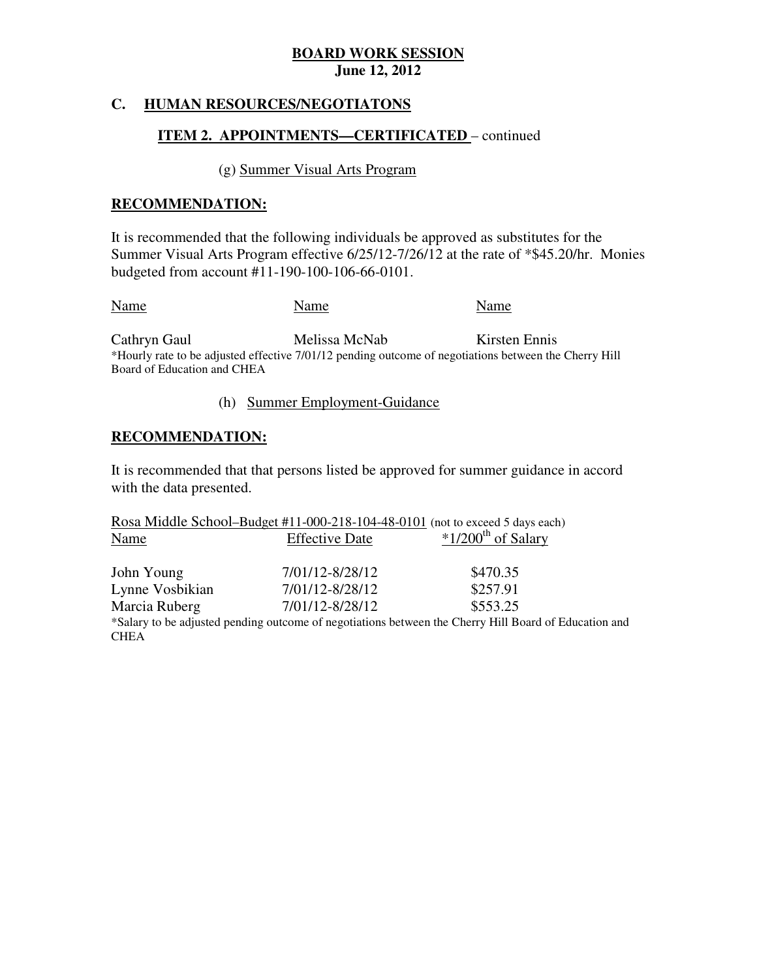#### $\mathbf{C}$ . **HUMAN RESOURCES/NEGOTIATONS**

#### **ITEM 2. APPOINTMENTS—CERTIFICATED** – continued

#### (g) Summer Visual Arts Program

#### **RECOMMENDATION:**

 It is recommended that the following individuals be approved as substitutes for the Summer Visual Arts Program effective 6/25/12-7/26/12 at the rate of \*\$45.20/hr. Monies budgeted from account #11-190-100-106-66-0101.

Cathryn Gaul Name Name Name Name Melissa McNab Kirsten Ennis

 Board of Education and CHEA \*Hourly rate to be adjusted effective 7/01/12 pending outcome of negotiations between the Cherry Hill

#### (h) Summer Employment-Guidance

#### **RECOMMENDATION:**

 It is recommended that that persons listed be approved for summer guidance in accord with the data presented.

|                 | Rosa Middle School-Budget #11-000-218-104-48-0101 (not to exceed 5 days each) |                                                                                                       |
|-----------------|-------------------------------------------------------------------------------|-------------------------------------------------------------------------------------------------------|
| Name            | <b>Effective Date</b>                                                         | $*1/200$ <sup>th</sup> of Salary                                                                      |
|                 |                                                                               |                                                                                                       |
| John Young      | 7/01/12-8/28/12                                                               | \$470.35                                                                                              |
| Lynne Vosbikian | 7/01/12-8/28/12                                                               | \$257.91                                                                                              |
| Marcia Ruberg   | 7/01/12-8/28/12                                                               | \$553.25                                                                                              |
|                 |                                                                               | *Salary to be adjusted pending outcome of negotiations between the Cherry Hill Board of Education and |
| CHEA            |                                                                               |                                                                                                       |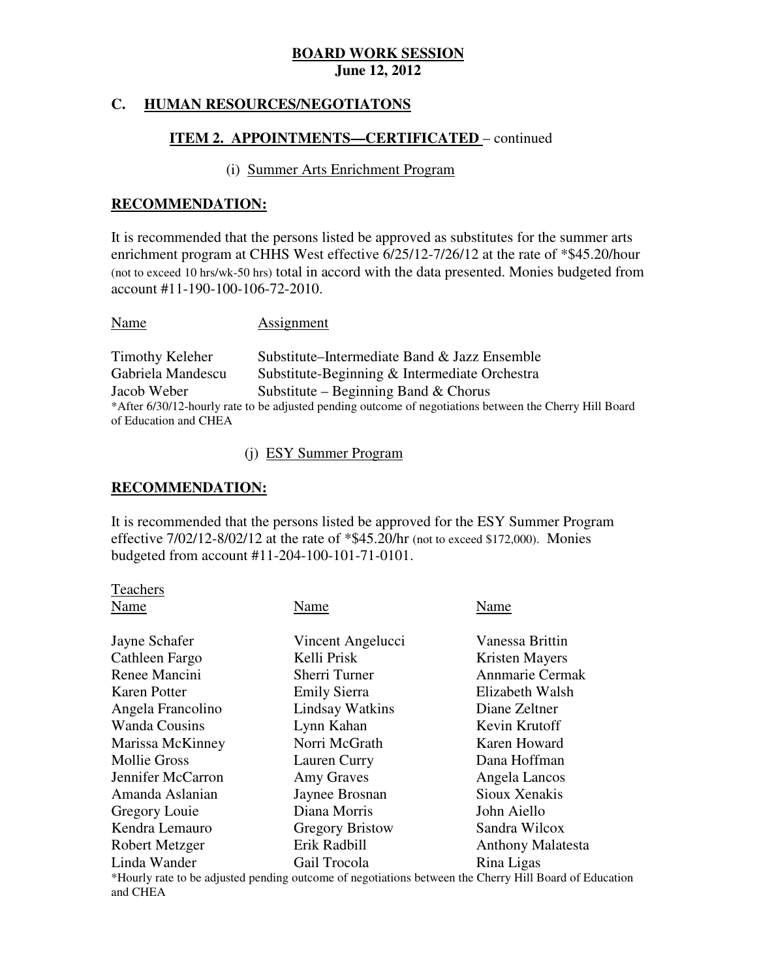#### **C. HUMAN RESOURCES/NEGOTIATONS**

#### **ITEM 2. APPOINTMENTS—CERTIFICATED** – continued

#### (i) Summer Arts Enrichment Program

#### **RECOMMENDATION:**

 It is recommended that the persons listed be approved as substitutes for the summer arts enrichment program at CHHS West effective 6/25/12-7/26/12 at the rate of \*\$45.20/hour (not to exceed 10 hrs/wk-50 hrs) total in accord with the data presented. Monies budgeted from account #11-190-100-106-72-2010.

Name Assignment

**Timothy Keleher** Gabriela Mandescu **Jacob Weber**  of Education and CHEA Substitute–Intermediate Band & Jazz Ensemble Substitute-Beginning & Intermediate Orchestra Substitute – Beginning Band  $&$  Chorus \*After 6/30/12-hourly rate to be adjusted pending outcome of negotiations between the Cherry Hill Board

(j) ESY Summer Program

#### **RECOMMENDATION:**

 It is recommended that the persons listed be approved for the ESY Summer Program effective 7/02/12-8/02/12 at the rate of \*\$45.20/hr (not to exceed \$172,000). Monies budgeted from account #11-204-100-101-71-0101.

| Teachers             |                                                                                                   |                          |
|----------------------|---------------------------------------------------------------------------------------------------|--------------------------|
| Name                 | Name                                                                                              | Name                     |
| Jayne Schafer        | Vincent Angelucci                                                                                 | Vanessa Brittin          |
| Cathleen Fargo       | Kelli Prisk                                                                                       | Kristen Mayers           |
| Renee Mancini        | Sherri Turner                                                                                     | <b>Annmarie Cermak</b>   |
| <b>Karen Potter</b>  | <b>Emily Sierra</b>                                                                               | Elizabeth Walsh          |
| Angela Francolino    | Lindsay Watkins                                                                                   | Diane Zeltner            |
| <b>Wanda Cousins</b> | Lynn Kahan                                                                                        | Kevin Krutoff            |
| Marissa McKinney     | Norri McGrath                                                                                     | Karen Howard             |
| <b>Mollie Gross</b>  | Lauren Curry                                                                                      | Dana Hoffman             |
| Jennifer McCarron    | Amy Graves                                                                                        | Angela Lancos            |
| Amanda Aslanian      | Jaynee Brosnan                                                                                    | Sioux Xenakis            |
| Gregory Louie        | Diana Morris                                                                                      | John Aiello              |
| Kendra Lemauro       | <b>Gregory Bristow</b>                                                                            | Sandra Wilcox            |
| Robert Metzger       | Erik Radbill                                                                                      | <b>Anthony Malatesta</b> |
| Linda Wander         | Gail Trocola                                                                                      | Rina Ligas               |
|                      | *Hourly rate to be adjusted pending outcome of negotiations between the Cherry Hill Board of Educ |                          |

 and CHEA \*Hourly rate to be adjusted pending outcome of negotiations between the Cherry Hill Board of Education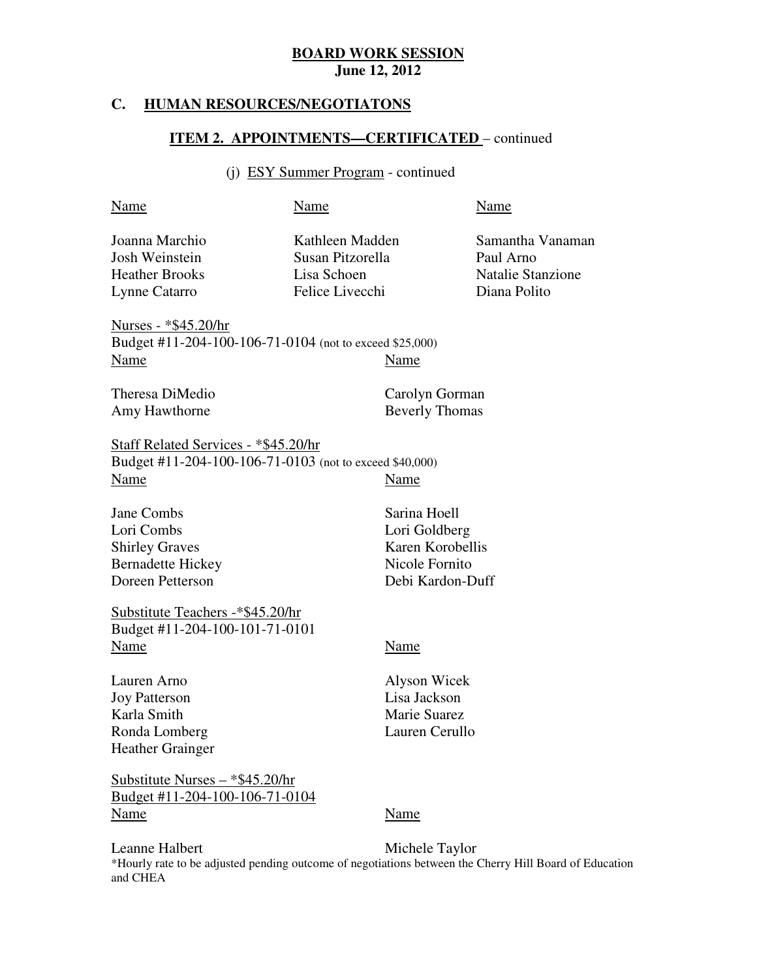#### **HUMAN RESOURCES/NEGOTIATONS**

#### **ITEM 2. APPOINTMENTS—CERTIFICATED** – continued

# (j) ESY Summer Program - continued

| Name                                                                                                    | Name                                                                  |                                                                                         | Name                                                                      |
|---------------------------------------------------------------------------------------------------------|-----------------------------------------------------------------------|-----------------------------------------------------------------------------------------|---------------------------------------------------------------------------|
| Joanna Marchio<br>Josh Weinstein<br><b>Heather Brooks</b><br>Lynne Catarro                              | Kathleen Madden<br>Susan Pitzorella<br>Lisa Schoen<br>Felice Livecchi |                                                                                         | Samantha Vanaman<br>Paul Arno<br><b>Natalie Stanzione</b><br>Diana Polito |
| <u>Nurses - *\$45.20/hr</u><br>Budget #11-204-100-106-71-0104 (not to exceed \$25,000)<br>Name          |                                                                       | Name                                                                                    |                                                                           |
| Theresa DiMedio<br>Amy Hawthorne                                                                        |                                                                       | Carolyn Gorman<br><b>Beverly Thomas</b>                                                 |                                                                           |
| Staff Related Services - *\$45.20/hr<br>Budget #11-204-100-106-71-0103 (not to exceed \$40,000)<br>Name |                                                                       | Name                                                                                    |                                                                           |
| Jane Combs<br>Lori Combs<br><b>Shirley Graves</b><br><b>Bernadette Hickey</b><br>Doreen Petterson       |                                                                       | Sarina Hoell<br>Lori Goldberg<br>Karen Korobellis<br>Nicole Fornito<br>Debi Kardon-Duff |                                                                           |
| Substitute Teachers -*\$45.20/hr<br>Budget #11-204-100-101-71-0101<br>Name                              |                                                                       | Name                                                                                    |                                                                           |
| Lauren Arno<br><b>Joy Patterson</b><br>Karla Smith<br>Ronda Lomberg<br><b>Heather Grainger</b>          |                                                                       | Alyson Wicek<br>Lisa Jackson<br>Marie Suarez<br>Lauren Cerullo                          |                                                                           |
| <u> Substitute Nurses – *\$45.20/hr</u>                                                                 |                                                                       |                                                                                         |                                                                           |

Leanne Halbert and CHEA Michele Taylor \*Hourly rate to be adjusted pending outcome of negotiations between the Cherry Hill Board of Education

<u>Budget #11-204-100-106-71-0104</u><br>Name Name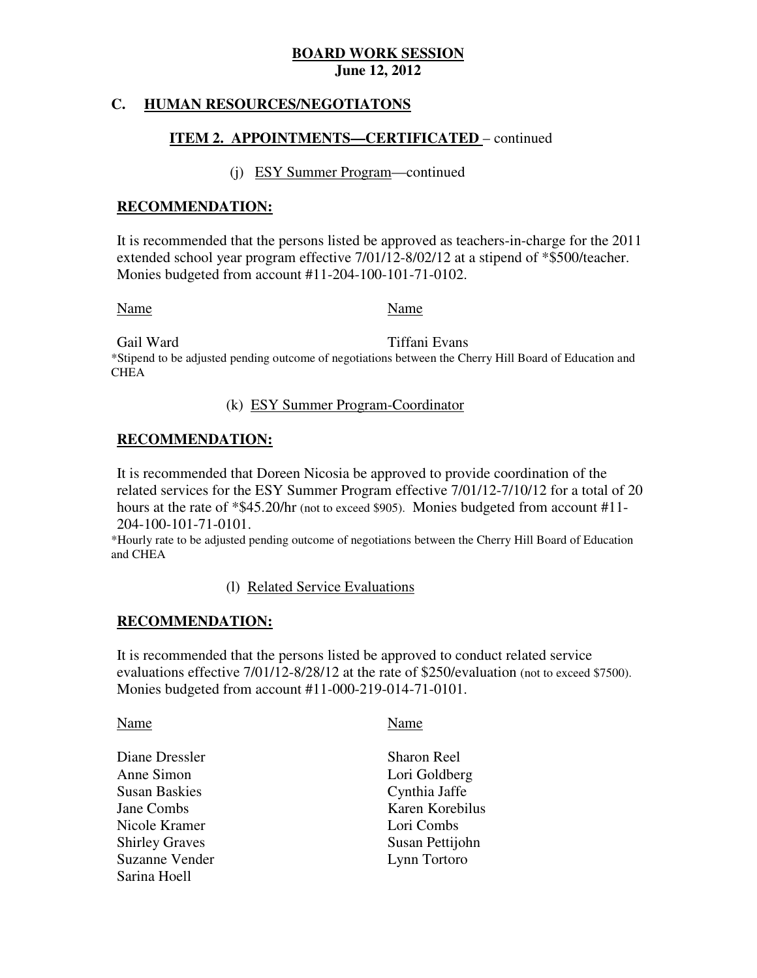#### **C. HUMAN RESOURCES/NEGOTIATONS**

#### **ITEM 2. APPOINTMENTS—CERTIFICATED** – continued

#### (j) ESY Summer Program—continued

#### **RECOMMENDATION:**

 It is recommended that the persons listed be approved as teachers-in-charge for the 2011 extended school year program effective 7/01/12-8/02/12 at a stipend of \*\$500/teacher. Monies budgeted from account #11-204-100-101-71-0102.

Name Name

Gail Ward Tiffani Evans \*Stipend to be adjusted pending outcome of negotiations between the Cherry Hill Board of Education and **CHEA** 

#### (k) ESY Summer Program-Coordinator

# **RECOMMENDATION:**

 It is recommended that Doreen Nicosia be approved to provide coordination of the related services for the ESY Summer Program effective 7/01/12-7/10/12 for a total of 20 hours at the rate of \*\$45.20/hr (not to exceed \$905). Monies budgeted from account #11 204-100-101-71-0101.

 \*Hourly rate to be adjusted pending outcome of negotiations between the Cherry Hill Board of Education and CHEA

(l) Related Service Evaluations

### **RECOMMENDATION:**

 It is recommended that the persons listed be approved to conduct related service evaluations effective 7/01/12-8/28/12 at the rate of \$250/evaluation (not to exceed \$7500). Monies budgeted from account #11-000-219-014-71-0101.

#### Name Name Name

- 
- Diane Dressler Sharon Reel Anne Simon **Susan Baskies** Jane Combs Nicole Kramer Lori Combs **Shirley Graves** Suzanne Vender **Lynn** Tortoro Sarina Hoell
	- Lori Goldberg Cynthia Jaffe Karen Korebilus Susan Pettijohn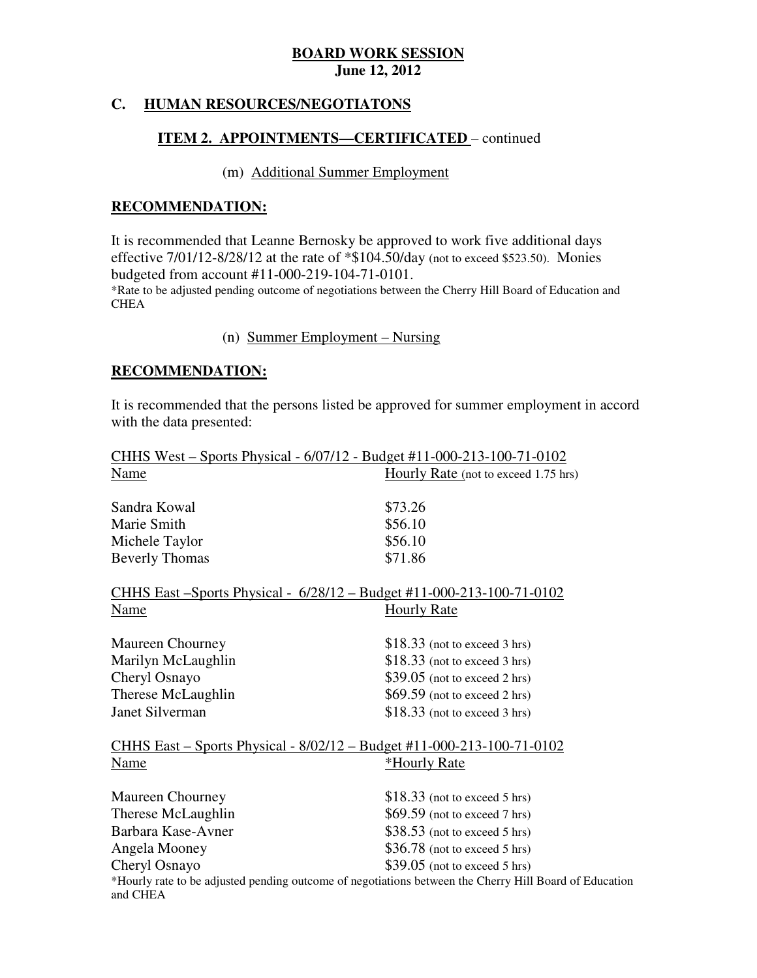#### **HUMAN RESOURCES/NEGOTIATONS**

#### **ITEM 2. APPOINTMENTS—CERTIFICATED** – continued

#### (m) Additional Summer Employment

#### **RECOMMENDATION:**

 It is recommended that Leanne Bernosky be approved to work five additional days effective 7/01/12-8/28/12 at the rate of \*\$104.50/day (not to exceed \$523.50). Monies budgeted from account #11-000-219-104-71-0101. \*Rate to be adjusted pending outcome of negotiations between the Cherry Hill Board of Education and **CHEA** 

#### (n) Summer Employment – Nursing

#### **RECOMMENDATION:**

 It is recommended that the persons listed be approved for summer employment in accord with the data presented:

| <u> CHHS West – Sports Physical - 6/07/12 - Budget #11-000-213-100-71-0102</u>                                     |                                      |
|--------------------------------------------------------------------------------------------------------------------|--------------------------------------|
| Name                                                                                                               | Hourly Rate (not to exceed 1.75 hrs) |
| Sandra Kowal                                                                                                       | \$73.26                              |
| Marie Smith                                                                                                        | \$56.10                              |
| Michele Taylor                                                                                                     | \$56.10                              |
| <b>Beverly Thomas</b>                                                                                              | \$71.86                              |
| <u> CHHS East – Sports Physical - 6/28/12 – Budget #11-000-213-100-71-0102</u>                                     |                                      |
| Name                                                                                                               | <b>Hourly Rate</b>                   |
| <b>Maureen Chourney</b>                                                                                            | $$18.33$ (not to exceed 3 hrs)       |
| Marilyn McLaughlin                                                                                                 | $$18.33$ (not to exceed 3 hrs)       |
| Cheryl Osnayo                                                                                                      | \$39.05 (not to exceed 2 hrs)        |
| Therese McLaughlin                                                                                                 | $$69.59$ (not to exceed 2 hrs)       |
| <b>Janet Silverman</b>                                                                                             | $$18.33$ (not to exceed 3 hrs)       |
| <u>CHHS East – Sports Physical - 8/02/12 – Budget #11-000-213-100-71-0102</u>                                      |                                      |
| Name                                                                                                               | *Hourly Rate                         |
| <b>Maureen Chourney</b>                                                                                            | $$18.33$ (not to exceed 5 hrs)       |
| Therese McLaughlin                                                                                                 | $$69.59$ (not to exceed 7 hrs)       |
| Barbara Kase-Avner                                                                                                 | $$38.53$ (not to exceed 5 hrs)       |
| Angela Mooney                                                                                                      | $$36.78$ (not to exceed 5 hrs)       |
| Cheryl Osnayo                                                                                                      | \$39.05 (not to exceed 5 hrs)        |
| *Hourly rate to be adjusted pending outcome of negotiations between the Cherry Hill Board of Education<br>and CHEA |                                      |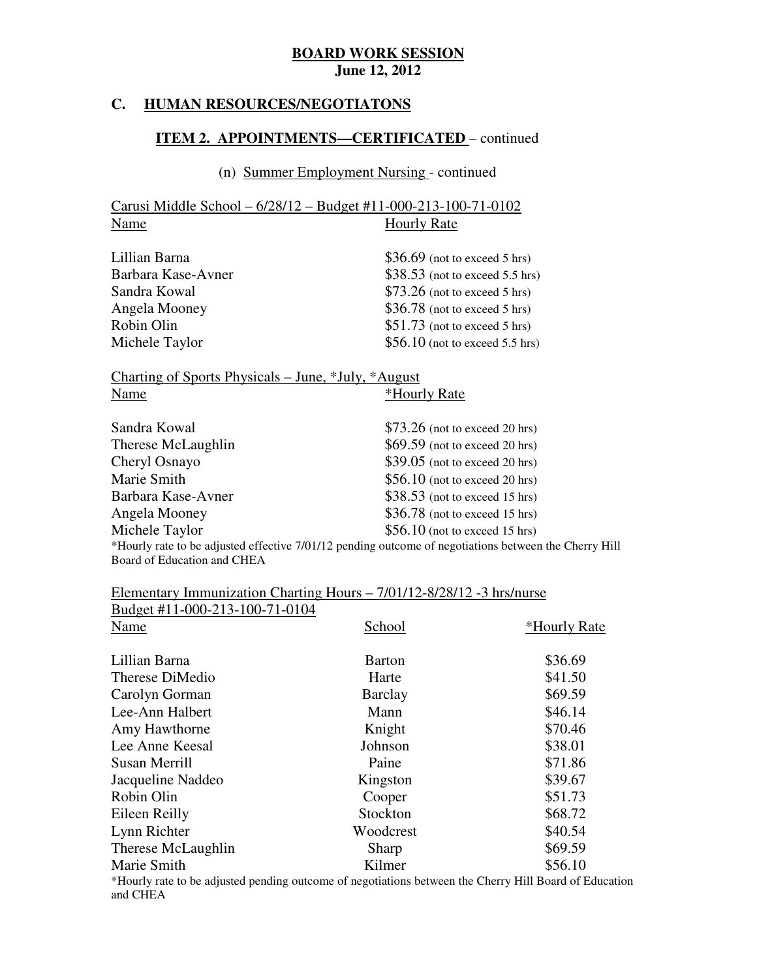#### **HUMAN RESOURCES/NEGOTIATONS**

#### **ITEM 2. APPOINTMENTS—CERTIFICATED** – continued

#### (n) Summer Employment Nursing - continued

 Carusi Middle School – 6/28/12 – Budget #11-000-213-100-71-0102 Name Hourly Rate

| Lillian Barna      | $$36.69$ (not to exceed 5 hrs)   |
|--------------------|----------------------------------|
| Barbara Kase-Avner | $$38.53$ (not to exceed 5.5 hrs) |
| Sandra Kowal       | $$73.26$ (not to exceed 5 hrs)   |
| Angela Mooney      | $$36.78$ (not to exceed 5 hrs)   |
| Robin Olin         | $$51.73$ (not to exceed 5 hrs)   |
| Michele Taylor     | $$56.10$ (not to exceed 5.5 hrs) |

|      | Charting of Sports Physicals – June, *July, *August |  |              |  |
|------|-----------------------------------------------------|--|--------------|--|
| Name |                                                     |  | *Hourly Rate |  |

| Sandra Kowal                | $$73.26$ (not to exceed 20 hrs)                                                                       |
|-----------------------------|-------------------------------------------------------------------------------------------------------|
| Therese McLaughlin          | $$69.59$ (not to exceed 20 hrs)                                                                       |
| Cheryl Osnayo               | $$39.05$ (not to exceed 20 hrs)                                                                       |
| Marie Smith                 | $$56.10$ (not to exceed 20 hrs)                                                                       |
| Barbara Kase-Avner          | $$38.53$ (not to exceed 15 hrs)                                                                       |
| Angela Mooney               | $$36.78$ (not to exceed 15 hrs)                                                                       |
| Michele Taylor              | $$56.10$ (not to exceed 15 hrs)                                                                       |
|                             | *Hourly rate to be adjusted effective 7/01/12 pending outcome of negotiations between the Cherry Hill |
| Board of Education and CHEA |                                                                                                       |

#### $\overline{a}$ Elementary Immunization Charting Hours – 7/01/12-8/28/12 -3 hrs/nurse

| Budget #11-000-213-100-71-0104                                                                                                                                                                                                                                                                                                                                                                                         |                                                                                           |                 |
|------------------------------------------------------------------------------------------------------------------------------------------------------------------------------------------------------------------------------------------------------------------------------------------------------------------------------------------------------------------------------------------------------------------------|-------------------------------------------------------------------------------------------|-----------------|
| Name                                                                                                                                                                                                                                                                                                                                                                                                                   | School                                                                                    | *Hourly Rate    |
| Lillian Barna                                                                                                                                                                                                                                                                                                                                                                                                          | <b>Barton</b>                                                                             | \$36.69         |
| Therese DiMedio                                                                                                                                                                                                                                                                                                                                                                                                        | Harte                                                                                     | \$41.50         |
| Carolyn Gorman                                                                                                                                                                                                                                                                                                                                                                                                         | Barclay                                                                                   | \$69.59         |
| Lee-Ann Halbert                                                                                                                                                                                                                                                                                                                                                                                                        | Mann                                                                                      | \$46.14         |
| Amy Hawthorne                                                                                                                                                                                                                                                                                                                                                                                                          | Knight                                                                                    | \$70.46         |
| Lee Anne Keesal                                                                                                                                                                                                                                                                                                                                                                                                        | Johnson                                                                                   | \$38.01         |
| Susan Merrill                                                                                                                                                                                                                                                                                                                                                                                                          | Paine                                                                                     | \$71.86         |
| Jacqueline Naddeo                                                                                                                                                                                                                                                                                                                                                                                                      | Kingston                                                                                  | \$39.67         |
| Robin Olin                                                                                                                                                                                                                                                                                                                                                                                                             | Cooper                                                                                    | \$51.73         |
| Eileen Reilly                                                                                                                                                                                                                                                                                                                                                                                                          | Stockton                                                                                  | \$68.72         |
| Lynn Richter                                                                                                                                                                                                                                                                                                                                                                                                           | Woodcrest                                                                                 | \$40.54         |
| Therese McLaughlin                                                                                                                                                                                                                                                                                                                                                                                                     | Sharp                                                                                     | \$69.59         |
| Marie Smith                                                                                                                                                                                                                                                                                                                                                                                                            | Kilmer                                                                                    | \$56.10         |
| $\mathbf{A} \mathbf{A} \mathbf{A} \mathbf{A} \mathbf{A} \mathbf{A} \mathbf{A} \mathbf{A} \mathbf{A} \mathbf{A} \mathbf{A} \mathbf{A} \mathbf{A} \mathbf{A} \mathbf{A} \mathbf{A} \mathbf{A} \mathbf{A} \mathbf{A} \mathbf{A} \mathbf{A} \mathbf{A} \mathbf{A} \mathbf{A} \mathbf{A} \mathbf{A} \mathbf{A} \mathbf{A} \mathbf{A} \mathbf{A} \mathbf{A} \mathbf{A} \mathbf{A} \mathbf{A} \mathbf{A} \mathbf{A} \mathbf{$ | $\blacksquare$ $\blacksquare$ $\blacksquare$ $\blacksquare$ $\blacksquare$ $\blacksquare$ | <b>TT'11</b> TV |

 \*Hourly rate to be adjusted pending outcome of negotiations between the Cherry Hill Board of Education and CHEA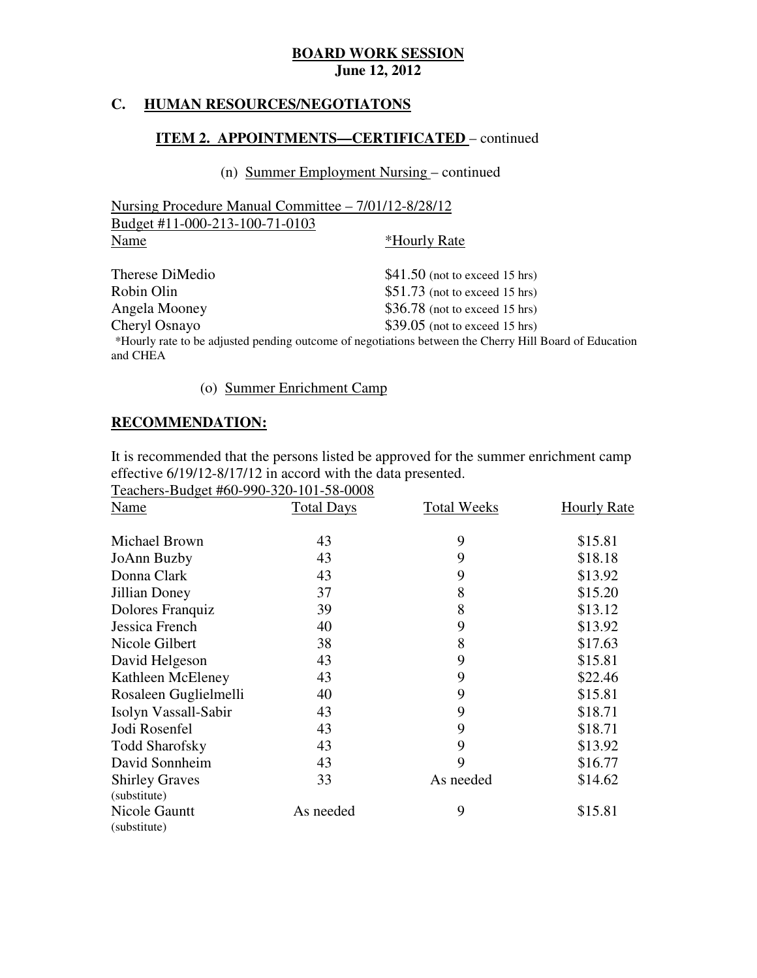#### **C. HUMAN RESOURCES/NEGOTIATONS**

#### **ITEM 2. APPOINTMENTS—CERTIFICATED** – continued

#### (n) Summer Employment Nursing – continued

| Nursing Procedure Manual Committee – 7/01/12-8/28/12 |                      |
|------------------------------------------------------|----------------------|
| Budget #11-000-213-100-71-0103                       |                      |
| Name                                                 | <i>*</i> Hourly Rate |

| Therese DiMedio | $$41.50$ (not to exceed 15 hrs)                                                                        |
|-----------------|--------------------------------------------------------------------------------------------------------|
| Robin Olin      | $$51.73$ (not to exceed 15 hrs)                                                                        |
| Angela Mooney   | $$36.78$ (not to exceed 15 hrs)                                                                        |
| Cheryl Osnayo   | $$39.05$ (not to exceed 15 hrs)                                                                        |
|                 | *Hourly rate to be adjusted pending outcome of negotiations between the Cherry Hill Board of Education |
| and CHEA        |                                                                                                        |

# (o) Summer Enrichment Camp

#### **RECOMMENDATION:**

 It is recommended that the persons listed be approved for the summer enrichment camp effective 6/19/12-8/17/12 in accord with the data presented.

Teachers-Budget #60-990-320-101-58-0008

| Name                                  | <b>Total Days</b> | <b>Total Weeks</b> | <b>Hourly Rate</b> |
|---------------------------------------|-------------------|--------------------|--------------------|
| Michael Brown                         | 43                | 9                  | \$15.81            |
| JoAnn Buzby                           | 43                | 9                  | \$18.18            |
| Donna Clark                           | 43                | 9                  | \$13.92            |
| Jillian Doney                         | 37                | 8                  | \$15.20            |
| Dolores Franquiz                      | 39                | 8                  | \$13.12            |
| Jessica French                        | 40                | 9                  | \$13.92            |
| Nicole Gilbert                        | 38                | 8                  | \$17.63            |
| David Helgeson                        | 43                | 9                  | \$15.81            |
| Kathleen McEleney                     | 43                | 9                  | \$22.46            |
| Rosaleen Guglielmelli                 | 40                | 9                  | \$15.81            |
| Isolyn Vassall-Sabir                  | 43                | 9                  | \$18.71            |
| Jodi Rosenfel                         | 43                | 9                  | \$18.71            |
| <b>Todd Sharofsky</b>                 | 43                | 9                  | \$13.92            |
| David Sonnheim                        | 43                | 9                  | \$16.77            |
| <b>Shirley Graves</b><br>(substitute) | 33                | As needed          | \$14.62            |
| Nicole Gauntt<br>(substitute)         | As needed         | 9                  | \$15.81            |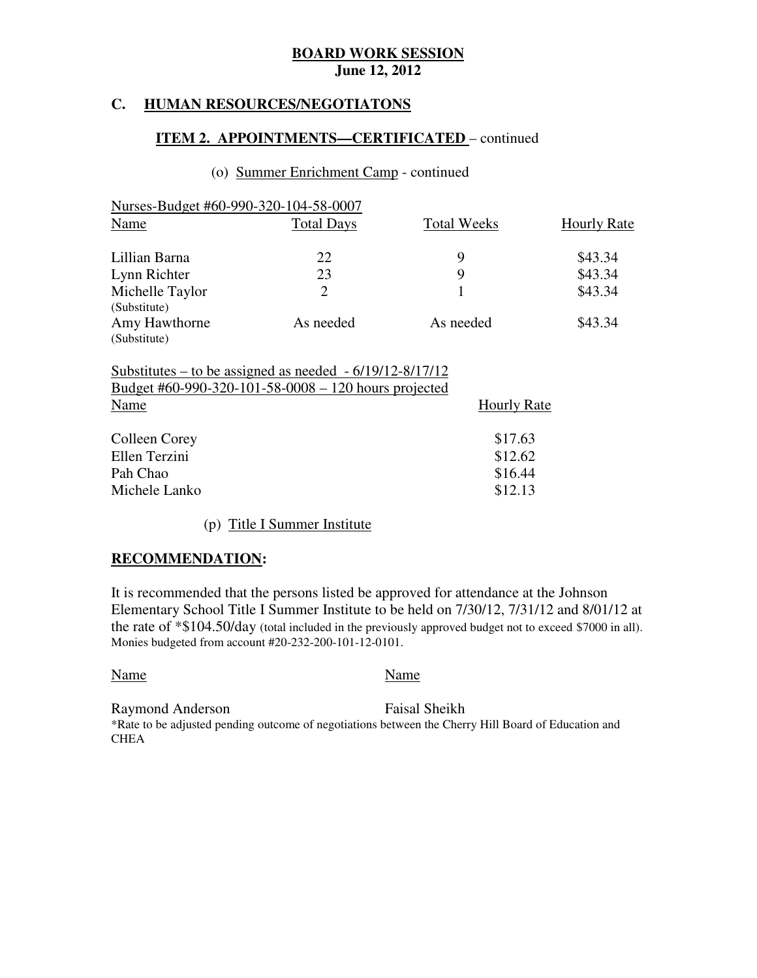#### **HUMAN RESOURCES/NEGOTIATONS**

#### **ITEM 2. APPOINTMENTS—CERTIFICATED** – continued

#### (o) Summer Enrichment Camp - continued

| Nurses-Budget #60-990-320-104-58-0007 |                    |                    |
|---------------------------------------|--------------------|--------------------|
| <b>Total Days</b>                     | <b>Total Weeks</b> | <b>Hourly Rate</b> |
| 22                                    | 9                  | \$43.34            |
| 23                                    | 9                  | \$43.34            |
| 2                                     |                    | \$43.34            |
| As needed                             | As needed          | \$43.34            |
|                                       |                    |                    |

 Substitutes – to be assigned as needed - 6/19/12-8/17/12 Budget #60-990-320-101-58-0008 – 120 hours projected Name Hourly Rate

Colleen Corey \$17.63 Ellen Terzini  $$12.62$ Pah Chao Michele Lanko  $$12.13$ Pah Chao  $\$16.44$ 

(p) Title I Summer Institute

#### **RECOMMENDATION:**

 It is recommended that the persons listed be approved for attendance at the Johnson Elementary School Title I Summer Institute to be held on 7/30/12, 7/31/12 and 8/01/12 at the rate of \*\$104.50/day (total included in the previously approved budget not to exceed \$7000 in all). Monies budgeted from account #20-232-200-101-12-0101.

Name Name Name

Raymond Anderson Faisal Sheikh \*Rate to be adjusted pending outcome of negotiations between the Cherry Hill Board of Education and **CHEA**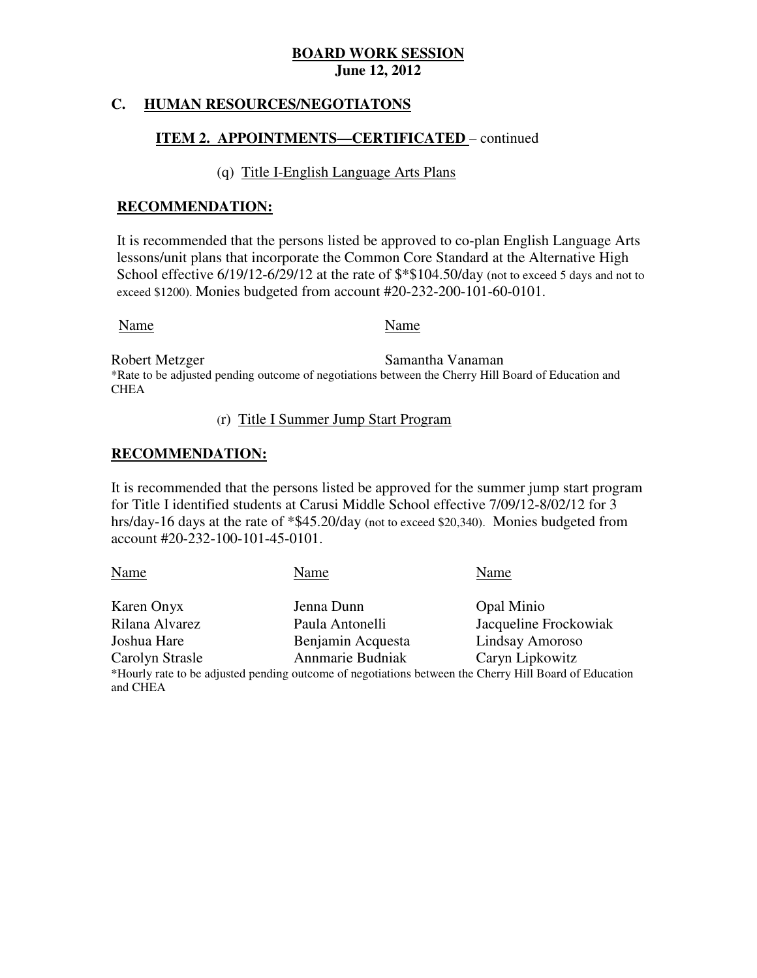#### **C. HUMAN RESOURCES/NEGOTIATONS**

### **ITEM 2. APPOINTMENTS—CERTIFICATED** – continued

#### (q) Title I-English Language Arts Plans

#### **RECOMMENDATION:**

 It is recommended that the persons listed be approved to co-plan English Language Arts lessons/unit plans that incorporate the Common Core Standard at the Alternative High School effective 6/19/12-6/29/12 at the rate of  $\frac{\$*104.50}{\text{day}}$  (not to exceed 5 days and not to exceed \$1200). Monies budgeted from account #20-232-200-101-60-0101.

#### Name Name Name

Robert Metzger \*Rate to be adjusted pending outcome of negotiations between the Cherry Hill Board of Education and Samantha Vanaman **CHEA** 

#### (r) Title I Summer Jump Start Program

#### **RECOMMENDATION:**

 It is recommended that the persons listed be approved for the summer jump start program for Title I identified students at Carusi Middle School effective 7/09/12-8/02/12 for 3 hrs/day-16 days at the rate of \*\$45.20/day (not to exceed \$20,340). Monies budgeted from account #20-232-100-101-45-0101.

Karen Onyx Jenna Dunn Dunn Opal Minio Rilana Alvarez Joshua Hare Carolyn Strasle \*Hourly rate to be adjusted pending outcome of negotiations between the Cherry Hill Board of Education and CHEA Name Name Name Name Paula Antonelli Jacqueline Frockowiak Benjamin Acquesta Lindsay Amoroso Annmarie Budniak Caryn Lipkowitz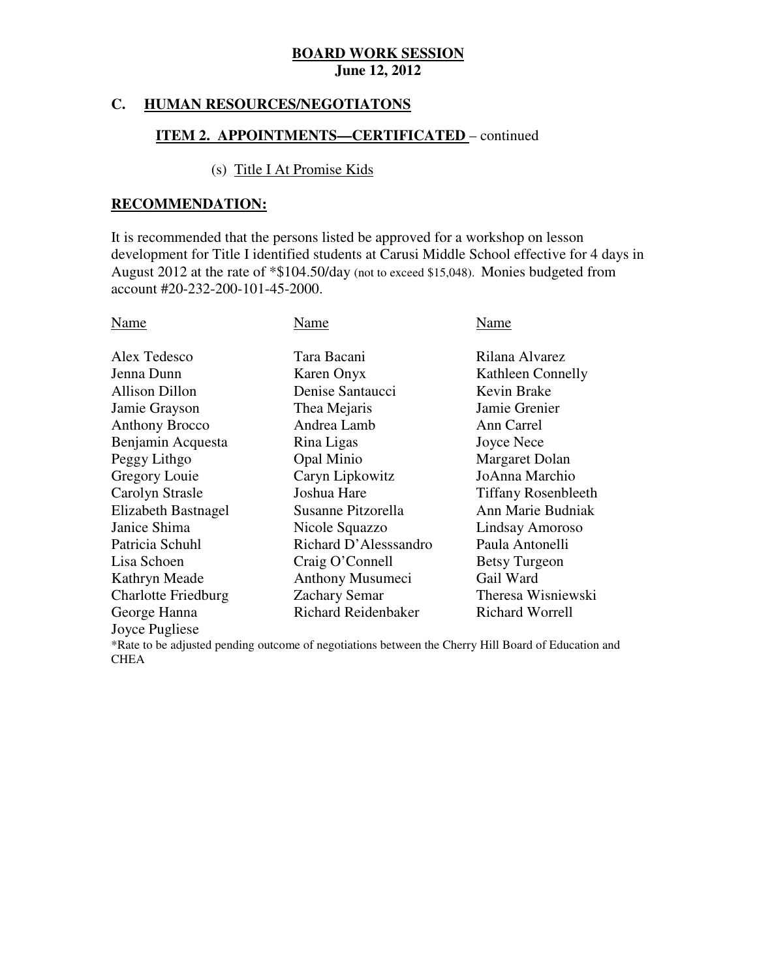#### **HUMAN RESOURCES/NEGOTIATONS**

#### **ITEM 2. APPOINTMENTS—CERTIFICATED** – continued

#### (s) Title I At Promise Kids

#### **RECOMMENDATION:**

 It is recommended that the persons listed be approved for a workshop on lesson development for Title I identified students at Carusi Middle School effective for 4 days in August 2012 at the rate of \*\$104.50/day (not to exceed \$15,048). Monies budgeted from account #20-232-200-101-45-2000.

| Name                       | Name                  | Name                       |
|----------------------------|-----------------------|----------------------------|
| Alex Tedesco               | Tara Bacani           | Rilana Alvarez             |
| Jenna Dunn                 | Karen Onyx            | Kathleen Connelly          |
| <b>Allison Dillon</b>      | Denise Santaucci      | Kevin Brake                |
| Jamie Grayson              | Thea Mejaris          | Jamie Grenier              |
| <b>Anthony Brocco</b>      | Andrea Lamb           | Ann Carrel                 |
| Benjamin Acquesta          | Rina Ligas            | Joyce Nece                 |
| Peggy Lithgo               | Opal Minio            | Margaret Dolan             |
| Gregory Louie              | Caryn Lipkowitz       | JoAnna Marchio             |
| Carolyn Strasle            | Joshua Hare           | <b>Tiffany Rosenbleeth</b> |
| Elizabeth Bastnagel        | Susanne Pitzorella    | Ann Marie Budniak          |
| Janice Shima               | Nicole Squazzo        | Lindsay Amoroso            |
| Patricia Schuhl            | Richard D'Alesssandro | Paula Antonelli            |
| Lisa Schoen                | Craig O'Connell       | <b>Betsy Turgeon</b>       |
| Kathryn Meade              | Anthony Musumeci      | Gail Ward                  |
| <b>Charlotte Friedburg</b> | <b>Zachary Semar</b>  | Theresa Wisniewski         |
| George Hanna               | Richard Reidenbaker   | Richard Worrell            |
| Joyce Pugliese             |                       |                            |

 \*Rate to be adjusted pending outcome of negotiations between the Cherry Hill Board of Education and **CHEA**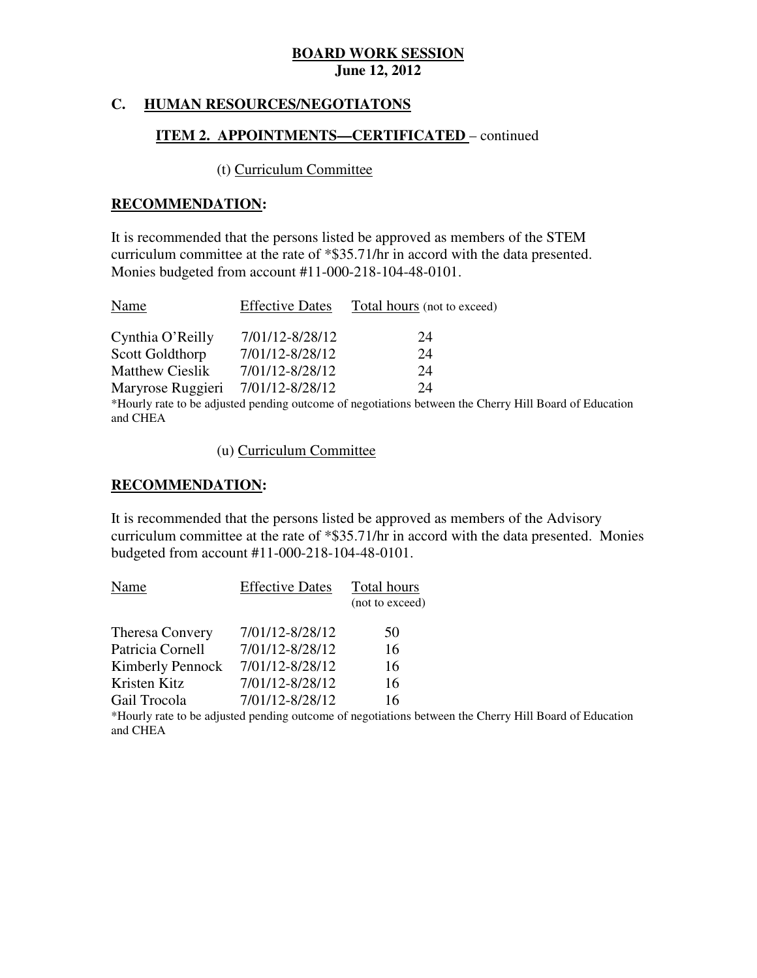#### **C. HUMAN RESOURCES/NEGOTIATONS**

# **ITEM 2. APPOINTMENTS—CERTIFICATED** – continued

#### (t) Curriculum Committee

#### **RECOMMENDATION:**

 It is recommended that the persons listed be approved as members of the STEM curriculum committee at the rate of \*\$35.71/hr in accord with the data presented. Monies budgeted from account #11-000-218-104-48-0101.

| Name                   | <b>Effective Dates</b> | Total hours (not to exceed)                                                                            |
|------------------------|------------------------|--------------------------------------------------------------------------------------------------------|
| Cynthia O'Reilly       | 7/01/12-8/28/12        | 24                                                                                                     |
| Scott Goldthorp        | 7/01/12-8/28/12        | 24                                                                                                     |
| <b>Matthew Cieslik</b> | 7/01/12-8/28/12        | 24                                                                                                     |
| Maryrose Ruggieri      | 7/01/12-8/28/12        | 24                                                                                                     |
|                        |                        | *Hourly rate to be adjusted pending outcome of negotiations between the Cherry Hill Board of Education |
| and CHEA               |                        |                                                                                                        |

(u) Curriculum Committee

### **RECOMMENDATION:**

 It is recommended that the persons listed be approved as members of the Advisory curriculum committee at the rate of \*\$35.71/hr in accord with the data presented. Monies budgeted from account #11-000-218-104-48-0101.

| Name                    | <b>Effective Dates</b> | Total hours     |
|-------------------------|------------------------|-----------------|
|                         |                        | (not to exceed) |
| Theresa Convery         | 7/01/12-8/28/12        | 50              |
| Patricia Cornell        | 7/01/12-8/28/12        | 16              |
| <b>Kimberly Pennock</b> | 7/01/12-8/28/12        | 16              |
| Kristen Kitz            | 7/01/12-8/28/12        | 16              |
| Gail Trocola            | 7/01/12-8/28/12        | 16              |

 \*Hourly rate to be adjusted pending outcome of negotiations between the Cherry Hill Board of Education and CHEA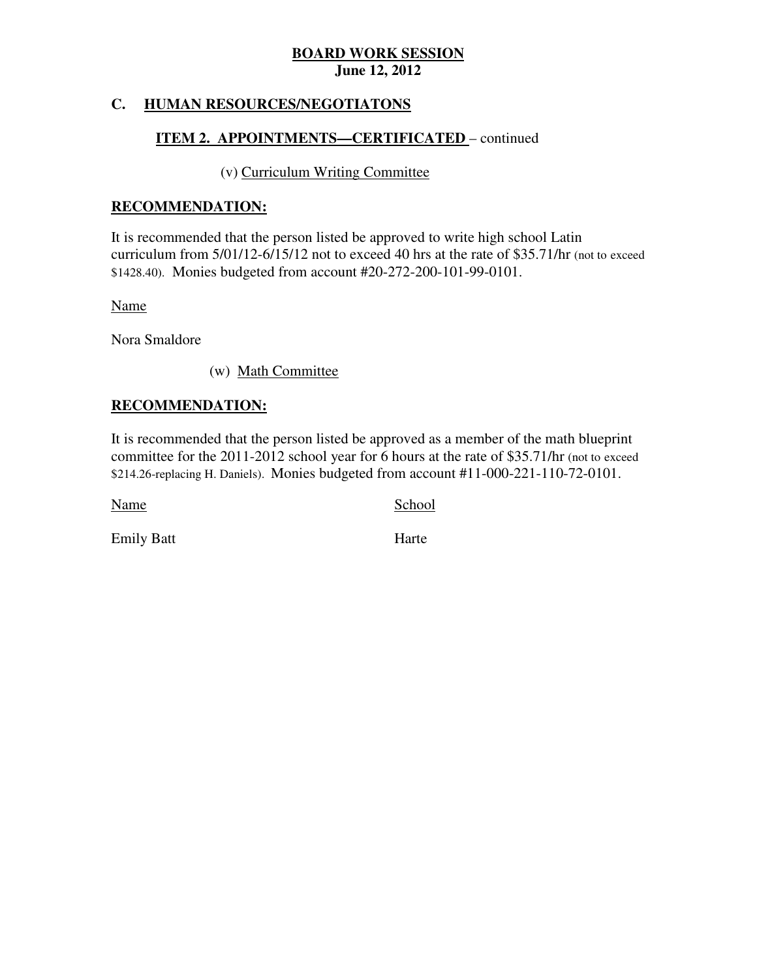#### **C. HUMAN RESOURCES/NEGOTIATONS**

# **ITEM 2. APPOINTMENTS—CERTIFICATED** – continued

#### (v) Curriculum Writing Committee

#### **RECOMMENDATION:**

 It is recommended that the person listed be approved to write high school Latin curriculum from 5/01/12-6/15/12 not to exceed 40 hrs at the rate of \$35.71/hr (not to exceed \$1428.40). Monies budgeted from account #20-272-200-101-99-0101.

Name

Nora Smaldore

(w) Math Committee

#### **RECOMMENDATION:**

 It is recommended that the person listed be approved as a member of the math blueprint committee for the 2011-2012 school year for 6 hours at the rate of \$35.71/hr (not to exceed \$214.26-replacing H. Daniels). Monies budgeted from account #11-000-221-110-72-0101.

Name School

Emily Batt Harte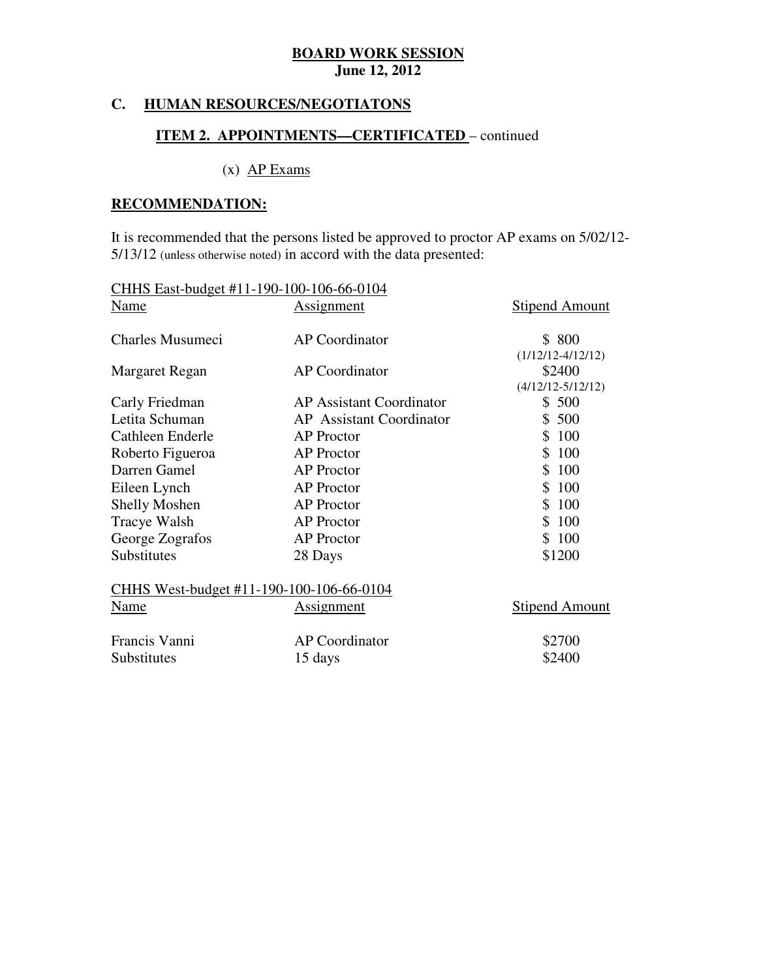#### **C. HUMAN RESOURCES/NEGOTIATONS**

### **ITEM 2. APPOINTMENTS—CERTIFICATED** – continued

# $(x)$  AP Exams

#### **RECOMMENDATION:**

 It is recommended that the persons listed be approved to proctor AP exams on 5/02/12 5/13/12 (unless otherwise noted) in accord with the data presented:

| CHHS East-budget #11-190-100-106-66-0104 |                                 |                               |
|------------------------------------------|---------------------------------|-------------------------------|
| Name                                     | <b>Assignment</b>               | <b>Stipend Amount</b>         |
| Charles Musumeci                         | AP Coordinator                  | \$800                         |
|                                          |                                 | $(1/12/12-4/12/12)$           |
| Margaret Regan                           | AP Coordinator                  | \$2400<br>$(4/12/12-5/12/12)$ |
| Carly Friedman                           | <b>AP Assistant Coordinator</b> | \$500                         |
| Letita Schuman                           | <b>AP</b> Assistant Coordinator | \$500                         |
| Cathleen Enderle                         | <b>AP</b> Proctor               | \$100                         |
| Roberto Figueroa                         | <b>AP</b> Proctor               | \$100                         |
| Darren Gamel                             | <b>AP</b> Proctor               | \$100                         |
| Eileen Lynch                             | <b>AP</b> Proctor               | \$100                         |
| <b>Shelly Moshen</b>                     | <b>AP</b> Proctor               | \$100                         |
| Tracye Walsh                             | <b>AP</b> Proctor               | \$100                         |
| George Zografos                          | <b>AP</b> Proctor               | \$100                         |
| Substitutes                              | 28 Days                         | \$1200                        |
| CHHS West-budget #11-190-100-106-66-0104 |                                 |                               |
| Name                                     | <b>Assignment</b>               | <b>Stipend Amount</b>         |
| Francis Vanni                            | <b>AP</b> Coordinator           | \$2700                        |
| Substitutes                              | 15 days                         | \$2400                        |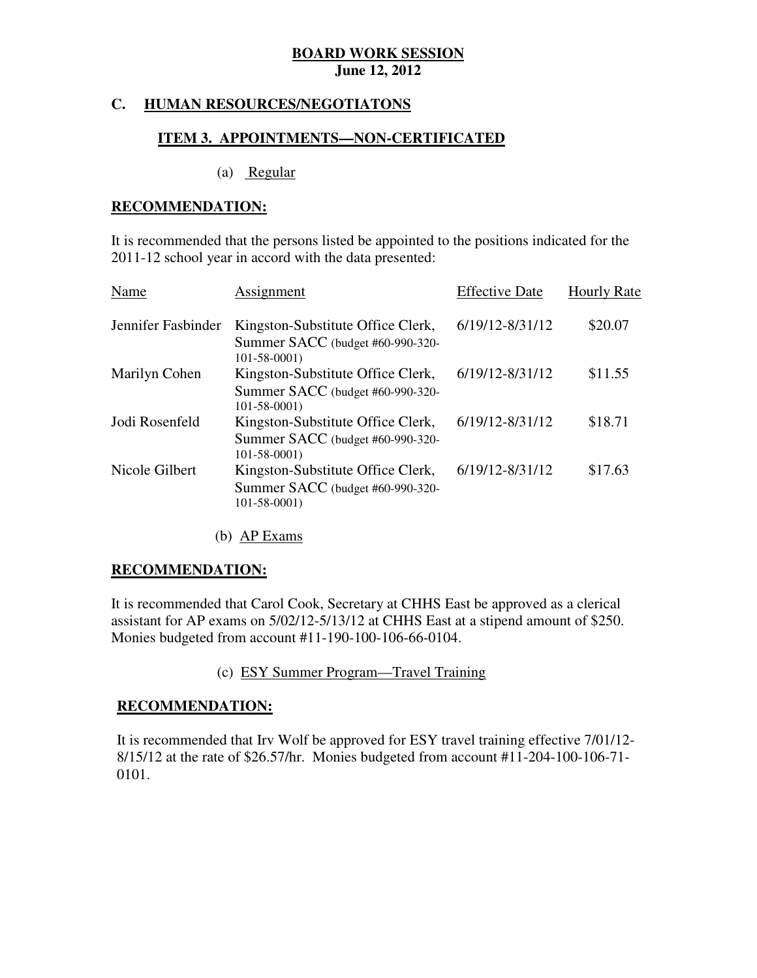#### **C. HUMAN RESOURCES/NEGOTIATONS**

#### **ITEM 3. APPOINTMENTS—NON-CERTIFICATED**

(a) Regular

#### **RECOMMENDATION:**

 It is recommended that the persons listed be appointed to the positions indicated for the 2011-12 school year in accord with the data presented:

| Name               | Assignment                                                                                 | <b>Effective Date</b> | <b>Hourly Rate</b> |
|--------------------|--------------------------------------------------------------------------------------------|-----------------------|--------------------|
| Jennifer Fasbinder | Kingston-Substitute Office Clerk,<br>Summer SACC (budget #60-990-320-<br>$101 - 58 - 0001$ | 6/19/12-8/31/12       | \$20.07            |
| Marilyn Cohen      | Kingston-Substitute Office Clerk,<br>Summer SACC (budget #60-990-320-<br>$101 - 58 - 0001$ | 6/19/12-8/31/12       | \$11.55            |
| Jodi Rosenfeld     | Kingston-Substitute Office Clerk,<br>Summer SACC (budget #60-990-320-<br>$101 - 58 - 0001$ | 6/19/12-8/31/12       | \$18.71            |
| Nicole Gilbert     | Kingston-Substitute Office Clerk,<br>Summer SACC (budget #60-990-320-<br>$101 - 58 - 0001$ | 6/19/12-8/31/12       | \$17.63            |

(b) AP Exams

#### **RECOMMENDATION:**

 It is recommended that Carol Cook, Secretary at CHHS East be approved as a clerical assistant for AP exams on 5/02/12-5/13/12 at CHHS East at a stipend amount of \$250. Monies budgeted from account #11-190-100-106-66-0104.

(c) ESY Summer Program—Travel Training

#### **RECOMMENDATION:**

 It is recommended that Irv Wolf be approved for ESY travel training effective 7/01/12 8/15/12 at the rate of \$26.57/hr. Monies budgeted from account #11-204-100-106-71 0101.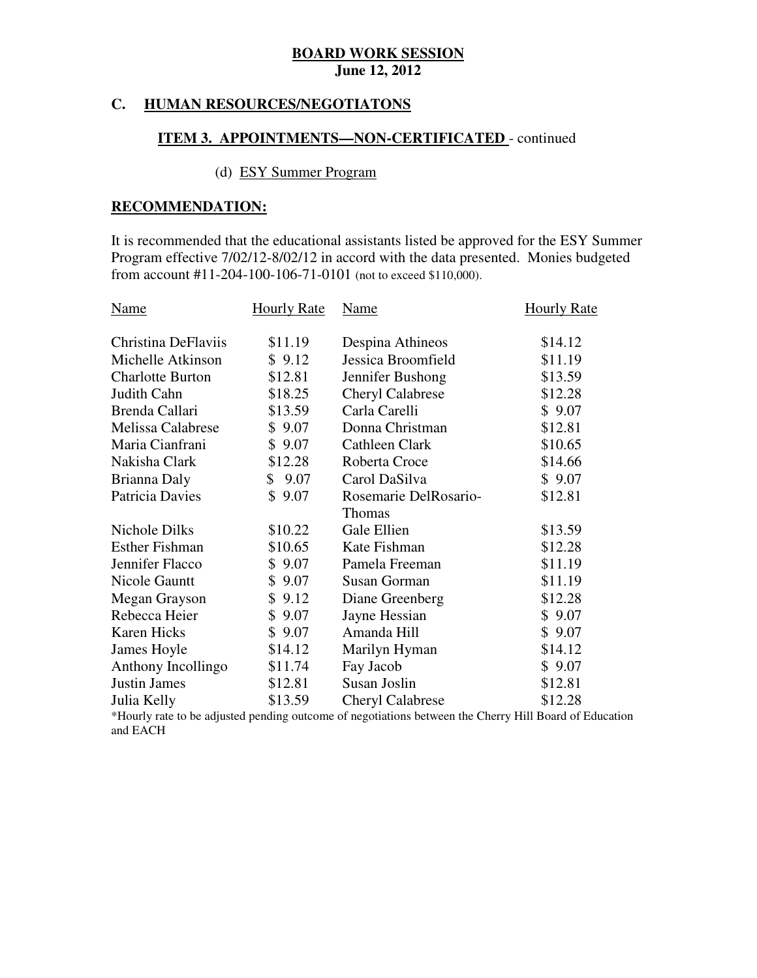#### **C. HUMAN RESOURCES/NEGOTIATONS**

#### **ITEM 3. APPOINTMENTS—NON-CERTIFICATED** - continued

# (d) ESY Summer Program

#### **RECOMMENDATION:**

 It is recommended that the educational assistants listed be approved for the ESY Summer Program effective 7/02/12-8/02/12 in accord with the data presented. Monies budgeted from account #11-204-100-106-71-0101 (not to exceed \$110,000).

| Name                    | <b>Hourly Rate</b> | Name                    | <b>Hourly Rate</b> |
|-------------------------|--------------------|-------------------------|--------------------|
| Christina DeFlaviis     | \$11.19            | Despina Athineos        | \$14.12            |
| Michelle Atkinson       | \$9.12             | Jessica Broomfield      | \$11.19            |
| <b>Charlotte Burton</b> | \$12.81            | Jennifer Bushong        | \$13.59            |
| Judith Cahn             | \$18.25            | <b>Cheryl Calabrese</b> | \$12.28            |
| Brenda Callari          | \$13.59            | Carla Carelli           | \$9.07             |
| Melissa Calabrese       | \$9.07             | Donna Christman         | \$12.81            |
| Maria Cianfrani         | \$9.07             | Cathleen Clark          | \$10.65            |
| Nakisha Clark           | \$12.28            | Roberta Croce           | \$14.66            |
| Brianna Daly            | \$9.07             | Carol DaSilva           | \$9.07             |
| Patricia Davies         | \$9.07             | Rosemarie DelRosario-   | \$12.81            |
|                         |                    | Thomas                  |                    |
| Nichole Dilks           | \$10.22            | Gale Ellien             | \$13.59            |
| <b>Esther Fishman</b>   | \$10.65            | Kate Fishman            | \$12.28            |
| Jennifer Flacco         | \$9.07             | Pamela Freeman          | \$11.19            |
| Nicole Gauntt           | \$9.07             | Susan Gorman            | \$11.19            |
| Megan Grayson           | \$9.12             | Diane Greenberg         | \$12.28            |
| Rebecca Heier           | \$9.07             | Jayne Hessian           | \$9.07             |
| Karen Hicks             | \$9.07             | Amanda Hill             | \$9.07             |
| James Hoyle             | \$14.12            | Marilyn Hyman           | \$14.12            |
| Anthony Incollingo      | \$11.74            | Fay Jacob               | \$9.07             |
| <b>Justin James</b>     | \$12.81            | Susan Joslin            | \$12.81            |
| Julia Kelly             | \$13.59            | <b>Cheryl Calabrese</b> | \$12.28            |

 and EACH \*Hourly rate to be adjusted pending outcome of negotiations between the Cherry Hill Board of Education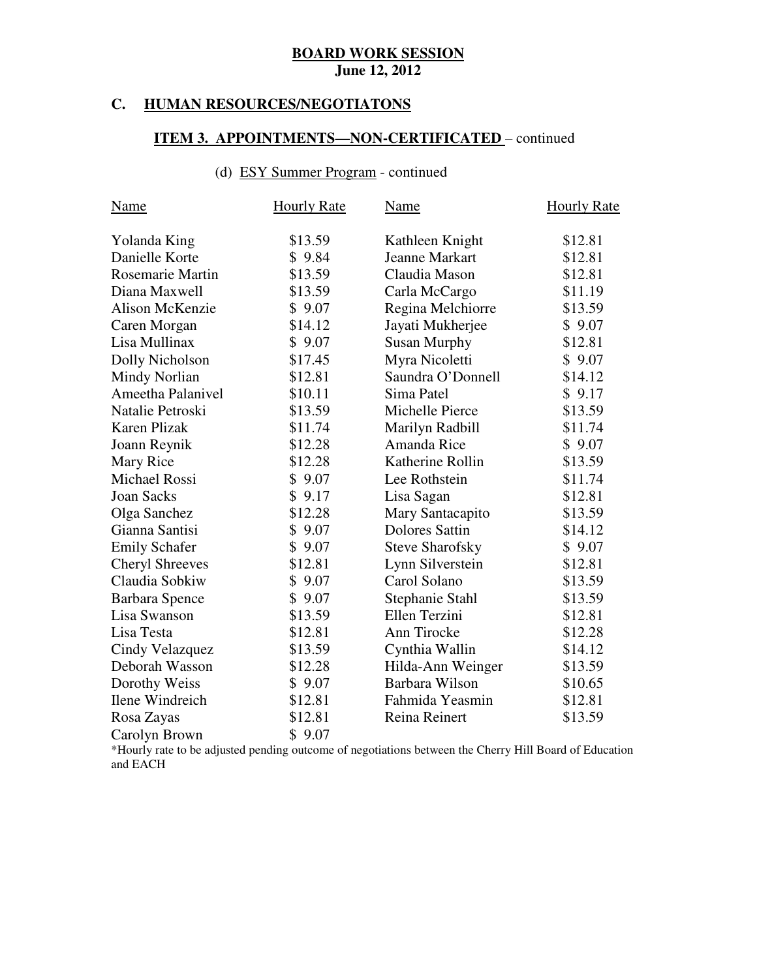#### **C. HUMAN RESOURCES/NEGOTIATONS**

# **ITEM 3. APPOINTMENTS—NON-CERTIFICATED** – continued

# (d) ESY Summer Program - continued

| Name                   | <b>Hourly Rate</b> | <b>Name</b>            | <b>Hourly Rate</b> |
|------------------------|--------------------|------------------------|--------------------|
| Yolanda King           | \$13.59            | Kathleen Knight        | \$12.81            |
| Danielle Korte         | \$9.84             | <b>Jeanne Markart</b>  | \$12.81            |
| Rosemarie Martin       | \$13.59            | Claudia Mason          | \$12.81            |
| Diana Maxwell          | \$13.59            | Carla McCargo          | \$11.19            |
| Alison McKenzie        | \$9.07             | Regina Melchiorre      | \$13.59            |
| Caren Morgan           | \$14.12            | Jayati Mukherjee       | \$9.07             |
| Lisa Mullinax          | \$9.07             | <b>Susan Murphy</b>    | \$12.81            |
| Dolly Nicholson        | \$17.45            | Myra Nicoletti         | \$9.07             |
| Mindy Norlian          | \$12.81            | Saundra O'Donnell      | \$14.12            |
| Ameetha Palanivel      | \$10.11            | Sima Patel             | \$9.17             |
| Natalie Petroski       | \$13.59            | Michelle Pierce        | \$13.59            |
| Karen Plizak           | \$11.74            | Marilyn Radbill        | \$11.74            |
| Joann Reynik           | \$12.28            | Amanda Rice            | \$9.07             |
| Mary Rice              | \$12.28            | Katherine Rollin       | \$13.59            |
| <b>Michael Rossi</b>   | \$9.07             | Lee Rothstein          | \$11.74            |
| <b>Joan Sacks</b>      | \$9.17             | Lisa Sagan             | \$12.81            |
| Olga Sanchez           | \$12.28            | Mary Santacapito       | \$13.59            |
| Gianna Santisi         | \$9.07             | <b>Dolores Sattin</b>  | \$14.12            |
| <b>Emily Schafer</b>   | \$9.07             | <b>Steve Sharofsky</b> | \$9.07             |
| <b>Cheryl Shreeves</b> | \$12.81            | Lynn Silverstein       | \$12.81            |
| Claudia Sobkiw         | \$9.07             | Carol Solano           | \$13.59            |
| <b>Barbara Spence</b>  | \$9.07             | Stephanie Stahl        | \$13.59            |
| Lisa Swanson           | \$13.59            | Ellen Terzini          | \$12.81            |
| Lisa Testa             | \$12.81            | Ann Tirocke            | \$12.28            |
| Cindy Velazquez        | \$13.59            | Cynthia Wallin         | \$14.12            |
| Deborah Wasson         | \$12.28            | Hilda-Ann Weinger      | \$13.59            |
| Dorothy Weiss          | \$9.07             | Barbara Wilson         | \$10.65            |
| Ilene Windreich        | \$12.81            | Fahmida Yeasmin        | \$12.81            |
| Rosa Zayas             | \$12.81            | Reina Reinert          | \$13.59            |
| Carolyn Brown          | \$9.07             |                        |                    |

 and EACH \*Hourly rate to be adjusted pending outcome of negotiations between the Cherry Hill Board of Education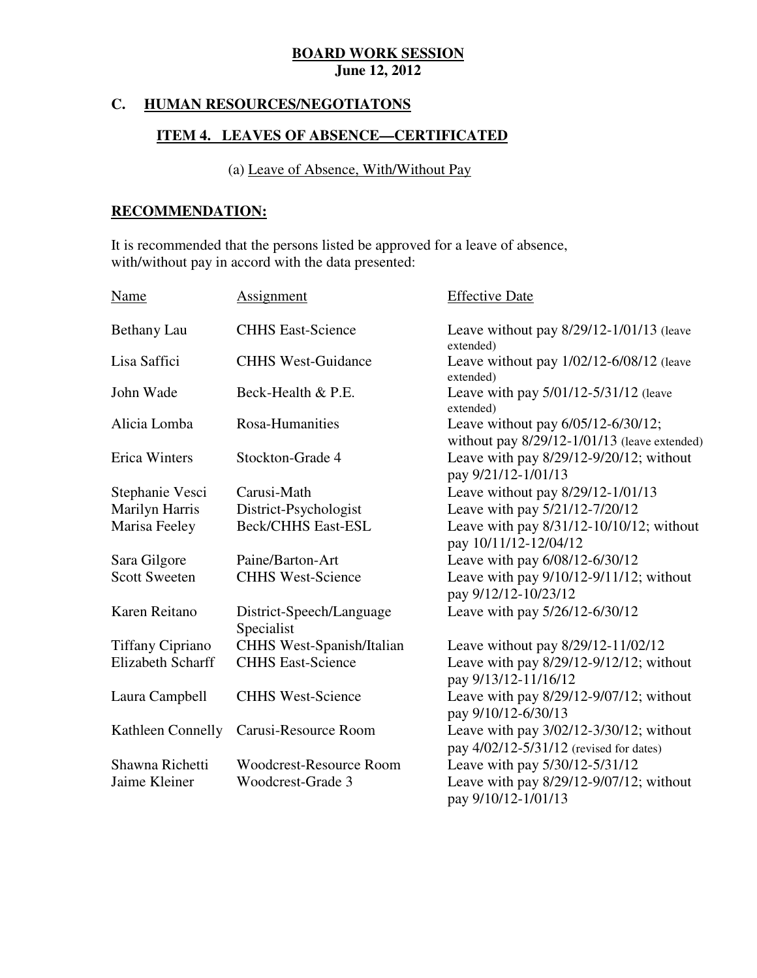#### **C. HUMAN RESOURCES/NEGOTIATONS**

#### **ITEM 4. LEAVES OF ABSENCE—CERTIFICATED**

#### (a) Leave of Absence, With/Without Pay

# **RECOMMENDATION:**

 It is recommended that the persons listed be approved for a leave of absence, with/without pay in accord with the data presented:

| <b>Name</b>              | Assignment                             | <b>Effective Date</b>                                                                   |
|--------------------------|----------------------------------------|-----------------------------------------------------------------------------------------|
| <b>Bethany Lau</b>       | <b>CHHS East-Science</b>               | Leave without pay $8/29/12 - 1/01/13$ (leave<br>extended)                               |
| Lisa Saffici             | <b>CHHS West-Guidance</b>              | Leave without pay $1/02/12 - 6/08/12$ (leave<br>extended)                               |
| John Wade                | Beck-Health & P.E.                     | Leave with pay 5/01/12-5/31/12 (leave<br>extended)                                      |
| Alicia Lomba             | Rosa-Humanities                        | Leave without pay 6/05/12-6/30/12;<br>without pay $8/29/12 - 1/01/13$ (leave extended)  |
| <b>Erica Winters</b>     | Stockton-Grade 4                       | Leave with pay $8/29/12 - 9/20/12$ ; without<br>pay 9/21/12-1/01/13                     |
| Stephanie Vesci          | Carusi-Math                            | Leave without pay 8/29/12-1/01/13                                                       |
| Marilyn Harris           | District-Psychologist                  | Leave with pay 5/21/12-7/20/12                                                          |
| Marisa Feeley            | <b>Beck/CHHS East-ESL</b>              | Leave with pay 8/31/12-10/10/12; without<br>pay 10/11/12-12/04/12                       |
| Sara Gilgore             | Paine/Barton-Art                       | Leave with pay 6/08/12-6/30/12                                                          |
| <b>Scott Sweeten</b>     | <b>CHHS West-Science</b>               | Leave with pay 9/10/12-9/11/12; without<br>pay 9/12/12-10/23/12                         |
| Karen Reitano            | District-Speech/Language<br>Specialist | Leave with pay 5/26/12-6/30/12                                                          |
| <b>Tiffany Cipriano</b>  | CHHS West-Spanish/Italian              | Leave without pay 8/29/12-11/02/12                                                      |
| <b>Elizabeth Scharff</b> | <b>CHHS East-Science</b>               | Leave with pay 8/29/12-9/12/12; without<br>pay 9/13/12-11/16/12                         |
| Laura Campbell           | <b>CHHS West-Science</b>               | Leave with pay 8/29/12-9/07/12; without<br>pay 9/10/12-6/30/13                          |
| Kathleen Connelly        | Carusi-Resource Room                   | Leave with pay $3/02/12 - 3/30/12$ ; without<br>pay 4/02/12-5/31/12 (revised for dates) |
| Shawna Richetti          | <b>Woodcrest-Resource Room</b>         | Leave with pay 5/30/12-5/31/12                                                          |
| Jaime Kleiner            | Woodcrest-Grade 3                      | Leave with pay $8/29/12-9/07/12$ ; without<br>pay 9/10/12-1/01/13                       |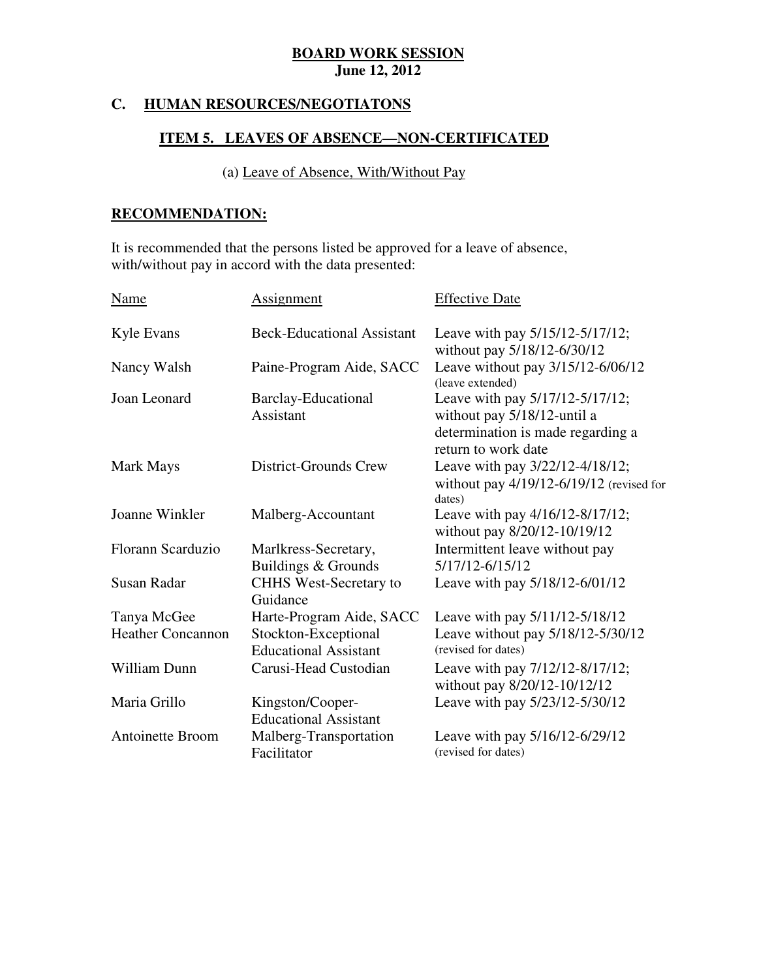#### **C. HUMAN RESOURCES/NEGOTIATONS**

# **ITEM 5. LEAVES OF ABSENCE—NON-CERTIFICATED**

(a) Leave of Absence, With/Without Pay

# **RECOMMENDATION:**

 It is recommended that the persons listed be approved for a leave of absence, with/without pay in accord with the data presented:

| Name                     | Assignment                                           | <b>Effective Date</b>                                                                                                      |
|--------------------------|------------------------------------------------------|----------------------------------------------------------------------------------------------------------------------------|
| Kyle Evans               | <b>Beck-Educational Assistant</b>                    | Leave with pay 5/15/12-5/17/12;<br>without pay 5/18/12-6/30/12                                                             |
| Nancy Walsh              | Paine-Program Aide, SACC                             | Leave without pay 3/15/12-6/06/12<br>(leave extended)                                                                      |
| Joan Leonard             | <b>Barclay-Educational</b><br>Assistant              | Leave with pay 5/17/12-5/17/12;<br>without pay 5/18/12-until a<br>determination is made regarding a<br>return to work date |
| Mark Mays                | District-Grounds Crew                                | Leave with pay 3/22/12-4/18/12;<br>without pay $4/19/12 - 6/19/12$ (revised for<br>dates)                                  |
| Joanne Winkler           | Malberg-Accountant                                   | Leave with pay 4/16/12-8/17/12;<br>without pay 8/20/12-10/19/12                                                            |
| Florann Scarduzio        | Marlkress-Secretary,<br>Buildings & Grounds          | Intermittent leave without pay<br>5/17/12-6/15/12                                                                          |
| <b>Susan Radar</b>       | <b>CHHS</b> West-Secretary to<br>Guidance            | Leave with pay 5/18/12-6/01/12                                                                                             |
| Tanya McGee              | Harte-Program Aide, SACC                             | Leave with pay 5/11/12-5/18/12                                                                                             |
| <b>Heather Concannon</b> | Stockton-Exceptional<br><b>Educational Assistant</b> | Leave without pay 5/18/12-5/30/12<br>(revised for dates)                                                                   |
| William Dunn             | Carusi-Head Custodian                                | Leave with pay 7/12/12-8/17/12;<br>without pay 8/20/12-10/12/12                                                            |
| Maria Grillo             | Kingston/Cooper-<br><b>Educational Assistant</b>     | Leave with pay 5/23/12-5/30/12                                                                                             |
| <b>Antoinette Broom</b>  | Malberg-Transportation<br>Facilitator                | Leave with pay 5/16/12-6/29/12<br>(revised for dates)                                                                      |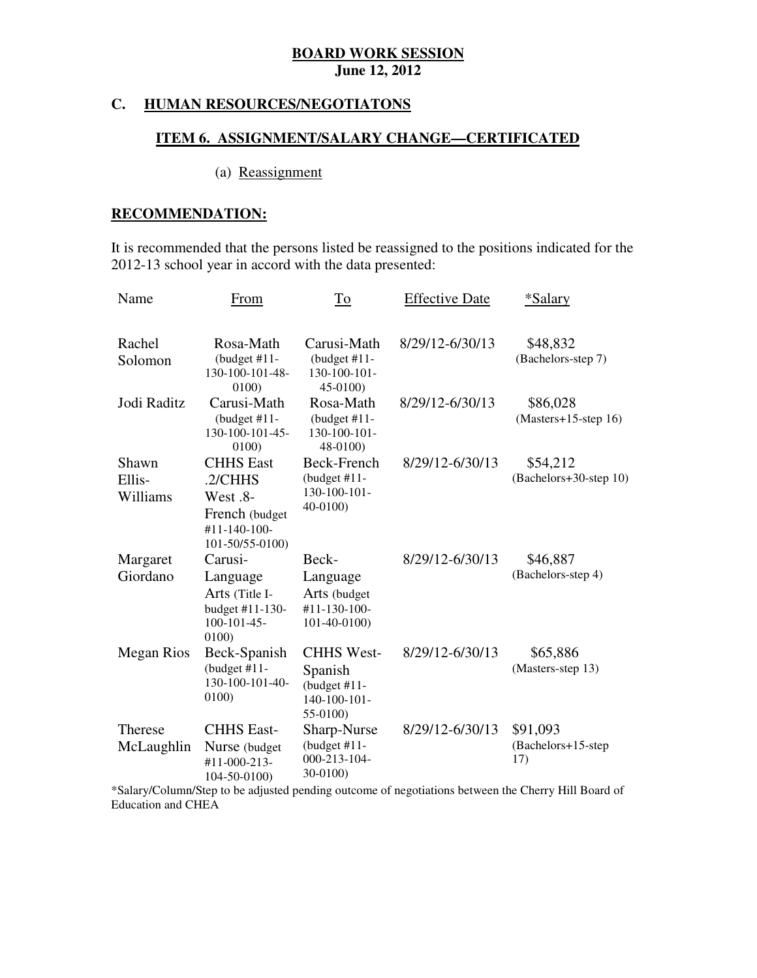#### **HUMAN RESOURCES/NEGOTIATONS**

#### **ITEM 6. ASSIGNMENT/SALARY CHANGE—CERTIFICATED**

### (a) Reassignment

# **RECOMMENDATION:**

 It is recommended that the persons listed be reassigned to the positions indicated for the 2012-13 school year in accord with the data presented:

| Name                         | From                                                                                         | To                                                                          | <b>Effective Date</b> | *Salary                               |
|------------------------------|----------------------------------------------------------------------------------------------|-----------------------------------------------------------------------------|-----------------------|---------------------------------------|
| Rachel<br>Solomon            | Rosa-Math<br>(budget $#11-$<br>130-100-101-48-<br>0100)                                      | Carusi-Math<br>(budget $#11$ -<br>130-100-101-<br>45-0100)                  | 8/29/12-6/30/13       | \$48,832<br>(Bachelors-step 7)        |
| Jodi Raditz                  | Carusi-Math<br>$(budget #11-)$<br>130-100-101-45-<br>0100)                                   | Rosa-Math<br>(budget $#11$ -<br>130-100-101-<br>48-0100)                    | 8/29/12-6/30/13       | \$86,028<br>(Masters+15-step 16)      |
| Shawn<br>Ellis-<br>Williams  | <b>CHHS</b> East<br>.2/CHHS<br>West .8-<br>French (budget<br>#11-140-100-<br>101-50/55-0100) | Beck-French<br>(budget $#11-$<br>130-100-101-<br>$40-0100$                  | 8/29/12-6/30/13       | \$54,212<br>(Bachelors+30-step 10)    |
| Margaret<br>Giordano         | Carusi-<br>Language<br>Arts (Title I-<br>budget #11-130-<br>$100 - 101 - 45$<br>0100)        | Beck-<br>Language<br>Arts (budget<br>#11-130-100-<br>101-40-0100)           | 8/29/12-6/30/13       | \$46,887<br>(Bachelors-step 4)        |
| <b>Megan Rios</b>            | Beck-Spanish<br>(budget $#11$ -<br>130-100-101-40-<br>0100)                                  | <b>CHHS West-</b><br>Spanish<br>(budget $#11$ -<br>140-100-101-<br>55-0100) | 8/29/12-6/30/13       | \$65,886<br>(Masters-step 13)         |
| <b>Therese</b><br>McLaughlin | <b>CHHS East-</b><br>Nurse (budget<br>#11-000-213-<br>104-50-0100)                           | Sharp-Nurse<br>(budget $#11$ -<br>000-213-104-<br>30-0100)                  | 8/29/12-6/30/13       | \$91,093<br>(Bachelors+15-step<br>17) |

 \*Salary/Column/Step to be adjusted pending outcome of negotiations between the Cherry Hill Board of Education and CHEA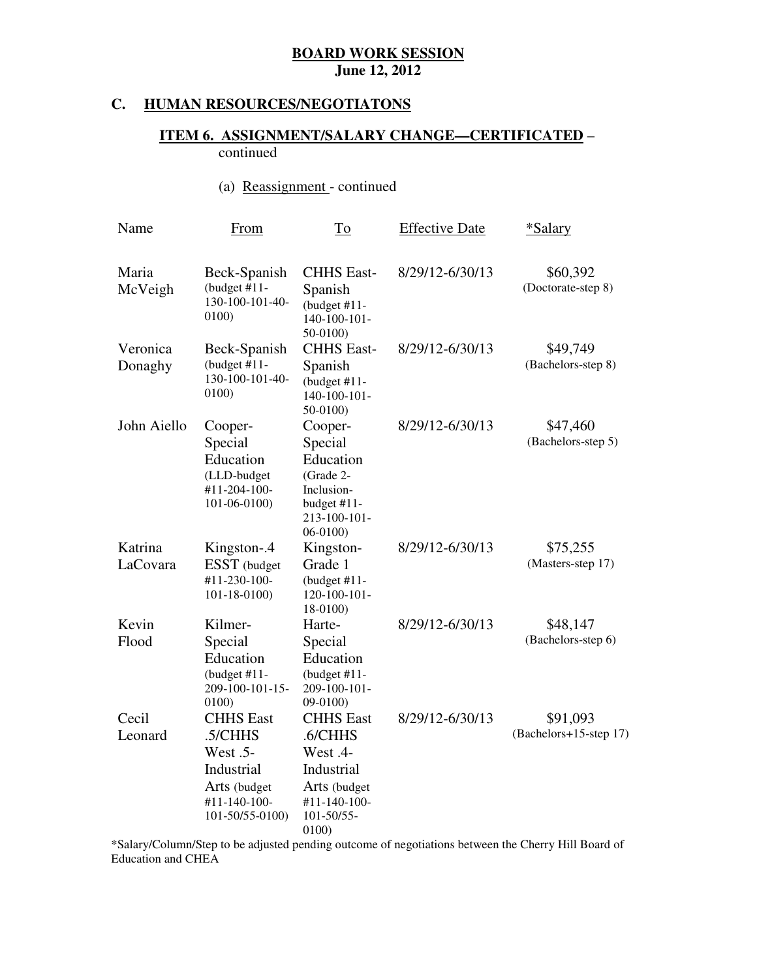#### **HUMAN RESOURCES/NEGOTIATONS**

#### **ITEM 6. ASSIGNMENT/SALARY CHANGE—CERTIFICATED** – continued

(a) Reassignment - continued

| Name                | <b>From</b>                                                                                              | To                                                                                                           | <b>Effective Date</b> | *Salary                            |
|---------------------|----------------------------------------------------------------------------------------------------------|--------------------------------------------------------------------------------------------------------------|-----------------------|------------------------------------|
| Maria<br>McVeigh    | Beck-Spanish<br>(budget $#11$ -<br>130-100-101-40-<br>0100                                               | <b>CHHS East-</b><br>Spanish<br>$(budget #11-$<br>140-100-101-<br>50-0100)                                   | 8/29/12-6/30/13       | \$60,392<br>(Doctorate-step 8)     |
| Veronica<br>Donaghy | Beck-Spanish<br>(budget $#11$ -<br>130-100-101-40-<br>0100)                                              | <b>CHHS East-</b><br>Spanish<br>$(budget #11-)$<br>140-100-101-<br>50-0100)                                  | 8/29/12-6/30/13       | \$49,749<br>(Bachelors-step 8)     |
| John Aiello         | Cooper-<br>Special<br>Education<br>(LLD-budget<br>#11-204-100-<br>$101 - 06 - 0100$                      | Cooper-<br>Special<br>Education<br>(Grade 2-<br>Inclusion-<br>budget #11-<br>213-100-101-<br>$06-0100$       | 8/29/12-6/30/13       | \$47,460<br>(Bachelors-step 5)     |
| Katrina<br>LaCovara | Kingston-.4<br>ESST (budget<br>#11-230-100-<br>$101 - 18 - 0100$                                         | Kingston-<br>Grade 1<br>(budget $#11$ -<br>$120 - 100 - 101$<br>18-0100)                                     | 8/29/12-6/30/13       | \$75,255<br>(Masters-step 17)      |
| Kevin<br>Flood      | Kilmer-<br>Special<br>Education<br>$(budget #11-$<br>209-100-101-15-<br>0100)                            | Harte-<br>Special<br>Education<br>$(budget #11-$<br>209-100-101-<br>09-0100)                                 | 8/29/12-6/30/13       | \$48,147<br>(Bachelors-step 6)     |
| Cecil<br>Leonard    | <b>CHHS</b> East<br>.5/CHHS<br>West .5-<br>Industrial<br>Arts (budget<br>#11-140-100-<br>101-50/55-0100) | <b>CHHS</b> East<br>.6/CHHS<br>West .4-<br>Industrial<br>Arts (budget<br>#11-140-100-<br>101-50/55-<br>0100) | 8/29/12-6/30/13       | \$91,093<br>(Bachelors+15-step 17) |

 \*Salary/Column/Step to be adjusted pending outcome of negotiations between the Cherry Hill Board of Education and CHEA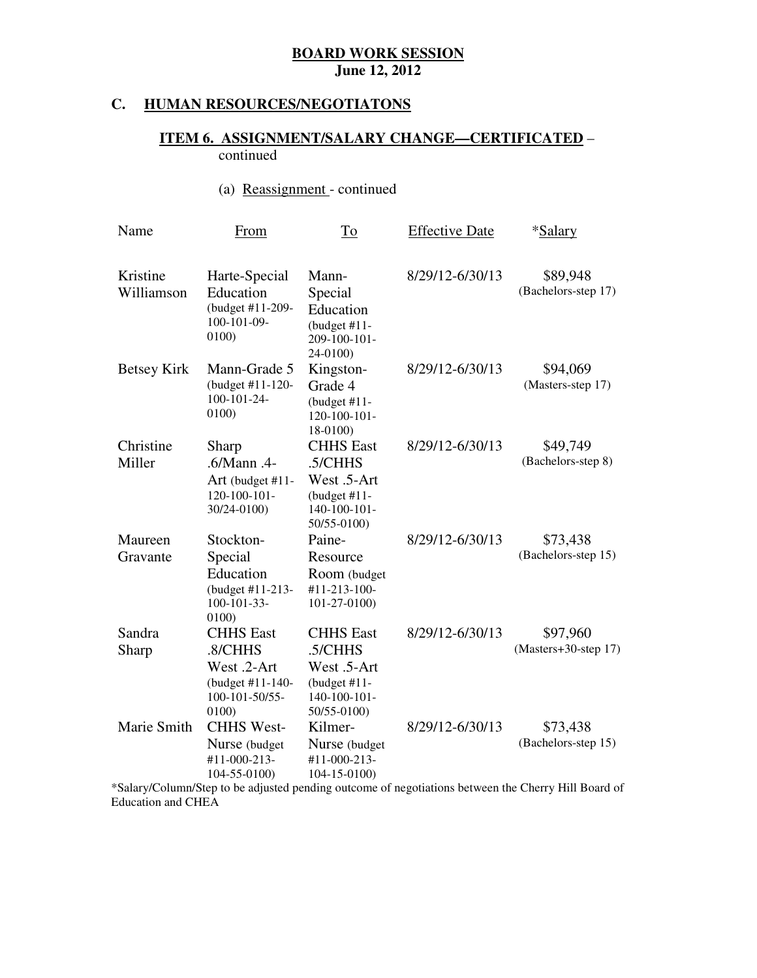#### **HUMAN RESOURCES/NEGOTIATONS**

#### **ITEM 6. ASSIGNMENT/SALARY CHANGE—CERTIFICATED** – continued

#### (a) Reassignment - continued

| Name                   | From                                                                                      | To                                                                                           | <b>Effective Date</b> | *Salary                          |
|------------------------|-------------------------------------------------------------------------------------------|----------------------------------------------------------------------------------------------|-----------------------|----------------------------------|
| Kristine<br>Williamson | Harte-Special<br>Education<br>(budget #11-209-<br>100-101-09-<br>0100)                    | Mann-<br>Special<br>Education<br>(budget $#11$ -<br>209-100-101-<br>24-0100)                 | 8/29/12-6/30/13       | \$89,948<br>(Bachelors-step 17)  |
| <b>Betsey Kirk</b>     | Mann-Grade 5<br>(budget #11-120-<br>100-101-24-<br>0100)                                  | Kingston-<br>Grade 4<br>(budget $#11$ -<br>120-100-101-<br>18-0100)                          | 8/29/12-6/30/13       | \$94,069<br>(Masters-step 17)    |
| Christine<br>Miller    | Sharp<br>$.6/M$ ann. $4$<br>Art (budget #11-<br>$120 - 100 - 101 -$<br>30/24-0100)        | <b>CHHS</b> East<br>.5/CHHS<br>West .5-Art<br>(budget $#11$ -<br>140-100-101-<br>50/55-0100) | 8/29/12-6/30/13       | \$49,749<br>(Bachelors-step 8)   |
| Maureen<br>Gravante    | Stockton-<br>Special<br>Education<br>(budget #11-213-<br>$100 - 101 - 33 -$<br>0100)      | Paine-<br>Resource<br>Room (budget<br>#11-213-100-<br>101-27-0100)                           | 8/29/12-6/30/13       | \$73,438<br>(Bachelors-step 15)  |
| Sandra<br>Sharp        | <b>CHHS</b> East<br>.8/CHHS<br>West .2-Art<br>(budget #11-140-<br>100-101-50/55-<br>0100) | <b>CHHS</b> East<br>.5/CHHS<br>West .5-Art<br>(budget $#11$ -<br>140-100-101-<br>50/55-0100) | 8/29/12-6/30/13       | \$97,960<br>(Masters+30-step 17) |
| Marie Smith            | <b>CHHS West-</b><br>Nurse (budget<br>#11-000-213-<br>104-55-0100)                        | Kilmer-<br>Nurse (budget<br>#11-000-213-<br>$104 - 15 - 0100$                                | 8/29/12-6/30/13       | \$73,438<br>(Bachelors-step 15)  |

 Education and CHEA \*Salary/Column/Step to be adjusted pending outcome of negotiations between the Cherry Hill Board of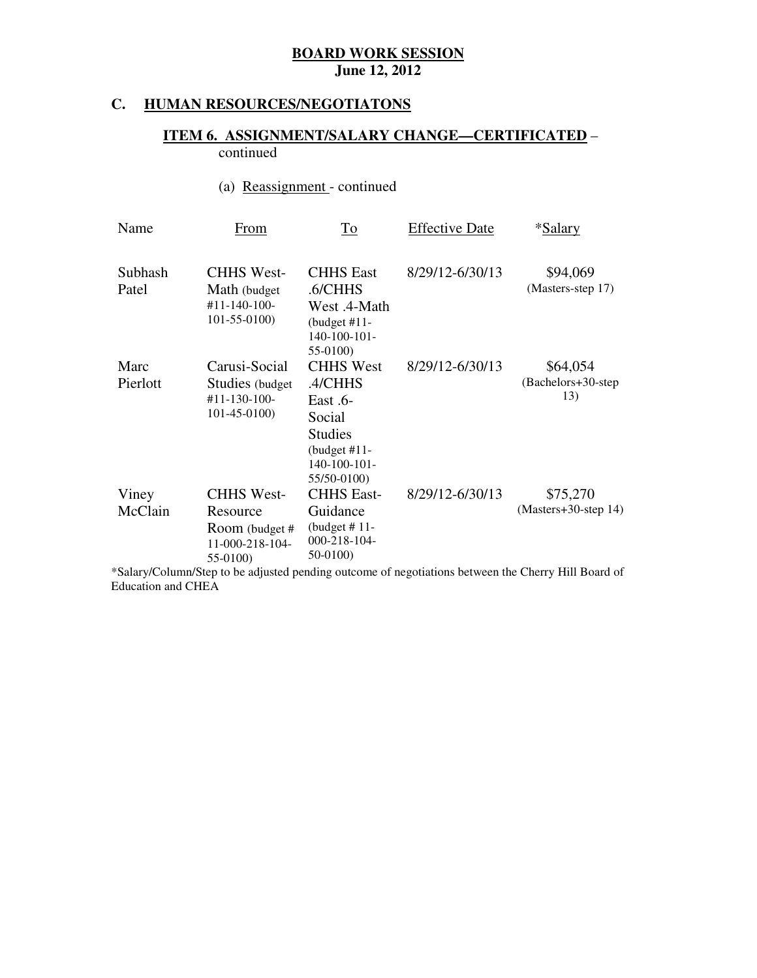#### **HUMAN RESOURCES/NEGOTIATONS**

#### **ITEM 6. ASSIGNMENT/SALARY CHANGE—CERTIFICATED** – continued

# (a) Reassignment - continued

| Name             | From                                                                           | <u>To</u>                                                                                                             | <b>Effective Date</b> | *Salary                                |
|------------------|--------------------------------------------------------------------------------|-----------------------------------------------------------------------------------------------------------------------|-----------------------|----------------------------------------|
| Subhash<br>Patel | <b>CHHS West-</b><br>Math (budget)<br>$#11 - 140 - 100 -$<br>$101 - 55 - 0100$ | <b>CHHS East</b><br>.6/CHHS<br>West .4-Math<br>(budget $#11-$<br>$140-100-101-$<br>55-0100)                           | 8/29/12-6/30/13       | \$94,069<br>(Masters-step 17)          |
| Marc<br>Pierlott | Carusi-Social<br>Studies (budget)<br>#11-130-100-<br>$101-45-0100$             | <b>CHHS West</b><br>.4/CHHS<br>$East.6-$<br>Social<br><b>Studies</b><br>(budget $#11-$<br>140-100-101-<br>55/50-0100) | 8/29/12-6/30/13       | \$64,054<br>(Bachelors+30-step)<br>13) |
| Viney<br>McClain | <b>CHHS West-</b><br>Resource<br>Room (budget #<br>11-000-218-104-<br>55-0100) | <b>CHHS East-</b><br>Guidance<br>(budget $# 11$ -<br>000-218-104-<br>50-0100)                                         | 8/29/12-6/30/13       | \$75,270<br>(Masters+30-step 14)       |

 Education and CHEA \*Salary/Column/Step to be adjusted pending outcome of negotiations between the Cherry Hill Board of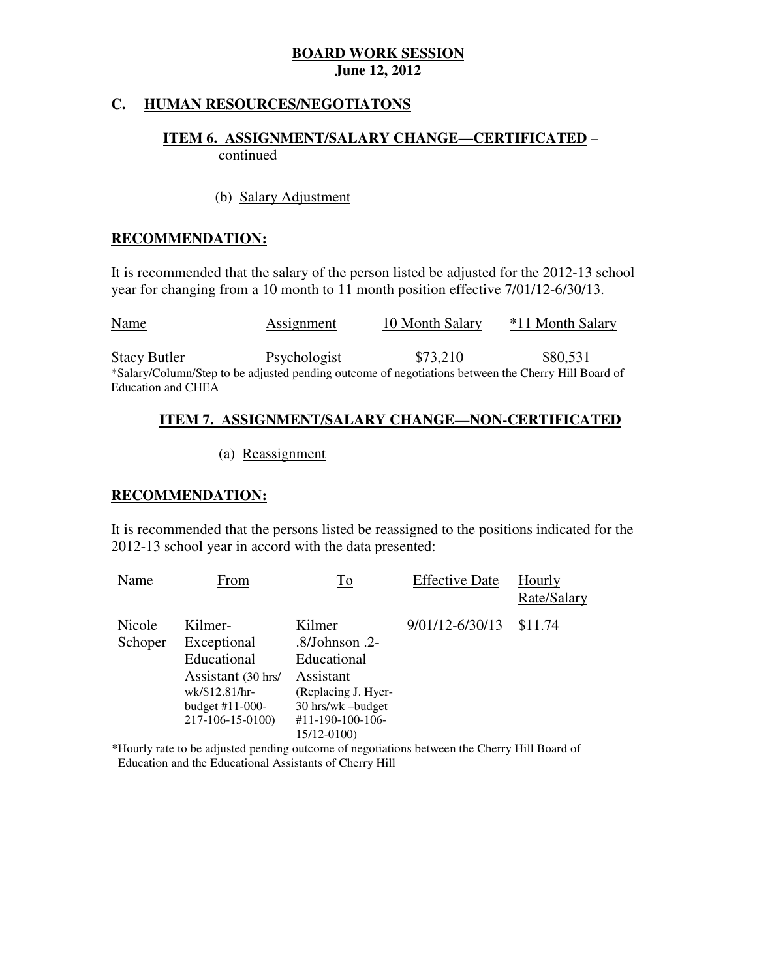#### **C. HUMAN RESOURCES/NEGOTIATONS**

#### **ITEM 6. ASSIGNMENT/SALARY CHANGE—CERTIFICATED** – continued

(b) Salary Adjustment

#### **RECOMMENDATION:**

 It is recommended that the salary of the person listed be adjusted for the 2012-13 school year for changing from a 10 month to 11 month position effective 7/01/12-6/30/13.

| <u>Name</u>               | Assignment   | 10 Month Salary                                                                                     | *11 Month Salary |
|---------------------------|--------------|-----------------------------------------------------------------------------------------------------|------------------|
| <b>Stacy Butler</b>       | Psychologist | \$73.210                                                                                            | \$80,531         |
|                           |              | *Salary/Column/Step to be adjusted pending outcome of negotiations between the Cherry Hill Board of |                  |
| <b>Education and CHEA</b> |              |                                                                                                     |                  |

#### **ITEM 7. ASSIGNMENT/SALARY CHANGE—NON-CERTIFICATED**

(a) Reassignment

#### **RECOMMENDATION:**

 It is recommended that the persons listed be reassigned to the positions indicated for the 2012-13 school year in accord with the data presented:

| Name              | From                                                                                                                   | To                                                                                                                                       | <b>Effective Date</b> | Hourly<br>Rate/Salary |
|-------------------|------------------------------------------------------------------------------------------------------------------------|------------------------------------------------------------------------------------------------------------------------------------------|-----------------------|-----------------------|
| Nicole<br>Schoper | Kilmer-<br>Exceptional<br>Educational<br>Assistant (30 hrs/<br>wk/\$12.81/hr-<br>budget $#11-000-$<br>217-106-15-0100) | Kilmer<br>$.8/Johnson$ .2-<br>Educational<br>Assistant<br>(Replacing J. Hyer-<br>30 hrs/wk -budget<br>#11-190-100-106-<br>$15/12 - 0100$ | 9/01/12-6/30/13       | \$11.74               |

\*Hourly rate to be adjusted pending outcome of negotiations between the Cherry Hill Board of Education and the Educational Assistants of Cherry Hill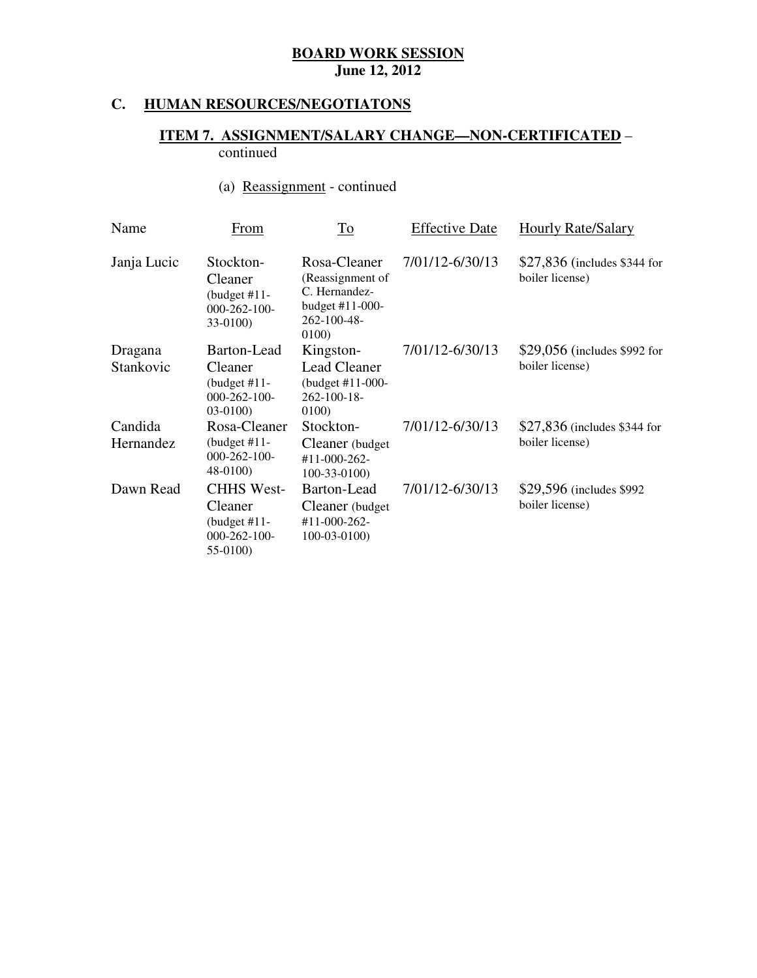#### **C. HUMAN RESOURCES/NEGOTIATONS**

#### **ITEM 7. ASSIGNMENT/SALARY CHANGE—NON-CERTIFICATED** – continued

# (a) Reassignment - continued

| Name                 | From                                                                              | To                                                                                           | <b>Effective Date</b> | <b>Hourly Rate/Salary</b>                        |
|----------------------|-----------------------------------------------------------------------------------|----------------------------------------------------------------------------------------------|-----------------------|--------------------------------------------------|
| Janja Lucic          | Stockton-<br>Cleaner<br>(budget $#11-$<br>$000 - 262 - 100 -$<br>33-0100)         | Rosa-Cleaner<br>(Reassignment of<br>C. Hernandez-<br>budget #11-000-<br>262-100-48-<br>0100) | 7/01/12-6/30/13       | $$27,836$ (includes \$344 for<br>boiler license) |
| Dragana<br>Stankovic | Barton-Lead<br>Cleaner<br>(budget $#11$ -<br>$000 - 262 - 100 -$<br>$03-0100$     | Kingston-<br><b>Lead Cleaner</b><br>(budget #11-000-<br>$262 - 100 - 18$<br>0100)            | 7/01/12-6/30/13       | \$29,056 (includes \$992 for<br>boiler license)  |
| Candida<br>Hernandez | Rosa-Cleaner<br>(budget $#11-$<br>$000 - 262 - 100 -$<br>48-0100)                 | Stockton-<br>Cleaner (budget)<br>$#11 - 000 - 262 -$<br>$100-33-0100$                        | 7/01/12-6/30/13       | \$27,836 (includes \$344 for<br>boiler license)  |
| Dawn Read            | <b>CHHS West-</b><br>Cleaner<br>(budget $#11-$<br>$000 - 262 - 100 -$<br>55-0100) | Barton-Lead<br>Cleaner (budget)<br>#11-000-262-<br>$100-03-0100$                             | 7/01/12-6/30/13       | \$29,596 (includes \$992)<br>boiler license)     |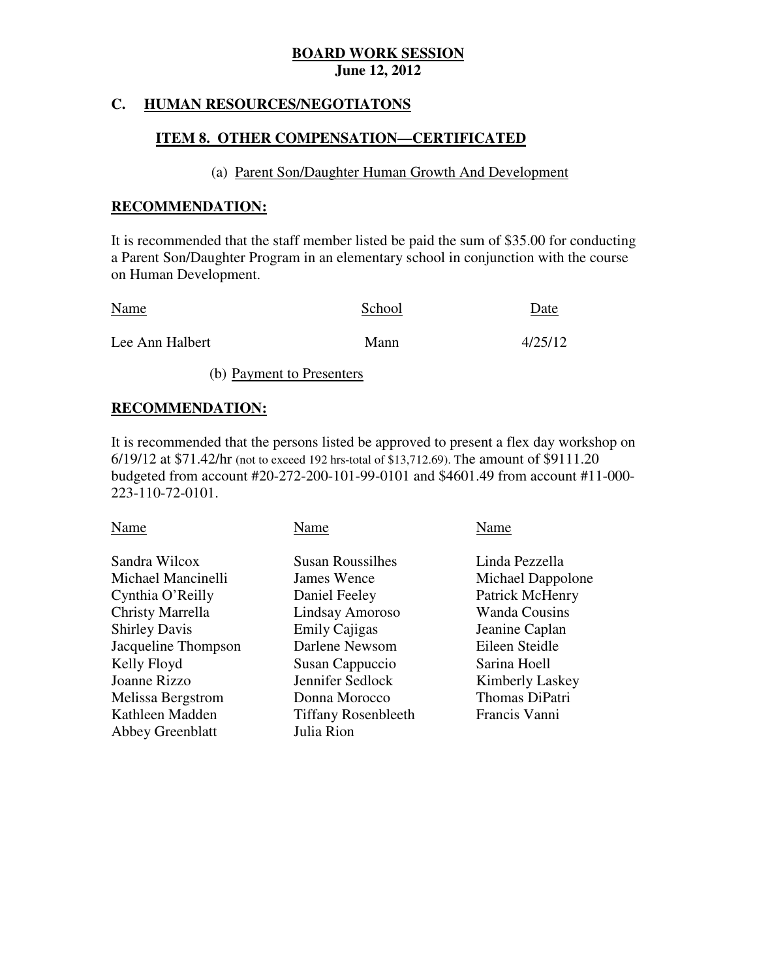#### **C. HUMAN RESOURCES/NEGOTIATONS**

#### **ITEM 8. OTHER COMPENSATION—CERTIFICATED**

#### (a) Parent Son/Daughter Human Growth And Development

#### **RECOMMENDATION:**

 It is recommended that the staff member listed be paid the sum of \$35.00 for conducting a Parent Son/Daughter Program in an elementary school in conjunction with the course on Human Development.

| <b>Name</b>     | School | Date    |
|-----------------|--------|---------|
| Lee Ann Halbert | Mann   | 4/25/12 |

(b) Payment to Presenters

#### **RECOMMENDATION:**

 It is recommended that the persons listed be approved to present a flex day workshop on 6/19/12 at \$71.42/hr (not to exceed 192 hrs-total of \$13,712.69). The amount of \$9111.20 budgeted from account #20-272-200-101-99-0101 and \$4601.49 from account #11-000 223-110-72-0101.

| Name                 | Name                       | Name                   |
|----------------------|----------------------------|------------------------|
| Sandra Wilcox        | <b>Susan Roussilhes</b>    | Linda Pezzella         |
| Michael Mancinelli   | James Wence                | Michael Dappolone      |
| Cynthia O'Reilly     | Daniel Feeley              | Patrick McHenry        |
| Christy Marrella     | Lindsay Amoroso            | <b>Wanda Cousins</b>   |
| <b>Shirley Davis</b> | <b>Emily Cajigas</b>       | Jeanine Caplan         |
| Jacqueline Thompson  | Darlene Newsom             | Eileen Steidle         |
| Kelly Floyd          | Susan Cappuccio            | Sarina Hoell           |
| Joanne Rizzo         | Jennifer Sedlock           | <b>Kimberly Laskey</b> |
| Melissa Bergstrom    | Donna Morocco              | Thomas DiPatri         |
| Kathleen Madden      | <b>Tiffany Rosenbleeth</b> | Francis Vanni          |
| Abbey Greenblatt     | Julia Rion                 |                        |
|                      |                            |                        |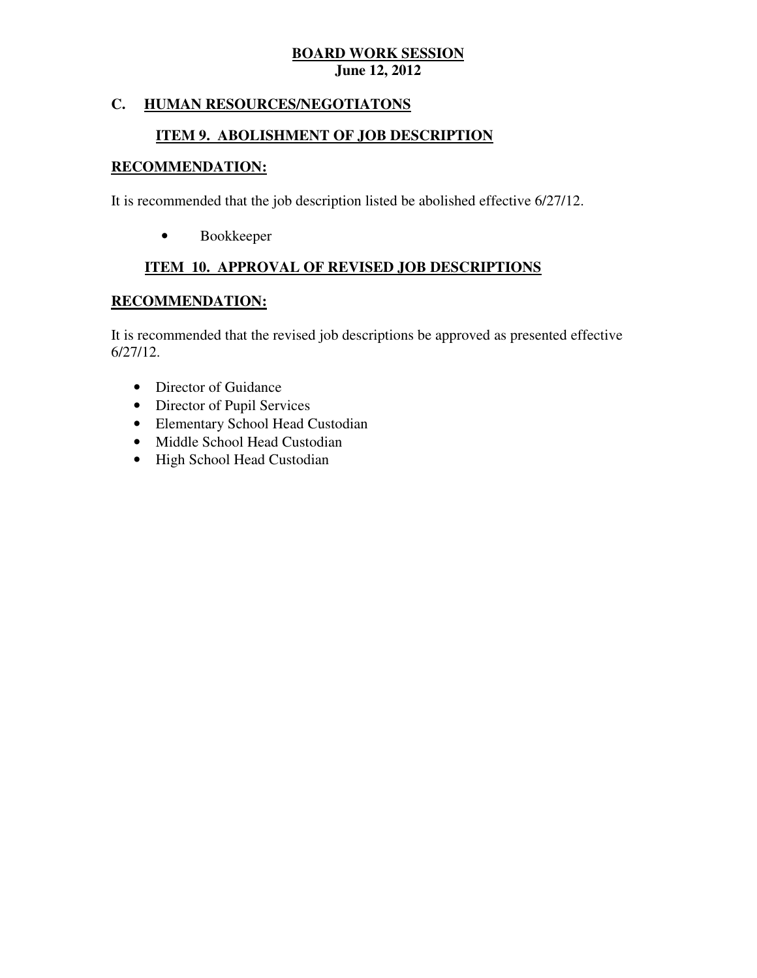### **C. HUMAN RESOURCES/NEGOTIATONS**

# **ITEM 9. ABOLISHMENT OF JOB DESCRIPTION**

### **RECOMMENDATION:**

It is recommended that the job description listed be abolished effective 6/27/12.

• Bookkeeper

### **ITEM 10. APPROVAL OF REVISED JOB DESCRIPTIONS**

#### **RECOMMENDATION:**

 It is recommended that the revised job descriptions be approved as presented effective 6/27/12.

- Director of Guidance
- Director of Pupil Services
- Elementary School Head Custodian
- Middle School Head Custodian
- High School Head Custodian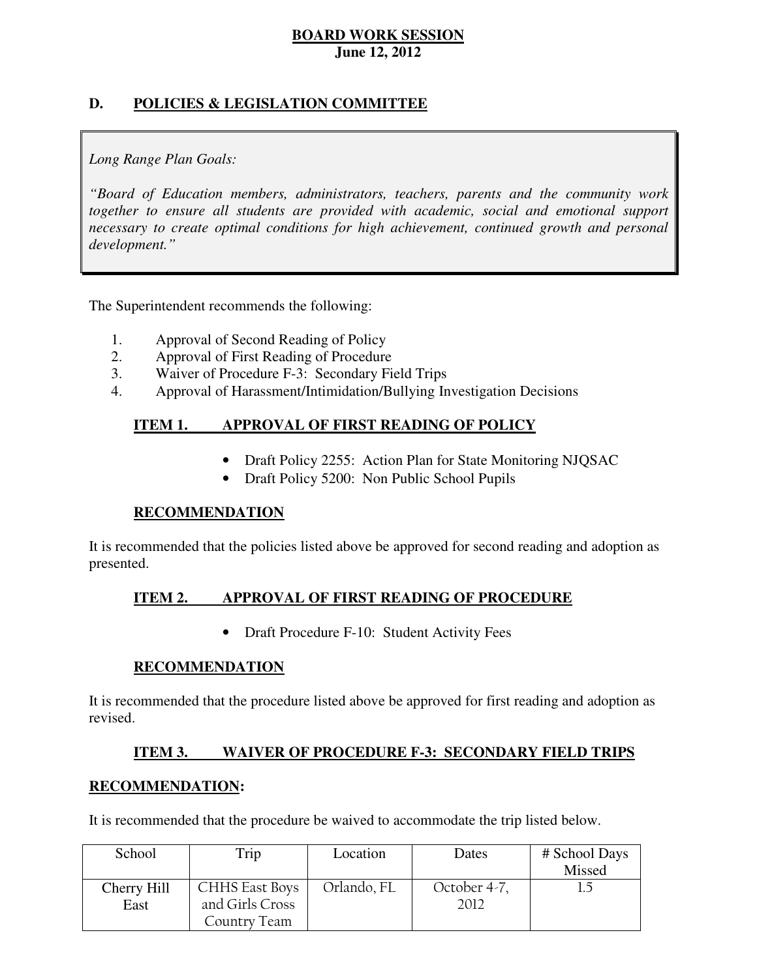# **D. POLICIES & LEGISLATION COMMITTEE**

### *Long Range Plan Goals:*

 *"Board of Education members, administrators, teachers, parents and the community work*  together to ensure all students are provided with academic, social and emotional support necessary to create optimal conditions for high achievement, continued growth and personal *development."* 

The Superintendent recommends the following:

- 1. Approval of Second Reading of Policy
- 2. Approval of First Reading of Procedure
- 3. Waiver of Procedure F-3: Secondary Field Trips
- 4. Approval of Harassment/Intimidation/Bullying Investigation Decisions

#### **ITEM 1. APPROVAL OF FIRST READING OF POLICY**

- Draft Policy 2255: Action Plan for State Monitoring NJQSAC
- Draft Policy 5200: Non Public School Pupils

#### **RECOMMENDATION**

 It is recommended that the policies listed above be approved for second reading and adoption as presented.

#### **ITEM 2. APPROVAL OF FIRST READING OF PROCEDURE**

• Draft Procedure F-10: Student Activity Fees

#### **RECOMMENDATION**

 It is recommended that the procedure listed above be approved for first reading and adoption as revised.

#### **ITEM 3. WAIVER OF PROCEDURE F-3: SECONDARY FIELD TRIPS**

#### **RECOMMENDATION:**

It is recommended that the procedure be waived to accommodate the trip listed below.

| School      | Trip                  | Location    | Dates        | # School Days |
|-------------|-----------------------|-------------|--------------|---------------|
|             |                       |             |              | Missed        |
| Cherry Hill | <b>CHHS East Boys</b> | Orlando, FL | October 4-7, |               |
| East        | and Girls Cross       |             | 2012         |               |
|             | Country Team          |             |              |               |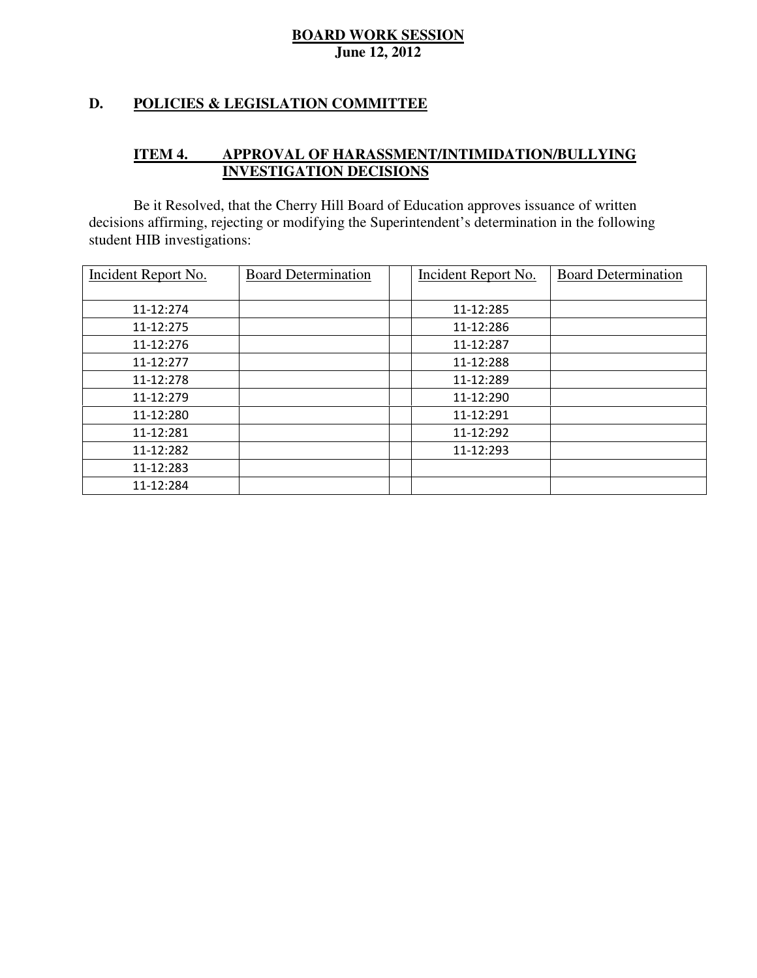### **D. POLICIES & LEGISLATION COMMITTEE**

#### **ITEM 4. APPROVAL OF HARASSMENT/INTIMIDATION/BULLYING INVESTIGATION DECISIONS**

 decisions affirming, rejecting or modifying the Superintendent's determination in the following student HIB investigations: Be it Resolved, that the Cherry Hill Board of Education approves issuance of written

| Incident Report No. | <b>Board Determination</b> | <b>Incident Report No.</b> | <b>Board Determination</b> |
|---------------------|----------------------------|----------------------------|----------------------------|
|                     |                            |                            |                            |
| 11-12:274           |                            | 11-12:285                  |                            |
| 11-12:275           |                            | 11-12:286                  |                            |
| 11-12:276           |                            | 11-12:287                  |                            |
| 11-12:277           |                            | 11-12:288                  |                            |
| 11-12:278           |                            | 11-12:289                  |                            |
| 11-12:279           |                            | 11-12:290                  |                            |
| 11-12:280           |                            | 11-12:291                  |                            |
| 11-12:281           |                            | 11-12:292                  |                            |
| 11-12:282           |                            | 11-12:293                  |                            |
| 11-12:283           |                            |                            |                            |
| 11-12:284           |                            |                            |                            |